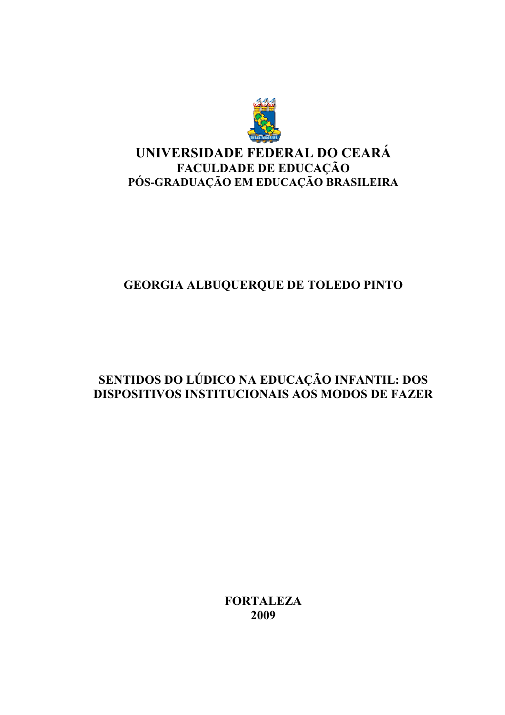

# UNIVERSIDADE FEDERAL DO CEARÁ FACULDADE DE EDUCAÇÃO<br>PÓS-GRADUAÇÃO EM EDUCAÇÃO BRASILEIRA

# **GEORGIA ALBUQUERQUE DE TOLEDO PINTO**

# SENTIDOS DO LÚDICO NA EDUCAÇÃO INFANTIL: DOS **DISPOSITIVOS INSTITUCIONAIS AOS MODOS DE FAZER**

**FORTALEZA** 2009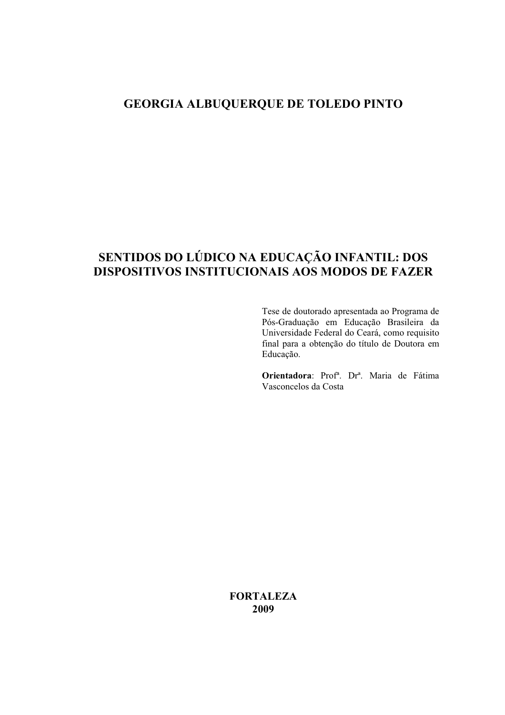### GEORGIA ALBUQUERQUE DE TOLEDO PINTO

# SENTIDOS DO LÚDICO NA EDUCAÇÃO INFANTIL: DOS **DISPOSITIVOS INSTITUCIONAIS AOS MODOS DE FAZER**

Tese de doutorado apresentada ao Programa de Pós-Graduação em Educação Brasileira da Universidade Federal do Ceará, como requisito final para a obtenção do título de Doutora em Educação.

Orientadora: Prof<sup>a</sup>. Dr<sup>a</sup>. Maria de Fátima Vasconcelos da Costa

**FORTALEZA** 2009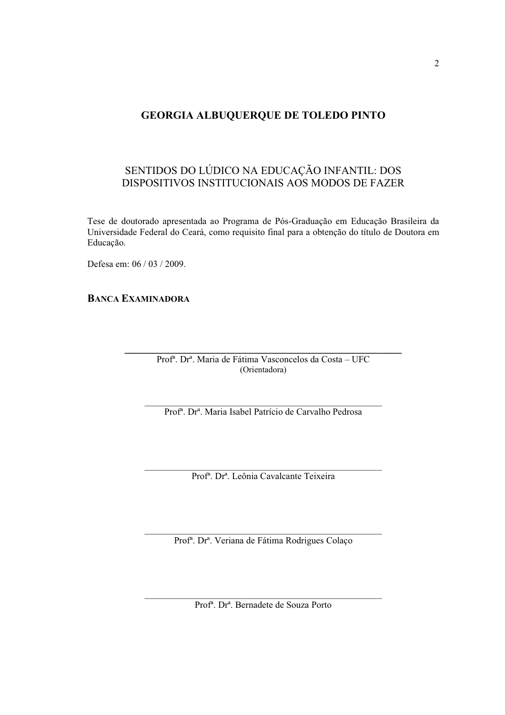### **GEORGIA ALBUQUERQUE DE TOLEDO PINTO**

### SENTIDOS DO LÚDICO NA EDUCAÇÃO INFANTIL: DOS DISPOSITIVOS INSTITUCIONAIS AOS MODOS DE FAZER

Tese de doutorado apresentada ao Programa de Pós-Graduação em Educação Brasileira da Universidade Federal do Ceará, como requisito final para a obtenção do título de Doutora em Educação.

Defesa em: 06 / 03 / 2009.

**BANCA EXAMINADORA** 

Prof<sup>a</sup>. Dr<sup>a</sup>. Maria de Fátima Vasconcelos da Costa - UFC (Orientadora)

Prof<sup>a</sup>, Dr<sup>a</sup>, Maria Isabel Patrício de Carvalho Pedrosa

Prof<sup>a</sup>. Dr<sup>a</sup>. Leônia Cavalcante Teixeira

Prof<sup>a</sup>. Dr<sup>a</sup>. Veriana de Fátima Rodrigues Colaço

Prof<sup>a</sup>. Dr<sup>a</sup>. Bernadete de Souza Porto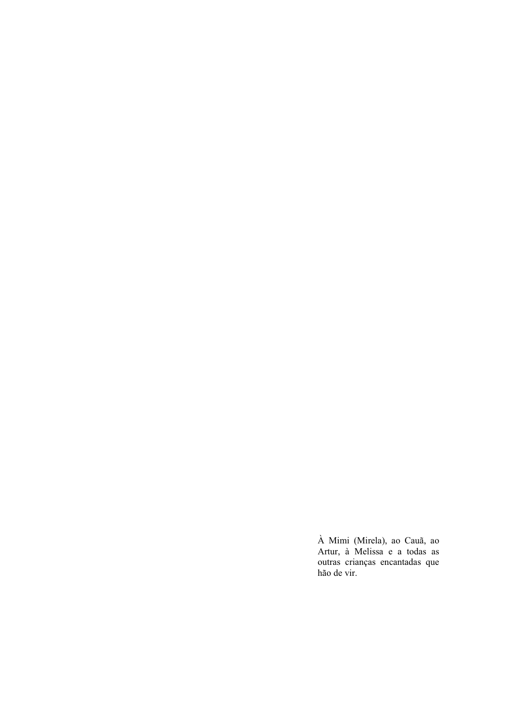À Mimi (Mirela), ao Cauã, ao<br>Artur, à Melissa e a todas as outras crianças encantadas que hão de vir.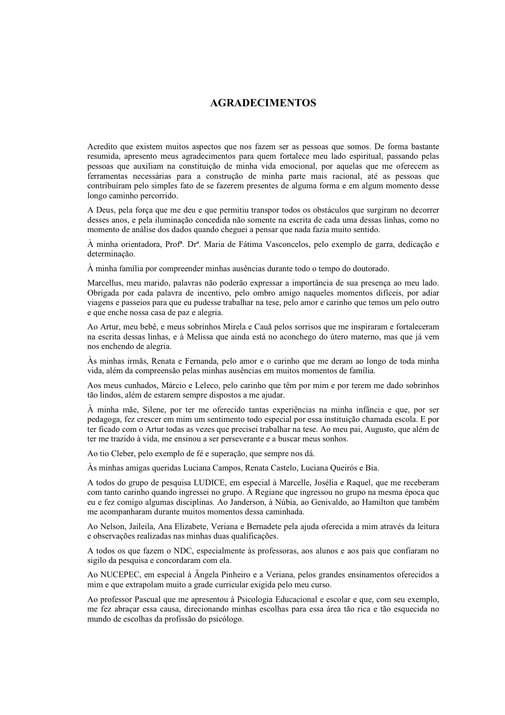#### **AGRADECIMENTOS**

Acredito que existem muitos aspectos que nos fazem ser as pessoas que somos. De forma bastante resumida, apresento meus agradecimentos para quem fortalece meu lado espiritual, passando pelas pessoas que auxiliam na constituição de minha vida emocional, por aquelas que me oferecem as ferramentas necessárias para a construção de minha parte mais racional, até as pessoas que contribuíram pelo simples fato de se fazerem presentes de alguma forma e em algum momento desse longo caminho percorrido.

A Deus, pela forca que me deu e que permitiu transpor todos os obstáculos que surgiram no decorrer desses anos, e pela iluminação concedida não somente na escrita de cada uma dessas linhas, como no momento de análise dos dados quando cheguei a pensar que nada fazia muito sentido.

À minha orientadora, Prof<sup>a</sup>. Dr<sup>a</sup>. Maria de Fátima Vasconcelos, pelo exemplo de garra, dedicação e determinação.

À minha família por compreender minhas ausências durante todo o tempo do doutorado.

Marcellus, meu marido, palavras não poderão expressar a importância de sua presença ao meu lado. Obrigada por cada palavra de incentivo, pelo ombro amigo naqueles momentos difíceis, por adiar viagens e passeios para que eu pudesse trabalhar na tese, pelo amor e carinho que temos um pelo outro e que enche nossa casa de paz e alegria.

Ao Artur, meu bebê, e meus sobrinhos Mirela e Cauã pelos sorrisos que me inspiraram e fortaleceram na escrita dessas linhas, e à Melissa que ainda está no aconchego do útero materno, mas que já vem nos enchendo de alegria.

Às minhas irmãs, Renata e Fernanda, pelo amor e o carinho que me deram ao longo de toda minha vida, além da compreensão pelas minhas ausências em muitos momentos de família.

Aos meus cunhados, Márcio e Leleco, pelo carinho que têm por mim e por terem me dado sobrinhos tão lindos, além de estarem sempre dispostos a me ajudar.

À minha mãe, Silene, por ter me oferecido tantas experiências na minha infância e que, por ser pedagoga, fez crescer em mim um sentimento todo especial por essa instituição chamada escola. E por ter ficado com o Artur todas as vezes que precisei trabalhar na tese. Ao meu pai, Augusto, que além de ter me trazido à vida, me ensinou a ser perseverante e a buscar meus sonhos.

Ao tio Cleber, pelo exemplo de fé e superação, que sempre nos dá.

As minhas amigas queridas Luciana Campos, Renata Castelo, Luciana Queirós e Bia.

A todos do grupo de pesquisa LUDICE, em especial à Marcelle, Josélia e Raquel, que me receberam com tanto carinho quando ingressei no grupo. À Regiane que ingressou no grupo na mesma época que eu e fez comigo algumas disciplinas. Ao Janderson, à Núbia, ao Genivaldo, ao Hamilton que também me acompanharam durante muitos momentos dessa caminhada.

Ao Nelson, Jaileila, Ana Elizabete, Veriana e Bernadete pela ajuda oferecida a mim através da leitura e observações realizadas nas minhas duas qualificações.

A todos os que fazem o NDC, especialmente às professoras, aos alunos e aos pais que confiaram no sigilo da pesquisa e concordaram com ela.

Ao NUCEPEC, em especial à Ângela Pinheiro e a Veriana, pelos grandes ensinamentos oferecidos a mim e que extrapolam muito a grade curricular exigida pelo meu curso.

Ao professor Pascual que me apresentou à Psicologia Educacional e escolar e que, com seu exemplo, me fez abracar essa causa, direcionando minhas escolhas para essa área tão rica e tão esquecida no mundo de escolhas da profissão do psicólogo.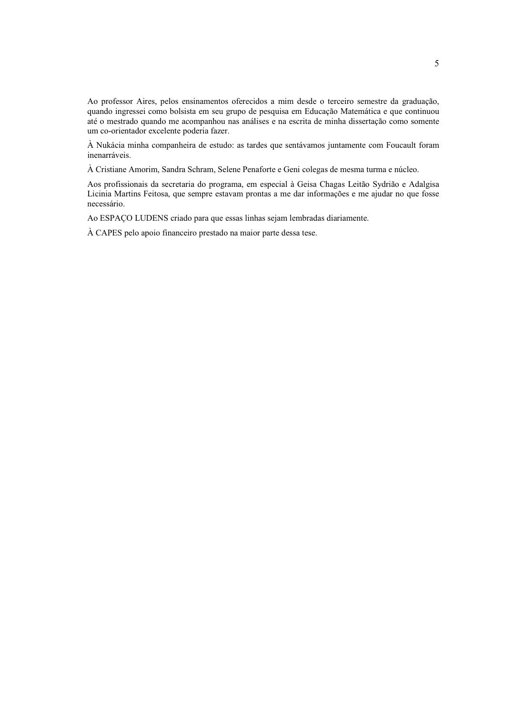Ao professor Aires, pelos ensinamentos oferecidos a mim desde o terceiro semestre da graduação, quando ingressei como bolsista em seu grupo de pesquisa em Educação Matemática e que continuou até o mestrado quando me acompanhou nas análises e na escrita de minha dissertação como somente um co-orientador excelente poderia fazer.

À Nukácia minha companheira de estudo: as tardes que sentávamos juntamente com Foucault foram inenarráveis.

À Cristiane Amorim, Sandra Schram, Selene Penaforte e Geni colegas de mesma turma e núcleo.

Aos profissionais da secretaria do programa, em especial à Geisa Chagas Leitão Sydrião e Adalgisa Licinia Martins Feitosa, que sempre estavam prontas a me dar informações e me ajudar no que fosse necessário.

Ao ESPAÇO LUDENS criado para que essas linhas sejam lembradas diariamente.

À CAPES pelo apoio financeiro prestado na maior parte dessa tese.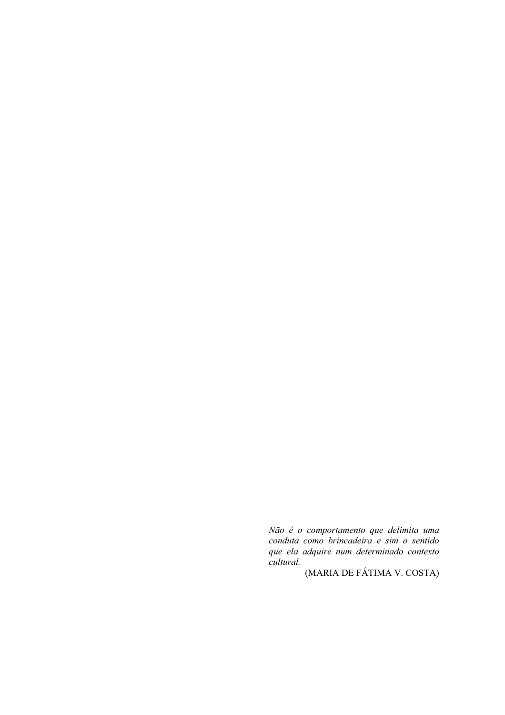Não é o comportamento que delimita uma conduta como brincadeira e sim o sentido que ela adquire num determinado contexto *cultural.* 

(MARIA DE FÁTIMA V. COSTA)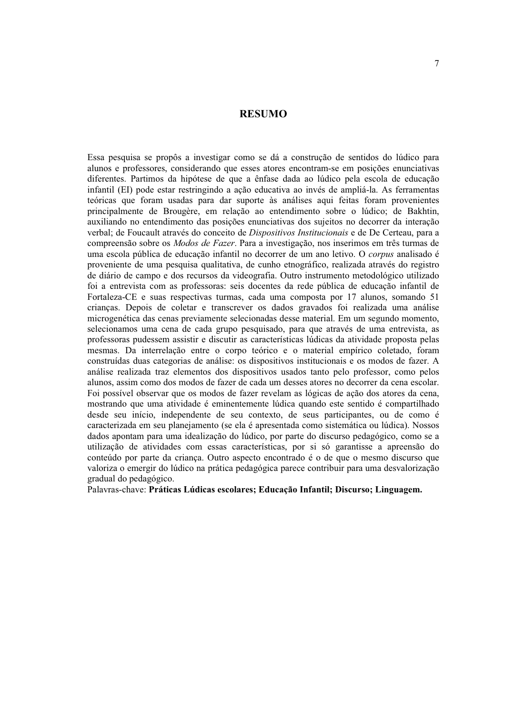#### **RESUMO**

Essa pesquisa se propôs a investigar como se dá a construção de sentidos do lúdico para alunos e professores, considerando que esses atores encontram-se em posições enunciativas diferentes. Partimos da hipótese de que a ênfase dada ao lúdico pela escola de educação infantil (EI) pode estar restringindo a ação educativa ao invés de ampliá-la. As ferramentas teóricas que foram usadas para dar suporte às análises aqui feitas foram provenientes principalmente de Brougère, em relação ao entendimento sobre o lúdico; de Bakhtin, auxiliando no entendimento das posições enunciativas dos sujeitos no decorrer da interação verbal; de Foucault através do conceito de Dispositivos Institucionais e de De Certeau, para a compreensão sobre os Modos de Fazer. Para a investigação, nos inserimos em três turmas de uma escola pública de educação infantil no decorrer de um ano letivo. O *corpus* analisado é proveniente de uma pesquisa qualitativa, de cunho etnográfico, realizada através do registro de diário de campo e dos recursos da videografia. Outro instrumento metodológico utilizado foi a entrevista com as professoras: seis docentes da rede pública de educação infantil de Fortaleza-CE e suas respectivas turmas, cada uma composta por 17 alunos, somando 51 criancas. Depois de coletar e transcrever os dados gravados foi realizada uma análise microgenética das cenas previamente selecionadas desse material. Em um segundo momento, selecionamos uma cena de cada grupo pesquisado, para que através de uma entrevista, as professoras pudessem assistir e discutir as características lúdicas da atividade proposta pelas mesmas. Da interrelação entre o corpo teórico e o material empírico coletado, foram construídas duas categorias de análise: os dispositivos institucionais e os modos de fazer. A análise realizada traz elementos dos dispositivos usados tanto pelo professor, como pelos alunos, assim como dos modos de fazer de cada um desses atores no decorrer da cena escolar. Foi possível observar que os modos de fazer revelam as lógicas de ação dos atores da cena. mostrando que uma atividade é eminentemente lúdica quando este sentido é compartilhado desde seu início, independente de seu contexto, de seus participantes, ou de como é caracterizada em seu planejamento (se ela é apresentada como sistemática ou lúdica). Nossos dados apontam para uma idealização do lúdico, por parte do discurso pedagógico, como se a utilização de atividades com essas características, por si só garantisse a apreensão do conteúdo por parte da crianca. Outro aspecto encontrado é o de que o mesmo discurso que valoriza o emergir do lúdico na prática pedagógica parece contribuir para uma desvalorização gradual do pedagógico.

Palavras-chave: Práticas Lúdicas escolares; Educação Infantil; Discurso; Linguagem.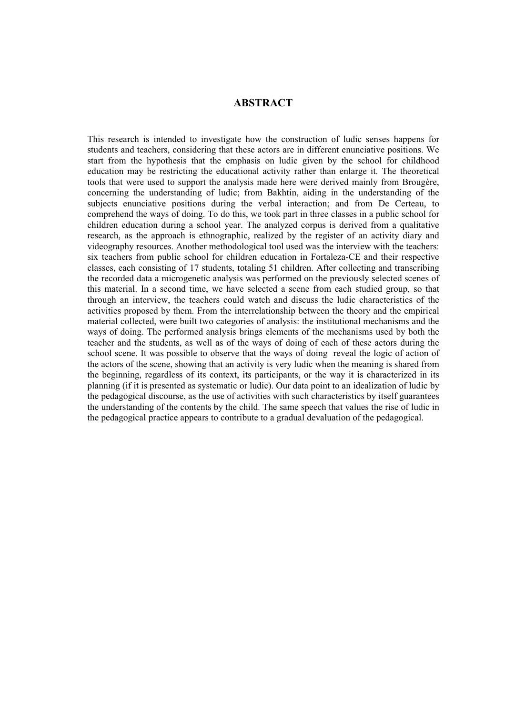#### **ABSTRACT**

This research is intended to investigate how the construction of ludic senses happens for students and teachers, considering that these actors are in different enunciative positions. We start from the hypothesis that the emphasis on ludic given by the school for childhood education may be restricting the educational activity rather than enlarge it. The theoretical tools that were used to support the analysis made here were derived mainly from Brougère, concerning the understanding of ludic; from Bakhtin, aiding in the understanding of the subjects enunciative positions during the verbal interaction; and from De Certeau, to comprehend the ways of doing. To do this, we took part in three classes in a public school for children education during a school year. The analyzed corpus is derived from a qualitative research, as the approach is ethnographic, realized by the register of an activity diary and videography resources. Another methodological tool used was the interview with the teachers: six teachers from public school for children education in Fortaleza-CE and their respective classes, each consisting of 17 students, totaling 51 children. After collecting and transcribing the recorded data a microgenetic analysis was performed on the previously selected scenes of this material. In a second time, we have selected a scene from each studied group, so that through an interview, the teachers could watch and discuss the ludic characteristics of the activities proposed by them. From the interrelationship between the theory and the empirical material collected, were built two categories of analysis: the institutional mechanisms and the ways of doing. The performed analysis brings elements of the mechanisms used by both the teacher and the students, as well as of the ways of doing of each of these actors during the school scene. It was possible to observe that the ways of doing reveal the logic of action of the actors of the scene, showing that an activity is very ludic when the meaning is shared from the beginning, regardless of its context, its participants, or the way it is characterized in its planning (if it is presented as systematic or ludic). Our data point to an idealization of ludic by the pedagogical discourse, as the use of activities with such characteristics by itself guarantees the understanding of the contents by the child. The same speech that values the rise of ludic in the pedagogical practice appears to contribute to a gradual devaluation of the pedagogical.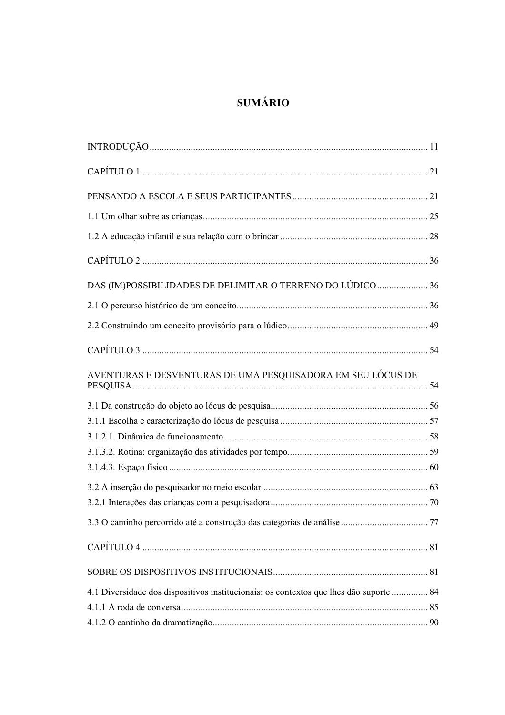# **SUMÁRIO**

| DAS (IM)POSSIBILIDADES DE DELIMITAR O TERRENO DO LÚDICO  36                            |  |
|----------------------------------------------------------------------------------------|--|
|                                                                                        |  |
|                                                                                        |  |
|                                                                                        |  |
| AVENTURAS E DESVENTURAS DE UMA PESQUISADORA EM SEU LÓCUS DE                            |  |
|                                                                                        |  |
|                                                                                        |  |
|                                                                                        |  |
|                                                                                        |  |
|                                                                                        |  |
|                                                                                        |  |
|                                                                                        |  |
|                                                                                        |  |
|                                                                                        |  |
|                                                                                        |  |
| 4.1 Diversidade dos dispositivos institucionais: os contextos que lhes dão suporte  84 |  |
|                                                                                        |  |
|                                                                                        |  |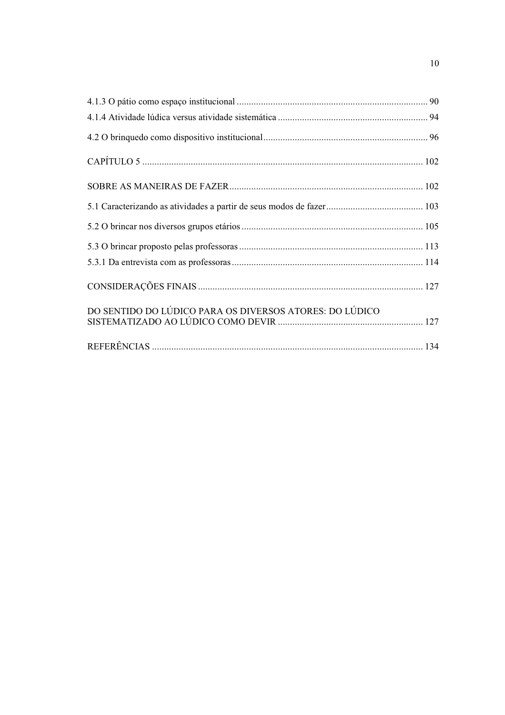| DO SENTIDO DO LÚDICO PARA OS DIVERSOS ATORES: DO LÚDICO |  |
|---------------------------------------------------------|--|
|                                                         |  |
|                                                         |  |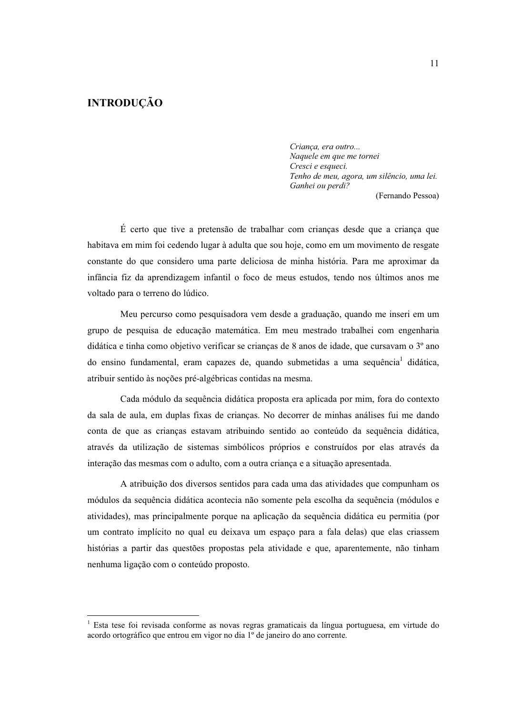### **INTRODUÇÃO**

Criança, era outro... Naquele em que me tornei Cresci e esqueci. Tenho de meu, agora, um silêncio, uma lei. Ganhei ou perdi?

(Fernando Pessoa)

É certo que tive a pretensão de trabalhar com crianças desde que a criança que habitava em mim foi cedendo lugar à adulta que sou hoje, como em um movimento de resgate constante do que considero uma parte deliciosa de minha história. Para me aproximar da infância fiz da aprendizagem infantil o foco de meus estudos, tendo nos últimos anos me voltado para o terreno do lúdico.

Meu percurso como pesquisadora vem desde a graduação, quando me inseri em um grupo de pesquisa de educação matemática. Em meu mestrado trabalhei com engenharia didática e tinha como objetivo verificar se crianças de 8 anos de idade, que cursavam o 3º ano do ensino fundamental, eram capazes de, quando submetidas a uma sequência didática, atribuir sentido às noções pré-algébricas contidas na mesma.

Cada módulo da sequência didática proposta era aplicada por mim, fora do contexto da sala de aula, em duplas fixas de crianças. No decorrer de minhas análises fui me dando conta de que as crianças estavam atribuindo sentido ao conteúdo da sequência didática, através da utilização de sistemas simbólicos próprios e construídos por elas através da interação das mesmas com o adulto, com a outra criança e a situação apresentada.

A atribuição dos diversos sentidos para cada uma das atividades que compunham os módulos da seguência didática acontecia não somente pela escolha da seguência (módulos e atividades), mas principalmente porque na aplicação da sequência didática eu permitia (por um contrato implícito no qual eu deixava um espaço para a fala delas) que elas criassem histórias a partir das questões propostas pela atividade e que, aparentemente, não tinham nenhuma ligação com o conteúdo proposto.

<sup>&</sup>lt;sup>1</sup> Esta tese foi revisada conforme as novas regras gramaticais da língua portuguesa, em virtude do acordo ortográfico que entrou em vigor no dia 1º de janeiro do ano corrente.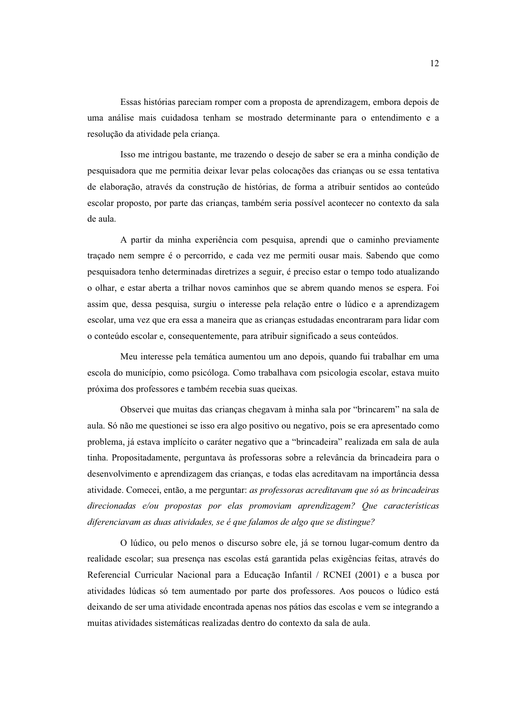Essas histórias pareciam romper com a proposta de aprendizagem, embora depois de uma análise mais cuidadosa tenham se mostrado determinante para o entendimento e a resolução da atividade pela criança.

Isso me intrigou bastante, me trazendo o desejo de saber se era a minha condição de pesquisadora que me permitia deixar levar pelas colocações das crianças ou se essa tentativa de elaboração, através da construção de histórias, de forma a atribuir sentidos ao conteúdo escolar proposto, por parte das crianças, também seria possível acontecer no contexto da sala de aula.

A partir da minha experiência com pesquisa, aprendi que o caminho previamente traçado nem sempre é o percorrido, e cada vez me permiti ousar mais. Sabendo que como pesquisadora tenho determinadas diretrizes a seguir, é preciso estar o tempo todo atualizando o olhar, e estar aberta a trilhar novos caminhos que se abrem quando menos se espera. Foi assim que, dessa pesquisa, surgiu o interesse pela relação entre o lúdico e a aprendizagem escolar, uma vez que era essa a maneira que as crianças estudadas encontraram para lidar com o conteúdo escolar e, consequentemente, para atribuir significado a seus conteúdos.

Meu interesse pela temática aumentou um ano depois, quando fui trabalhar em uma escola do município, como psicóloga. Como trabalhava com psicologia escolar, estava muito próxima dos professores e também recebia suas queixas.

Observei que muitas das crianças chegavam à minha sala por "brincarem" na sala de aula. Só não me questionei se isso era algo positivo ou negativo, pois se era apresentado como problema, já estava implícito o caráter negativo que a "brincadeira" realizada em sala de aula tinha. Propositadamente, perguntava às professoras sobre a relevância da brincadeira para o desenvolvimento e aprendizagem das crianças, e todas elas acreditavam na importância dessa atividade. Comecei, então, a me perguntar: as professoras acreditavam que só as brincadeiras direcionadas e/ou propostas por elas promoviam aprendizagem? Que características diferenciavam as duas atividades, se é que falamos de algo que se distingue?

O lúdico, ou pelo menos o discurso sobre ele, já se tornou lugar-comum dentro da realidade escolar; sua presença nas escolas está garantida pelas exigências feitas, através do Referencial Curricular Nacional para a Educação Infantil / RCNEI (2001) e a busca por atividades lúdicas só tem aumentado por parte dos professores. Aos poucos o lúdico está deixando de ser uma atividade encontrada apenas nos pátios das escolas e vem se integrando a muitas atividades sistemáticas realizadas dentro do contexto da sala de aula.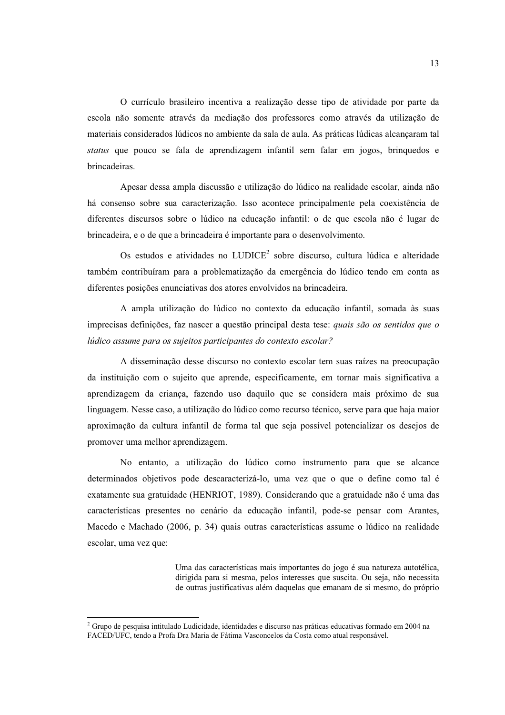O currículo brasileiro incentiva a realização desse tipo de atividade por parte da escola não somente através da mediação dos professores como através da utilização de materiais considerados lúdicos no ambiente da sala de aula. As práticas lúdicas alcançaram tal *status* que pouco se fala de aprendizagem infantil sem falar em jogos, brinquedos e brincadeiras.

Apesar dessa ampla discussão e utilização do lúdico na realidade escolar, ainda não há consenso sobre sua caracterização. Isso acontece principalmente pela coexistência de diferentes discursos sobre o lúdico na educação infantil: o de que escola não é lugar de brincadeira, e o de que a brincadeira é importante para o desenvolvimento.

Os estudos e atividades no LUDICE<sup>2</sup> sobre discurso, cultura lúdica e alteridade também contribuíram para a problematização da emergência do lúdico tendo em conta as diferentes posições enunciativas dos atores envolvidos na brincadeira.

A ampla utilização do lúdico no contexto da educação infantil, somada às suas imprecisas definições, faz nascer a questão principal desta tese: quais são os sentidos que o lúdico assume para os sujeitos participantes do contexto escolar?

A disseminação desse discurso no contexto escolar tem suas raízes na preocupação da instituição com o sujeito que aprende, especificamente, em tornar mais significativa a aprendizagem da criança, fazendo uso daquilo que se considera mais próximo de sua linguagem. Nesse caso, a utilização do lúdico como recurso técnico, serve para que haja maior aproximação da cultura infantil de forma tal que seja possível potencializar os desejos de promover uma melhor aprendizagem.

No entanto, a utilização do lúdico como instrumento para que se alcance determinados objetivos pode descaracterizá-lo, uma vez que o que o define como tal é exatamente sua gratuidade (HENRIOT, 1989). Considerando que a gratuidade não é uma das características presentes no cenário da educação infantil, pode-se pensar com Arantes, Macedo e Machado (2006, p. 34) quais outras características assume o lúdico na realidade escolar, uma vez que:

> Uma das características mais importantes do jogo é sua natureza autotélica, dirigida para si mesma, pelos interesses que suscita. Ou seja, não necessita de outras justificativas além daquelas que emanam de si mesmo, do próprio

<sup>&</sup>lt;sup>2</sup> Grupo de pesquisa intitulado Ludicidade, identidades e discurso nas práticas educativas formado em 2004 na FACED/UFC, tendo a Profa Dra Maria de Fátima Vasconcelos da Costa como atual responsável.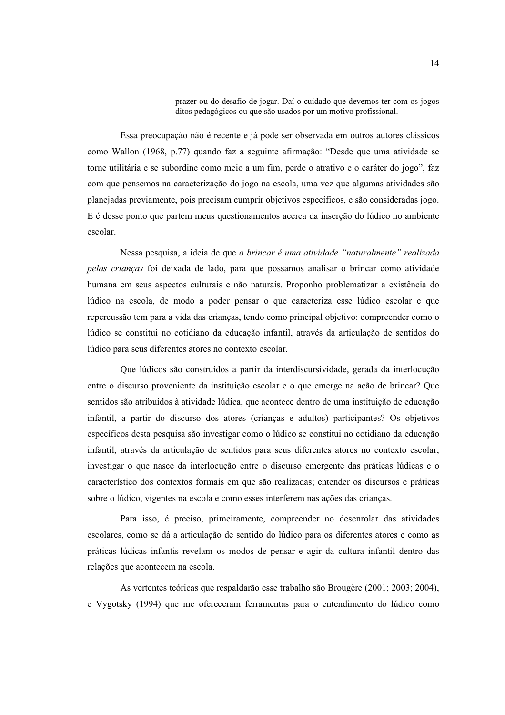prazer ou do desafio de jogar. Daí o cuidado que devemos ter com os jogos ditos pedagógicos ou que são usados por um motivo profissional.

Essa preocupação não é recente e já pode ser observada em outros autores clássicos como Wallon (1968, p.77) quando faz a seguinte afirmação: "Desde que uma atividade se torne utilitária e se subordine como meio a um fim, perde o atrativo e o caráter do jogo", faz com que pensemos na caracterização do jogo na escola, uma vez que algumas atividades são planejadas previamente, pois precisam cumprir objetivos específicos, e são consideradas jogo. E é desse ponto que partem meus questionamentos acerca da inserção do lúdico no ambiente escolar.

Nessa pesquisa, a ideia de que o brincar é uma atividade "naturalmente" realizada pelas crianças foi deixada de lado, para que possamos analisar o brincar como atividade humana em seus aspectos culturais e não naturais. Proponho problematizar a existência do lúdico na escola, de modo a poder pensar o que caracteriza esse lúdico escolar e que repercussão tem para a vida das crianças, tendo como principal objetivo: compreender como o lúdico se constitui no cotidiano da educação infantil, através da articulação de sentidos do lúdico para seus diferentes atores no contexto escolar.

Que lúdicos são construídos a partir da interdiscursividade, gerada da interlocução entre o discurso proveniente da instituição escolar e o que emerge na ação de brincar? Que sentidos são atribuídos à atividade lúdica, que acontece dentro de uma instituição de educação infantil, a partir do discurso dos atores (crianças e adultos) participantes? Os objetivos específicos desta pesquisa são investigar como o lúdico se constitui no cotidiano da educação infantil, através da articulação de sentidos para seus diferentes atores no contexto escolar; investigar o que nasce da interlocução entre o discurso emergente das práticas lúdicas e o característico dos contextos formais em que são realizadas; entender os discursos e práticas sobre o lúdico, vigentes na escola e como esses interferem nas ações das crianças.

Para isso, é preciso, primeiramente, compreender no desenrolar das atividades escolares, como se dá a articulação de sentido do lúdico para os diferentes atores e como as práticas lúdicas infantis revelam os modos de pensar e agir da cultura infantil dentro das relações que acontecem na escola.

As vertentes teóricas que respaldarão esse trabalho são Brougère (2001; 2003; 2004), e Vygotsky (1994) que me ofereceram ferramentas para o entendimento do lúdico como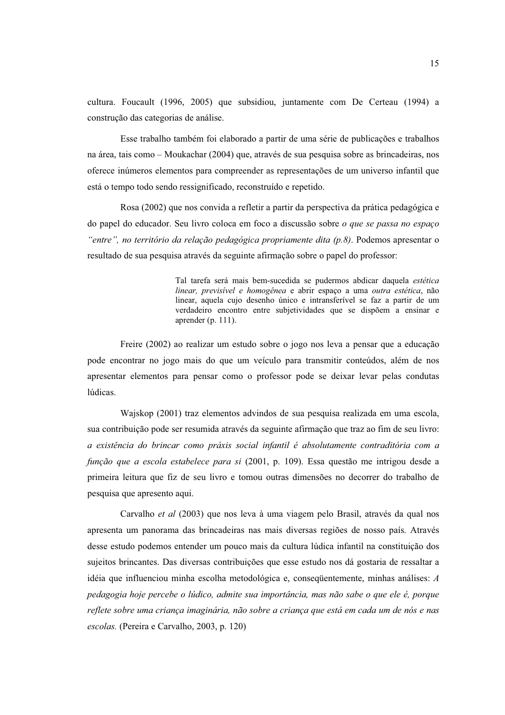cultura. Foucault (1996, 2005) que subsidiou, juntamente com De Certeau (1994) a construção das categorias de análise.

Esse trabalho também foi elaborado a partir de uma série de publicações e trabalhos na área, tais como – Moukachar (2004) que, através de sua pesquisa sobre as brincadeiras, nos oferece inúmeros elementos para compreender as representações de um universo infantil que está o tempo todo sendo ressignificado, reconstruído e repetido.

Rosa (2002) que nos convida a refletir a partir da perspectiva da prática pedagógica e do papel do educador. Seu livro coloca em foco a discussão sobre *o que se passa no espaco* "entre", no território da relação pedagógica propriamente dita  $(p, 8)$ . Podemos apresentar o resultado de sua pesquisa através da seguinte afirmação sobre o papel do professor:

> Tal tarefa será mais bem-sucedida se pudermos abdicar daquela estética linear, previsível e homogênea e abrir espaco a uma outra estética, não linear, aquela cujo desenho único e intransferível se faz a partir de um verdadeiro encontro entre subjetividades que se dispõem a ensinar e aprender (p. 111).

Freire (2002) ao realizar um estudo sobre o jogo nos leva a pensar que a educação pode encontrar no jogo mais do que um veículo para transmitir conteúdos, além de nos apresentar elementos para pensar como o professor pode se deixar levar pelas condutas lúdicas.

Wajskop (2001) traz elementos advindos de sua pesquisa realizada em uma escola, sua contribuição pode ser resumida através da seguinte afirmação que traz ao fim de seu livro: a existência do brincar como práxis social infantil é absolutamente contraditória com a função que a escola estabelece para si (2001, p. 109). Essa questão me intrigou desde a primeira leitura que fiz de seu livro e tomou outras dimensões no decorrer do trabalho de pesquisa que apresento aqui.

Carvalho *et al* (2003) que nos leva à uma viagem pelo Brasil, através da qual nos apresenta um panorama das brincadeiras nas mais diversas regiões de nosso país. Através desse estudo podemos entender um pouco mais da cultura lúdica infantil na constituição dos sujeitos brincantes. Das diversas contribuições que esse estudo nos dá gostaria de ressaltar a idéia que influenciou minha escolha metodológica e, consequentemente, minhas análises: A pedagogia hoje percebe o lúdico, admite sua importância, mas não sabe o que ele é, porque reflete sobre uma crianca imaginária, não sobre a crianca que está em cada um de nós e nas escolas. (Pereira e Carvalho, 2003, p. 120)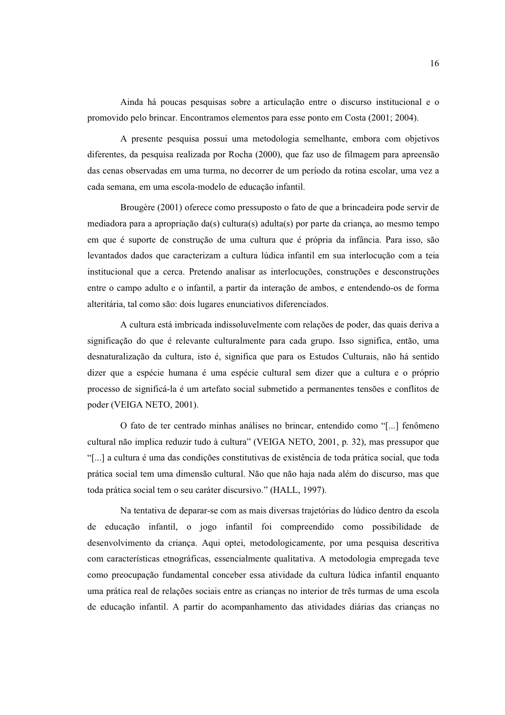Ainda há poucas pesquisas sobre a articulação entre o discurso institucional e o promovido pelo brincar. Encontramos elementos para esse ponto em Costa (2001; 2004).

A presente pesquisa possui uma metodologia semelhante, embora com objetivos diferentes, da pesquisa realizada por Rocha (2000), que faz uso de filmagem para apreensão das cenas observadas em uma turma, no decorrer de um período da rotina escolar, uma vez a cada semana, em uma escola-modelo de educação infantil.

Brougère (2001) oferece como pressuposto o fato de que a brincadeira pode servir de mediadora para a apropriação da(s) cultura(s) adulta(s) por parte da criança, ao mesmo tempo em que é suporte de construção de uma cultura que é própria da infância. Para isso, são levantados dados que caracterizam a cultura lúdica infantil em sua interlocução com a teia institucional que a cerca. Pretendo analisar as interlocuções, construções e desconstruções entre o campo adulto e o infantil, a partir da interação de ambos, e entendendo-os de forma alteritária, tal como são: dois lugares enunciativos diferenciados.

A cultura está imbricada indissoluvelmente com relações de poder, das quais deriva a significação do que é relevante culturalmente para cada grupo. Isso significa, então, uma desnaturalização da cultura, isto é, significa que para os Estudos Culturais, não há sentido dizer que a espécie humana é uma espécie cultural sem dizer que a cultura e o próprio processo de significá-la é um artefato social submetido a permanentes tensões e conflitos de poder (VEIGA NETO, 2001).

O fato de ter centrado minhas análises no brincar, entendido como "[...] fenômeno cultural não implica reduzir tudo à cultura" (VEIGA NETO, 2001, p. 32), mas pressupor que "[...] a cultura é uma das condições constitutivas de existência de toda prática social, que toda prática social tem uma dimensão cultural. Não que não haja nada além do discurso, mas que toda prática social tem o seu caráter discursivo." (HALL, 1997).

Na tentativa de deparar-se com as mais diversas trajetórias do lúdico dentro da escola de educação infantil, o jogo infantil foi compreendido como possibilidade de desenvolvimento da criança. Aqui optei, metodologicamente, por uma pesquisa descritiva com características etnográficas, essencialmente qualitativa. A metodologia empregada teve como preocupação fundamental conceber essa atividade da cultura lúdica infantil enquanto uma prática real de relações sociais entre as crianças no interior de três turmas de uma escola de educação infantil. A partir do acompanhamento das atividades diárias das crianças no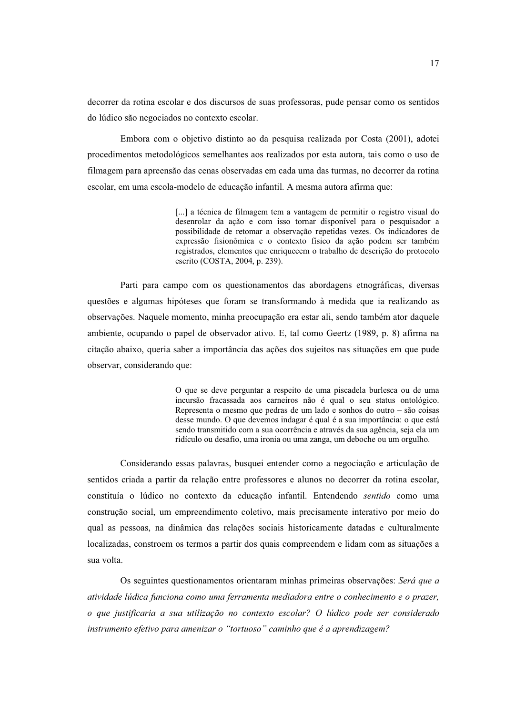decorrer da rotina escolar e dos discursos de suas professoras, pude pensar como os sentidos do lúdico são negociados no contexto escolar.

Embora com o objetivo distinto ao da pesquisa realizada por Costa (2001), adotei procedimentos metodológicos semelhantes aos realizados por esta autora, tais como o uso de filmagem para apreensão das cenas observadas em cada uma das turmas, no decorrer da rotina escolar, em uma escola-modelo de educação infantil. A mesma autora afirma que:

> [...] a técnica de filmagem tem a vantagem de permitir o registro visual do desenrolar da ação e com isso tornar disponível para o pesquisador a possibilidade de retomar a observação repetidas vezes. Os indicadores de expressão fisionômica e o contexto físico da ação podem ser também registrados, elementos que enriquecem o trabalho de descrição do protocolo escrito (COSTA, 2004, p. 239).

Parti para campo com os questionamentos das abordagens etnográficas, diversas questões e algumas hipóteses que foram se transformando à medida que ia realizando as observações. Naquele momento, minha preocupação era estar ali, sendo também ator daquele ambiente, ocupando o papel de observador ativo. E, tal como Geertz (1989, p. 8) afirma na citação abaixo, queria saber a importância das ações dos sujeitos nas situações em que pude observar, considerando que:

> O que se deve perguntar a respeito de uma piscadela burlesca ou de uma incursão fracassada aos carneiros não é qual o seu status ontológico. Representa o mesmo que pedras de um lado e sonhos do outro - são coisas desse mundo. O que devemos indagar é qual é a sua importância: o que está sendo transmitido com a sua ocorrência e através da sua agência, seja ela um ridículo ou desafio, uma ironia ou uma zanga, um deboche ou um orgulho.

Considerando essas palavras, busquei entender como a negociação e articulação de sentidos criada a partir da relação entre professores e alunos no decorrer da rotina escolar, constituía o lúdico no contexto da educação infantil. Entendendo sentido como uma construção social, um empreendimento coletivo, mais precisamente interativo por meio do qual as pessoas, na dinâmica das relações sociais historicamente datadas e culturalmente localizadas, constroem os termos a partir dos quais compreendem e lidam com as situações a sua volta.

Os seguintes questionamentos orientaram minhas primeiras observações: Será que a atividade lúdica funciona como uma ferramenta mediadora entre o conhecimento e o prazer, o que justificaria a sua utilização no contexto escolar? O lúdico pode ser considerado instrumento efetivo para amenizar o "tortuoso" caminho que é a aprendizagem?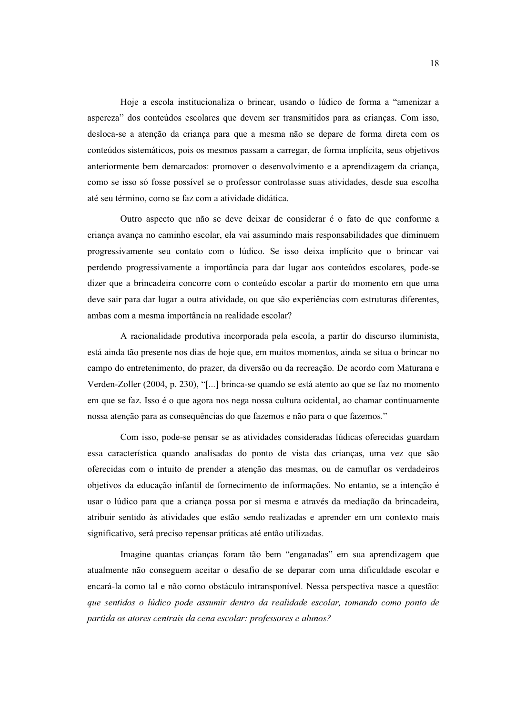Hoje a escola institucionaliza o brincar, usando o lúdico de forma a "amenizar a aspereza" dos conteúdos escolares que devem ser transmitidos para as crianças. Com isso, desloca-se a atenção da criança para que a mesma não se depare de forma direta com os conteúdos sistemáticos, pois os mesmos passam a carregar, de forma implícita, seus objetivos anteriormente bem demarcados: promover o desenvolvimento e a aprendizagem da criança, como se isso só fosse possível se o professor controlasse suas atividades, desde sua escolha até seu término, como se faz com a atividade didática.

Outro aspecto que não se deve deixar de considerar é o fato de que conforme a criança avança no caminho escolar, ela vai assumindo mais responsabilidades que diminuem progressivamente seu contato com o lúdico. Se isso deixa implícito que o brincar vai perdendo progressivamente a importância para dar lugar aos conteúdos escolares, pode-se dizer que a brincadeira concorre com o conteúdo escolar a partir do momento em que uma deve sair para dar lugar a outra atividade, ou que são experiências com estruturas diferentes, ambas com a mesma importância na realidade escolar?

A racionalidade produtiva incorporada pela escola, a partir do discurso iluminista, está ainda tão presente nos dias de hoje que, em muitos momentos, ainda se situa o brincar no campo do entretenimento, do prazer, da diversão ou da recreação. De acordo com Maturana e Verden-Zoller (2004, p. 230), "[...] brinca-se quando se está atento ao que se faz no momento em que se faz. Isso é o que agora nos nega nossa cultura ocidental, ao chamar continuamente nossa atenção para as consequências do que fazemos e não para o que fazemos."

Com isso, pode-se pensar se as atividades consideradas lúdicas oferecidas guardam essa característica quando analisadas do ponto de vista das crianças, uma vez que são oferecidas com o intuito de prender a atenção das mesmas, ou de camuflar os verdadeiros objetivos da educação infantil de fornecimento de informações. No entanto, se a intenção é usar o lúdico para que a criança possa por si mesma e através da mediação da brincadeira, atribuir sentido às atividades que estão sendo realizadas e aprender em um contexto mais significativo, será preciso repensar práticas até então utilizadas.

Imagine quantas crianças foram tão bem "enganadas" em sua aprendizagem que atualmente não conseguem aceitar o desafio de se deparar com uma dificuldade escolar e encará-la como tal e não como obstáculo intransponível. Nessa perspectiva nasce a questão: que sentidos o lúdico pode assumir dentro da realidade escolar, tomando como ponto de partida os atores centrais da cena escolar: professores e alunos?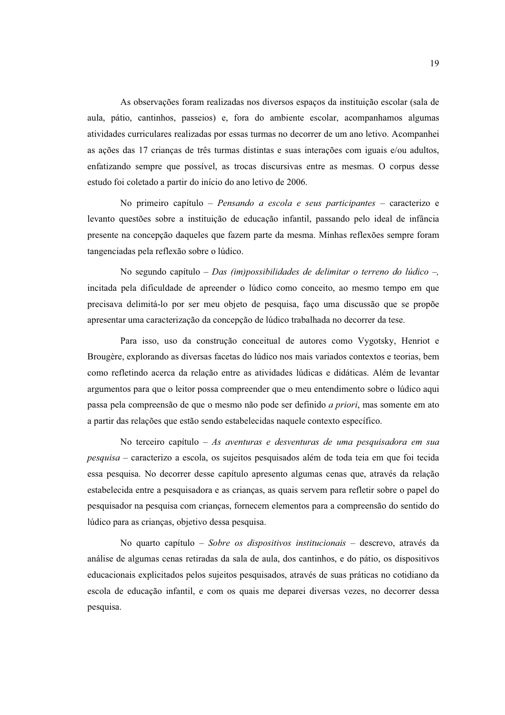As observações foram realizadas nos diversos espaços da instituição escolar (sala de aula, pátio, cantinhos, passeios) e, fora do ambiente escolar, acompanhamos algumas atividades curriculares realizadas por essas turmas no decorrer de um ano letivo. Acompanhei as ações das 17 crianças de três turmas distintas e suas interações com iguais e/ou adultos, enfatizando sempre que possível, as trocas discursivas entre as mesmas. O corpus desse estudo foi coletado a partir do início do ano letivo de 2006.

No primeiro capítulo – *Pensando a escola e seus participantes* – caracterizo e levanto questões sobre a instituição de educação infantil, passando pelo ideal de infância presente na concepção daqueles que fazem parte da mesma. Minhas reflexões sempre foram tangenciadas pela reflexão sobre o lúdico.

No segundo capítulo – Das (im)possibilidades de delimitar o terreno do lúdico –, incitada pela dificuldade de apreender o lúdico como conceito, ao mesmo tempo em que precisava delimitá-lo por ser meu objeto de pesquisa, faço uma discussão que se propõe apresentar uma caracterização da concepção de lúdico trabalhada no decorrer da tese.

Para isso, uso da construção conceitual de autores como Vygotsky, Henriot e Brougère, explorando as diversas facetas do lúdico nos mais variados contextos e teorias, bem como refletindo acerca da relação entre as atividades lúdicas e didáticas. Além de levantar argumentos para que o leitor possa compreender que o meu entendimento sobre o lúdico aqui passa pela compreensão de que o mesmo não pode ser definido *a priori*, mas somente em ato a partir das relações que estão sendo estabelecidas naquele contexto específico.

No terceiro capítulo  $- As$  aventuras e desventuras de uma pesquisadora em sua pesquisa - caracterizo a escola, os sujeitos pesquisados além de toda teia em que foi tecida essa pesquisa. No decorrer desse capítulo apresento algumas cenas que, através da relação estabelecida entre a pesquisadora e as crianças, as quais servem para refletir sobre o papel do pesquisador na pesquisa com crianças, fornecem elementos para a compreensão do sentido do lúdico para as crianças, objetivo dessa pesquisa.

No quarto capítulo - Sobre os dispositivos institucionais - descrevo, através da análise de algumas cenas retiradas da sala de aula, dos cantinhos, e do pátio, os dispositivos educacionais explicitados pelos sujeitos pesquisados, através de suas práticas no cotidiano da escola de educação infantil, e com os quais me deparei diversas vezes, no decorrer dessa pesquisa.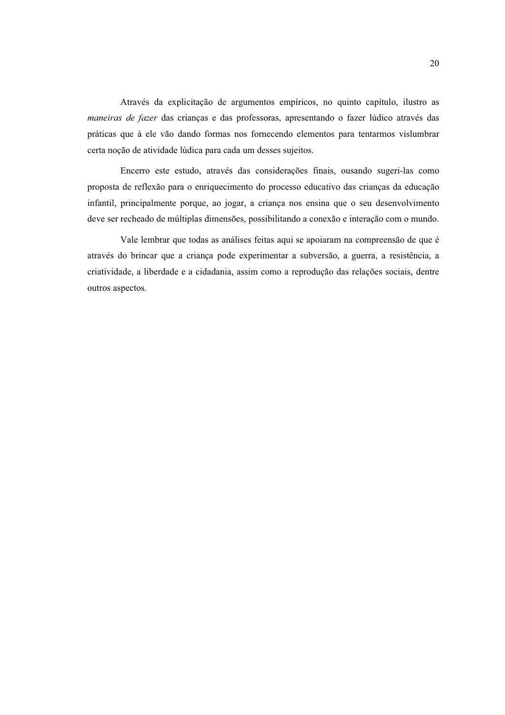Através da explicitação de argumentos empíricos, no quinto capítulo, ilustro as maneiras de fazer das crianças e das professoras, apresentando o fazer lúdico através das práticas que à ele vão dando formas nos fornecendo elementos para tentarmos vislumbrar certa noção de atividade lúdica para cada um desses sujeitos.

Encerro este estudo, através das considerações finais, ousando sugeri-las como proposta de reflexão para o enriquecimento do processo educativo das crianças da educação infantil, principalmente porque, ao jogar, a criança nos ensina que o seu desenvolvimento deve ser recheado de múltiplas dimensões, possibilitando a conexão e interação com o mundo.

Vale lembrar que todas as análises feitas aqui se apoiaram na compreensão de que é através do brincar que a criança pode experimentar a subversão, a guerra, a resistência, a criatividade, a liberdade e a cidadania, assim como a reprodução das relações sociais, dentre outros aspectos.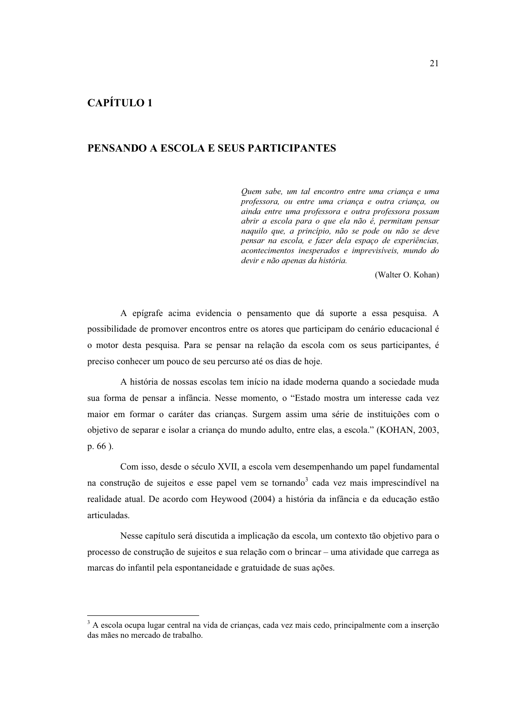#### PENSANDO A ESCOLA E SELIS PARTICIPANTES

Ouem sabe, um tal encontro entre uma crianca e uma professora, ou entre uma criança e outra criança, ou ainda entre uma professora e outra professora possam abrir a escola para o que ela não é, permitam pensar naquilo que, a princípio, não se pode ou não se deve pensar na escola, e fazer dela espaço de experiências, acontecimentos inesperados e imprevisíveis, mundo do devir e não apenas da história.

(Walter O. Kohan)

A epígrafe acima evidencia o pensamento que dá suporte a essa pesquisa. A possibilidade de promover encontros entre os atores que participam do cenário educacional é o motor desta pesquisa. Para se pensar na relação da escola com os seus participantes, é preciso conhecer um pouco de seu percurso até os dias de hoje.

A história de nossas escolas tem início na idade moderna quando a sociedade muda sua forma de pensar a infância. Nesse momento, o "Estado mostra um interesse cada vez maior em formar o caráter das crianças. Surgem assim uma série de instituições com o objetivo de separar e isolar a criança do mundo adulto, entre elas, a escola." (KOHAN, 2003, p. 66).

Com isso, desde o século XVII, a escola vem desempenhando um papel fundamental na construção de sujeitos e esse papel vem se tornando<sup>3</sup> cada vez mais imprescindível na realidade atual. De acordo com Heywood (2004) a história da infância e da educação estão articuladas.

Nesse capítulo será discutida a implicação da escola, um contexto tão objetivo para o processo de construção de sujeitos e sua relação com o brincar - uma atividade que carrega as marcas do infantil pela espontaneidade e gratuidade de suas ações.

<sup>&</sup>lt;sup>3</sup> A escola ocupa lugar central na vida de crianças, cada vez mais cedo, principalmente com a inserção das mães no mercado de trabalho.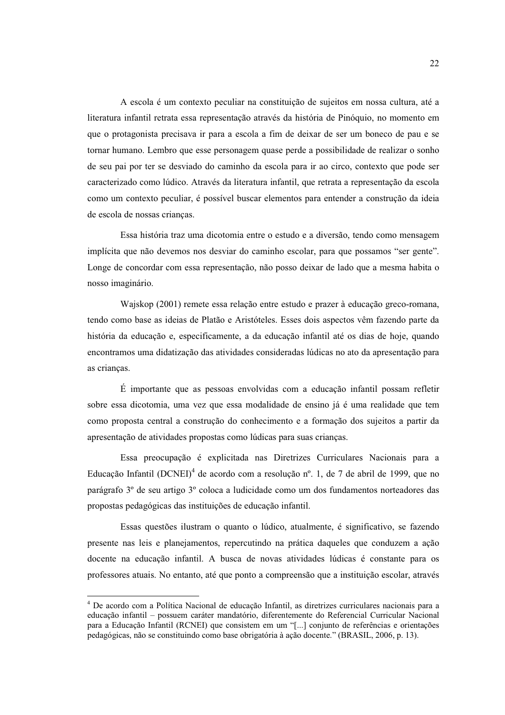A escola é um contexto peculiar na constituição de sujeitos em nossa cultura, até a literatura infantil retrata essa representação através da história de Pinóquio, no momento em que o protagonista precisava ir para a escola a fim de deixar de ser um boneco de pau e se tornar humano. Lembro que esse personagem quase perde a possibilidade de realizar o sonho de seu pai por ter se desviado do caminho da escola para ir ao circo, contexto que pode ser caracterizado como lúdico. Através da literatura infantil, que retrata a representação da escola como um contexto peculiar, é possível buscar elementos para entender a construção da ideia de escola de nossas crianças.

Essa história traz uma dicotomia entre o estudo e a diversão, tendo como mensagem implícita que não devemos nos desviar do caminho escolar, para que possamos "ser gente". Longe de concordar com essa representação, não posso deixar de lado que a mesma habita o nosso imaginário.

Wajskop (2001) remete essa relação entre estudo e prazer à educação greco-romana, tendo como base as ideias de Platão e Aristóteles. Esses dois aspectos vêm fazendo parte da história da educação e, especificamente, a da educação infantil até os dias de hoje, quando encontramos uma didatização das atividades consideradas lúdicas no ato da apresentação para as criancas.

É importante que as pessoas envolvidas com a educação infantil possam refletir sobre essa dicotomia, uma vez que essa modalidade de ensino já é uma realidade que tem como proposta central a construção do conhecimento e a formação dos sujeitos a partir da apresentação de atividades propostas como lúdicas para suas crianças.

Essa preocupação é explicitada nas Diretrizes Curriculares Nacionais para a Educação Infantil (DCNEI)<sup>4</sup> de acordo com a resolução nº. 1, de 7 de abril de 1999, que no parágrafo 3° de seu artigo 3° coloca a ludicidade como um dos fundamentos norteadores das propostas pedagógicas das instituições de educação infantil.

Essas questões ilustram o quanto o lúdico, atualmente, é significativo, se fazendo presente nas leis e planejamentos, repercutindo na prática daqueles que conduzem a ação docente na educação infantil. A busca de novas atividades lúdicas é constante para os professores atuais. No entanto, até que ponto a compreensão que a instituição escolar, através

<sup>&</sup>lt;sup>4</sup> De acordo com a Política Nacional de educação Infantil, as diretrizes curriculares nacionais para a educação infantil - possuem caráter mandatório, diferentemente do Referencial Curricular Nacional para a Educação Infantil (RCNEI) que consistem em um "[...] conjunto de referências e orientações pedagógicas, não se constituindo como base obrigatória à ação docente." (BRASIL, 2006, p. 13).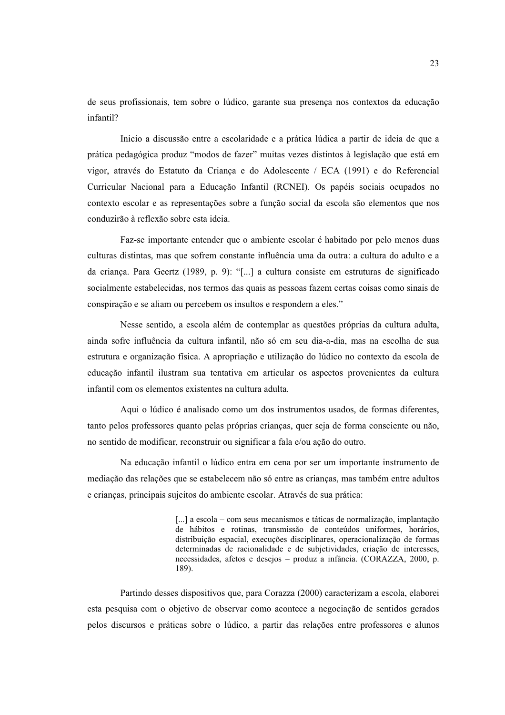de seus profissionais, tem sobre o lúdico, garante sua presenca nos contextos da educação infantil?

Inicio a discussão entre a escolaridade e a prática lúdica a partir de ideia de que a prática pedagógica produz "modos de fazer" muitas vezes distintos à legislação que está em vigor, através do Estatuto da Criança e do Adolescente / ECA (1991) e do Referencial Curricular Nacional para a Educação Infantil (RCNEI). Os papéis sociais ocupados no contexto escolar e as representações sobre a função social da escola são elementos que nos conduzirão à reflexão sobre esta ideia.

Faz-se importante entender que o ambiente escolar é habitado por pelo menos duas culturas distintas, mas que sofrem constante influência uma da outra: a cultura do adulto e a da criança. Para Geertz (1989, p. 9): "[...] a cultura consiste em estruturas de significado socialmente estabelecidas, nos termos das quais as pessoas fazem certas coisas como sinais de conspiração e se aliam ou percebem os insultos e respondem a eles."

Nesse sentido, a escola além de contemplar as questões próprias da cultura adulta, ainda sofre influência da cultura infantil, não só em seu dia-a-dia, mas na escolha de sua estrutura e organização física. A apropriação e utilização do lúdico no contexto da escola de educação infantil ilustram sua tentativa em articular os aspectos provenientes da cultura infantil com os elementos existentes na cultura adulta.

Aqui o lúdico é analisado como um dos instrumentos usados, de formas diferentes, tanto pelos professores quanto pelas próprias crianças, quer seja de forma consciente ou não, no sentido de modificar, reconstruir ou significar a fala e/ou ação do outro.

Na educação infantil o lúdico entra em cena por ser um importante instrumento de mediação das relações que se estabelecem não só entre as crianças, mas também entre adultos e crianças, principais sujeitos do ambiente escolar. Através de sua prática:

> [...] a escola – com seus mecanismos e táticas de normalização, implantação de hábitos e rotinas, transmissão de conteúdos uniformes, horários, distribuição espacial, execuções disciplinares, operacionalização de formas determinadas de racionalidade e de subjetividades, criação de interesses, necessidades, afetos e desejos - produz a infância. (CORAZZA, 2000, p. 189).

Partindo desses dispositivos que, para Corazza (2000) caracterizam a escola, elaborei esta pesquisa com o objetivo de observar como acontece a negociação de sentidos gerados pelos discursos e práticas sobre o lúdico, a partir das relações entre professores e alunos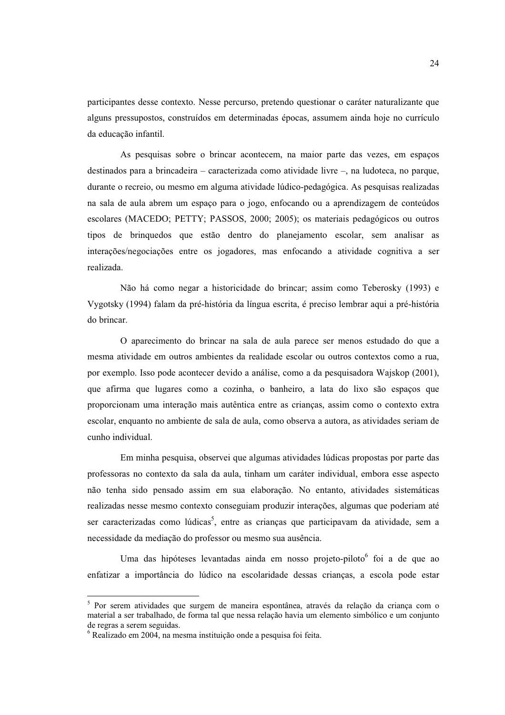participantes desse contexto. Nesse percurso, pretendo questionar o caráter naturalizante que alguns pressupostos, construídos em determinadas épocas, assumem ainda hoje no currículo da educação infantil.

As pesquisas sobre o brincar acontecem, na maior parte das vezes, em espacos destinados para a brincadeira – caracterizada como atividade livre –, na ludoteca, no parque, durante o recreio, ou mesmo em alguma atividade lúdico-pedagógica. As pesquisas realizadas na sala de aula abrem um espaço para o jogo, enfocando ou a aprendizagem de conteúdos escolares (MACEDO; PETTY; PASSOS, 2000; 2005); os materiais pedagógicos ou outros tipos de brinquedos que estão dentro do planejamento escolar, sem analisar as interações/negociações entre os jogadores, mas enfocando a atividade cognitiva a ser realizada.

Não há como negar a historicidade do brincar; assim como Teberosky (1993) e Vygotsky (1994) falam da pré-história da língua escrita, é preciso lembrar aqui a pré-história do brincar.

O aparecimento do brincar na sala de aula parece ser menos estudado do que a mesma atividade em outros ambientes da realidade escolar ou outros contextos como a rua, por exemplo. Isso pode acontecer devido a análise, como a da pesquisadora Wajskop (2001), que afirma que lugares como a cozinha, o banheiro, a lata do lixo são espaços que proporcionam uma interação mais autêntica entre as crianças, assim como o contexto extra escolar, enquanto no ambiente de sala de aula, como observa a autora, as atividades seriam de cunho individual

Em minha pesquisa, observei que algumas atividades lúdicas propostas por parte das professoras no contexto da sala da aula, tinham um caráter individual, embora esse aspecto não tenha sido pensado assim em sua elaboração. No entanto, atividades sistemáticas realizadas nesse mesmo contexto conseguiam produzir interações, algumas que poderiam até ser caracterizadas como lúdicas<sup>5</sup>, entre as crianças que participavam da atividade, sem a necessidade da mediação do professor ou mesmo sua ausência.

Uma das hipóteses levantadas ainda em nosso projeto-piloto<sup>6</sup> foi a de que ao enfatizar a importância do lúdico na escolaridade dessas crianças, a escola pode estar

<sup>&</sup>lt;sup>5</sup> Por serem atividades que surgem de maneira espontânea, através da relação da criança com o material a ser trabalhado, de forma tal que nessa relação havia um elemento simbólico e um conjunto de regras a serem seguidas.

<sup>&</sup>lt;sup>6</sup> Realizado em 2004, na mesma instituição onde a pesquisa foi feita.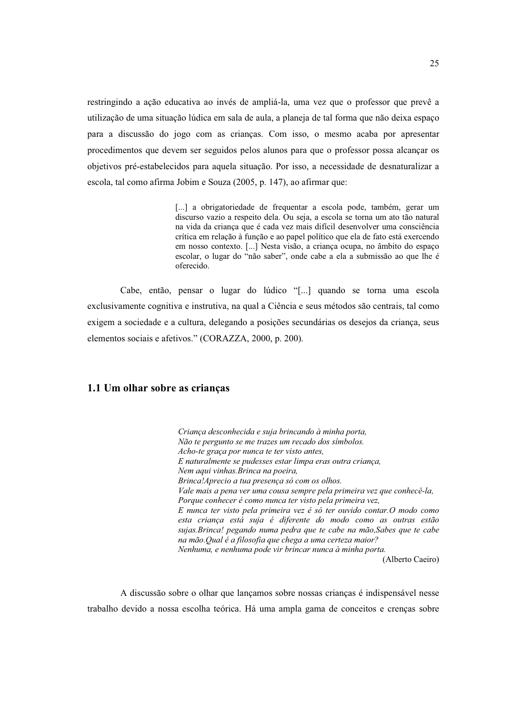restringindo a ação educativa ao invés de ampliá-la, uma vez que o professor que prevê a utilização de uma situação lúdica em sala de aula, a planeia de tal forma que não deixa espaço para a discussão do jogo com as crianças. Com isso, o mesmo acaba por apresentar procedimentos que devem ser seguidos pelos alunos para que o professor possa alcancar os objetivos pré-estabelecidos para aquela situação. Por isso, a necessidade de desnaturalizar a escola, tal como afirma Jobim e Souza (2005, p. 147), ao afirmar que:

> [...] a obrigatoriedade de frequentar a escola pode, também, gerar um discurso vazio a respeito dela. Ou seja, a escola se torna um ato tão natural na vida da criança que é cada vez mais difícil desenvolver uma consciência crítica em relação à função e ao papel político que ela de fato está exercendo em nosso contexto. [...] Nesta visão, a criança ocupa, no âmbito do espaço escolar, o lugar do "não saber", onde cabe a ela a submissão ao que lhe é oferecido.

Cabe, então, pensar o lugar do lúdico "[...] quando se torna uma escola exclusivamente cognitiva e instrutiva, na qual a Ciência e seus métodos são centrais, tal como exigem a sociedade e a cultura, delegando a posições secundárias os desejos da criança, seus elementos sociais e afetivos." (CORAZZA, 2000, p. 200).

#### 1.1 Um olhar sobre as criancas

Criança desconhecida e suja brincando à minha porta, Não te pergunto se me trazes um recado dos símbolos. Acho-te graça por nunca te ter visto antes. E naturalmente se pudesses estar limpa eras outra criança, Nem aqui vinhas. Brinca na poeira, Brinca!Aprecio a tua presença só com os olhos. Vale mais a pena ver uma cousa sempre pela primeira vez que conhecê-la, Porque conhecer é como nunca ter visto pela primeira vez.  $E$  nunca ter visto pela primeira vez é só ter ouvido contar. O modo como esta criança está suja é diferente do modo como as outras estão sujas. Brinca! pegando numa pedra que te cabe na mão, Sabes que te cabe na mão.Qual é a filosofia que chega a uma certeza maior? Nenhuma, e nenhuma pode vir brincar nunca à minha porta. (Alberto Caeiro)

A discussão sobre o olhar que lançamos sobre nossas crianças é indispensável nesse trabalho devido a nossa escolha teórica. Há uma ampla gama de conceitos e crencas sobre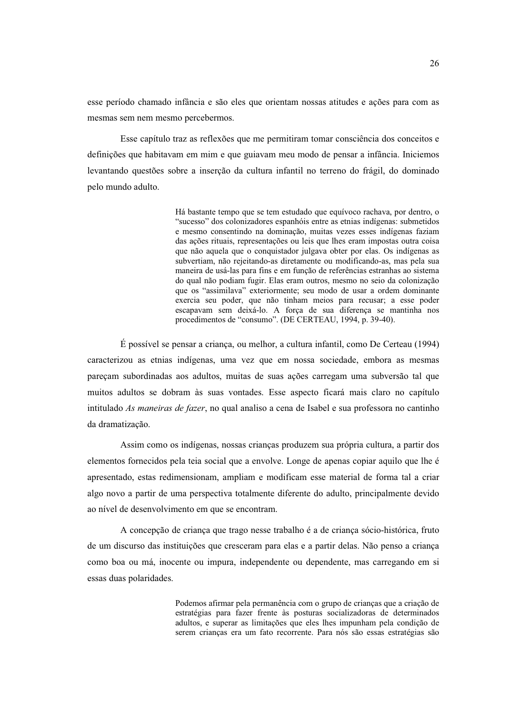esse período chamado infância e são eles que orientam nossas atitudes e ações para com as mesmas sem nem mesmo percebermos.

Esse capítulo traz as reflexões que me permitiram tomar consciência dos conceitos e definições que habitavam em mim e que guiavam meu modo de pensar a infância. Iniciemos levantando questões sobre a inserção da cultura infantil no terreno do frágil, do dominado pelo mundo adulto.

> Há bastante tempo que se tem estudado que equívoco rachava, por dentro, o "sucesso" dos colonizadores espanhóis entre as etnias indígenas: submetidos e mesmo consentindo na dominação, muitas vezes esses indígenas faziam das ações rituais, representações ou leis que lhes eram impostas outra coisa que não aquela que o conquistador julgava obter por elas. Os indígenas as subvertiam, não rejeitando-as diretamente ou modificando-as, mas pela sua maneira de usá-las para fins e em função de referências estranhas ao sistema do qual não podiam fugir. Elas eram outros, mesmo no seio da colonização que os "assimilava" exteriormente; seu modo de usar a ordem dominante exercia seu poder, que não tinham meios para recusar; a esse poder escapavam sem deixá-lo. A força de sua diferença se mantinha nos procedimentos de "consumo". (DE CERTEAU, 1994, p. 39-40).

 $\acute{E}$  possível se pensar a criança, ou melhor, a cultura infantil, como De Certeau (1994) caracterizou as etnias indígenas, uma vez que em nossa sociedade, embora as mesmas pareçam subordinadas aos adultos, muitas de suas ações carregam uma subversão tal que muitos adultos se dobram às suas vontades. Esse aspecto ficará mais claro no capítulo intitulado As maneiras de fazer, no qual analiso a cena de Isabel e sua professora no cantinho da dramatização.

Assim como os indígenas, nossas crianças produzem sua própria cultura, a partir dos elementos fornecidos pela teia social que a envolve. Longe de apenas copiar aquilo que lhe é apresentado, estas redimensionam, ampliam e modificam esse material de forma tal a criar algo novo a partir de uma perspectiva totalmente diferente do adulto, principalmente devido ao nível de desenvolvimento em que se encontram.

A concepção de criança que trago nesse trabalho é a de criança sócio-histórica, fruto de um discurso das instituições que cresceram para elas e a partir delas. Não penso a criança como boa ou má, inocente ou impura, independente ou dependente, mas carregando em si essas duas polaridades.

> Podemos afirmar pela permanência com o grupo de crianças que a criação de estratégias para fazer frente às posturas socializadoras de determinados adultos, e superar as limitações que eles lhes impunham pela condição de serem crianças era um fato recorrente. Para nós são essas estratégias são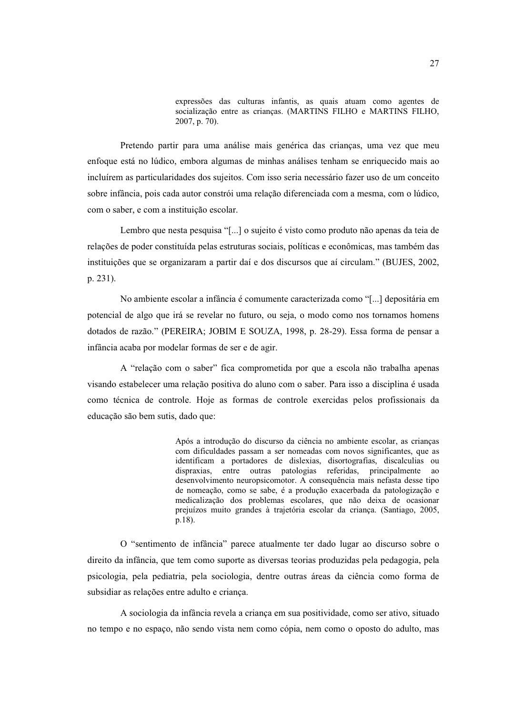expressões das culturas infantis, as quais atuam como agentes de socialização entre as crianças. (MARTINS FILHO e MARTINS FILHO, 2007, p. 70).

Pretendo partir para uma análise mais genérica das criancas, uma vez que meu enfoque está no lúdico, embora algumas de minhas análises tenham se enriquecido mais ao incluírem as particularidades dos sujeitos. Com isso seria necessário fazer uso de um conceito sobre infância, pois cada autor constrói uma relação diferenciada com a mesma, com o lúdico, com o saber, e com a instituição escolar.

Lembro que nesta pesquisa "[...] o sujeito é visto como produto não apenas da teja de relações de poder constituída pelas estruturas sociais, políticas e econômicas, mas também das instituições que se organizaram a partir daí e dos discursos que aí circulam." (BUJES, 2002, p. 231).

No ambiente escolar a infância é comumente caracterizada como "[...] depositária em potencial de algo que irá se revelar no futuro, ou seja, o modo como nos tornamos homens dotados de razão." (PEREIRA; JOBIM E SOUZA, 1998, p. 28-29). Essa forma de pensar a infância acaba por modelar formas de ser e de agir.

A "relação com o saber" fica comprometida por que a escola não trabalha apenas visando estabelecer uma relação positiva do aluno com o saber. Para isso a disciplina é usada como técnica de controle. Hoje as formas de controle exercidas pelos profissionais da educação são bem sutis, dado que:

> Após a introdução do discurso da ciência no ambiente escolar, as crianças com dificuldades passam a ser nomeadas com novos significantes, que as identificam a portadores de dislexias, disortografias, discalculias ou dispraxias, entre outras patologias referidas, principalmente ao desenvolvimento neuropsicomotor. A consequência mais nefasta desse tipo de nomeação, como se sabe, é a produção exacerbada da patologização e medicalização dos problemas escolares, que não deixa de ocasionar prejuízos muito grandes à trajetória escolar da crianca. (Santiago, 2005,  $p.18$ ).

O "sentimento de infância" parece atualmente ter dado lugar ao discurso sobre o direito da infância, que tem como suporte as diversas teorias produzidas pela pedagogia, pela psicologia, pela pediatria, pela sociologia, dentre outras áreas da ciência como forma de subsidiar as relações entre adulto e criança.

A sociologia da infância revela a crianca em sua positividade, como ser ativo, situado no tempo e no espaço, não sendo vista nem como cópia, nem como o oposto do adulto, mas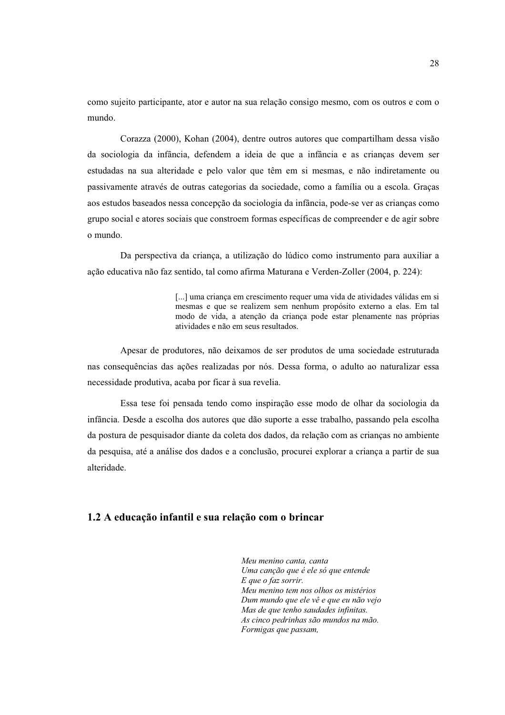como sujeito participante, ator e autor na sua relação consigo mesmo, com os outros e com o mundo

Corazza (2000), Kohan (2004), dentre outros autores que compartilham dessa visão da sociologia da infância, defendem a ideia de que a infância e as criancas devem ser estudadas na sua alteridade e pelo valor que têm em si mesmas, e não indiretamente ou passivamente através de outras categorias da sociedade, como a família ou a escola. Graças aos estudos baseados nessa concepção da sociologia da infância, pode-se ver as crianças como grupo social e atores sociais que constroem formas específicas de compreender e de agir sobre o mundo.

Da perspectiva da criança, a utilização do lúdico como instrumento para auxiliar a ação educativa não faz sentido, tal como afirma Maturana e Verden-Zoller (2004, p. 224):

> [...] uma criança em crescimento requer uma vida de atividades válidas em si mesmas e que se realizem sem nenhum propósito externo a elas. Em tal modo de vida, a atenção da criança pode estar plenamente nas próprias atividades e não em seus resultados.

Apesar de produtores, não deixamos de ser produtos de uma sociedade estruturada nas consequências das ações realizadas por nós. Dessa forma, o adulto ao naturalizar essa necessidade produtiva, acaba por ficar à sua revelia.

Essa tese foi pensada tendo como inspiração esse modo de olhar da sociologia da infância. Desde a escolha dos autores que dão suporte a esse trabalho, passando pela escolha da postura de pesquisador diante da coleta dos dados, da relação com as crianças no ambiente da pesquisa, até a análise dos dados e a conclusão, procurei explorar a criança a partir de sua alteridade.

#### 1.2 A educação infantil e sua relação com o brincar

Meu menino canta, canta Uma canção que é ele só que entende E que o faz sorrir. Meu menino tem nos olhos os mistérios Dum mundo que ele vê e que eu não vejo Mas de que tenho saudades infinitas. As cinco pedrinhas são mundos na mão. Formigas que passam,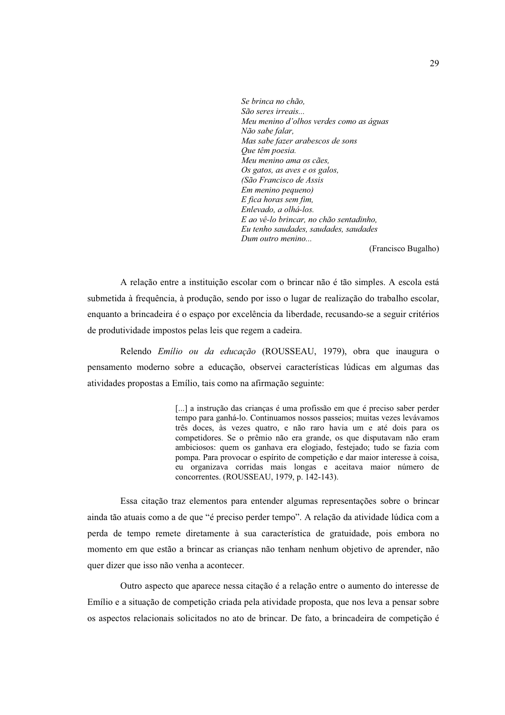Se brinca no chão. São seres irreais... Meu menino d'olhos verdes como as águas Não sabe falar. Mas sabe fazer arabescos de sons Oue têm poesia. Meu menino ama os cães. Os gatos, as aves e os galos, (São Francisco de Assis Em menino pequeno) E fica horas sem fim. Enlevado, a olhá-los. E ao vê-lo brincar, no chão sentadinho, Eu tenho saudades, saudades, saudades  $Dum$  outro menino...

(Francisco Bugalho)

A relação entre a instituição escolar com o brincar não é tão simples. A escola está submetida à frequência, à produção, sendo por isso o lugar de realização do trabalho escolar, enquanto a brincadeira é o espaco por excelência da liberdade, recusando-se a seguir critérios de produtividade impostos pelas leis que regem a cadeira.

Relendo Emilio ou da educação (ROUSSEAU, 1979), obra que inaugura o pensamento moderno sobre a educação, observei características lúdicas em algumas das atividades propostas a Emílio, tais como na afirmação seguinte:

> [...] a instrução das crianças é uma profissão em que é preciso saber perder tempo para ganhá-lo. Continuamos nossos passeios; muitas vezes levávamos três doces, às vezes quatro, e não raro havia um e até dois para os competidores. Se o prêmio não era grande, os que disputavam não eram ambiciosos: quem os ganhava era elogiado, festejado; tudo se fazia com pompa. Para provocar o espírito de competição e dar maior interesse à coisa, eu organizava corridas mais longas e aceitava maior número de concorrentes. (ROUSSEAU, 1979, p. 142-143).

Essa citação traz elementos para entender algumas representações sobre o brincar ainda tão atuais como a de que "é preciso perder tempo". A relação da atividade lúdica com a perda de tempo remete diretamente à sua característica de gratuidade, pois embora no momento em que estão a brincar as crianças não tenham nenhum objetivo de aprender, não quer dizer que isso não venha a acontecer.

Outro aspecto que aparece nessa citação é a relação entre o aumento do interesse de Emílio e a situação de competição criada pela atividade proposta, que nos leva a pensar sobre os aspectos relacionais solicitados no ato de brincar. De fato, a brincadeira de competição é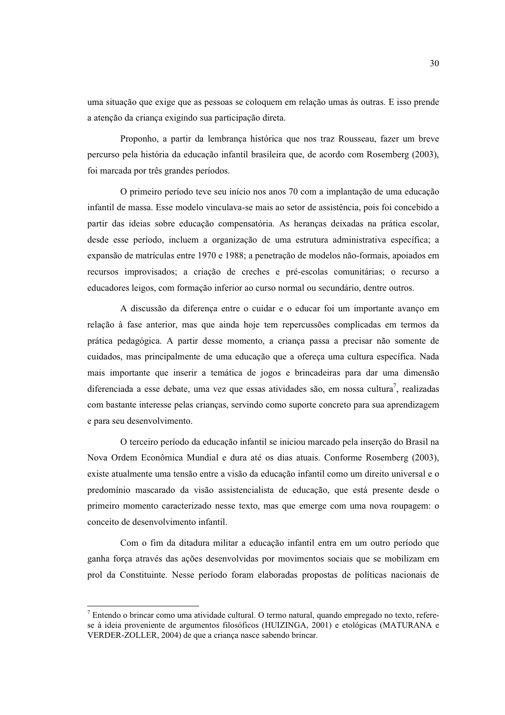uma situação que exige que as pessoas se coloquem em relação umas às outras. E isso prende a atenção da criança exigindo sua participação direta.

Proponho, a partir da lembrança histórica que nos traz Rousseau, fazer um breve percurso pela história da educação infantil brasileira que, de acordo com Rosemberg (2003), foi marcada por três grandes períodos.

O primeiro período teve seu início nos anos 70 com a implantação de uma educação infantil de massa. Esse modelo vinculava-se mais ao setor de assistência, pois foi concebido a partir das ideias sobre educação compensatória. As heranças deixadas na prática escolar, desde esse período, incluem a organização de uma estrutura administrativa específica; a expansão de matrículas entre 1970 e 1988; a penetração de modelos não-formais, apoiados em recursos improvisados; a criação de creches e pré-escolas comunitárias; o recurso a educadores leigos, com formação inferior ao curso normal ou secundário, dentre outros.

A discussão da diferença entre o cuidar e o educar foi um importante avanço em relação à fase anterior, mas que ainda hoje tem repercussões complicadas em termos da prática pedagógica. A partir desse momento, a crianca passa a precisar não somente de cuidados, mas principalmente de uma educação que a ofereça uma cultura específica. Nada mais importante que inserir a temática de jogos e brincadeiras para dar uma dimensão diferenciada a esse debate, uma vez que essas atividades são, em nossa cultura<sup>7</sup>, realizadas com bastante interesse pelas criancas, servindo como suporte concreto para sua aprendizagem e para seu desenvolvimento.

O terceiro período da educação infantil se iniciou marcado pela inserção do Brasil na Nova Ordem Econômica Mundial e dura até os dias atuais. Conforme Rosemberg (2003), existe atualmente uma tensão entre a visão da educação infantil como um direito universal e o predomínio mascarado da visão assistencialista de educação, que está presente desde o primeiro momento caracterizado nesse texto, mas que emerge com uma nova roupagem: o conceito de desenvolvimento infantil.

Com o fim da ditadura militar a educação infantil entra em um outro período que ganha força através das ações desenvolvidas por movimentos sociais que se mobilizam em prol da Constituinte. Nesse período foram elaboradas propostas de políticas nacionais de

<sup>7</sup> Entendo o brincar como uma atividade cultural. O termo natural, quando empregado no texto, referese à ideia proveniente de argumentos filosóficos (HUIZINGA, 2001) e etológicas (MATURANA e VERDER-ZOLLER, 2004) de que a criança nasce sabendo brincar.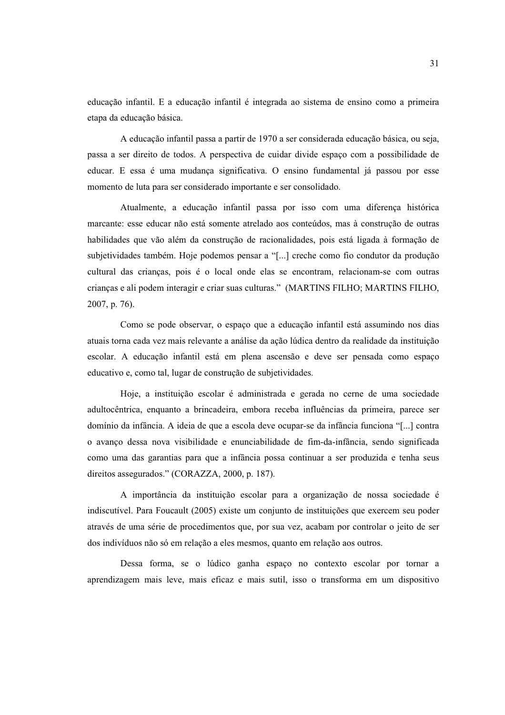educação infantil. E a educação infantil é integrada ao sistema de ensino como a primeira etapa da educação básica.

A educação infantil passa a partir de 1970 a ser considerada educação básica, ou seja, passa a ser direito de todos. A perspectiva de cuidar divide espaço com a possibilidade de educar. E essa é uma mudança significativa. O ensino fundamental já passou por esse momento de luta para ser considerado importante e ser consolidado.

Atualmente, a educação infantil passa por isso com uma diferença histórica marcante: esse educar não está somente atrelado aos conteúdos, mas à construção de outras habilidades que vão além da construção de racionalidades, pois está ligada à formação de subjetividades também. Hoje podemos pensar a "[...] creche como fio condutor da producão cultural das crianças, pois é o local onde elas se encontram, relacionam-se com outras criancas e ali podem interagir e criar suas culturas." (MARTINS FILHO; MARTINS FILHO,  $2007$ , p. 76).

Como se pode observar, o espaço que a educação infantil está assumindo nos dias atuais torna cada vez mais relevante a análise da ação lúdica dentro da realidade da instituição escolar. A educação infantil está em plena ascensão e deve ser pensada como espaço educativo e, como tal, lugar de construção de subjetividades.

Hoje, a instituição escolar é administrada e gerada no cerne de uma sociedade adultocêntrica, enquanto a brincadeira, embora receba influências da primeira, parece ser domínio da infância. A ideia de que a escola deve ocupar-se da infância funciona "[...] contra o avanço dessa nova visibilidade e enunciabilidade de fim-da-infância, sendo significada como uma das garantias para que a infância possa continuar a ser produzida e tenha seus direitos assegurados." (CORAZZA, 2000, p. 187).

A importância da instituição escolar para a organização de nossa sociedade é indiscutível. Para Foucault (2005) existe um conjunto de instituições que exercem seu poder através de uma série de procedimentos que, por sua vez, acabam por controlar o jeito de ser dos indivíduos não só em relação a eles mesmos, quanto em relação aos outros.

Dessa forma, se o lúdico ganha espaço no contexto escolar por tornar a aprendizagem mais leve, mais eficaz e mais sutil, isso o transforma em um dispositivo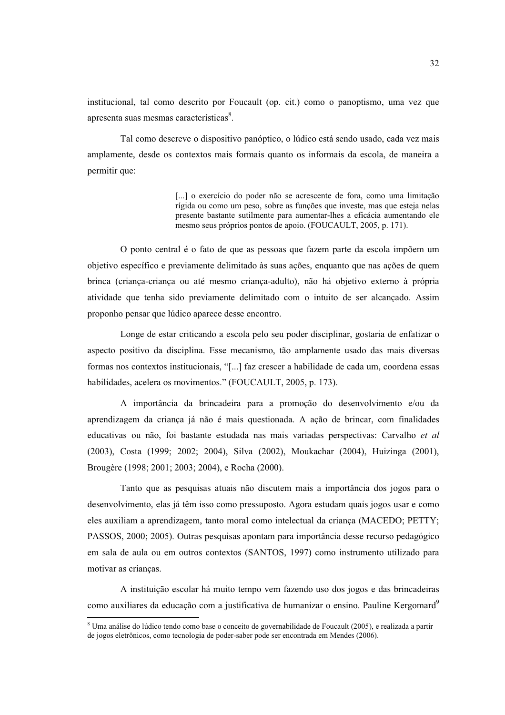institucional, tal como descrito por Foucault (op. cit.) como o panoptismo, uma vez que apresenta suas mesmas características<sup>8</sup>.

Tal como descreve o dispositivo panóptico, o lúdico está sendo usado, cada vez mais amplamente, desde os contextos mais formais quanto os informais da escola, de maneira a permitir que:

> [...] o exercício do poder não se acrescente de fora, como uma limitação rígida ou como um peso, sobre as funções que investe, mas que esteja nelas presente bastante sutilmente para aumentar-lhes a eficácia aumentando ele mesmo seus próprios pontos de apoio. (FOUCAULT, 2005, p. 171).

O ponto central é o fato de que as pessoas que fazem parte da escola impõem um objetivo específico e previamente delimitado às suas ações, enquanto que nas ações de quem brinca (criança-criança ou até mesmo criança-adulto), não há objetivo externo à própria atividade que tenha sido previamente delimitado com o intuito de ser alcancado. Assim proponho pensar que lúdico aparece desse encontro.

Longe de estar criticando a escola pelo seu poder disciplinar, gostaria de enfatizar o aspecto positivo da disciplina. Esse mecanismo, tão amplamente usado das mais diversas formas nos contextos institucionais, "[...] faz crescer a habilidade de cada um, coordena essas habilidades, acelera os movimentos." (FOUCAULT, 2005, p. 173).

A importância da brincadeira para a promoção do desenvolvimento e/ou da aprendizagem da criança já não é mais questionada. A ação de brincar, com finalidades educativas ou não, foi bastante estudada nas mais variadas perspectivas: Carvalho et al (2003), Costa (1999; 2002; 2004), Silva (2002), Moukachar (2004), Huizinga (2001), Brougère (1998; 2001; 2003; 2004), e Rocha (2000).

Tanto que as pesquisas atuais não discutem mais a importância dos jogos para o desenvolvimento, elas já têm isso como pressuposto. Agora estudam quais jogos usar e como eles auxiliam a aprendizagem, tanto moral como intelectual da criança (MACEDO; PETTY; PASSOS, 2000; 2005). Outras pesquisas apontam para importância desse recurso pedagógico em sala de aula ou em outros contextos (SANTOS, 1997) como instrumento utilizado para motivar as crianças.

A instituição escolar há muito tempo vem fazendo uso dos jogos e das brincadeiras como auxiliares da educação com a justificativa de humanizar o ensino. Pauline Kergomard<sup>9</sup>

<sup>&</sup>lt;sup>8</sup> Uma análise do lúdico tendo como base o conceito de governabilidade de Foucault (2005), e realizada a partir de jogos eletrônicos, como tecnologia de poder-saber pode ser encontrada em Mendes (2006).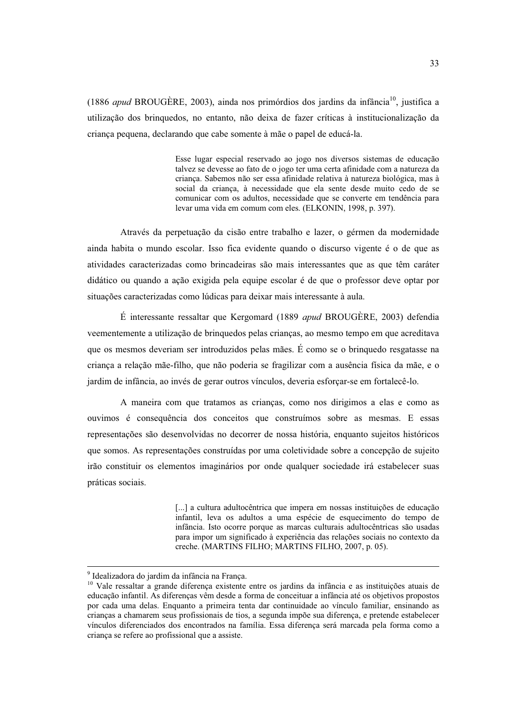(1886 apud BROUGÈRE, 2003), ainda nos primórdios dos jardins da infância<sup>10</sup>, iustifica a utilização dos bringuedos, no entanto, não deixa de fazer críticas à institucionalização da criança pequena, declarando que cabe somente à mãe o papel de educá-la.

> Esse lugar especial reservado ao jogo nos diversos sistemas de educação talvez se devesse ao fato de o jogo ter uma certa afinidade com a natureza da criança. Sabemos não ser essa afinidade relativa à natureza biológica, mas à social da crianca, à necessidade que ela sente desde muito cedo de se comunicar com os adultos, necessidade que se converte em tendência para levar uma vida em comum com eles. (ELKONIN, 1998, p. 397).

Através da perpetuação da cisão entre trabalho e lazer, o gérmen da modernidade ainda habita o mundo escolar. Isso fica evidente quando o discurso vigente é o de que as atividades caracterizadas como brincadeiras são mais interessantes que as que têm caráter didático ou quando a ação exigida pela equipe escolar é de que o professor deve optar por situações caracterizadas como lúdicas para deixar mais interessante à aula.

É interessante ressaltar que Kergomard (1889 apud BROUGÈRE, 2003) defendia veementemente a utilização de brinquedos pelas crianças, ao mesmo tempo em que acreditava que os mesmos deveriam ser introduzidos pelas mães. É como se o brinquedo resgatasse na criança a relação mãe-filho, que não poderia se fragilizar com a ausência física da mãe, e o jardim de infância, ao invés de gerar outros vínculos, deveria esforçar-se em fortalecê-lo.

A maneira com que tratamos as crianças, como nos dirigimos a elas e como as ouvimos é consequência dos conceitos que construímos sobre as mesmas. E essas representações são desenvolvidas no decorrer de nossa história, enquanto sujeitos históricos que somos. As representações construídas por uma coletividade sobre a concepção de sujeito irão constituir os elementos imaginários por onde qualquer sociedade irá estabelecer suas práticas sociais.

> [...] a cultura adultocêntrica que impera em nossas instituições de educação infantil, leva os adultos a uma espécie de esquecimento do tempo de infância. Isto ocorre porque as marcas culturais adultocêntricas são usadas para impor um significado à experiência das relações sociais no contexto da creche. (MARTINS FILHO; MARTINS FILHO, 2007, p. 05).

<sup>&</sup>lt;sup>9</sup> Idealizadora do iardim da infância na Franca.

<sup>&</sup>lt;sup>10</sup> Vale ressaltar a grande diferença existente entre os jardins da infância e as instituições atuais de educação infantil. As diferencas vêm desde a forma de conceituar a infância até os objetivos propostos por cada uma delas. Enquanto a primeira tenta dar continuidade ao vínculo familiar, ensinando as crianças a chamarem seus profissionais de tios, a segunda impõe sua diferença, e pretende estabelecer vínculos diferenciados dos encontrados na família. Essa diferença será marcada pela forma como a criança se refere ao profissional que a assiste.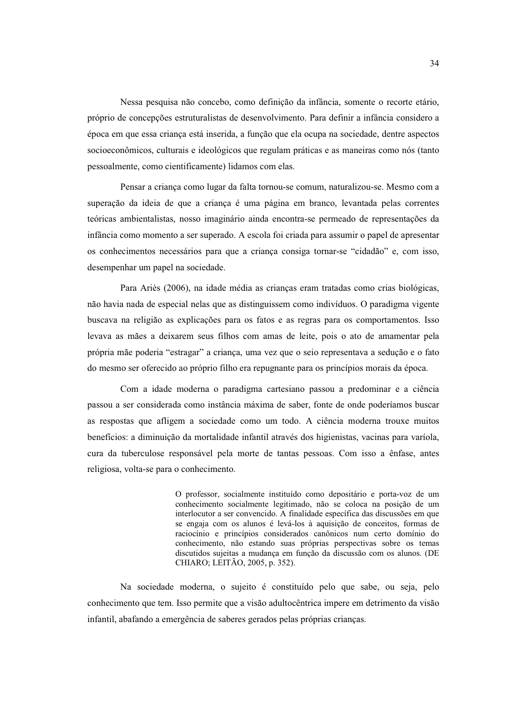Nessa pesquisa não concebo, como definição da infância, somente o recorte etário, próprio de concepções estruturalistas de desenvolvimento. Para definir a infância considero a época em que essa criança está inserida, a função que ela ocupa na sociedade, dentre aspectos socioeconômicos, culturais e ideológicos que regulam práticas e as maneiras como nós (tanto pessoalmente, como científicamente) lidamos com elas.

Pensar a criança como lugar da falta tornou-se comum, naturalizou-se. Mesmo com a superação da ideia de que a criança é uma página em branco, levantada pelas correntes teóricas ambientalistas, nosso imaginário ainda encontra-se permeado de representações da infância como momento a ser superado. A escola foi criada para assumir o papel de apresentar os conhecimentos necessários para que a criança consiga tornar-se "cidadão" e, com isso, desempenhar um papel na sociedade.

Para Ariès (2006), na idade média as criancas eram tratadas como crias biológicas, não havia nada de especial nelas que as distinguissem como indivíduos. O paradigma vigente buscava na religião as explicações para os fatos e as regras para os comportamentos. Isso levava as mães a deixarem seus filhos com amas de leite, pois o ato de amamentar pela própria mãe poderia "estragar" a crianca, uma vez que o seio representava a sedução e o fato do mesmo ser oferecido ao próprio filho era repugnante para os princípios morais da época.

Com a idade moderna o paradigma cartesiano passou a predominar e a ciência passou a ser considerada como instância máxima de saber, fonte de onde poderíamos buscar as respostas que afligem a sociedade como um todo. A ciência moderna trouxe muitos benefícios: a diminuição da mortalidade infantil através dos higienistas, vacinas para varíola, cura da tuberculose responsável pela morte de tantas pessoas. Com isso a ênfase, antes religiosa, volta-se para o conhecimento.

> O professor, socialmente instituído como depositário e porta-voz de um conhecimento socialmente legitimado, não se coloca na posição de um interlocutor a ser convencido. A finalidade específica das discussões em que se engaja com os alunos é levá-los à aquisição de conceitos, formas de raciocínio e princípios considerados canônicos num certo domínio do conhecimento, não estando suas próprias perspectivas sobre os temas discutidos sujeitas a mudança em função da discussão com os alunos. (DE CHIARO: LEITÃO, 2005, p. 352).

Na sociedade moderna, o sujeito é constituído pelo que sabe, ou seja, pelo conhecimento que tem. Isso permite que a visão adultocêntrica impere em detrimento da visão infantil, abafando a emergência de saberes gerados pelas próprias criancas.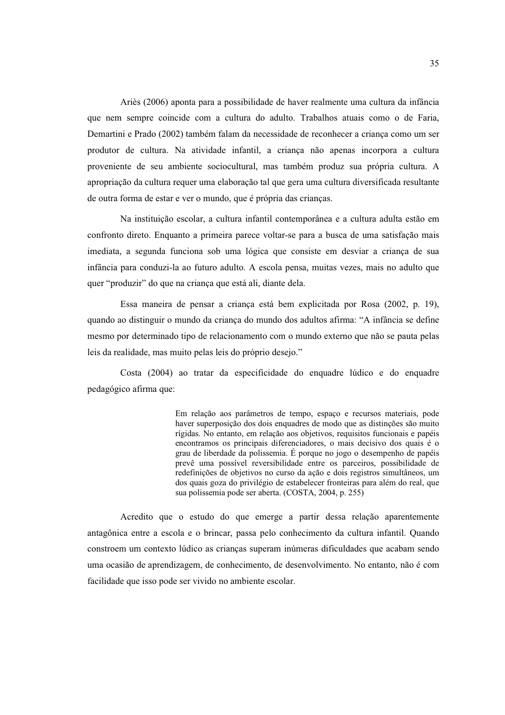Ariès (2006) aponta para a possibilidade de haver realmente uma cultura da infância que nem sempre coincide com a cultura do adulto. Trabalhos atuais como o de Faria, Demartini e Prado (2002) também falam da necessidade de reconhecer a criança como um ser produtor de cultura. Na atividade infantil, a criança não apenas incorpora a cultura proveniente de seu ambiente sociocultural, mas também produz sua própria cultura. A apropriação da cultura requer uma elaboração tal que gera uma cultura diversificada resultante de outra forma de estar e ver o mundo, que é própria das crianças.

Na instituição escolar, a cultura infantil contemporânea e a cultura adulta estão em confronto direto. Enquanto a primeira parece voltar-se para a busca de uma satisfação mais imediata, a segunda funciona sob uma lógica que consiste em desviar a criança de sua infância para conduzi-la ao futuro adulto. A escola pensa, muitas vezes, mais no adulto que quer "produzir" do que na criança que está ali, diante dela.

Essa maneira de pensar a crianca está bem explicitada por Rosa (2002, p. 19). quando ao distinguir o mundo da criança do mundo dos adultos afirma: "A infância se define mesmo por determinado tipo de relacionamento com o mundo externo que não se pauta pelas leis da realidade, mas muito pelas leis do próprio desejo."

Costa (2004) ao tratar da especificidade do enquadre lúdico e do enquadre pedagógico afirma que:

> Em relação aos parâmetros de tempo, espaço e recursos materiais, pode haver superposição dos dois enquadres de modo que as distinções são muito rígidas. No entanto, em relação aos objetivos, requisitos funcionais e papéis encontramos os principais diferenciadores, o mais decisivo dos quais é o grau de liberdade da polissemia. É porque no jogo o desempenho de papéis prevê uma possível reversibilidade entre os parceiros, possibilidade de redefinições de objetivos no curso da ação e dois registros simultâneos, um dos quais goza do privilégio de estabelecer fronteiras para além do real, que sua polissemia pode ser aberta. (COSTA, 2004, p. 255)

Acredito que o estudo do que emerge a partir dessa relação aparentemente antagônica entre a escola e o brincar, passa pelo conhecimento da cultura infantil. Quando constroem um contexto lúdico as crianças superam inúmeras dificuldades que acabam sendo uma ocasião de aprendizagem, de conhecimento, de desenvolvimento. No entanto, não é com facilidade que isso pode ser vivido no ambiente escolar.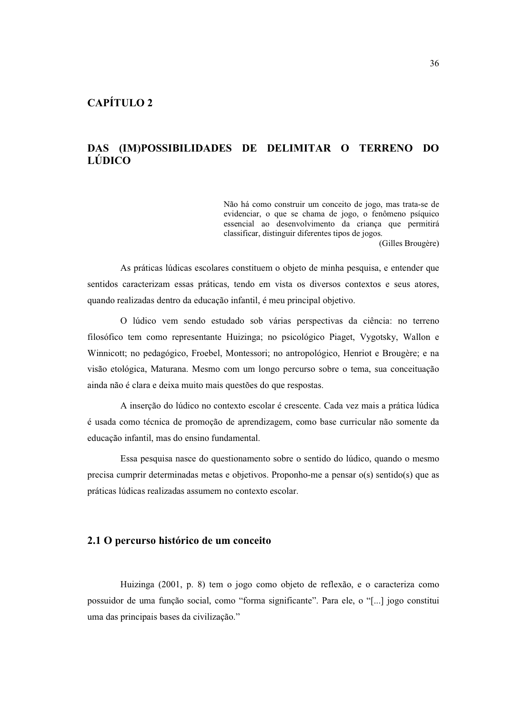# DAS (IMPOSSIBILIDADES DE DELIMITAR O TERRENO DO LÚDICO

Não há como construir um conceito de jogo, mas trata-se de evidenciar, o que se chama de jogo, o fenômeno psíquico essencial ao desenvolvimento da criança que permitirá classificar, distinguir diferentes tipos de jogos.

(Gilles Brougère)

As práticas lúdicas escolares constituem o objeto de minha pesquisa, e entender que sentidos caracterizam essas práticas, tendo em vista os diversos contextos e seus atores, quando realizadas dentro da educação infantil, é meu principal objetivo.

O lúdico vem sendo estudado sob várias perspectivas da ciência: no terreno filosófico tem como representante Huizinga; no psicológico Piaget, Vygotsky, Wallon e Winnicott; no pedagógico, Froebel, Montessori; no antropológico, Henriot e Brougère; e na visão etológica, Maturana. Mesmo com um longo percurso sobre o tema, sua conceituação ainda não é clara e deixa muito mais questões do que respostas.

A inserção do lúdico no contexto escolar é crescente. Cada vez mais a prática lúdica é usada como técnica de promoção de aprendizagem, como base curricular não somente da educação infantil, mas do ensino fundamental.

Essa pesquisa nasce do questionamento sobre o sentido do lúdico, quando o mesmo precisa cumprir determinadas metas e objetivos. Proponho-me a pensar o(s) sentido(s) que as práticas lúdicas realizadas assumem no contexto escolar.

### 2.1 O percurso histórico de um conceito

Huizinga (2001, p. 8) tem o jogo como objeto de reflexão, e o caracteriza como possuidor de uma função social, como "forma significante". Para ele, o "[...] jogo constitui uma das principais bases da civilização."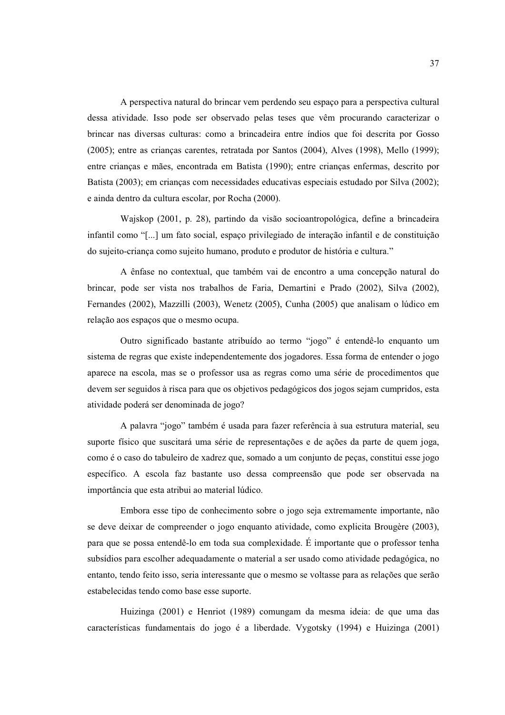A perspectiva natural do brincar vem perdendo seu espaco para a perspectiva cultural dessa atividade. Isso pode ser observado pelas teses que vêm procurando caracterizar o brincar nas diversas culturas: como a brincadeira entre índios que foi descrita por Gosso  $(2005)$ ; entre as crianças carentes, retratada por Santos  $(2004)$ , Alves  $(1998)$ , Mello  $(1999)$ ; entre crianças e mães, encontrada em Batista (1990); entre crianças enfermas, descrito por Batista (2003); em crianças com necessidades educativas especiais estudado por Silva (2002); e ainda dentro da cultura escolar, por Rocha (2000).

Wajskop (2001, p. 28), partindo da visão socioantropológica, define a brincadeira infantil como "[...] um fato social, espaço privilegiado de interação infantil e de constituição do sujeito-criança como sujeito humano, produto e produtor de história e cultura."

A ênfase no contextual, que também vai de encontro a uma concepção natural do brincar, pode ser vista nos trabalhos de Faria, Demartini e Prado (2002), Silva (2002), Fernandes (2002), Mazzilli (2003), Wenetz (2005), Cunha (2005) que analisam o lúdico em relação aos espaços que o mesmo ocupa.

Outro significado bastante atribuído ao termo "jogo" é entendê-lo enquanto um sistema de regras que existe independentemente dos jogadores. Essa forma de entender o jogo aparece na escola, mas se o professor usa as regras como uma série de procedimentos que devem ser seguidos à risca para que os objetivos pedagógicos dos jogos sejam cumpridos, esta atividade poderá ser denominada de jogo?

A palavra "jogo" também é usada para fazer referência à sua estrutura material, seu suporte físico que suscitará uma série de representações e de ações da parte de quem joga, como é o caso do tabuleiro de xadrez que, somado a um conjunto de peças, constitui esse jogo específico. A escola faz bastante uso dessa compreensão que pode ser observada na importância que esta atribui ao material lúdico.

Embora esse tipo de conhecimento sobre o jogo seja extremamente importante, não se deve deixar de compreender o jogo enquanto atividade, como explicita Brougère (2003), para que se possa entendê-lo em toda sua complexidade. É importante que o professor tenha subsídios para escolher adequadamente o material a ser usado como atividade pedagógica, no entanto, tendo feito isso, seria interessante que o mesmo se voltasse para as relações que serão estabelecidas tendo como base esse suporte.

Huizinga (2001) e Henriot (1989) comungam da mesma ideia: de que uma das características fundamentais do jogo é a liberdade. Vygotsky (1994) e Huizinga (2001)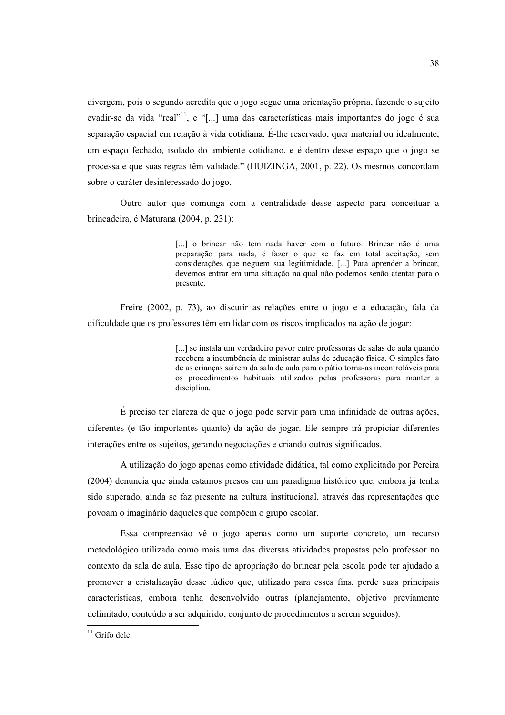divergem, pois o segundo acredita que o jogo segue uma orientação própria, fazendo o sujeito evadir-se da vida "real"<sup>11</sup>, e "[...] uma das características mais importantes do jogo é sua separação espacial em relação à vida cotidiana. É-lhe reservado, quer material ou idealmente, um espaço fechado, isolado do ambiente cotidiano, e é dentro desse espaço que o jogo se processa e que suas regras têm validade." (HUIZINGA, 2001, p. 22). Os mesmos concordam sobre o caráter desinteressado do jogo.

Outro autor que comunga com a centralidade desse aspecto para conceituar a brincadeira, é Maturana (2004, p. 231):

> [...] o brincar não tem nada haver com o futuro. Brincar não é uma preparação para nada, é fazer o que se faz em total aceitação, sem considerações que neguem sua legitimidade. [...] Para aprender a brincar, devemos entrar em uma situação na qual não podemos senão atentar para o presente.

Freire (2002, p. 73), ao discutir as relações entre o jogo e a educação, fala da dificuldade que os professores têm em lidar com os riscos implicados na ação de jogar:

> [...] se instala um verdadeiro pavor entre professoras de salas de aula quando recebem a incumbência de ministrar aulas de educação física. O simples fato de as crianças saírem da sala de aula para o pátio torna-as incontroláveis para os procedimentos habituais utilizados pelas professoras para manter a disciplina.

É preciso ter clareza de que o jogo pode servir para uma infinidade de outras ações, diferentes (e tão importantes quanto) da ação de jogar. Ele sempre irá propiciar diferentes interações entre os sujeitos, gerando negociações e criando outros significados.

A utilização do jogo apenas como atividade didática, tal como explicitado por Pereira (2004) denuncia que ainda estamos presos em um paradigma histórico que, embora já tenha sido superado, ainda se faz presente na cultura institucional, através das representações que povoam o imaginário daqueles que compõem o grupo escolar.

Essa compreensão vê o jogo apenas como um suporte concreto, um recurso metodológico utilizado como mais uma das diversas atividades propostas pelo professor no contexto da sala de aula. Esse tipo de apropriação do brincar pela escola pode ter ajudado a promover a cristalização desse lúdico que, utilizado para esses fins, perde suas principais características, embora tenha desenvolvido outras (planejamento, objetivo previamente delimitado, conteúdo a ser adquirido, conjunto de procedimentos a serem seguidos).

 $11$  Grifo dele.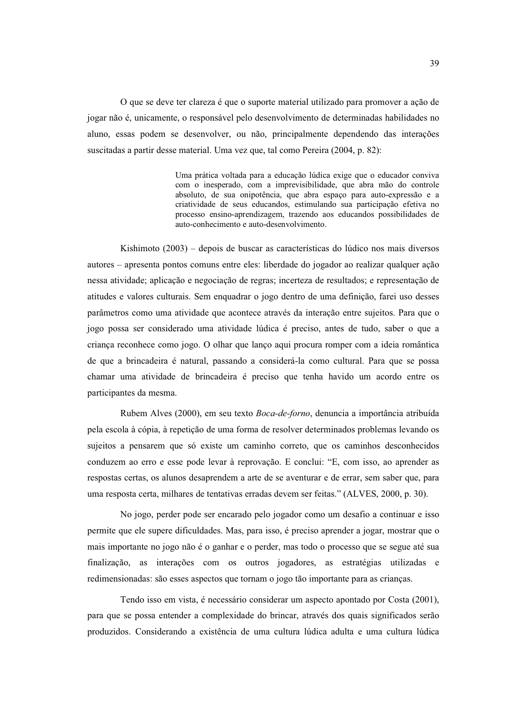O que se deve ter clareza é que o suporte material utilizado para promover a ação de jogar não é, unicamente, o responsável pelo desenvolvimento de determinadas habilidades no aluno, essas podem se desenvolver, ou não, principalmente dependendo das interações suscitadas a partir desse material. Uma vez que, tal como Pereira (2004, p. 82):

> Uma prática voltada para a educação lúdica exige que o educador conviva com o inesperado, com a imprevisibilidade, que abra mão do controle absoluto, de sua onipotência, que abra espaço para auto-expressão e a criatividade de seus educandos, estimulando sua participação efetiva no processo ensino-aprendizagem, trazendo aos educandos possibilidades de auto-conhecimento e auto-desenvolvimento.

Kishimoto (2003) – depois de buscar as características do lúdico nos mais diversos autores – apresenta pontos comuns entre eles: liberdade do jogador ao realizar qualquer ação nessa atividade; aplicação e negociação de regras; incerteza de resultados; e representação de atitudes e valores culturais. Sem enquadrar o jogo dentro de uma definição, farei uso desses parâmetros como uma atividade que acontece através da interação entre sujeitos. Para que o jogo possa ser considerado uma atividade lúdica é preciso, antes de tudo, saber o que a criança reconhece como jogo. O olhar que lanço aqui procura romper com a ideia romântica de que a brincadeira é natural, passando a considerá-la como cultural. Para que se possa chamar uma atividade de brincadeira é preciso que tenha havido um acordo entre os participantes da mesma.

Rubem Alves (2000), em seu texto Boca-de-forno, denuncia a importância atribuída pela escola à cópia, à repetição de uma forma de resolver determinados problemas levando os sujeitos a pensarem que só existe um caminho correto, que os caminhos desconhecidos conduzem ao erro e esse pode levar à reprovação. E conclui: "E, com isso, ao aprender as respostas certas, os alunos desaprendem a arte de se aventurar e de errar, sem saber que, para uma resposta certa, milhares de tentativas erradas devem ser feitas." (ALVES, 2000, p. 30).

No jogo, perder pode ser encarado pelo jogador como um desafio a continuar e isso permite que ele supere dificuldades. Mas, para isso, é preciso aprender a jogar, mostrar que o mais importante no jogo não é o ganhar e o perder, mas todo o processo que se segue até sua finalização, as interações com os outros jogadores, as estratégias utilizadas e redimensionadas: são esses aspectos que tornam o jogo tão importante para as crianças.

Tendo isso em vista, é necessário considerar um aspecto apontado por Costa (2001), para que se possa entender a complexidade do brincar, através dos quais significados serão produzidos. Considerando a existência de uma cultura lúdica adulta e uma cultura lúdica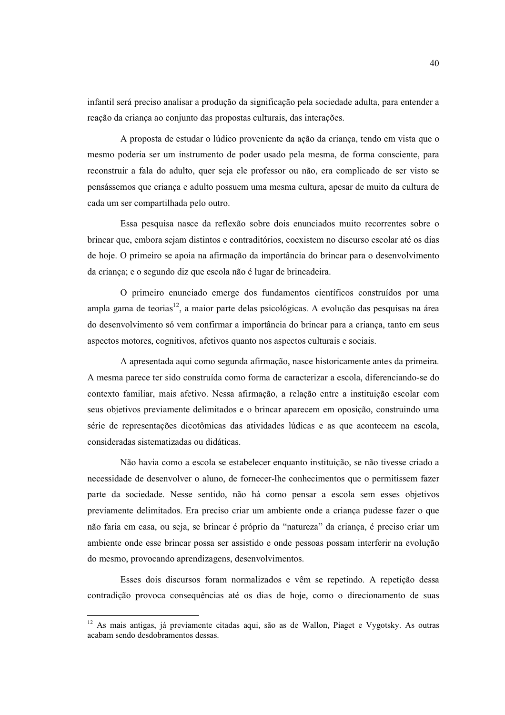infantil será preciso analisar a produção da significação pela sociedade adulta, para entender a reação da criança ao conjunto das propostas culturais, das interações.

A proposta de estudar o lúdico proveniente da ação da criança, tendo em vista que o mesmo poderia ser um instrumento de poder usado pela mesma, de forma consciente, para reconstruir a fala do adulto, quer seja ele professor ou não, era complicado de ser visto se pensássemos que criança e adulto possuem uma mesma cultura, apesar de muito da cultura de cada um ser compartilhada pelo outro.

Essa pesquisa nasce da reflexão sobre dois enunciados muito recorrentes sobre o brincar que, embora sejam distintos e contraditórios, coexistem no discurso escolar até os dias de hoje. O primeiro se apoia na afirmação da importância do brincar para o desenvolvimento da criança; e o segundo diz que escola não é lugar de brincadeira.

O primeiro enunciado emerge dos fundamentos científicos construídos por uma ampla gama de teorias<sup>12</sup>, a maior parte delas psicológicas. A evolução das pesquisas na área do desenvolvimento só vem confirmar a importância do brincar para a criança, tanto em seus aspectos motores, cognitivos, afetivos quanto nos aspectos culturais e sociais.

A apresentada aqui como segunda afirmação, nasce historicamente antes da primeira. A mesma parece ter sido construída como forma de caracterizar a escola, diferenciando-se do contexto familiar, mais afetivo. Nessa afirmação, a relação entre a instituição escolar com seus objetivos previamente delimitados e o brincar aparecem em oposição, construindo uma série de representações dicotômicas das atividades lúdicas e as que acontecem na escola, consideradas sistematizadas ou didáticas.

Não havia como a escola se estabelecer enquanto instituição, se não tivesse criado a necessidade de desenvolver o aluno, de fornecer-lhe conhecimentos que o permitissem fazer parte da sociedade. Nesse sentido, não há como pensar a escola sem esses objetivos previamente delimitados. Era preciso criar um ambiente onde a criança pudesse fazer o que não faria em casa, ou seja, se brincar é próprio da "natureza" da crianca, é preciso criar um ambiente onde esse brincar possa ser assistido e onde pessoas possam interferir na evolução do mesmo, provocando aprendizagens, desenvolvimentos.

Esses dois discursos foram normalizados e vêm se repetindo. A repetição dessa contradição provoca consequências até os dias de hoje, como o direcionamento de suas

<sup>&</sup>lt;sup>12</sup> As mais antigas, já previamente citadas aqui, são as de Wallon, Piaget e Vygotsky. As outras acabam sendo desdobramentos dessas.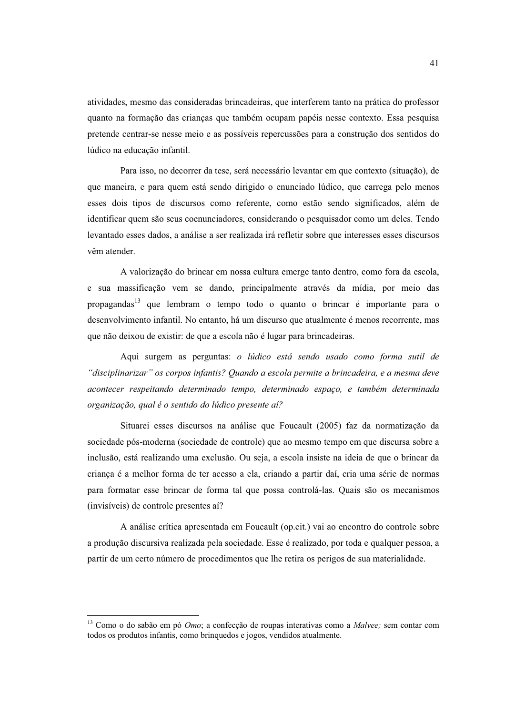atividades, mesmo das consideradas brincadeiras, que interferem tanto na prática do professor quanto na formação das crianças que também ocupam papéis nesse contexto. Essa pesquisa pretende centrar-se nesse meio e as possíveis repercussões para a construção dos sentidos do lúdico na educação infantil.

Para isso, no decorrer da tese, será necessário levantar em que contexto (situação), de que maneira, e para quem está sendo dirigido o enunciado lúdico, que carrega pelo menos esses dois tipos de discursos como referente, como estão sendo significados, além de identificar quem são seus coenunciadores, considerando o pesquisador como um deles. Tendo levantado esses dados, a análise a ser realizada irá refletir sobre que interesses esses discursos vêm atender

A valorização do brincar em nossa cultura emerge tanto dentro, como fora da escola, e sua massificação vem se dando, principalmente através da mídia, por meio das propagandas<sup>13</sup> que lembram o tempo todo o quanto o brincar é importante para o desenvolvimento infantil. No entanto, há um discurso que atualmente é menos recorrente, mas que não deixou de existir: de que a escola não é lugar para brincadeiras.

Aqui surgem as perguntas: o lúdico está sendo usado como forma sutil de "disciplinarizar" os corpos infantis? Quando a escola permite a brincadeira, e a mesma deve acontecer respeitando determinado tempo, determinado espaço, e também determinada organização, qual é o sentido do lúdico presente aí?

Situarei esses discursos na análise que Foucault (2005) faz da normatização da sociedade pós-moderna (sociedade de controle) que ao mesmo tempo em que discursa sobre a inclusão, está realizando uma exclusão. Ou seja, a escola insiste na ideia de que o brincar da crianca é a melhor forma de ter acesso a ela, criando a partir daí, cria uma série de normas para formatar esse brincar de forma tal que possa controlá-las. Quais são os mecanismos (invisíveis) de controle presentes aí?

A análise crítica apresentada em Foucault (op.cit.) vai ao encontro do controle sobre a produção discursiva realizada pela sociedade. Esse é realizado, por toda e qualquer pessoa, a partir de um certo número de procedimentos que lhe retira os perigos de sua materialidade.

<sup>&</sup>lt;sup>13</sup> Como o do sabão em pó *Omo*; a confecção de roupas interativas como a Malvee; sem contar com todos os produtos infantis, como brinquedos e jogos, vendidos atualmente.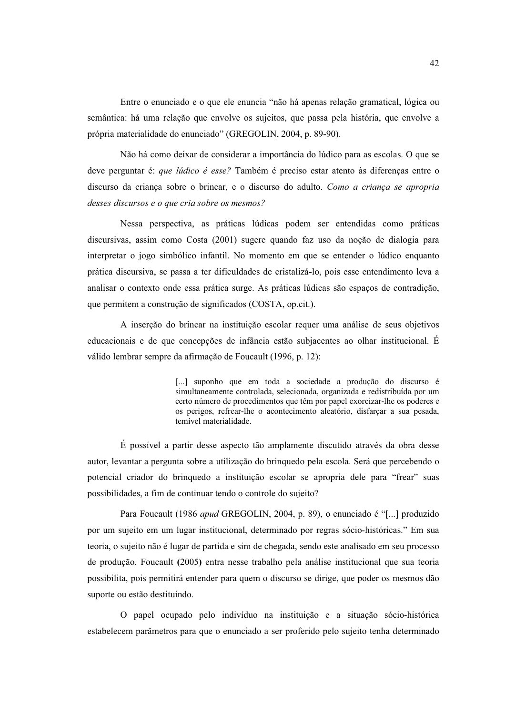Entre o enunciado e o que ele enuncia "não há apenas relação gramatical, lógica ou semântica: há uma relação que envolve os sujeitos, que passa pela história, que envolve a própria materialidade do enunciado" (GREGOLIN, 2004, p. 89-90).

Não há como deixar de considerar a importância do lúdico para as escolas. O que se deve perguntar é: que lúdico é esse? Também é preciso estar atento às diferenças entre o discurso da criança sobre o brincar, e o discurso do adulto. Como a criança se apropria desses discursos e o que cria sobre os mesmos?

Nessa perspectiva, as práticas lúdicas podem ser entendidas como práticas discursivas, assim como Costa (2001) sugere quando faz uso da noção de dialogia para interpretar o jogo simbólico infantil. No momento em que se entender o lúdico enquanto prática discursiva, se passa a ter dificuldades de cristalizá-lo, pois esse entendimento leva a analisar o contexto onde essa prática surge. As práticas lúdicas são espaços de contradição, que permitem a construção de significados (COSTA, op.cit.).

A inserção do brincar na instituição escolar requer uma análise de seus objetivos educacionais e de que concepções de infância estão subjacentes ao olhar institucional. É válido lembrar sempre da afirmação de Foucault (1996, p. 12):

> [...] suponho que em toda a sociedade a produção do discurso é simultaneamente controlada, selecionada, organizada e redistribuída por um certo número de procedimentos que têm por papel exorcizar-lhe os poderes e os perigos, refrear-lhe o acontecimento aleatório, disfarçar a sua pesada, temível materialidade.

É possível a partir desse aspecto tão amplamente discutido através da obra desse autor, levantar a pergunta sobre a utilização do brinquedo pela escola. Será que percebendo o potencial criador do brinquedo a instituição escolar se apropria dele para "frear" suas possibilidades, a fim de continuar tendo o controle do sujeito?

Para Foucault (1986 apud GREGOLIN, 2004, p. 89), o enunciado é "[...] produzido por um sujeito em um lugar institucional, determinado por regras sócio-históricas." Em sua teoria, o sujeito não é lugar de partida e sim de chegada, sendo este analisado em seu processo de produção. Foucault (2005) entra nesse trabalho pela análise institucional que sua teoria possibilita, pois permitirá entender para quem o discurso se dirige, que poder os mesmos dão suporte ou estão destituindo.

O papel ocupado pelo indivíduo na instituição e a situação sócio-histórica estabelecem parâmetros para que o enunciado a ser proferido pelo sujeito tenha determinado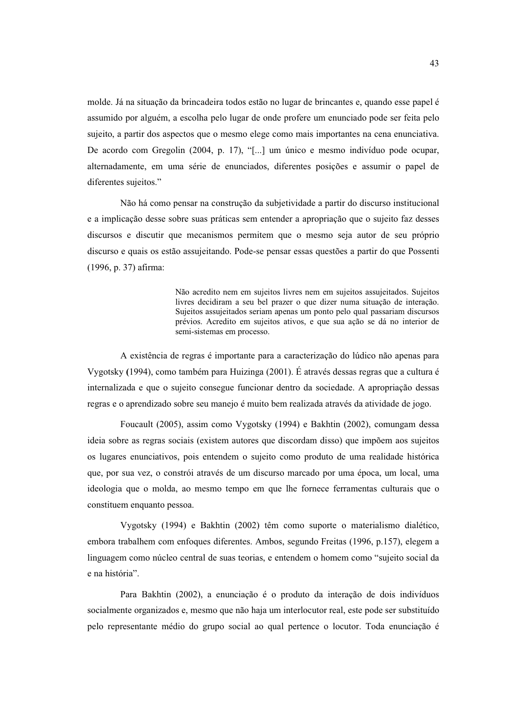molde. Já na situação da brincadeira todos estão no lugar de brincantes e, quando esse papel é assumido por alguém, a escolha pelo lugar de onde profere um enunciado pode ser feita pelo sujeito, a partir dos aspectos que o mesmo elege como mais importantes na cena enunciativa. De acordo com Gregolin (2004, p. 17), "[...] um único e mesmo indivíduo pode ocupar, alternadamente, em uma série de enunciados, diferentes posições e assumir o papel de diferentes sujeitos."

Não há como pensar na construção da subjetividade a partir do discurso institucional e a implicação desse sobre suas práticas sem entender a apropriação que o sujeito faz desses discursos e discutir que mecanismos permitem que o mesmo seja autor de seu próprio discurso e quais os estão assujeitando. Pode-se pensar essas questões a partir do que Possenti  $(1996, p. 37)$  afirma:

> Não acredito nem em sujeitos livres nem em sujeitos assujeitados. Sujeitos livres decidiram a seu bel prazer o que dizer numa situação de interação. Sujeitos assujeitados seriam apenas um ponto pelo qual passariam discursos prévios. Acredito em sujeitos ativos, e que sua ação se dá no interior de semi-sistemas em processo.

A existência de regras é importante para a caracterização do lúdico não apenas para Vygotsky (1994), como também para Huizinga (2001). É através dessas regras que a cultura é internalizada e que o sujeito consegue funcionar dentro da sociedade. A apropriação dessas regras e o aprendizado sobre seu manejo é muito bem realizada através da atividade de jogo.

Foucault (2005), assim como Vygotsky (1994) e Bakhtin (2002), comungam dessa ideia sobre as regras sociais (existem autores que discordam disso) que impõem aos sujeitos os lugares enunciativos, pois entendem o sujeito como produto de uma realidade histórica que, por sua vez, o constrói através de um discurso marcado por uma época, um local, uma ideologia que o molda, ao mesmo tempo em que lhe fornece ferramentas culturais que o constituem enquanto pessoa.

Vygotsky (1994) e Bakhtin (2002) têm como suporte o materialismo dialético, embora trabalhem com enfoques diferentes. Ambos, segundo Freitas (1996, p.157), elegem a linguagem como núcleo central de suas teorias, e entendem o homem como "sujeito social da e na história".

Para Bakhtin (2002), a enunciação é o produto da interação de dois indivíduos socialmente organizados e, mesmo que não haja um interlocutor real, este pode ser substituído pelo representante médio do grupo social ao qual pertence o locutor. Toda enunciação é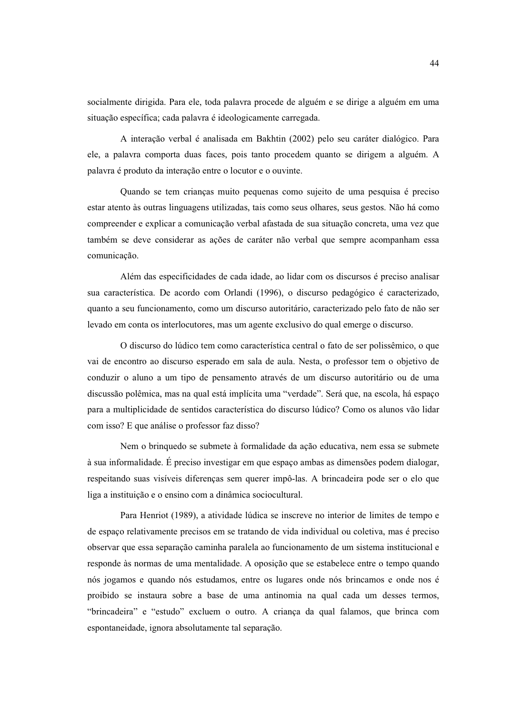socialmente dirigida. Para ele, toda palavra procede de alguém e se dirige a alguém em uma situação específica; cada palavra é ideologicamente carregada.

A interação verbal é analisada em Bakhtin (2002) pelo seu caráter dialógico. Para ele, a palavra comporta duas faces, pois tanto procedem quanto se dirigem a alguém. A palavra é produto da interação entre o locutor e o ouvinte.

Quando se tem crianças muito pequenas como sujeito de uma pesquisa é preciso estar atento às outras linguagens utilizadas, tais como seus olhares, seus gestos. Não há como compreender e explicar a comunicação verbal afastada de sua situação concreta, uma vez que também se deve considerar as ações de caráter não verbal que sempre acompanham essa comunicação.

Além das especificidades de cada idade, ao lidar com os discursos é preciso analisar sua característica. De acordo com Orlandi (1996), o discurso pedagógico é caracterizado, quanto a seu funcionamento, como um discurso autoritário, caracterizado pelo fato de não ser levado em conta os interlocutores, mas um agente exclusivo do qual emerge o discurso.

O discurso do lúdico tem como característica central o fato de ser polissêmico, o que vai de encontro ao discurso esperado em sala de aula. Nesta, o professor tem o objetivo de conduzir o aluno a um tipo de pensamento através de um discurso autoritário ou de uma discussão polêmica, mas na qual está implícita uma "verdade". Será que, na escola, há espaço para a multiplicidade de sentidos característica do discurso lúdico? Como os alunos vão lidar com isso? E que análise o professor faz disso?

Nem o brinquedo se submete à formalidade da ação educativa, nem essa se submete à sua informalidade. É preciso investigar em que espaco ambas as dimensões podem dialogar, respeitando suas visíveis diferenças sem querer impô-las. A brincadeira pode ser o elo que liga a instituição e o ensino com a dinâmica sociocultural.

Para Henriot (1989), a atividade lúdica se inscreve no interior de limites de tempo e de espaço relativamente precisos em se tratando de vida individual ou coletiva, mas é preciso observar que essa separação caminha paralela ao funcionamento de um sistema institucional e responde às normas de uma mentalidade. A oposição que se estabelece entre o tempo quando nós jogamos e quando nós estudamos, entre os lugares onde nós brincamos e onde nos é proibido se instaura sobre a base de uma antinomia na qual cada um desses termos, "brincadeira" e "estudo" excluem o outro. A criança da qual falamos, que brinca com espontaneidade, ignora absolutamente tal separação.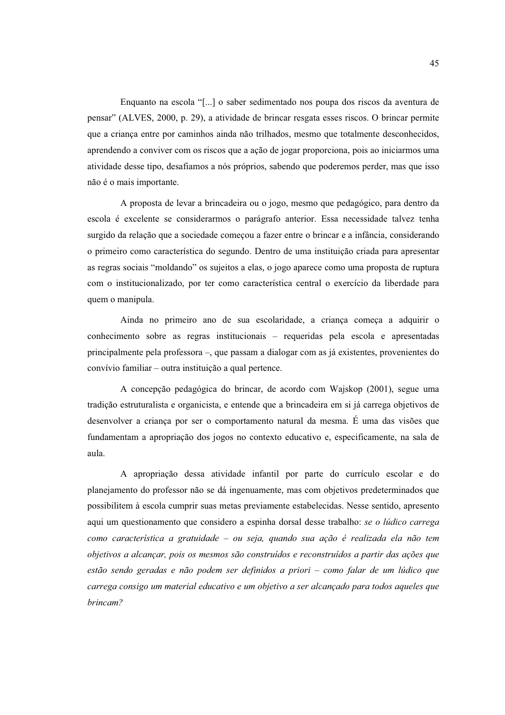Enquanto na escola "[...] o saber sedimentado nos poupa dos riscos da aventura de pensar" (ALVES, 2000, p. 29), a atividade de brincar resgata esses riscos. O brincar permite que a criança entre por caminhos ainda não trilhados, mesmo que totalmente desconhecidos, aprendendo a conviver com os riscos que a ação de jogar proporciona, pois ao iniciarmos uma atividade desse tipo, desafiamos a nós próprios, sabendo que poderemos perder, mas que isso não é o mais importante.

A proposta de levar a brincadeira ou o jogo, mesmo que pedagógico, para dentro da escola é excelente se considerarmos o parágrafo anterior. Essa necessidade talvez tenha surgido da relação que a sociedade começou a fazer entre o brincar e a infância, considerando o primeiro como característica do segundo. Dentro de uma instituição criada para apresentar as regras sociais "moldando" os sujeitos a elas, o jogo aparece como uma proposta de ruptura com o institucionalizado, por ter como característica central o exercício da liberdade para quem o manipula.

Ainda no primeiro ano de sua escolaridade, a criança começa a adquirir o conhecimento sobre as regras institucionais – requeridas pela escola e apresentadas principalmente pela professora –, que passam a dialogar com as já existentes, provenientes do convívio familiar – outra instituição a qual pertence.

A concepção pedagógica do brincar, de acordo com Wajskop (2001), segue uma tradição estruturalista e organicista, e entende que a brincadeira em si já carrega objetivos de desenvolver a criança por ser o comportamento natural da mesma. É uma das visões que fundamentam a apropriação dos jogos no contexto educativo e, especificamente, na sala de aula.

A apropriação dessa atividade infantil por parte do currículo escolar e do planejamento do professor não se dá ingenuamente, mas com objetivos predeterminados que possibilitem à escola cumprir suas metas previamente estabelecidas. Nesse sentido, apresento aqui um questionamento que considero a espinha dorsal desse trabalho: se o lúdico carrega como característica a gratuidade – ou seja, quando sua ação é realizada ela não tem objetivos a alcançar, pois os mesmos são construídos e reconstruídos a partir das ações que estão sendo geradas e não podem ser definidos a priori - como falar de um lúdico que carrega consigo um material educativo e um objetivo a ser alcançado para todos aqueles que brincam?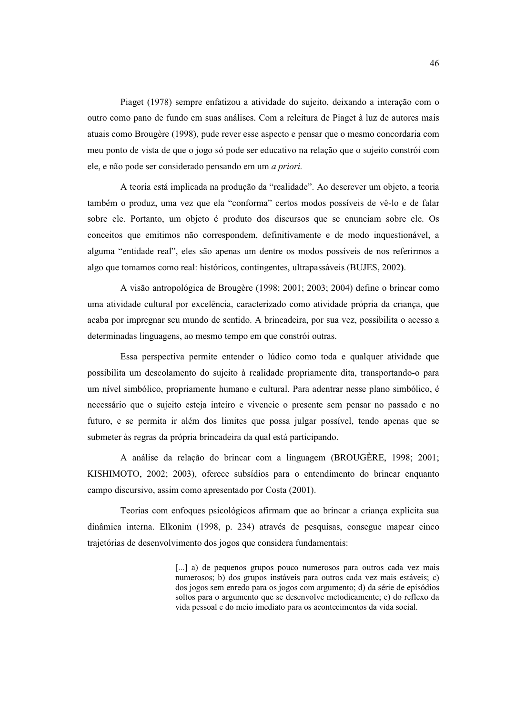Piaget (1978) sempre enfatizou a atividade do sujeito, deixando a interação com o outro como pano de fundo em suas análises. Com a releitura de Piaget à luz de autores mais atuais como Brougère (1998), pude rever esse aspecto e pensar que o mesmo concordaria com meu ponto de vista de que o jogo só pode ser educativo na relação que o sujeito constrói com ele, e não pode ser considerado pensando em um *a priori*.

A teoria está implicada na produção da "realidade". Ao descrever um objeto, a teoria também o produz, uma vez que ela "conforma" certos modos possíveis de vê-lo e de falar sobre ele. Portanto, um objeto é produto dos discursos que se enunciam sobre ele. Os conceitos que emitimos não correspondem, definitivamente e de modo inquestionável, a alguma "entidade real", eles são apenas um dentre os modos possíveis de nos referirmos a algo que tomamos como real: históricos, contingentes, ultrapassáveis (BUJES, 2002).

A visão antropológica de Brougère (1998; 2001; 2003; 2004) define o brincar como uma atividade cultural por excelência, caracterizado como atividade própria da crianca, que acaba por impregnar seu mundo de sentido. A brincadeira, por sua vez, possibilita o acesso a determinadas linguagens, ao mesmo tempo em que constrói outras.

Essa perspectiva permite entender o lúdico como toda e qualquer atividade que possibilita um descolamento do sujeito à realidade propriamente dita, transportando-o para um nível simbólico, propriamente humano e cultural. Para adentrar nesse plano simbólico, é necessário que o sujeito esteja inteiro e vivencie o presente sem pensar no passado e no futuro, e se permita ir além dos limites que possa julgar possível, tendo apenas que se submeter às regras da própria brincadeira da qual está participando.

A análise da relação do brincar com a linguagem (BROUGÈRE, 1998; 2001; KISHIMOTO, 2002; 2003), oferece subsídios para o entendimento do brincar enquanto campo discursivo, assim como apresentado por Costa (2001).

Teorias com enfoques psicológicos afirmam que ao brincar a criança explicita sua dinâmica interna. Elkonim (1998, p. 234) através de pesquisas, consegue mapear cinco trajetórias de desenvolvimento dos jogos que considera fundamentais:

> [...] a) de pequenos grupos pouco numerosos para outros cada vez mais numerosos; b) dos grupos instáveis para outros cada vez mais estáveis; c) dos jogos sem enredo para os jogos com argumento; d) da série de episódios soltos para o argumento que se desenvolve metodicamente; e) do reflexo da vida pessoal e do meio imediato para os acontecimentos da vida social.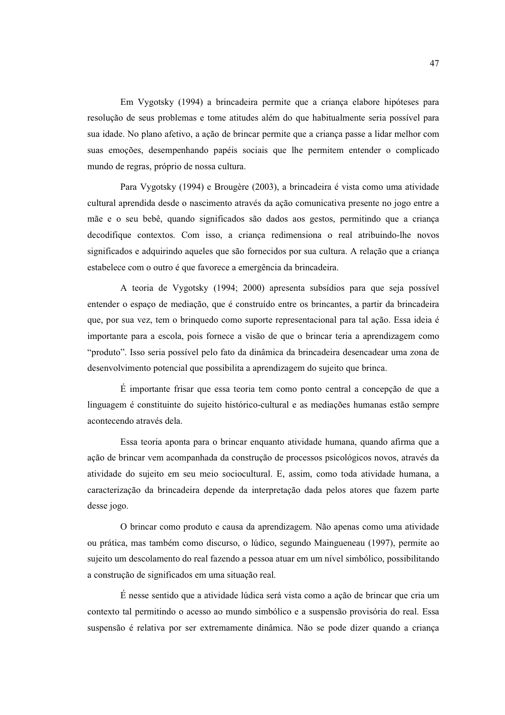Em Vygotsky (1994) a brincadeira permite que a crianca elabore hipóteses para resolução de seus problemas e tome atitudes além do que habitualmente seria possível para sua idade. No plano afetivo, a ação de brincar permite que a criança passe a lidar melhor com suas emoções, desempenhando papéis sociais que lhe permitem entender o complicado mundo de regras, próprio de nossa cultura.

Para Vygotsky (1994) e Brougère (2003), a brincadeira é vista como uma atividade cultural aprendida desde o nascimento através da ação comunicativa presente no jogo entre a mãe e o seu bebê, quando significados são dados aos gestos, permitindo que a crianca decodifique contextos. Com isso, a criança redimensiona o real atribuindo-lhe novos significados e adquirindo aqueles que são fornecidos por sua cultura. A relação que a criança estabelece com o outro é que favorece a emergência da brincadeira.

A teoria de Vygotsky (1994; 2000) apresenta subsídios para que seja possível entender o espaço de mediação, que é construído entre os brincantes, a partir da brincadeira que, por sua vez, tem o brinquedo como suporte representacional para tal ação. Essa ideia é importante para a escola, pois fornece a visão de que o brincar teria a aprendizagem como "produto". Isso seria possível pelo fato da dinâmica da brincadeira desencadear uma zona de desenvolvimento potencial que possibilita a aprendizagem do sujeito que brinca.

É importante frisar que essa teoria tem como ponto central a concepção de que a linguagem é constituinte do sujeito histórico-cultural e as mediações humanas estão sempre acontecendo através dela.

Essa teoria aponta para o brincar enquanto atividade humana, quando afirma que a ação de brincar vem acompanhada da construção de processos psicológicos novos, através da atividade do sujeito em seu meio sociocultural. E, assim, como toda atividade humana, a caracterização da brincadeira depende da interpretação dada pelos atores que fazem parte desse jogo.

O brincar como produto e causa da aprendizagem. Não apenas como uma atividade ou prática, mas também como discurso, o lúdico, segundo Maingueneau (1997), permite ao sujeito um descolamento do real fazendo a pessoa atuar em um nível simbólico, possibilitando a construção de significados em uma situação real.

É nesse sentido que a atividade lúdica será vista como a ação de brincar que cria um contexto tal permitindo o acesso ao mundo simbólico e a suspensão provisória do real. Essa suspensão é relativa por ser extremamente dinâmica. Não se pode dizer quando a criança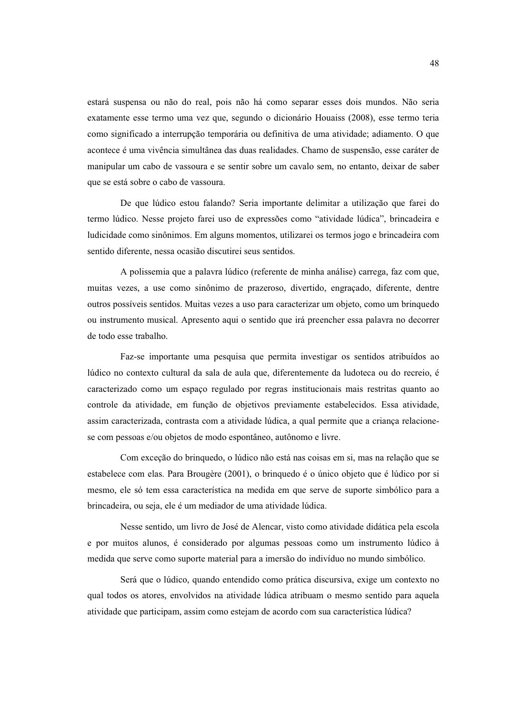estará suspensa ou não do real, pois não há como separar esses dois mundos. Não seria exatamente esse termo uma vez que, segundo o dicionário Houaiss (2008), esse termo teria como significado a interrupção temporária ou definitiva de uma atividade; adiamento. O que acontece é uma vivência simultânea das duas realidades. Chamo de suspensão, esse caráter de manipular um cabo de vassoura e se sentir sobre um cavalo sem, no entanto, deixar de saber que se está sobre o cabo de vassoura.

De que lúdico estou falando? Seria importante delimitar a utilização que farei do termo lúdico. Nesse projeto farei uso de expressões como "atividade lúdica", brincadeira e ludicidade como sinônimos. Em alguns momentos, utilizarei os termos jogo e brincadeira com sentido diferente, nessa ocasião discutirei seus sentidos.

A polissemia que a palavra lúdico (referente de minha análise) carrega, faz com que, muitas vezes, a use como sinônimo de prazeroso, divertido, engraçado, diferente, dentre outros possíveis sentidos. Muitas vezes a uso para caracterizar um objeto, como um brinquedo ou instrumento musical. Apresento aqui o sentido que irá preencher essa palavra no decorrer de todo esse trabalho.

Faz-se importante uma pesquisa que permita investigar os sentidos atribuídos ao lúdico no contexto cultural da sala de aula que, diferentemente da ludoteca ou do recreio, é caracterizado como um espaço regulado por regras institucionais mais restritas quanto ao controle da atividade, em função de objetivos previamente estabelecidos. Essa atividade, assim caracterizada, contrasta com a atividade lúdica, a qual permite que a criança relacionese com pessoas e/ou objetos de modo espontâneo, autônomo e livre.

Com exceção do brinquedo, o lúdico não está nas coisas em si, mas na relação que se estabelece com elas. Para Brougère (2001), o brinquedo é o único objeto que é lúdico por si mesmo, ele só tem essa característica na medida em que serve de suporte simbólico para a brincadeira, ou seja, ele é um mediador de uma atividade lúdica.

Nesse sentido, um livro de José de Alencar, visto como atividade didática pela escola e por muitos alunos, é considerado por algumas pessoas como um instrumento lúdico à medida que serve como suporte material para a imersão do indivíduo no mundo simbólico.

Será que o lúdico, quando entendido como prática discursiva, exige um contexto no qual todos os atores, envolvidos na atividade lúdica atribuam o mesmo sentido para aquela atividade que participam, assim como estejam de acordo com sua característica lúdica?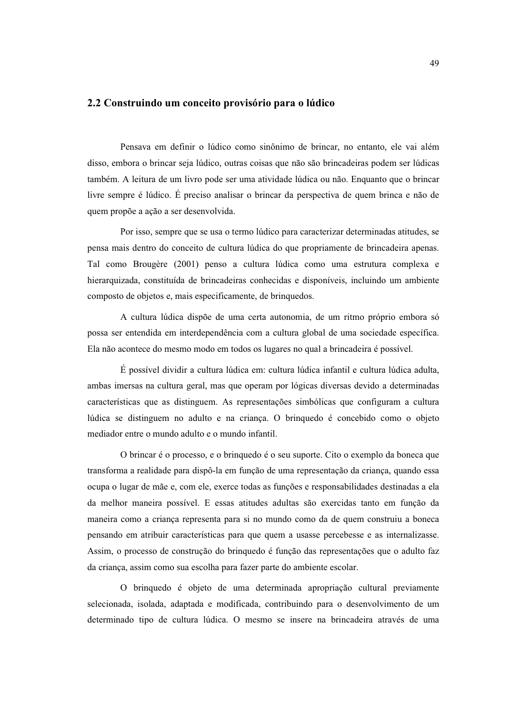### 2.2 Construindo um conceito provisório para o lúdico

Pensava em definir o lúdico como sinônimo de brincar, no entanto, ele vai além disso, embora o brincar seja lúdico, outras coisas que não são brincadeiras podem ser lúdicas também. A leitura de um livro pode ser uma atividade lúdica ou não. Enquanto que o brincar livre sempre é lúdico. É preciso analisar o brincar da perspectiva de quem brinca e não de quem propõe a ação a ser desenvolvida.

Por isso, sempre que se usa o termo lúdico para caracterizar determinadas atitudes, se pensa mais dentro do conceito de cultura lúdica do que propriamente de brincadeira apenas. Tal como Brougère (2001) penso a cultura lúdica como uma estrutura complexa e hierarquizada, constituída de brincadeiras conhecidas e disponíveis, incluindo um ambiente composto de objetos e, mais especificamente, de brinquedos.

A cultura lúdica dispõe de uma certa autonomia, de um ritmo próprio embora só possa ser entendida em interdependência com a cultura global de uma sociedade específica. Ela não acontece do mesmo modo em todos os lugares no qual a brincadeira é possível.

É possível dividir a cultura lúdica em: cultura lúdica infantil e cultura lúdica adulta, ambas imersas na cultura geral, mas que operam por lógicas diversas devido a determinadas características que as distinguem. As representações simbólicas que configuram a cultura lúdica se distinguem no adulto e na criança. O brinquedo é concebido como o objeto mediador entre o mundo adulto e o mundo infantil.

O brincar é o processo, e o brinquedo é o seu suporte. Cito o exemplo da boneca que transforma a realidade para dispô-la em função de uma representação da criança, quando essa ocupa o lugar de mãe e, com ele, exerce todas as funções e responsabilidades destinadas a ela da melhor maneira possível. E essas atitudes adultas são exercidas tanto em função da maneira como a crianca representa para si no mundo como da de quem construiu a boneca pensando em atribuir características para que quem a usasse percebesse e as internalizasse. Assim, o processo de construção do brinquedo é função das representações que o adulto faz da criança, assim como sua escolha para fazer parte do ambiente escolar.

O brinquedo é objeto de uma determinada apropriação cultural previamente selecionada, isolada, adaptada e modificada, contribuindo para o desenvolvimento de um determinado tipo de cultura lúdica. O mesmo se insere na brincadeira através de uma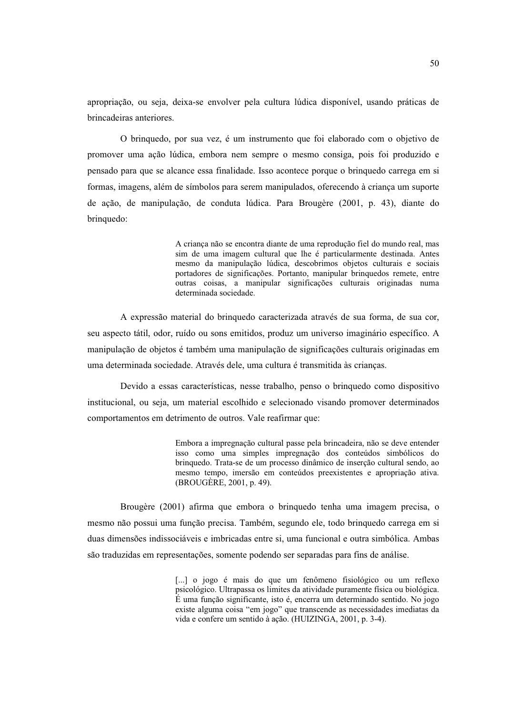apropriação, ou seja, deixa-se envolver pela cultura lúdica disponível, usando práticas de brincadeiras anteriores

O bringuedo, por sua vez, é um instrumento que foi elaborado com o objetivo de promover uma ação lúdica, embora nem sempre o mesmo consiga, pois foi produzido e pensado para que se alcance essa finalidade. Isso acontece porque o brinquedo carrega em si formas, imagens, além de símbolos para serem manipulados, oferecendo à criança um suporte de ação, de manipulação, de conduta lúdica. Para Brougère (2001, p. 43), diante do brinquedo:

> A criança não se encontra diante de uma reprodução fiel do mundo real, mas sim de uma imagem cultural que lhe é particularmente destinada. Antes mesmo da manipulação lúdica, descobrimos objetos culturais e sociais portadores de significações. Portanto, manipular brinquedos remete, entre outras coisas, a manipular significações culturais originadas numa determinada sociedade.

A expressão material do bringuedo caracterizada através de sua forma, de sua cor, seu aspecto tátil, odor, ruído ou sons emitidos, produz um universo imaginário específico. A manipulação de objetos é também uma manipulação de significações culturais originadas em uma determinada sociedade. Através dele, uma cultura é transmitida às crianças.

Devido a essas características, nesse trabalho, penso o bringuedo como dispositivo institucional, ou seja, um material escolhido e selecionado visando promover determinados comportamentos em detrimento de outros. Vale reafirmar que:

> Embora a impregnação cultural passe pela brincadeira, não se deve entender isso como uma simples impregnação dos conteúdos simbólicos do brinquedo. Trata-se de um processo dinâmico de inserção cultural sendo, ao mesmo tempo, imersão em conteúdos preexistentes e apropriação ativa. (BROUGÈRE, 2001, p. 49).

Brougère (2001) afirma que embora o bringuedo tenha uma imagem precisa, o mesmo não possui uma função precisa. Também, segundo ele, todo brinquedo carrega em si duas dimensões indissociáveis e imbricadas entre si, uma funcional e outra simbólica. Ambas são traduzidas em representações, somente podendo ser separadas para fins de análise.

> [...] o jogo é mais do que um fenômeno fisiológico ou um reflexo psicológico. Ultrapassa os limites da atividade puramente física ou biológica. É uma função significante, isto é, encerra um determinado sentido. No jogo existe alguma coisa "em jogo" que transcende as necessidades imediatas da vida e confere um sentido à ação. (HUIZINGA, 2001, p. 3-4).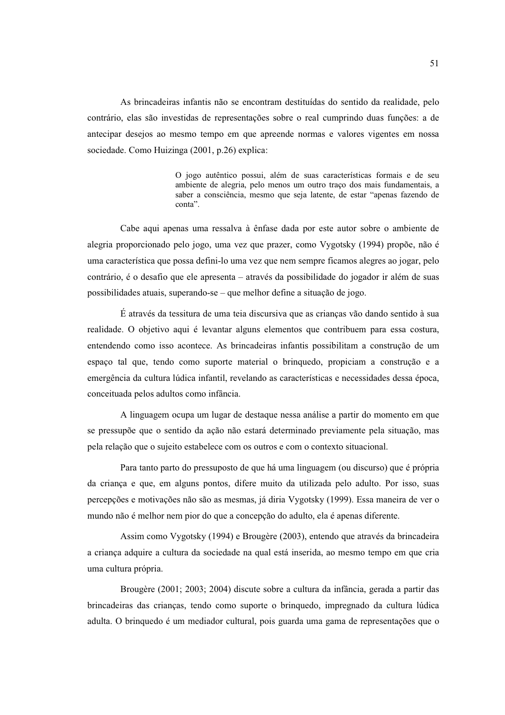As brincadeiras infantis não se encontram destituídas do sentido da realidade, pelo contrário, elas são investidas de representações sobre o real cumprindo duas funções: a de antecipar desejos ao mesmo tempo em que apreende normas e valores vigentes em nossa sociedade. Como Huizinga (2001, p.26) explica:

> O jogo autêntico possui, além de suas características formais e de seu ambiente de alegria, pelo menos um outro traco dos mais fundamentais, a saber a consciência, mesmo que seja latente, de estar "apenas fazendo de conta".

Cabe aqui apenas uma ressalva à ênfase dada por este autor sobre o ambiente de alegria proporcionado pelo jogo, uma vez que prazer, como Vygotsky (1994) propõe, não é uma característica que possa defini-lo uma vez que nem sempre ficamos alegres ao jogar, pelo contrário, é o desafio que ele apresenta – através da possibilidade do jogador ir além de suas possibilidades atuais, superando-se – que melhor define a situação de jogo.

É através da tessitura de uma teia discursiva que as crianças vão dando sentido à sua realidade. O objetivo aqui é levantar alguns elementos que contribuem para essa costura, entendendo como isso acontece. As brincadeiras infantis possibilitam a construção de um espaço tal que, tendo como suporte material o brinquedo, propiciam a construção e a emergência da cultura lúdica infantil, revelando as características e necessidades dessa época, conceituada pelos adultos como infância.

A linguagem ocupa um lugar de destaque nessa análise a partir do momento em que se pressupõe que o sentido da ação não estará determinado previamente pela situação, mas pela relação que o sujeito estabelece com os outros e com o contexto situacional.

Para tanto parto do pressuposto de que há uma linguagem (ou discurso) que é própria da crianca e que, em alguns pontos, difere muito da utilizada pelo adulto. Por isso, suas percepções e motivações não são as mesmas, já diria Vygotsky (1999). Essa maneira de ver o mundo não é melhor nem pior do que a concepção do adulto, ela é apenas diferente.

Assim como Vygotsky (1994) e Brougère (2003), entendo que através da brincadeira a criança adquire a cultura da sociedade na qual está inserida, ao mesmo tempo em que cria uma cultura própria.

Brougère (2001; 2003; 2004) discute sobre a cultura da infância, gerada a partir das brincadeiras das crianças, tendo como suporte o brinquedo, impregnado da cultura lúdica adulta. O brinquedo é um mediador cultural, pois guarda uma gama de representações que o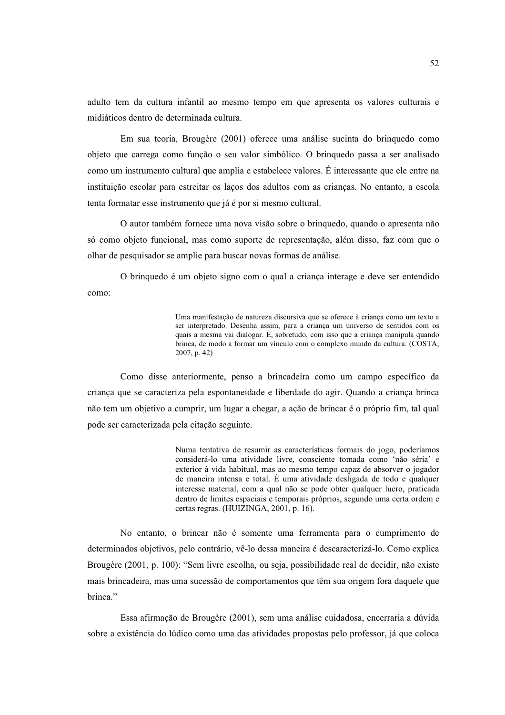adulto tem da cultura infantil ao mesmo tempo em que apresenta os valores culturais e midiáticos dentro de determinada cultura

Em sua teoria, Brougère (2001) oferece uma análise sucinta do bringuedo como objeto que carrega como função o seu valor simbólico. O brinquedo passa a ser analisado como um instrumento cultural que amplia e estabelece valores. É interessante que ele entre na instituição escolar para estreitar os laços dos adultos com as crianças. No entanto, a escola tenta formatar esse instrumento que já é por si mesmo cultural.

O autor também fornece uma nova visão sobre o bringuedo, quando o apresenta não só como objeto funcional, mas como suporte de representação, além disso, faz com que o olhar de pesquisador se amplie para buscar novas formas de análise.

O bringuedo é um objeto signo com o qual a criança interage e deve ser entendido como:

> Uma manifestação de natureza discursiva que se oferece à criança como um texto a ser interpretado. Desenha assim, para a criança um universo de sentidos com os quais a mesma vai dialogar. É, sobretudo, com isso que a criança manipula quando brinca, de modo a formar um vínculo com o complexo mundo da cultura. (COSTA,  $2007$ , p. 42)

Como disse anteriormente, penso a brincadeira como um campo específico da criança que se caracteriza pela espontaneidade e liberdade do agir. Quando a criança brinca não tem um objetivo a cumprir, um lugar a chegar, a ação de brincar é o próprio fim, tal qual pode ser caracterizada pela citação seguinte.

> Numa tentativa de resumir as características formais do jogo, poderíamos considerá-lo uma atividade livre, consciente tomada como 'não séria' e exterior à vida habitual, mas ao mesmo tempo capaz de absorver o jogador de maneira intensa e total. É uma atividade desligada de todo e qualquer interesse material, com a qual não se pode obter qualquer lucro, praticada dentro de limites espaciais e temporais próprios, segundo uma certa ordem e certas regras. (HUIZINGA, 2001, p. 16).

No entanto, o brincar não é somente uma ferramenta para o cumprimento de determinados objetivos, pelo contrário, vê-lo dessa maneira é descaracterizá-lo. Como explica Brougère (2001, p. 100): "Sem livre escolha, ou seja, possibilidade real de decidir, não existe mais brincadeira, mas uma sucessão de comportamentos que têm sua origem fora daquele que hrinca<sup>"</sup>

Essa afirmação de Brougère (2001), sem uma análise cuidadosa, encerraria a dúvida sobre a existência do lúdico como uma das atividades propostas pelo professor, já que coloca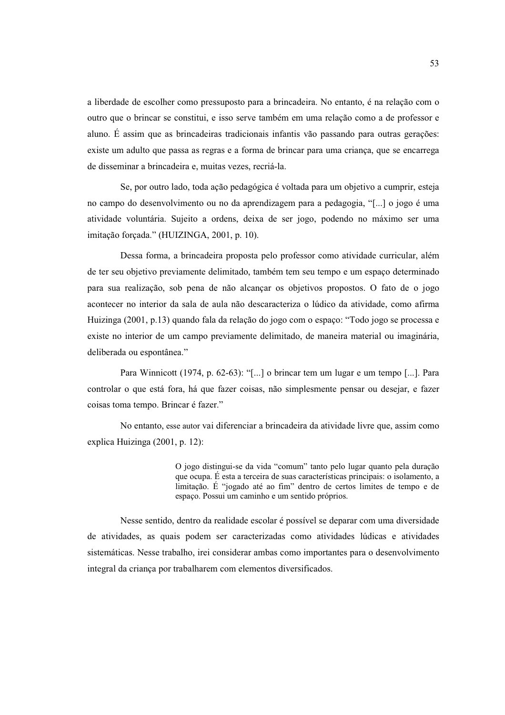a liberdade de escolher como pressuposto para a brincadeira. No entanto, é na relação com o outro que o brincar se constitui, e isso serve também em uma relação como a de professor e aluno. É assim que as brincadeiras tradicionais infantis vão passando para outras gerações: existe um adulto que passa as regras e a forma de brincar para uma criança, que se encarrega de disseminar a brincadeira e, muitas vezes, recriá-la.

Se, por outro lado, toda ação pedagógica é voltada para um objetivo a cumprir, esteja no campo do desenvolvimento ou no da aprendizagem para a pedagogia, "[...] o jogo é uma atividade voluntária. Sujeito a ordens, deixa de ser jogo, podendo no máximo ser uma imitação forçada." (HUIZINGA, 2001, p. 10).

Dessa forma, a brincadeira proposta pelo professor como atividade curricular, além de ter seu objetivo previamente delimitado, também tem seu tempo e um espaço determinado para sua realização, sob pena de não alcancar os objetivos propostos. O fato de o jogo acontecer no interior da sala de aula não descaracteriza o lúdico da atividade, como afirma Huizinga (2001, p.13) quando fala da relação do jogo com o espaço: "Todo jogo se processa e existe no interior de um campo previamente delimitado, de maneira material ou imaginária, deliberada ou espontânea."

Para Winnicott (1974, p. 62-63): "[...] o brincar tem um lugar e um tempo [...]. Para controlar o que está fora, há que fazer coisas, não simplesmente pensar ou desejar, e fazer coisas toma tempo. Brincar é fazer."

No entanto, esse autor vai diferenciar a brincadeira da atividade livre que, assim como explica Huizinga (2001, p. 12):

> O jogo distingui-se da vida "comum" tanto pelo lugar quanto pela duração que ocupa. É esta a terceira de suas características principais: o isolamento, a limitação. É "jogado até ao fim" dentro de certos limites de tempo e de espaço. Possui um caminho e um sentido próprios.

Nesse sentido, dentro da realidade escolar é possível se deparar com uma diversidade de atividades, as quais podem ser caracterizadas como atividades lúdicas e atividades sistemáticas. Nesse trabalho, irei considerar ambas como importantes para o desenvolvimento integral da criança por trabalharem com elementos diversificados.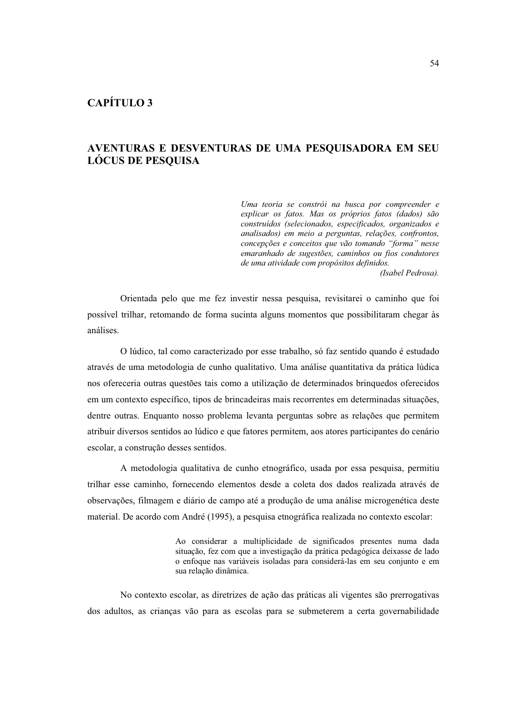# CAPÍTILO<sub>3</sub>

# AVENTURAS E DESVENTURAS DE UMA PESQUISADORA EM SEU **LÓCUS DE PESQUISA**

Uma teoria se constrói na busca por compreender e explicar os fatos. Mas os próprios fatos (dados) são construídos (selecionados, especificados, organizados e analisados) em meio a perguntas, relações, confrontos, concepções e conceitos que vão tomando "forma" nesse emaranhado de sugestões, caminhos ou fios condutores de uma atividade com propósitos definidos.

(Isabel Pedrosa).

Orientada pelo que me fez investir nessa pesquisa, revisitarei o caminho que foi possível trilhar, retomando de forma sucinta alguns momentos que possibilitaram chegar às análises.

O lúdico, tal como caracterizado por esse trabalho, só faz sentido quando é estudado através de uma metodologia de cunho qualitativo. Uma análise quantitativa da prática lúdica nos ofereceria outras questões tais como a utilização de determinados brinquedos oferecidos em um contexto específico, tipos de brincadeiras mais recorrentes em determinadas situações, dentre outras. Enquanto nosso problema levanta perguntas sobre as relações que permitem atribuir diversos sentidos ao lúdico e que fatores permitem, aos atores participantes do cenário escolar, a construção desses sentidos.

A metodologia qualitativa de cunho etnográfico, usada por essa pesquisa, permitiu trilhar esse caminho, fornecendo elementos desde a coleta dos dados realizada através de observações, filmagem e diário de campo até a produção de uma análise microgenética deste material. De acordo com André (1995), a pesquisa etnográfica realizada no contexto escolar:

> Ao considerar a multiplicidade de significados presentes numa dada situação, fez com que a investigação da prática pedagógica deixasse de lado o enfoque nas variáveis isoladas para considerá-las em seu conjunto e em sua relação dinâmica.

No contexto escolar, as diretrizes de ação das práticas ali vigentes são prerrogativas dos adultos, as crianças vão para as escolas para se submeterem a certa governabilidade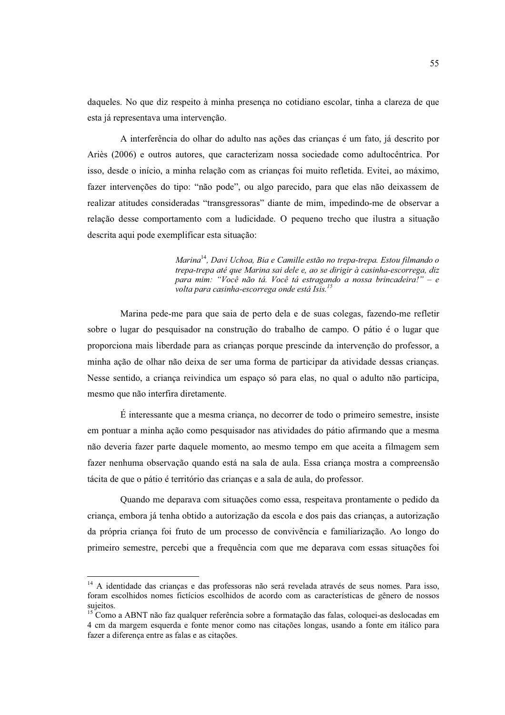daqueles. No que diz respeito à minha presenca no cotidiano escolar, tinha a clareza de que esta já representava uma intervenção.

A interferência do olhar do adulto nas ações das crianças é um fato, já descrito por Ariès (2006) e outros autores, que caracterizam nossa sociedade como adultocêntrica. Por isso, desde o início, a minha relação com as crianças foi muito refletida. Evitei, ao máximo, fazer intervenções do tipo: "não pode", ou algo parecido, para que elas não deixassem de realizar atitudes consideradas "transgressoras" diante de mim, impedindo-me de observar a relação desse comportamento com a ludicidade. O pequeno trecho que ilustra a situação descrita aqui pode exemplificar esta situação:

> Marina<sup>14</sup>, Davi Uchoa, Bia e Camille estão no trepa-trepa. Estou filmando o trepa-trepa até que Marina sai dele e, ao se dirigir à casinha-escorrega, diz para mim: "Você não tá. Você tá estragando a nossa brincadeira!" - e volta para casinha-escorrega onde está Isis.<sup>15</sup>

Marina pede-me para que saia de perto dela e de suas colegas, fazendo-me refletir sobre o lugar do pesquisador na construção do trabalho de campo. O pátio é o lugar que proporciona mais liberdade para as crianças porque prescinde da intervenção do professor, a minha ação de olhar não deixa de ser uma forma de participar da atividade dessas crianças. Nesse sentido, a criança reivindica um espaço só para elas, no qual o adulto não participa, mesmo que não interfira diretamente.

 $\hat{E}$  interessante que a mesma crianca, no decorrer de todo o primeiro semestre, insiste em pontuar a minha ação como pesquisador nas atividades do pátio afirmando que a mesma não deveria fazer parte daquele momento, ao mesmo tempo em que aceita a filmagem sem fazer nenhuma observação quando está na sala de aula. Essa criança mostra a compreensão tácita de que o pátio é território das crianças e a sala de aula, do professor.

Quando me deparava com situações como essa, respeitava prontamente o pedido da criança, embora já tenha obtido a autorização da escola e dos pais das crianças, a autorização da própria criança foi fruto de um processo de convivência e familiarização. Ao longo do primeiro semestre, percebi que a frequência com que me deparava com essas situações foi

<sup>&</sup>lt;sup>14</sup> A identidade das crianças e das professoras não será revelada através de seus nomes. Para isso, foram escolhidos nomes fictícios escolhidos de acordo com as características de gênero de nossos sujeitos.<br><sup>15</sup> Como a ABNT não faz qualquer referência sobre a formatação das falas, coloquei-as deslocadas em

<sup>4</sup> cm da margem esquerda e fonte menor como nas citações longas, usando a fonte em itálico para fazer a diferença entre as falas e as citações.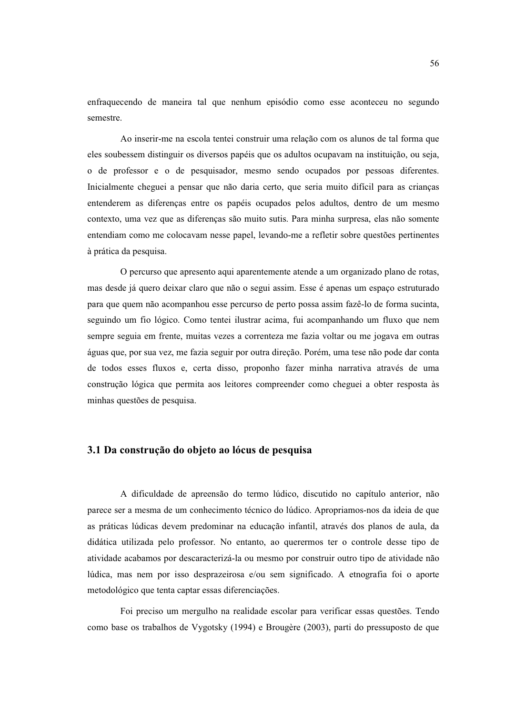enfraquecendo de maneira tal que nenhum episódio como esse aconteceu no segundo semestre

Ao inserir-me na escola tentei construir uma relação com os alunos de tal forma que eles soubessem distinguir os diversos papéis que os adultos ocupavam na instituição, ou seja, o de professor e o de pesquisador, mesmo sendo ocupados por pessoas diferentes. Inicialmente cheguei a pensar que não daria certo, que seria muito difícil para as crianças entenderem as diferenças entre os papéis ocupados pelos adultos, dentro de um mesmo contexto, uma vez que as diferencas são muito sutis. Para minha surpresa, elas não somente entendiam como me colocavam nesse papel, levando-me a refletir sobre questões pertinentes à prática da pesquisa.

O percurso que apresento aqui aparentemente atende a um organizado plano de rotas, mas desde já quero deixar claro que não o segui assim. Esse é apenas um espaço estruturado para que quem não acompanhou esse percurso de perto possa assim fazê-lo de forma sucinta, seguindo um fio lógico. Como tentei ilustrar acima, fui acompanhando um fluxo que nem sempre seguia em frente, muitas vezes a correnteza me fazia voltar ou me jogava em outras águas que, por sua vez, me fazia seguir por outra direção. Porém, uma tese não pode dar conta de todos esses fluxos e, certa disso, proponho fazer minha narrativa através de uma construção lógica que permita aos leitores compreender como cheguei a obter resposta às minhas questões de pesquisa.

## 3.1 Da construção do objeto ao lócus de pesquisa

A dificuldade de apreensão do termo lúdico, discutido no capítulo anterior, não parece ser a mesma de um conhecimento técnico do lúdico. Apropriamos-nos da ideia de que as práticas lúdicas devem predominar na educação infantil, através dos planos de aula, da didática utilizada pelo professor. No entanto, ao querermos ter o controle desse tipo de atividade acabamos por descaracterizá-la ou mesmo por construir outro tipo de atividade não lúdica, mas nem por isso desprazeirosa e/ou sem significado. A etnografia foi o aporte metodológico que tenta captar essas diferenciações.

Foi preciso um mergulho na realidade escolar para verificar essas questões. Tendo como base os trabalhos de Vygotsky (1994) e Brougère (2003), parti do pressuposto de que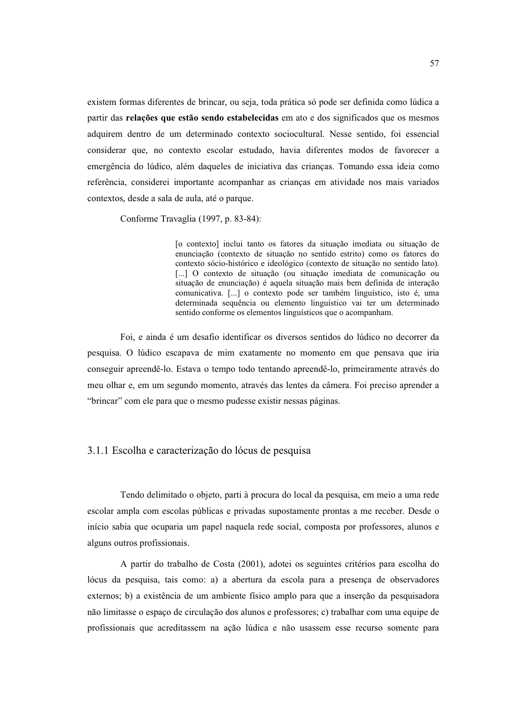existem formas diferentes de brincar, ou seja, toda prática só pode ser definida como lúdica a partir das relações que estão sendo estabelecidas em ato e dos significados que os mesmos adquirem dentro de um determinado contexto sociocultural. Nesse sentido, foi essencial considerar que, no contexto escolar estudado, havia diferentes modos de favorecer a emergência do lúdico, além daqueles de iniciativa das crianças. Tomando essa ideia como referência, considerei importante acompanhar as criancas em atividade nos mais variados contextos, desde a sala de aula, até o parque.

Conforme Travaglia (1997, p. 83-84):

[o contexto] inclui tanto os fatores da situação imediata ou situação de enunciação (contexto de situação no sentido estrito) como os fatores do contexto sócio-histórico e ideológico (contexto de situação no sentido lato). [...] O contexto de situação (ou situação imediata de comunicação ou situação de enunciação) é aquela situação mais bem definida de interação comunicativa. [...] o contexto pode ser também linguístico, isto é, uma determinada sequência ou elemento linguístico vai ter um determinado sentido conforme os elementos linguísticos que o acompanham.

Foi, e ainda é um desafio identificar os diversos sentidos do lúdico no decorrer da pesquisa. O lúdico escapava de mim exatamente no momento em que pensava que iria conseguir apreendê-lo. Estava o tempo todo tentando apreendê-lo, primeiramente através do meu olhar e, em um segundo momento, através das lentes da câmera. Foi preciso aprender a "brincar" com ele para que o mesmo pudesse existir nessas páginas.

## 3.1.1 Escolha e caracterização do lócus de pesquisa

Tendo delimitado o objeto, parti à procura do local da pesquisa, em meio a uma rede escolar ampla com escolas públicas e privadas supostamente prontas a me receber. Desde o início sabia que ocuparia um papel naquela rede social, composta por professores, alunos e alguns outros profissionais.

A partir do trabalho de Costa (2001), adotei os seguintes critérios para escolha do lócus da pesquisa, tais como: a) a abertura da escola para a presença de observadores externos; b) a existência de um ambiente físico amplo para que a inserção da pesquisadora não limitasse o espaco de circulação dos alunos e professores; c) trabalhar com uma equipe de profissionais que acreditassem na ação lúdica e não usassem esse recurso somente para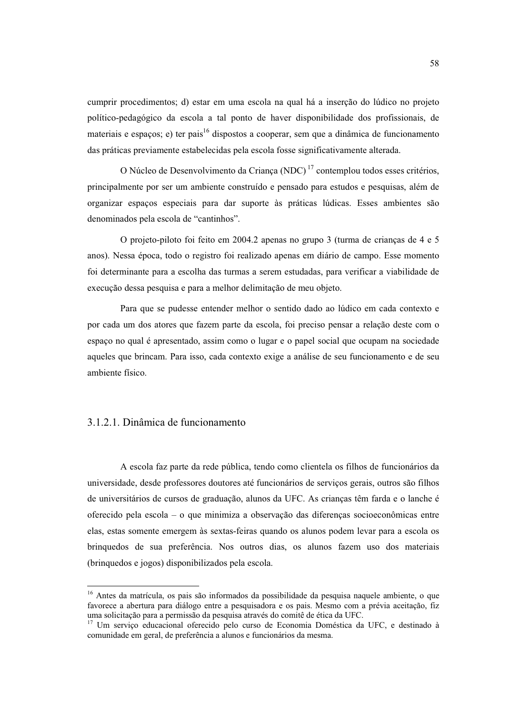cumprir procedimentos; d) estar em uma escola na qual há a inserção do lúdico no projeto político-pedagógico da escola a tal ponto de haver disponibilidade dos profissionais, de materiais e espaços; e) ter pais<sup>16</sup> dispostos a cooperar, sem que a dinâmica de funcionamento das práticas previamente estabelecidas pela escola fosse significativamente alterada.

O Núcleo de Desenvolvimento da Crianca (NDC)<sup>17</sup> contemplou todos esses critérios, principalmente por ser um ambiente construído e pensado para estudos e pesquisas, além de organizar espaços especiais para dar suporte às práticas lúdicas. Esses ambientes são denominados pela escola de "cantinhos".

O projeto-piloto foi feito em 2004.2 apenas no grupo 3 (turma de criancas de 4 e 5 anos). Nessa época, todo o registro foi realizado apenas em diário de campo. Esse momento foi determinante para a escolha das turmas a serem estudadas, para verificar a viabilidade de execução dessa pesquisa e para a melhor delimitação de meu objeto.

Para que se pudesse entender melhor o sentido dado ao lúdico em cada contexto e por cada um dos atores que fazem parte da escola, foi preciso pensar a relação deste com o espaco no qual é apresentado, assim como o lugar e o papel social que ocupam na sociedade aqueles que brincam. Para isso, cada contexto exige a análise de seu funcionamento e de seu ambiente físico.

### 3.1.2.1. Dinâmica de funcionamento

A escola faz parte da rede pública, tendo como clientela os filhos de funcionários da universidade, desde professores doutores até funcionários de serviços gerais, outros são filhos de universitários de cursos de graduação, alunos da UFC. As crianças têm farda e o lanche é oferecido pela escola – o que minimiza a observação das diferenças socioeconômicas entre elas, estas somente emergem às sextas-feiras quando os alunos podem levar para a escola os brinquedos de sua preferência. Nos outros dias, os alunos fazem uso dos materiais (brinquedos e jogos) disponibilizados pela escola.

<sup>&</sup>lt;sup>16</sup> Antes da matrícula, os pais são informados da possibilidade da pesquisa naquele ambiente, o que favorece a abertura para diálogo entre a pesquisadora e os pais. Mesmo com a prévia aceitação, fiz uma solicitação para a permissão da pesquisa através do comitê de ética da UFC.<br><sup>17</sup> Um serviço educacional oferecido pelo curso de Economia Doméstica da UFC, e destinado à

comunidade em geral, de preferência a alunos e funcionários da mesma.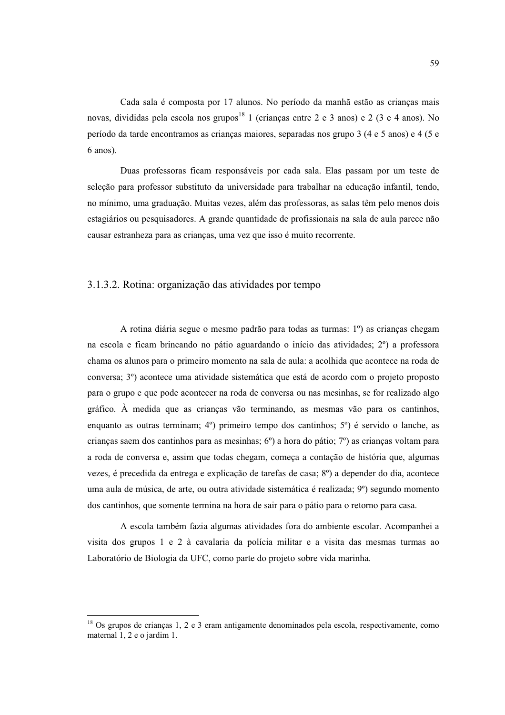Cada sala é composta por 17 alunos. No período da manhã estão as crianças mais novas, divididas pela escola nos grupos<sup>18</sup> 1 (crianças entre 2 e 3 anos) e 2 (3 e 4 anos). No período da tarde encontramos as crianças maiores, separadas nos grupo 3 (4 e 5 anos) e 4 (5 e  $6$  anos).

Duas professoras ficam responsáveis por cada sala. Elas passam por um teste de seleção para professor substituto da universidade para trabalhar na educação infantil, tendo, no mínimo, uma graduação. Muitas vezes, além das professoras, as salas têm pelo menos dois estagiários ou pesquisadores. A grande quantidade de profissionais na sala de aula parece não causar estranheza para as crianças, uma vez que isso é muito recorrente.

## 3.1.3.2. Rotina: organização das atividades por tempo

A rotina diária segue o mesmo padrão para todas as turmas: 1<sup>o</sup>) as crianças chegam na escola e ficam brincando no pátio aguardando o início das atividades; 2<sup>o</sup>) a professora chama os alunos para o primeiro momento na sala de aula: a acolhida que acontece na roda de conversa; 3<sup>o</sup>) acontece uma atividade sistemática que está de acordo com o projeto proposto para o grupo e que pode acontecer na roda de conversa ou nas mesinhas, se for realizado algo gráfico. À medida que as crianças vão terminando, as mesmas vão para os cantinhos, enquanto as outras terminam; 4°) primeiro tempo dos cantinhos; 5°) é servido o lanche, as crianças saem dos cantinhos para as mesinhas;  $6^{\circ}$ ) a hora do pátio;  $7^{\circ}$ ) as crianças voltam para a roda de conversa e, assim que todas chegam, começa a contação de história que, algumas vezes, é precedida da entrega e explicação de tarefas de casa; 8<sup>o</sup>) a depender do dia, acontece uma aula de música, de arte, ou outra atividade sistemática é realizada; 9<sup>o</sup>) segundo momento dos cantinhos, que somente termina na hora de sair para o pátio para o retorno para casa.

A escola também fazia algumas atividades fora do ambiente escolar. Acompanhei a visita dos grupos 1 e 2 à cavalaria da polícia militar e a visita das mesmas turmas ao Laboratório de Biologia da UFC, como parte do projeto sobre vida marinha.

 $18$  Os grupos de crianças 1, 2 e 3 eram antigamente denominados pela escola, respectivamente, como maternal 1, 2 e o jardim 1.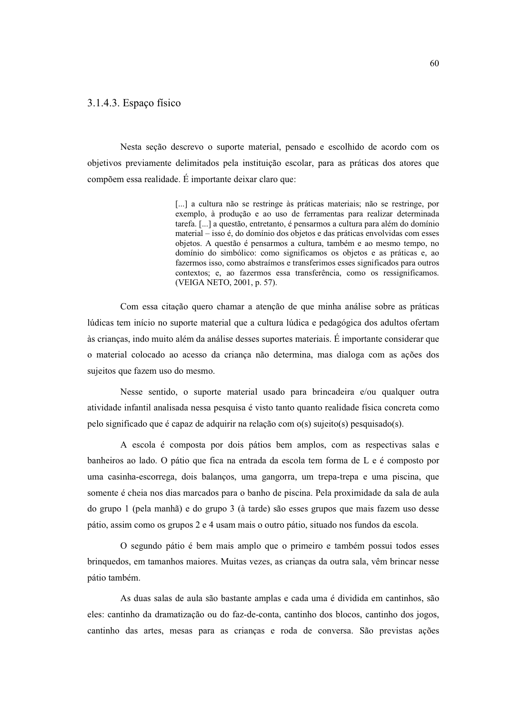### 3.1.4.3. Espaço físico

Nesta seção descrevo o suporte material, pensado e escolhido de acordo com os objetivos previamente delimitados pela instituição escolar, para as práticas dos atores que compõem essa realidade. É importante deixar claro que:

> [...] a cultura não se restringe às práticas materiais; não se restringe, por exemplo, à produção e ao uso de ferramentas para realizar determinada tarefa. [...] a questão, entretanto, é pensarmos a cultura para além do domínio material – isso é, do domínio dos objetos e das práticas envolvidas com esses objetos. A questão é pensarmos a cultura, também e ao mesmo tempo, no domínio do simbólico: como significamos os objetos e as práticas e, ao fazermos isso, como abstraímos e transferimos esses significados para outros contextos; e, ao fazermos essa transferência, como os ressignificamos. (VEIGA NETO, 2001, p. 57).

Com essa citação quero chamar a atenção de que minha análise sobre as práticas lúdicas tem início no suporte material que a cultura lúdica e pedagógica dos adultos ofertam às crianças, indo muito além da análise desses suportes materiais. É importante considerar que o material colocado ao acesso da criança não determina, mas dialoga com as ações dos sujeitos que fazem uso do mesmo.

Nesse sentido, o suporte material usado para brincadeira e/ou qualquer outra atividade infantil analisada nessa pesquisa é visto tanto quanto realidade física concreta como pelo significado que é capaz de adquirir na relação com o(s) sujeito(s) pesquisado(s).

A escola é composta por dois pátios bem amplos, com as respectivas salas e banheiros ao lado. O pátio que fica na entrada da escola tem forma de L e é composto por uma casinha-escorrega, dois balanços, uma gangorra, um trepa-trepa e uma piscina, que somente é cheia nos dias marcados para o banho de piscina. Pela proximidade da sala de aula do grupo 1 (pela manhã) e do grupo 3 (à tarde) são esses grupos que mais fazem uso desse pátio, assim como os grupos 2 e 4 usam mais o outro pátio, situado nos fundos da escola.

O segundo pátio é bem mais amplo que o primeiro e também possui todos esses brinquedos, em tamanhos maiores. Muitas vezes, as crianças da outra sala, vêm brincar nesse pátio também.

As duas salas de aula são bastante amplas e cada uma é dividida em cantinhos, são eles: cantinho da dramatização ou do faz-de-conta, cantinho dos blocos, cantinho dos jogos, cantinho das artes, mesas para as crianças e roda de conversa. São previstas ações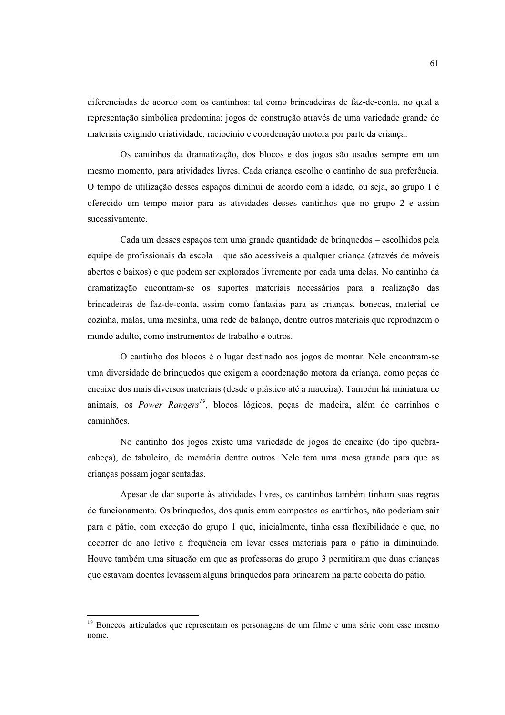diferenciadas de acordo com os cantinhos: tal como brincadeiras de faz-de-conta, no qual a representação simbólica predomina; jogos de construção através de uma variedade grande de materiais exigindo criatividade, raciocínio e coordenação motora por parte da criança.

Os cantinhos da dramatização, dos blocos e dos jogos são usados sempre em um mesmo momento, para atividades livres. Cada criança escolhe o cantinho de sua preferência. O tempo de utilização desses espaços diminui de acordo com a idade, ou seja, ao grupo 1 é oferecido um tempo maior para as atividades desses cantinhos que no grupo 2 e assim sucessivamente.

Cada um desses espaços tem uma grande quantidade de brinquedos – escolhidos pela equipe de profissionais da escola – que são acessíveis a qualquer criança (através de móveis abertos e baixos) e que podem ser explorados livremente por cada uma delas. No cantinho da dramatização encontram-se os suportes materiais necessários para a realização das brincadeiras de faz-de-conta, assim como fantasias para as crianças, bonecas, material de cozinha, malas, uma mesinha, uma rede de balanço, dentre outros materiais que reproduzem o mundo adulto, como instrumentos de trabalho e outros.

O cantinho dos blocos é o lugar destinado aos jogos de montar. Nele encontram-se uma diversidade de bringuedos que exigem a coordenação motora da criança, como peças de encaixe dos mais diversos materiais (desde o plástico até a madeira). Também há miniatura de animais, os *Power Rangers<sup>19</sup>*, blocos lógicos, pecas de madeira, além de carrinhos e caminhões.

No cantinho dos jogos existe uma variedade de jogos de encaixe (do tipo quebracabeça), de tabuleiro, de memória dentre outros. Nele tem uma mesa grande para que as crianças possam jogar sentadas.

Apesar de dar suporte às atividades livres, os cantinhos também tinham suas regras de funcionamento. Os brinquedos, dos quais eram compostos os cantinhos, não poderiam sair para o pátio, com exceção do grupo 1 que, inicialmente, tinha essa flexibilidade e que, no decorrer do ano letivo a frequência em levar esses materiais para o pátio ia diminuindo. Houve também uma situação em que as professoras do grupo 3 permitiram que duas crianças que estavam doentes levassem alguns brinquedos para brincarem na parte coberta do pátio.

<sup>&</sup>lt;sup>19</sup> Bonecos articulados que representam os personagens de um filme e uma série com esse mesmo nome.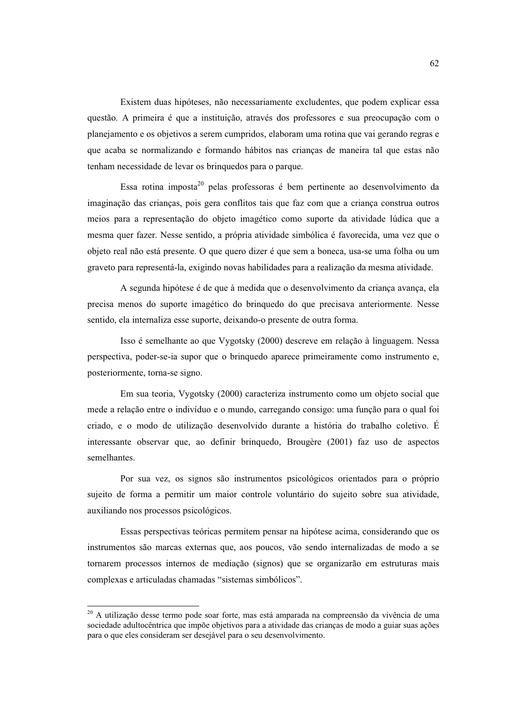Existem duas hipóteses, não necessariamente excludentes, que podem explicar essa questão. A primeira é que a instituição, através dos professores e sua preocupação com o planejamento e os objetivos a serem cumpridos, elaboram uma rotina que vai gerando regras e que acaba se normalizando e formando hábitos nas crianças de maneira tal que estas não tenham necessidade de levar os brinquedos para o parque.

Essa rotina imposta<sup>20</sup> pelas professoras é bem pertinente ao desenvolvimento da imaginação das crianças, pois gera conflitos tais que faz com que a criança construa outros meios para a representação do objeto imagético como suporte da atividade lúdica que a mesma quer fazer. Nesse sentido, a própria atividade simbólica é favorecida, uma vez que o objeto real não está presente. O que quero dizer é que sem a boneca, usa-se uma folha ou um graveto para representá-la, exigindo novas habilidades para a realização da mesma atividade.

A segunda hipótese é de que à medida que o desenvolvimento da crianca avanca, ela precisa menos do suporte imagético do brinquedo do que precisava anteriormente. Nesse sentido, ela internaliza esse suporte, deixando-o presente de outra forma.

Isso é semelhante ao que Vygotsky (2000) descreve em relação à linguagem. Nessa perspectiva, poder-se-ia supor que o brinquedo aparece primeiramente como instrumento e, posteriormente, torna-se signo.

Em sua teoria, Vygotsky (2000) caracteriza instrumento como um objeto social que mede a relação entre o indivíduo e o mundo, carregando consigo: uma função para o qual foi criado, e o modo de utilização desenvolvido durante a história do trabalho coletivo. É interessante observar que, ao definir brinquedo, Brougère (2001) faz uso de aspectos semelhantes.

Por sua vez, os signos são instrumentos psicológicos orientados para o próprio sujeito de forma a permitir um maior controle voluntário do sujeito sobre sua atividade, auxiliando nos processos psicológicos.

Essas perspectivas teóricas permitem pensar na hipótese acima, considerando que os instrumentos são marcas externas que, aos poucos, vão sendo internalizadas de modo a se tornarem processos internos de mediação (signos) que se organizarão em estruturas mais complexas e articuladas chamadas "sistemas simbólicos".

<sup>&</sup>lt;sup>20</sup> A utilização desse termo pode soar forte, mas está amparada na compreensão da vivência de uma sociedade adultocêntrica que impõe objetivos para a atividade das crianças de modo a guiar suas ações para o que eles consideram ser desejável para o seu desenvolvimento.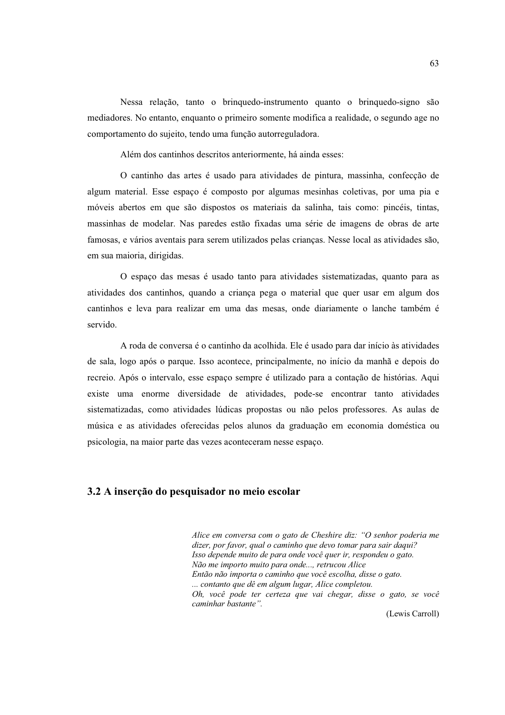Nessa relação, tanto o bringuedo-instrumento quanto o bringuedo-signo são mediadores. No entanto, enquanto o primeiro somente modifica a realidade, o segundo age no comportamento do sujeito, tendo uma função autorreguladora.

Além dos cantinhos descritos anteriormente, há ainda esses:

O cantinho das artes é usado para atividades de pintura, massinha, confecção de algum material. Esse espaco é composto por algumas mesinhas coletivas, por uma pia e móveis abertos em que são dispostos os materiais da salinha, tais como: pincéis, tintas, massinhas de modelar. Nas paredes estão fixadas uma série de imagens de obras de arte famosas, e vários aventais para serem utilizados pelas crianças. Nesse local as atividades são, em sua maioria, dirigidas.

O espaço das mesas é usado tanto para atividades sistematizadas, quanto para as atividades dos cantinhos, quando a criança pega o material que quer usar em algum dos cantinhos e leva para realizar em uma das mesas, onde diariamente o lanche também é servido

A roda de conversa é o cantinho da acolhida. Ele é usado para dar início às atividades de sala, logo após o parque. Isso acontece, principalmente, no início da manhã e depois do recreio. Após o intervalo, esse espaço sempre é utilizado para a contação de histórias. Aqui existe uma enorme diversidade de atividades, pode-se encontrar tanto atividades sistematizadas, como atividades lúdicas propostas ou não pelos professores. As aulas de música e as atividades oferecidas pelos alunos da graduação em economia doméstica ou psicologia, na maior parte das vezes aconteceram nesse espaço.

### 3.2 A inserção do pesquisador no meio escolar

Alice em conversa com o gato de Cheshire diz: "O senhor poderia me dizer, por favor, qual o caminho que devo tomar para sair daqui? Isso depende muito de para onde você quer ir, respondeu o gato. Não me importo muito para onde..., retrucou Alice Então não importa o caminho que você escolha, disse o gato. ... contanto que dê em algum lugar, Alice completou. Oh, você pode ter certeza que vai chegar, disse o gato, se você caminhar bastante".

(Lewis Carroll)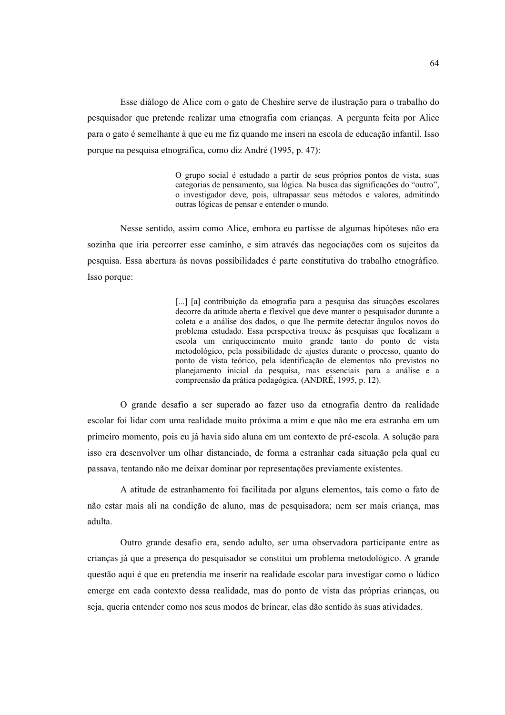Esse diálogo de Alice com o gato de Cheshire serve de ilustração para o trabalho do pesquisador que pretende realizar uma etnografia com criancas. A pergunta feita por Alice para o gato é semelhante à que eu me fiz quando me inseri na escola de educação infantil. Isso porque na pesquisa etnográfica, como diz André (1995, p. 47):

> O grupo social é estudado a partir de seus próprios pontos de vista, suas categorias de pensamento, sua lógica. Na busca das significações do "outro", o investigador deve, pois, ultrapassar seus métodos e valores, admitindo outras lógicas de pensar e entender o mundo.

Nesse sentido, assim como Alice, embora eu partisse de algumas hipóteses não era sozinha que iria percorrer esse caminho, e sim através das negociações com os sujeitos da pesquisa. Essa abertura às novas possibilidades é parte constitutiva do trabalho etnográfico. Isso porque:

> [...] [a] contribuição da etnografia para a pesquisa das situações escolares decorre da atitude aberta e flexível que deve manter o pesquisador durante a coleta e a análise dos dados, o que lhe permite detectar ângulos novos do problema estudado. Essa perspectiva trouxe às pesquisas que focalizam a escola um enriquecimento muito grande tanto do ponto de vista metodológico, pela possibilidade de ajustes durante o processo, quanto do ponto de vista teórico, pela identificação de elementos não previstos no planejamento inicial da pesquisa, mas essenciais para a análise e a compreensão da prática pedagógica. (ANDRÉ, 1995, p. 12).

O grande desafio a ser superado ao fazer uso da etnografia dentro da realidade escolar foi lidar com uma realidade muito próxima a mim e que não me era estranha em um primeiro momento, pois eu já havia sido aluna em um contexto de pré-escola. A solução para isso era desenvolver um olhar distanciado, de forma a estranhar cada situação pela qual eu passava, tentando não me deixar dominar por representações previamente existentes.

A atitude de estranhamento foi facilitada por alguns elementos, tais como o fato de não estar mais ali na condição de aluno, mas de pesquisadora; nem ser mais criança, mas adulta.

Outro grande desafio era, sendo adulto, ser uma observadora participante entre as crianças já que a presença do pesquisador se constitui um problema metodológico. A grande questão aqui é que eu pretendia me inserir na realidade escolar para investigar como o lúdico emerge em cada contexto dessa realidade, mas do ponto de vista das próprias criancas, ou seja, queria entender como nos seus modos de brincar, elas dão sentido às suas atividades.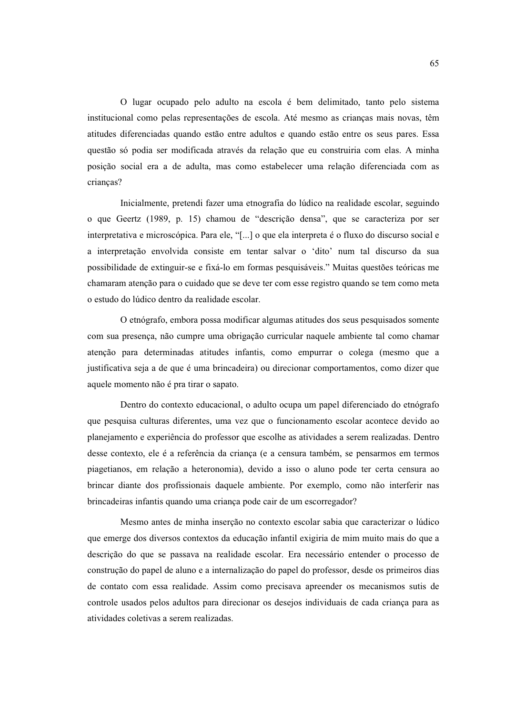O lugar ocupado pelo adulto na escola é bem delimitado, tanto pelo sistema institucional como pelas representações de escola. Até mesmo as crianças mais novas, têm atitudes diferenciadas quando estão entre adultos e quando estão entre os seus pares. Essa questão só podia ser modificada através da relação que eu construiria com elas. A minha posição social era a de adulta, mas como estabelecer uma relação diferenciada com as criancas?

Inicialmente, pretendi fazer uma etnografia do lúdico na realidade escolar, seguindo o que Geertz (1989, p. 15) chamou de "descrição densa", que se caracteriza por ser interpretativa e microscópica. Para ele, "[...] o que ela interpreta é o fluxo do discurso social e a interpretação envolvida consiste em tentar salvar o 'dito' num tal discurso da sua possibilidade de extinguir-se e fixá-lo em formas pesquisáveis." Muitas questões teóricas me chamaram atenção para o cuidado que se deve ter com esse registro quando se tem como meta o estudo do lúdico dentro da realidade escolar.

O etnógrafo, embora possa modificar algumas atitudes dos seus pesquisados somente com sua presença, não cumpre uma obrigação curricular naquele ambiente tal como chamar atenção para determinadas atitudes infantis, como empurrar o colega (mesmo que a justificativa seja a de que é uma brincadeira) ou direcionar comportamentos, como dizer que aquele momento não é pra tirar o sapato.

Dentro do contexto educacional, o adulto ocupa um papel diferenciado do etnógrafo que pesquisa culturas diferentes, uma vez que o funcionamento escolar acontece devido ao planejamento e experiência do professor que escolhe as atividades a serem realizadas. Dentro desse contexto, ele é a referência da criança (e a censura também, se pensarmos em termos piagetianos, em relação a heteronomia), devido a isso o aluno pode ter certa censura ao brincar diante dos profissionais daquele ambiente. Por exemplo, como não interferir nas brincadeiras infantis quando uma criança pode cair de um escorregador?

Mesmo antes de minha inserção no contexto escolar sabia que caracterizar o lúdico que emerge dos diversos contextos da educação infantil exigiria de mim muito mais do que a descrição do que se passava na realidade escolar. Era necessário entender o processo de construção do papel de aluno e a internalização do papel do professor, desde os primeiros dias de contato com essa realidade. Assim como precisava apreender os mecanismos sutis de controle usados pelos adultos para direcionar os desejos individuais de cada criança para as atividades coletivas a serem realizadas.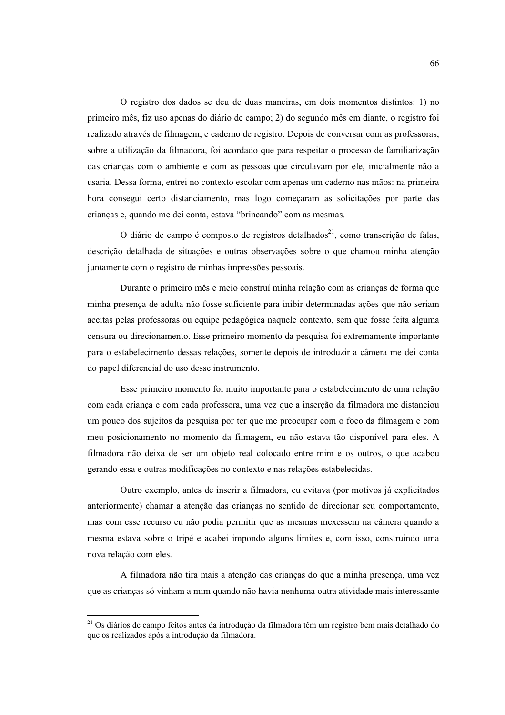O registro dos dados se deu de duas maneiras, em dois momentos distintos: 1) no primeiro mês, fiz uso apenas do diário de campo; 2) do segundo mês em diante, o registro foi realizado através de filmagem, e caderno de registro. Depois de conversar com as professoras, sobre a utilização da filmadora, foi acordado que para respeitar o processo de familiarização das crianças com o ambiente e com as pessoas que circulavam por ele, inicialmente não a usaria. Dessa forma, entrei no contexto escolar com apenas um caderno nas mãos: na primeira hora consegui certo distanciamento, mas logo começaram as solicitações por parte das crianças e, quando me dei conta, estava "brincando" com as mesmas.

O diário de campo é composto de registros detalhados<sup>21</sup>, como transcrição de falas, descrição detalhada de situações e outras observações sobre o que chamou minha atenção juntamente com o registro de minhas impressões pessoais.

Durante o primeiro mês e meio construí minha relação com as crianças de forma que minha presença de adulta não fosse suficiente para inibir determinadas ações que não seriam aceitas pelas professoras ou equipe pedagógica naquele contexto, sem que fosse feita alguma censura ou direcionamento. Esse primeiro momento da pesquisa foi extremamente importante para o estabelecimento dessas relações, somente depois de introduzir a câmera me dei conta do papel diferencial do uso desse instrumento.

Esse primeiro momento foi muito importante para o estabelecimento de uma relação com cada crianca e com cada professora, uma vez que a inserção da filmadora me distanciou um pouco dos sujeitos da pesquisa por ter que me preocupar com o foco da filmagem e com meu posicionamento no momento da filmagem, eu não estava tão disponível para eles. A filmadora não deixa de ser um objeto real colocado entre mim e os outros, o que acabou gerando essa e outras modificações no contexto e nas relações estabelecidas.

Outro exemplo, antes de inserir a filmadora, eu evitava (por motivos já explicitados anteriormente) chamar a atenção das crianças no sentido de direcionar seu comportamento, mas com esse recurso eu não podia permitir que as mesmas mexessem na câmera quando a mesma estava sobre o tripé e acabei impondo alguns limites e, com isso, construindo uma nova relação com eles.

A filmadora não tira mais a atenção das crianças do que a minha presença, uma vez que as criancas só vinham a mim quando não havia nenhuma outra atividade mais interessante

<sup>&</sup>lt;sup>21</sup> Os diários de campo feitos antes da introdução da filmadora têm um registro bem mais detalhado do que os realizados após a introdução da filmadora.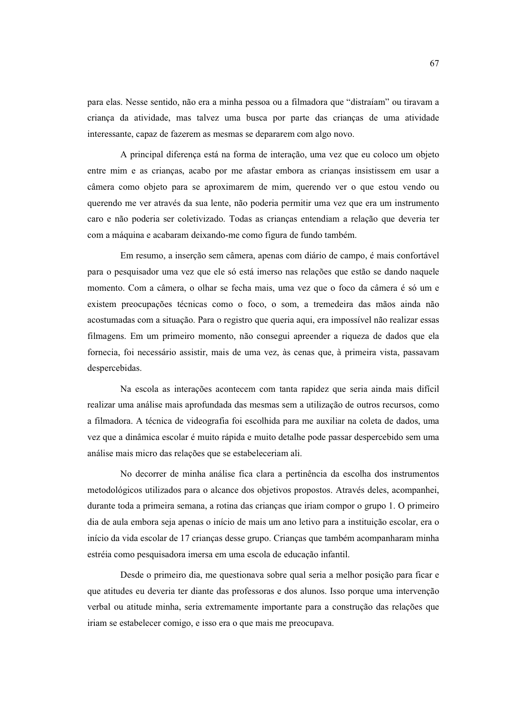para elas. Nesse sentido, não era a minha pessoa ou a filmadora que "distraíam" ou tiravam a criança da atividade, mas talvez uma busca por parte das crianças de uma atividade interessante, capaz de fazerem as mesmas se depararem com algo novo.

A principal diferenca está na forma de interação, uma vez que eu coloco um objeto entre mim e as crianças, acabo por me afastar embora as crianças insistissem em usar a câmera como objeto para se aproximarem de mim, querendo ver o que estou vendo ou querendo me ver através da sua lente, não poderia permitir uma vez que era um instrumento caro e não poderia ser coletivizado. Todas as crianças entendiam a relação que deveria ter com a máquina e acabaram deixando-me como figura de fundo também.

Em resumo, a inserção sem câmera, apenas com diário de campo, é mais confortável para o pesquisador uma vez que ele só está imerso nas relações que estão se dando naquele momento. Com a câmera, o olhar se fecha mais, uma vez que o foco da câmera é só um e existem preocupações técnicas como o foco, o som, a tremedeira das mãos ainda não acostumadas com a situação. Para o registro que queria aqui, era impossível não realizar essas filmagens. Em um primeiro momento, não consegui apreender a riqueza de dados que ela fornecia, foi necessário assistir, mais de uma vez, às cenas que, à primeira vista, passavam despercebidas.

Na escola as interações acontecem com tanta rapidez que seria ainda mais difícil realizar uma análise mais aprofundada das mesmas sem a utilização de outros recursos, como a filmadora. A técnica de videografía foi escolhida para me auxiliar na coleta de dados, uma vez que a dinâmica escolar é muito rápida e muito detalhe pode passar despercebido sem uma análise mais micro das relações que se estabeleceriam ali.

No decorrer de minha análise fica clara a pertinência da escolha dos instrumentos metodológicos utilizados para o alcance dos objetivos propostos. Através deles, acompanhei, durante toda a primeira semana, a rotina das crianças que iriam compor o grupo 1. O primeiro dia de aula embora seja apenas o início de mais um ano letivo para a instituição escolar, era o início da vida escolar de 17 crianças desse grupo. Crianças que também acompanharam minha estréia como pesquisadora imersa em uma escola de educação infantil.

Desde o primeiro dia, me questionava sobre qual seria a melhor posição para ficar e que atitudes eu deveria ter diante das professoras e dos alunos. Isso porque uma intervenção verbal ou atitude minha, seria extremamente importante para a construção das relações que iriam se estabelecer comigo, e isso era o que mais me preocupava.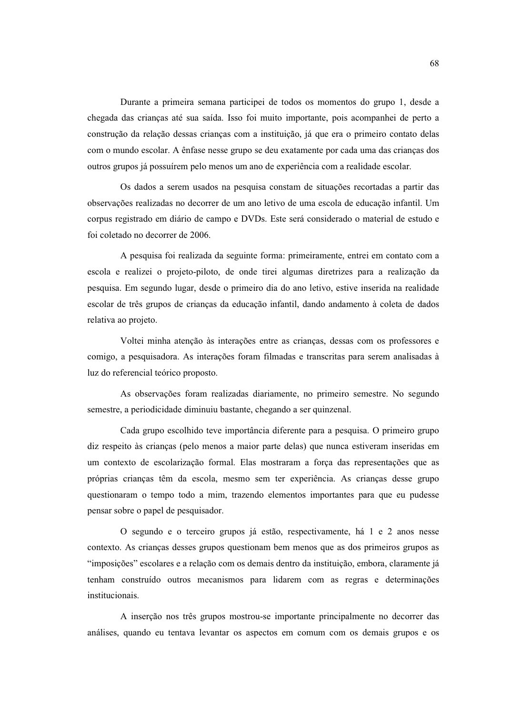Durante a primeira semana participei de todos os momentos do grupo 1, desde a chegada das crianças até sua saída. Isso foi muito importante, pois acompanhei de perto a construção da relação dessas crianças com a instituição, já que era o primeiro contato delas com o mundo escolar. A ênfase nesse grupo se deu exatamente por cada uma das crianças dos outros grupos já possuírem pelo menos um ano de experiência com a realidade escolar.

Os dados a serem usados na pesquisa constam de situações recortadas a partir das observações realizadas no decorrer de um ano letivo de uma escola de educação infantil. Um corpus registrado em diário de campo e DVDs. Este será considerado o material de estudo e foi coletado no decorrer de 2006.

A pesquisa foi realizada da seguinte forma: primeiramente, entrei em contato com a escola e realizei o projeto-piloto, de onde tirei algumas diretrizes para a realização da pesquisa. Em segundo lugar, desde o primeiro dia do ano letivo, estive inserida na realidade escolar de três grupos de crianças da educação infantil, dando andamento à coleta de dados relativa ao projeto.

Voltei minha atenção às interações entre as crianças, dessas com os professores e comigo, a pesquisadora. As interações foram filmadas e transcritas para serem analisadas à luz do referencial teórico proposto.

As observações foram realizadas diariamente, no primeiro semestre. No segundo semestre, a periodicidade diminuiu bastante, chegando a ser quinzenal.

Cada grupo escolhido teve importância diferente para a pesquisa. O primeiro grupo diz respeito às crianças (pelo menos a maior parte delas) que nunca estiveram inseridas em um contexto de escolarização formal. Elas mostraram a força das representações que as próprias crianças têm da escola, mesmo sem ter experiência. As crianças desse grupo questionaram o tempo todo a mim, trazendo elementos importantes para que eu pudesse pensar sobre o papel de pesquisador.

O segundo e o terceiro grupos já estão, respectivamente, há 1 e 2 anos nesse contexto. As crianças desses grupos questionam bem menos que as dos primeiros grupos as "imposições" escolares e a relação com os demais dentro da instituição, embora, claramente já tenham construído outros mecanismos para lidarem com as regras e determinações institucionais.

A inserção nos três grupos mostrou-se importante principalmente no decorrer das análises, quando eu tentava levantar os aspectos em comum com os demais grupos e os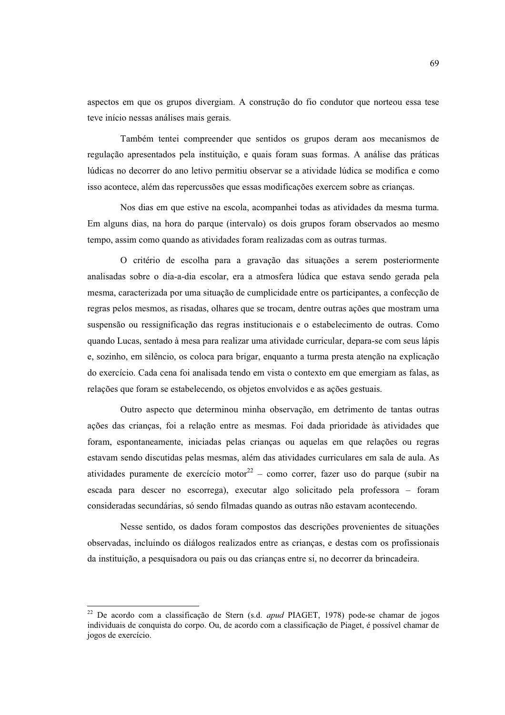aspectos em que os grupos divergiam. A construção do fio condutor que norteou essa tese teve início nessas análises mais gerais.

Também tentei compreender que sentidos os grupos deram aos mecanismos de regulação apresentados pela instituição, e quais foram suas formas. A análise das práticas lúdicas no decorrer do ano letivo permitiu observar se a atividade lúdica se modifica e como isso acontece, além das repercussões que essas modificações exercem sobre as crianças.

Nos dias em que estive na escola, acompanhei todas as atividades da mesma turma. Em alguns dias, na hora do parque (intervalo) os dois grupos foram observados ao mesmo tempo, assim como quando as atividades foram realizadas com as outras turmas.

O critério de escolha para a gravação das situações a serem posteriormente analisadas sobre o dia-a-dia escolar, era a atmosfera lúdica que estava sendo gerada pela mesma, caracterizada por uma situação de cumplicidade entre os participantes, a confecção de regras pelos mesmos, as risadas, olhares que se trocam, dentre outras ações que mostram uma suspensão ou ressignificação das regras institucionais e o estabelecimento de outras. Como quando Lucas, sentado à mesa para realizar uma atividade curricular, depara-se com seus lápis e, sozinho, em silêncio, os coloca para brigar, enquanto a turma presta atenção na explicação do exercício. Cada cena foi analisada tendo em vista o contexto em que emergiam as falas, as relações que foram se estabelecendo, os objetos envolvidos e as ações gestuais.

Outro aspecto que determinou minha observação, em detrimento de tantas outras ações das crianças, foi a relação entre as mesmas. Foi dada prioridade às atividades que foram, espontaneamente, iniciadas pelas crianças ou aquelas em que relações ou regras estavam sendo discutidas pelas mesmas, além das atividades curriculares em sala de aula. As atividades puramente de exercício motor<sup>22</sup> – como correr, fazer uso do parque (subir na escada para descer no escorrega), executar algo solicitado pela professora - foram consideradas secundárias, só sendo filmadas quando as outras não estavam acontecendo.

Nesse sentido, os dados foram compostos das descrições provenientes de situações observadas, incluindo os diálogos realizados entre as crianças, e destas com os profissionais da instituição, a pesquisadora ou pais ou das crianças entre si, no decorrer da brincadeira.

<sup>&</sup>lt;sup>22</sup> De acordo com a classificação de Stern (s.d. apud PIAGET, 1978) pode-se chamar de jogos individuais de conquista do corpo. Ou, de acordo com a classificação de Piaget, é possível chamar de jogos de exercício.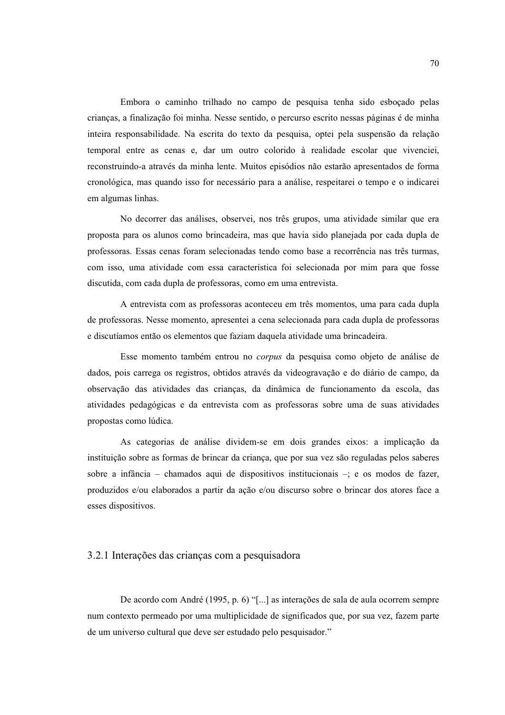Embora o caminho trilhado no campo de pesquisa tenha sido esbocado pelas criancas, a finalização foi minha. Nesse sentido, o percurso escrito nessas páginas é de minha inteira responsabilidade. Na escrita do texto da pesquisa, optei pela suspensão da relação temporal entre as cenas e, dar um outro colorido à realidade escolar que vivenciei, reconstruindo-a através da minha lente. Muitos episódios não estarão apresentados de forma cronológica, mas quando isso for necessário para a análise, respeitarei o tempo e o indicarei em algumas linhas.

No decorrer das análises, observei, nos três grupos, uma atividade similar que era proposta para os alunos como brincadeira, mas que havia sido planejada por cada dupla de professoras. Essas cenas foram selecionadas tendo como base a recorrência nas três turmas, com isso, uma atividade com essa característica foi selecionada por mim para que fosse discutida, com cada dupla de professoras, como em uma entrevista.

A entrevista com as professoras aconteceu em três momentos, uma para cada dupla de professoras. Nesse momento, apresentei a cena selecionada para cada dupla de professoras e discutíamos então os elementos que faziam daquela atividade uma brincadeira.

Esse momento também entrou no *corpus* da pesquisa como objeto de análise de dados, pois carrega os registros, obtidos através da videogravação e do diário de campo, da observação das atividades das crianças, da dinâmica de funcionamento da escola, das atividades pedagógicas e da entrevista com as professoras sobre uma de suas atividades propostas como lúdica.

As categorias de análise dividem-se em dois grandes eixos: a implicação da instituição sobre as formas de brincar da criança, que por sua vez são reguladas pelos saberes sobre a infância – chamados aqui de dispositivos institucionais –; e os modos de fazer, produzidos e/ou elaborados a partir da ação e/ou discurso sobre o brincar dos atores face a esses dispositivos.

#### 3.2.1 Interações das crianças com a pesquisadora

De acordo com André (1995, p. 6) "[...] as interações de sala de aula ocorrem sempre num contexto permeado por uma multiplicidade de significados que, por sua vez, fazem parte de um universo cultural que deve ser estudado pelo pesquisador."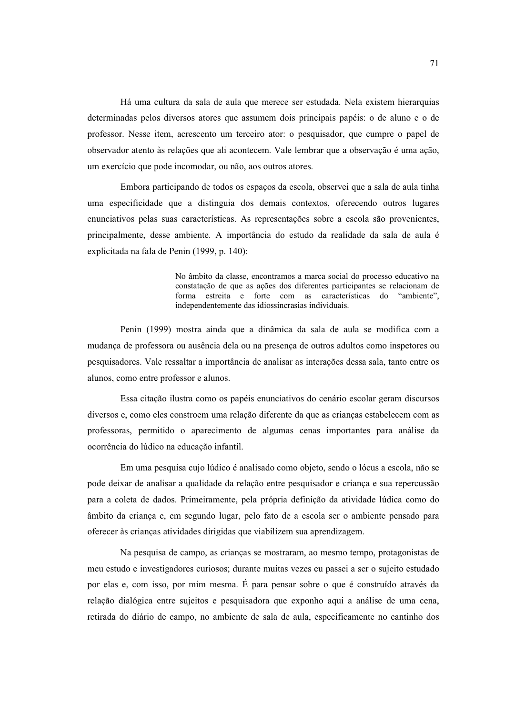Há uma cultura da sala de aula que merece ser estudada. Nela existem hierarquias determinadas pelos diversos atores que assumem dois principais papéis: o de aluno e o de professor. Nesse item, acrescento um terceiro ator: o pesquisador, que cumpre o papel de observador atento às relações que ali acontecem. Vale lembrar que a observação é uma ação, um exercício que pode incomodar, ou não, aos outros atores.

Embora participando de todos os espaços da escola, observei que a sala de aula tinha uma especificidade que a distinguia dos demais contextos, oferecendo outros lugares enunciativos pelas suas características. As representações sobre a escola são provenientes, principalmente, desse ambiente. A importância do estudo da realidade da sala de aula é explicitada na fala de Penin (1999, p. 140):

> No âmbito da classe, encontramos a marca social do processo educativo na constatação de que as ações dos diferentes participantes se relacionam de forma estreita e forte com as características do "ambiente", independentemente das idiossincrasias individuais.

Penin (1999) mostra ainda que a dinâmica da sala de aula se modifica com a mudança de professora ou ausência dela ou na presença de outros adultos como inspetores ou pesquisadores. Vale ressaltar a importância de analisar as interações dessa sala, tanto entre os alunos, como entre professor e alunos.

Essa citação ilustra como os papéis enunciativos do cenário escolar geram discursos diversos e, como eles constroem uma relação diferente da que as crianças estabelecem com as professoras, permitido o aparecimento de algumas cenas importantes para análise da ocorrência do lúdico na educação infantil.

Em uma pesquisa cujo lúdico é analisado como objeto, sendo o lócus a escola, não se pode deixar de analisar a qualidade da relação entre pesquisador e criança e sua repercussão para a coleta de dados. Primeiramente, pela própria definição da atividade lúdica como do âmbito da criança e, em segundo lugar, pelo fato de a escola ser o ambiente pensado para oferecer às crianças atividades dirigidas que viabilizem sua aprendizagem.

Na pesquisa de campo, as crianças se mostraram, ao mesmo tempo, protagonistas de meu estudo e investigadores curiosos; durante muitas vezes eu passei a ser o sujeito estudado por elas e, com isso, por mim mesma. É para pensar sobre o que é construído através da relação dialógica entre sujeitos e pesquisadora que exponho aqui a análise de uma cena, retirada do diário de campo, no ambiente de sala de aula, especificamente no cantinho dos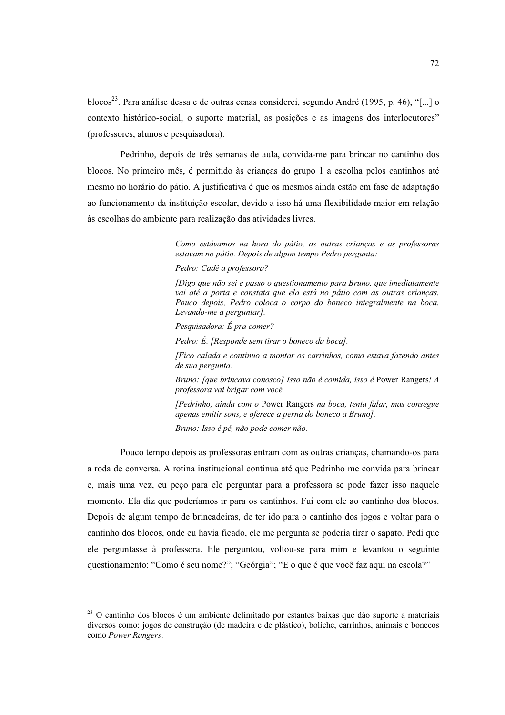blocos<sup>23</sup>. Para análise dessa e de outras cenas considerei, segundo André (1995, p. 46), "[...] o contexto histórico-social, o suporte material, as posicões e as imagens dos interlocutores" (professores, alunos e pesquisadora).

Pedrinho, depois de três semanas de aula, convida-me para brincar no cantinho dos blocos. No primeiro mês, é permitido às crianças do grupo 1 a escolha pelos cantinhos até mesmo no horário do pátio. A justificativa é que os mesmos ainda estão em fase de adaptação ao funcionamento da instituição escolar, devido a isso há uma flexibilidade maior em relação às escolhas do ambiente para realização das atividades livres.

> Como estávamos na hora do pátio, as outras crianças e as professoras estavam no pátio. Depois de algum tempo Pedro pergunta:

Pedro: Cadê a professora?

[Digo que não sei e passo o questionamento para Bruno, que imediatamente vai até a porta e constata que ela está no pátio com as outras crianças. Pouco depois, Pedro coloca o corpo do boneco integralmente na boca. Levando-me a perguntar].

Pesquisadora: É pra comer?

Pedro: É. [Responde sem tirar o boneco da boca].

[Fico calada e continuo a montar os carrinhos, como estava fazendo antes de sua pergunta.

Bruno: [que brincava conosco] Isso não é comida, isso é Power Rangers! A professora vai brigar com você.

[Pedrinho, ainda com o Power Rangers na boca, tenta falar, mas consegue apenas emitir sons, e oferece a perna do boneco a Bruno].

Bruno: Isso é pé, não pode comer não.

Pouco tempo depois as professoras entram com as outras crianças, chamando-os para a roda de conversa. A rotina institucional continua até que Pedrinho me convida para brincar e, mais uma vez, eu peço para ele perguntar para a professora se pode fazer isso naquele momento. Ela diz que poderíamos ir para os cantinhos. Fui com ele ao cantinho dos blocos. Depois de algum tempo de brincadeiras, de ter ido para o cantinho dos jogos e voltar para o cantinho dos blocos, onde eu havia ficado, ele me pergunta se poderia tirar o sapato. Pedi que ele perguntasse à professora. Ele perguntou, voltou-se para mim e levantou o seguinte questionamento: "Como é seu nome?"; "Geórgia"; "E o que é que você faz aqui na escola?"

<sup>&</sup>lt;sup>23</sup> O cantinho dos blocos é um ambiente delimitado por estantes baixas que dão suporte a materiais diversos como: jogos de construção (de madeira e de plástico), boliche, carrinhos, animais e bonecos como Power Rangers.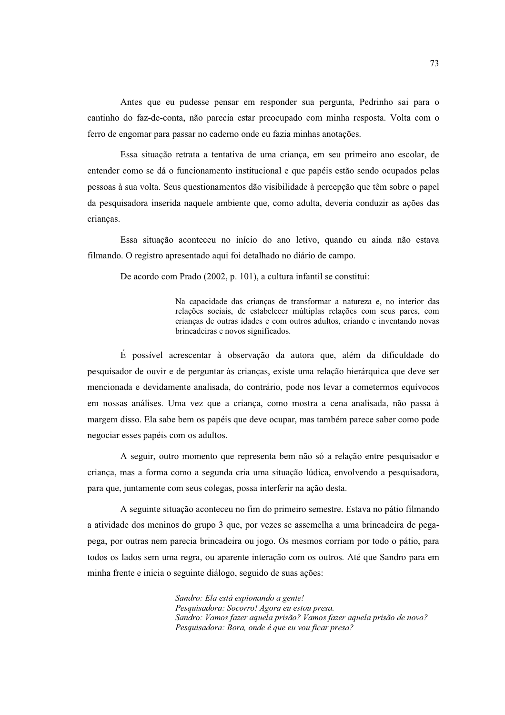Antes que eu pudesse pensar em responder sua pergunta, Pedrinho sai para o cantinho do faz-de-conta, não parecia estar preocupado com minha resposta. Volta com o ferro de engomar para passar no caderno onde eu fazia minhas anotações.

Essa situação retrata a tentativa de uma crianca, em seu primeiro ano escolar, de entender como se dá o funcionamento institucional e que papéis estão sendo ocupados pelas pessoas à sua volta. Seus questionamentos dão visibilidade à percepção que têm sobre o papel da pesquisadora inserida naquele ambiente que, como adulta, deveria conduzir as ações das criancas.

Essa situação aconteceu no início do ano letivo, quando eu ainda não estava filmando. O registro apresentado aqui foi detalhado no diário de campo.

De acordo com Prado (2002, p. 101), a cultura infantil se constitui:

Na capacidade das crianças de transformar a natureza e, no interior das relações sociais, de estabelecer múltiplas relações com seus pares, com crianças de outras idades e com outros adultos, criando e inventando novas brincadeiras e novos significados.

É possível acrescentar à observação da autora que, além da dificuldade do pesquisador de ouvir e de perguntar às crianças, existe uma relação hierárquica que deve ser mencionada e devidamente analisada, do contrário, pode nos levar a cometermos equívocos em nossas análises. Uma vez que a criança, como mostra a cena analisada, não passa à margem disso. Ela sabe bem os papéis que deve ocupar, mas também parece saber como pode negociar esses papéis com os adultos.

A seguir, outro momento que representa bem não só a relação entre pesquisador e criança, mas a forma como a segunda cria uma situação lúdica, envolvendo a pesquisadora, para que, juntamente com seus colegas, possa interferir na ação desta.

A seguinte situação aconteceu no fim do primeiro semestre. Estava no pátio filmando a atividade dos meninos do grupo 3 que, por vezes se assemelha a uma brincadeira de pegapega, por outras nem parecia brincadeira ou jogo. Os mesmos corriam por todo o pátio, para todos os lados sem uma regra, ou aparente interação com os outros. Até que Sandro para em minha frente e inicia o seguinte diálogo, seguido de suas ações:

> Sandro: Ela está espionando a gente! Pesquisadora: Socorro! Agora eu estou presa. Sandro: Vamos fazer aquela prisão? Vamos fazer aquela prisão de novo? Pesauisadora: Bora, onde é que eu vou ficar presa?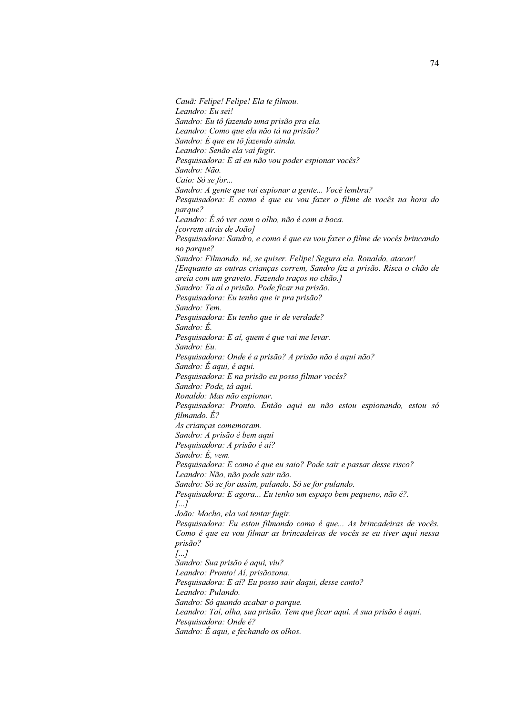Cauã: Felipe! Felipe! Ela te filmou. Leandro: Eu sei! Sandro: Eu tô fazendo uma prisão pra ela. Leandro: Como que ela não tá na prisão? Sandro: É que eu tô fazendo ainda. Leandro: Senão ela vai fugir. Pesquisadora: E aí eu não vou poder espionar vocês? Sandro: Não. Caio: Só se for... Sandro: A gente que vai espionar a gente... Você lembra? Pesquisadora: E como é que eu vou fazer o filme de vocês na hora do parque? Leandro: É só ver com o olho, não é com a boca. [correm atrás de João] Pesquisadora: Sandro, e como é que eu vou fazer o filme de vocês brincando no parque? Sandro: Filmando, né, se quiser. Felipe! Segura ela. Ronaldo, atacar! [Enquanto as outras crianças correm, Sandro faz a prisão. Risca o chão de areia com um graveto. Fazendo traços no chão.] Sandro: Ta aí a prisão. Pode ficar na prisão. Pesquisadora: Eu tenho que ir pra prisão? Sandro: Tem. Pesquisadora: Eu tenho que ir de verdade? Sandro: É. Pesquisadora: E aí, quem é que vai me levar. Sandro: Eu. Pesquisadora: Onde é a prisão? A prisão não é aqui não? Sandro: É aqui, é aqui. Pesquisadora: E na prisão eu posso filmar vocês? Sandro: Pode, tá aqui. Ronaldo: Mas não espionar. Pesquisadora: Pronto. Então aqui eu não estou espionando, estou só filmando. É? As crianças comemoram. Sandro: A prisão é bem aqui Pesquisadora: A prisão é aí? Sandro: É, vem. Pesquisadora: E como é que eu saio? Pode sair e passar desse risco? Leandro: Não, não pode sair não. Sandro: Só se for assim, pulando. Só se for pulando. Pesquisadora: E agora... Eu tenho um espaço bem pequeno, não é?.  $\left[\ldots\right]$ João: Macho, ela vai tentar fugir. Pesquisadora: Eu estou filmando como é que... As brincadeiras de vocês. Como é que eu vou filmar as brincadeiras de vocês se eu tiver aqui nessa prisão?  $\left[\ldots\right]$ Sandro: Sua prisão é agui, viu? Leandro: Pronto! Aí, prisãozona. Pesquisadora: E aí? Eu posso sair daqui, desse canto? Leandro: Pulando. Sandro: Só quando acabar o parque. Leandro: Taí, olha, sua prisão. Tem que ficar aqui. A sua prisão é aqui. Pesquisadora: Onde é? Sandro: É aqui, e fechando os olhos.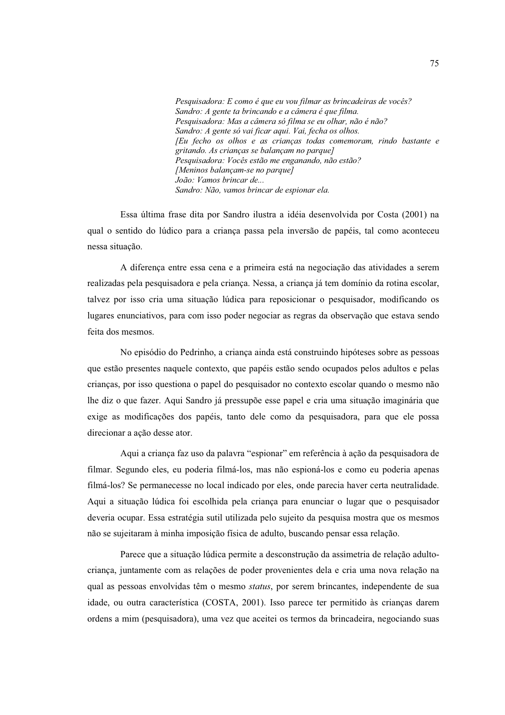Pesquisadora: E como é que eu vou filmar as brincadeiras de vocês? Sandro: A gente ta brincando e a câmera é que filma. Pesquisadora: Mas a câmera só filma se eu olhar, não é não? Sandro: A gente só vai ficar aqui. Vai, fecha os olhos. [Eu fecho os olhos e as criancas todas comemoram, rindo bastante e gritando. As crianças se balançam no parque] Pesquisadora: Vocês estão me enganando, não estão? [Meninos balançam-se no parque] João: Vamos brincar de... Sandro: Não, vamos brincar de espionar ela.

Essa última frase dita por Sandro ilustra a idéia desenvolvida por Costa (2001) na qual o sentido do lúdico para a crianca passa pela inversão de papéis, tal como aconteceu nessa situação.

A diferença entre essa cena e a primeira está na negociação das atividades a serem realizadas pela pesquisadora e pela criança. Nessa, a criança já tem domínio da rotina escolar, talvez por isso cria uma situação lúdica para reposicionar o pesquisador, modificando os lugares enunciativos, para com isso poder negociar as regras da observação que estava sendo feita dos mesmos.

No episódio do Pedrinho, a crianca ainda está construindo hipóteses sobre as pessoas que estão presentes naquele contexto, que papéis estão sendo ocupados pelos adultos e pelas crianças, por isso questiona o papel do pesquisador no contexto escolar quando o mesmo não lhe diz o que fazer. Aqui Sandro já pressupõe esse papel e cria uma situação imaginária que exige as modificações dos papéis, tanto dele como da pesquisadora, para que ele possa direcionar a ação desse ator.

Aqui a criança faz uso da palavra "espionar" em referência à ação da pesquisadora de filmar. Segundo eles, eu poderia filmá-los, mas não espioná-los e como eu poderia apenas filmá-los? Se permanecesse no local indicado por eles, onde parecia haver certa neutralidade. Aqui a situação lúdica foi escolhida pela criança para enunciar o lugar que o pesquisador deveria ocupar. Essa estratégia sutil utilizada pelo sujeito da pesquisa mostra que os mesmos não se sujeitaram à minha imposição física de adulto, buscando pensar essa relação.

Parece que a situação lúdica permite a desconstrução da assimetria de relação adultocriança, juntamente com as relações de poder provenientes dela e cria uma nova relação na qual as pessoas envolvidas têm o mesmo *status*, por serem brincantes, independente de sua idade, ou outra característica (COSTA, 2001). Isso parece ter permitido às crianças darem ordens a mim (pesquisadora), uma vez que aceitei os termos da brincadeira, negociando suas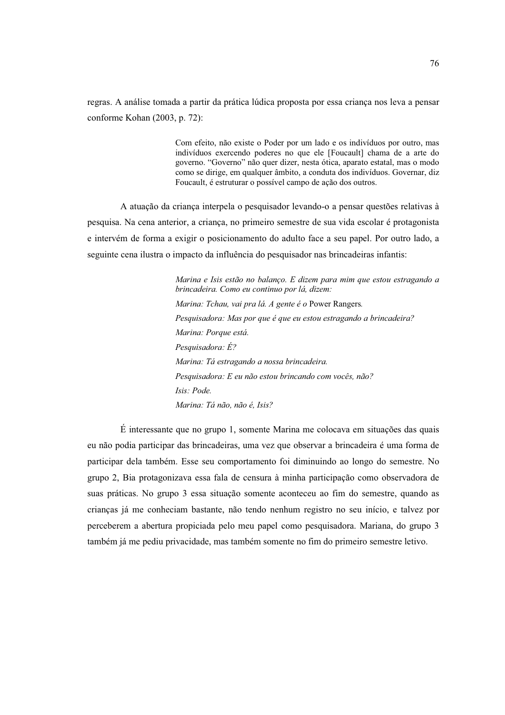regras. A análise tomada a partir da prática lúdica proposta por essa crianca nos leva a pensar conforme Kohan (2003, p. 72):

> Com efeito, não existe o Poder por um lado e os indivíduos por outro, mas indivíduos exercendo poderes no que ele [Foucault] chama de a arte do governo. "Governo" não quer dizer, nesta ótica, aparato estatal, mas o modo como se dirige, em qualquer âmbito, a conduta dos indivíduos. Governar, diz Foucault, é estruturar o possível campo de ação dos outros.

A atuação da criança interpela o pesquisador levando-o a pensar questões relativas à pesquisa. Na cena anterior, a criança, no primeiro semestre de sua vida escolar é protagonista e intervém de forma a exigir o posicionamento do adulto face a seu papel. Por outro lado, a seguinte cena ilustra o impacto da influência do pesquisador nas brincadeiras infantis:

> Marina e Isis estão no balanço. E dizem para mim que estou estragando a brincadeira. Como eu continuo por lá, dizem: Marina: Tchau, vai pra lá. A gente é o Power Rangers. Pesquisadora: Mas por que é que eu estou estragando a brincadeira? Marina: Porque está. Pesquisadora: É? Marina: Tá estragando a nossa brincadeira. Pesquisadora: E eu não estou brincando com vocês, não? Isis: Pode. Marina: Tá não, não é, Isis?

É interessante que no grupo 1, somente Marina me colocava em situações das quais eu não podia participar das brincadeiras, uma vez que observar a brincadeira é uma forma de participar dela também. Esse seu comportamento foi diminuindo ao longo do semestre. No grupo 2, Bia protagonizava essa fala de censura à minha participação como observadora de suas práticas. No grupo 3 essa situação somente aconteceu ao fim do semestre, quando as criancas já me conheciam bastante, não tendo nenhum registro no seu início, e talvez por perceberem a abertura propiciada pelo meu papel como pesquisadora. Mariana, do grupo 3 também já me pediu privacidade, mas também somente no fim do primeiro semestre letivo.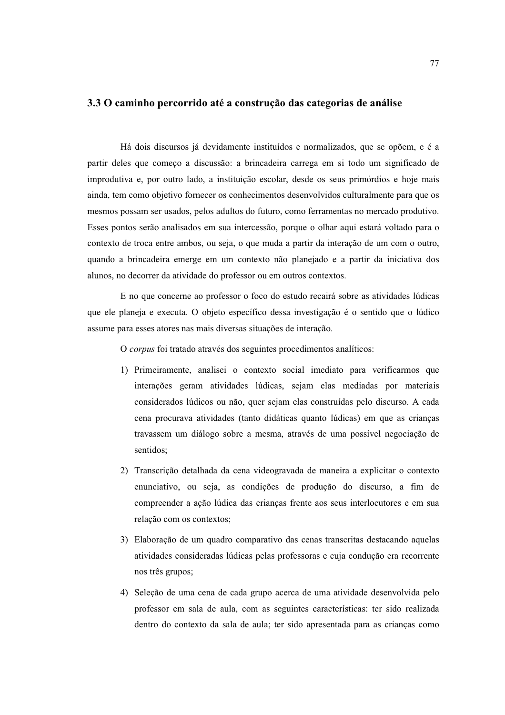## 3.3 O caminho percorrido até a construção das categorias de análise

Há dois discursos já devidamente instituídos e normalizados, que se opõem, e é a partir deles que começo a discussão: a brincadeira carrega em si todo um significado de improdutiva e, por outro lado, a instituição escolar, desde os seus primórdios e hoje mais ainda, tem como objetivo fornecer os conhecimentos desenvolvidos culturalmente para que os mesmos possam ser usados, pelos adultos do futuro, como ferramentas no mercado produtivo. Esses pontos serão analisados em sua intercessão, porque o olhar aqui estará voltado para o contexto de troca entre ambos, ou seja, o que muda a partir da interação de um com o outro, quando a brincadeira emerge em um contexto não planejado e a partir da iniciativa dos alunos, no decorrer da atividade do professor ou em outros contextos.

E no que concerne ao professor o foco do estudo recairá sobre as atividades lúdicas que ele planeja e executa. O objeto específico dessa investigação é o sentido que o lúdico assume para esses atores nas mais diversas situações de interação.

O corpus foi tratado através dos seguintes procedimentos analíticos:

- 1) Primeiramente, analisei o contexto social imediato para verificarmos que interações geram atividades lúdicas, sejam elas mediadas por materiais considerados lúdicos ou não, quer sejam elas construídas pelo discurso. A cada cena procurava atividades (tanto didáticas quanto lúdicas) em que as crianças travassem um diálogo sobre a mesma, através de uma possível negociação de sentidos;
- 2) Transcrição detalhada da cena videogravada de maneira a explicitar o contexto enunciativo, ou seja, as condições de produção do discurso, a fim de compreender a ação lúdica das crianças frente aos seus interlocutores e em sua relação com os contextos;
- 3) Elaboração de um quadro comparativo das cenas transcritas destacando aquelas atividades consideradas lúdicas pelas professoras e cuja condução era recorrente nos três grupos:
- 4) Seleção de uma cena de cada grupo acerca de uma atividade desenvolvida pelo professor em sala de aula, com as seguintes características: ter sido realizada dentro do contexto da sala de aula; ter sido apresentada para as crianças como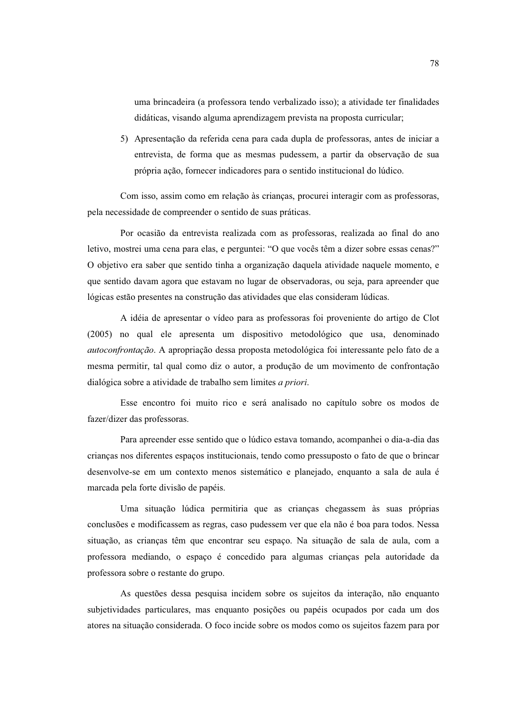uma brincadeira (a professora tendo verbalizado isso); a atividade ter finalidades didáticas, visando alguma aprendizagem prevista na proposta curricular;

5) Apresentação da referida cena para cada dupla de professoras, antes de iniciar a entrevista, de forma que as mesmas pudessem, a partir da observação de sua própria ação, fornecer indicadores para o sentido institucional do lúdico.

Com isso, assim como em relação às crianças, procurei interagir com as professoras, pela necessidade de compreender o sentido de suas práticas.

Por ocasião da entrevista realizada com as professoras, realizada ao final do ano letivo, mostrei uma cena para elas, e perguntei: "O que vocês têm a dizer sobre essas cenas?" O objetivo era saber que sentido tinha a organização daquela atividade naquele momento, e que sentido davam agora que estavam no lugar de observadoras, ou seja, para apreender que lógicas estão presentes na construção das atividades que elas consideram lúdicas.

A idéia de apresentar o vídeo para as professoras foi proveniente do artigo de Clot (2005) no qual ele apresenta um dispositivo metodológico que usa, denominado *autoconfrontação*. A apropriação dessa proposta metodológica foi interessante pelo fato de a mesma permitir, tal qual como diz o autor, a produção de um movimento de confrontação dialógica sobre a atividade de trabalho sem limites *a priori*.

Esse encontro foi muito rico e será analisado no capítulo sobre os modos de fazer/dizer das professoras.

Para apreender esse sentido que o lúdico estava tomando, acompanhei o dia-a-dia das crianças nos diferentes espaços institucionais, tendo como pressuposto o fato de que o brincar desenvolve-se em um contexto menos sistemático e planejado, enquanto a sala de aula é marcada pela forte divisão de papéis.

Uma situação lúdica permitiria que as crianças chegassem às suas próprias conclusões e modificassem as regras, caso pudessem ver que ela não é boa para todos. Nessa situação, as crianças têm que encontrar seu espaço. Na situação de sala de aula, com a professora mediando, o espaço é concedido para algumas crianças pela autoridade da professora sobre o restante do grupo.

As questões dessa pesquisa incidem sobre os sujeitos da interação, não enquanto subjetividades particulares, mas enquanto posições ou papéis ocupados por cada um dos atores na situação considerada. O foco incide sobre os modos como os sujeitos fazem para por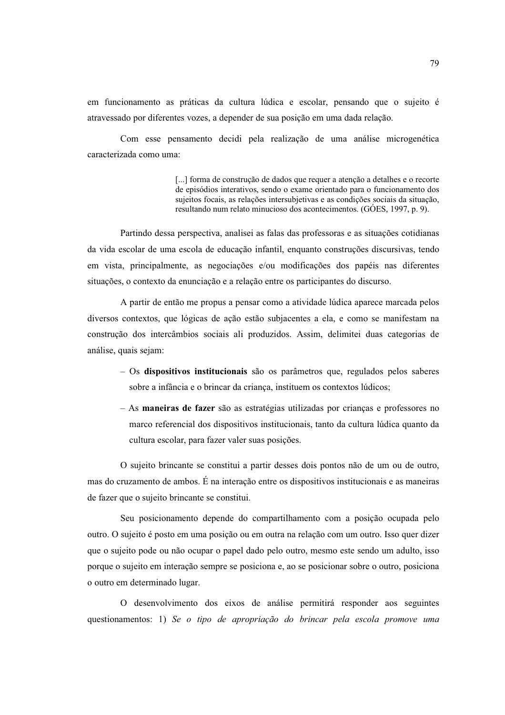em funcionamento as práticas da cultura lúdica e escolar, pensando que o sujeito é atravessado por diferentes vozes, a depender de sua posição em uma dada relação.

Com esse pensamento decidi pela realização de uma análise microgenética caracterizada como uma:

> [...] forma de construção de dados que requer a atenção a detalhes e o recorte de episódios interativos, sendo o exame orientado para o funcionamento dos sujeitos focais, as relações intersubjetivas e as condições sociais da situação, resultando num relato minucioso dos acontecimentos. (GÓES, 1997, p. 9).

Partindo dessa perspectiva, analisei as falas das professoras e as situações cotidianas da vida escolar de uma escola de educação infantil, enquanto construções discursivas, tendo em vista, principalmente, as negociações e/ou modificações dos papéis nas diferentes situações, o contexto da enunciação e a relação entre os participantes do discurso.

A partir de então me propus a pensar como a atividade lúdica aparece marcada pelos diversos contextos, que lógicas de ação estão subjacentes a ela, e como se manifestam na construção dos intercâmbios sociais ali produzidos. Assim, delimitei duas categorias de análise, quais sejam:

- $-$  Os dispositivos institucionais são os parâmetros que, regulados pelos saberes sobre a infância e o brincar da criança, instituem os contextos lúdicos;
- $-$  As maneiras de fazer são as estratégias utilizadas por criancas e professores no marco referencial dos dispositivos institucionais, tanto da cultura lúdica quanto da cultura escolar, para fazer valer suas posições.

O sujeito brincante se constitui a partir desses dois pontos não de um ou de outro, mas do cruzamento de ambos. É na interação entre os dispositivos institucionais e as maneiras de fazer que o sujeito brincante se constitui.

Seu posicionamento depende do compartilhamento com a posição ocupada pelo outro. O sujeito é posto em uma posição ou em outra na relação com um outro. Isso quer dizer que o sujeito pode ou não ocupar o papel dado pelo outro, mesmo este sendo um adulto, isso porque o sujeito em interação sempre se posiciona e, ao se posicionar sobre o outro, posiciona o outro em determinado lugar.

O desenvolvimento dos eixos de análise permitirá responder aos seguintes questionamentos: 1) Se o tipo de apropriação do brincar pela escola promove uma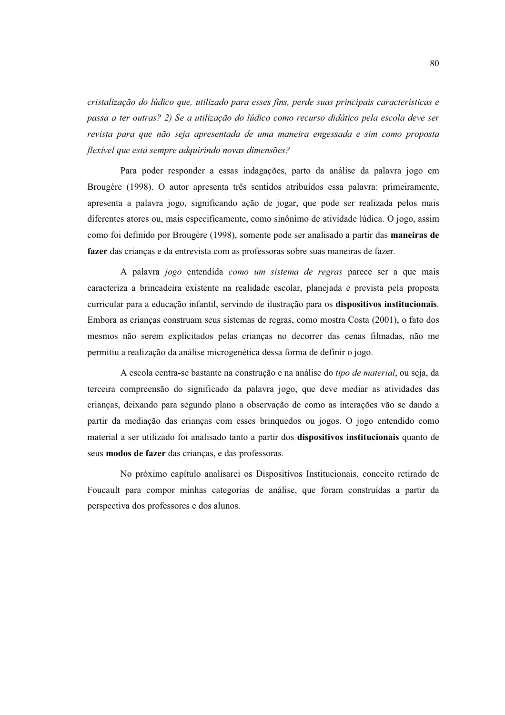cristalização do lúdico que, utilizado para esses fins, perde suas principais características e passa a ter outras? 2) Se a utilização do lúdico como recurso didático pela escola deve ser revista para que não seja apresentada de uma maneira engessada e sim como proposta flexível que está sempre adquirindo novas dimensões?

Para poder responder a essas indagações, parto da análise da palavra jogo em Brougère (1998). O autor apresenta três sentidos atribuídos essa palavra: primeiramente, apresenta a palavra jogo, significando ação de jogar, que pode ser realizada pelos mais diferentes atores ou, mais especificamente, como sinônimo de atividade lúdica. O jogo, assim como foi definido por Brougère (1998), somente pode ser analisado a partir das **maneiras de** fazer das crianças e da entrevista com as professoras sobre suas maneiras de fazer.

A palavra jogo entendida como um sistema de regras parece ser a que mais caracteriza a brincadeira existente na realidade escolar, planejada e prevista pela proposta curricular para a educação infantil, servindo de ilustração para os dispositivos institucionais. Embora as crianças construam seus sistemas de regras, como mostra Costa (2001), o fato dos mesmos não serem explicitados pelas crianças no decorrer das cenas filmadas, não me permitiu a realização da análise microgenética dessa forma de definir o jogo.

A escola centra-se bastante na construção e na análise do *tipo de material*, ou seja, da terceira compreensão do significado da palavra jogo, que deve mediar as atividades das crianças, deixando para segundo plano a observação de como as interações vão se dando a partir da mediação das crianças com esses brinquedos ou jogos. O jogo entendido como material a ser utilizado foi analisado tanto a partir dos dispositivos institucionais quanto de seus modos de fazer das crianças, e das professoras.

No próximo capítulo analisarei os Dispositivos Institucionais, conceito retirado de Foucault para compor minhas categorias de análise, que foram construídas a partir da perspectiva dos professores e dos alunos.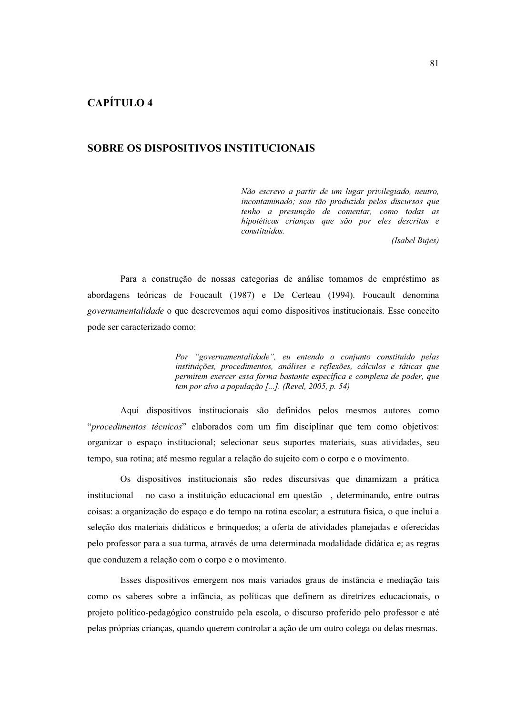# **CAPÍTULO 4**

# SOBRE OS DISPOSITIVOS INSTITUCIONAIS

Não escrevo a partir de um lugar privilegiado, neutro, incontaminado; sou tão produzida pelos discursos que tenho a presunção de comentar, como todas as hipotéticas crianças que são por eles descritas e constituídas.

(Isabel Bujes)

Para a construção de nossas categorias de análise tomamos de empréstimo as abordagens teóricas de Foucault (1987) e De Certeau (1994). Foucault denomina governamentalidade o que descrevemos aqui como dispositivos institucionais. Esse conceito pode ser caracterizado como:

> Por "governamentalidade", eu entendo o conjunto constituído pelas instituições, procedimentos, análises e reflexões, cálculos e táticas que permitem exercer essa forma bastante específica e complexa de poder, que tem por alvo a população [...]. (Revel, 2005, p. 54)

Aqui dispositivos institucionais são definidos pelos mesmos autores como "procedimentos técnicos" elaborados com um fim disciplinar que tem como objetivos: organizar o espaço institucional; selecionar seus suportes materiais, suas atividades, seu tempo, sua rotina; até mesmo regular a relação do sujeito com o corpo e o movimento.

Os dispositivos institucionais são redes discursivas que dinamizam a prática institucional – no caso a instituição educacional em questão –, determinando, entre outras coisas: a organização do espaço e do tempo na rotina escolar; a estrutura física, o que inclui a seleção dos materiais didáticos e brinquedos; a oferta de atividades planejadas e oferecidas pelo professor para a sua turma, através de uma determinada modalidade didática e; as regras que conduzem a relação com o corpo e o movimento.

Esses dispositivos emergem nos mais variados graus de instância e mediação tais como os saberes sobre a infância, as políticas que definem as diretrizes educacionais, o projeto político-pedagógico construído pela escola, o discurso proferido pelo professor e até pelas próprias crianças, quando querem controlar a ação de um outro colega ou delas mesmas.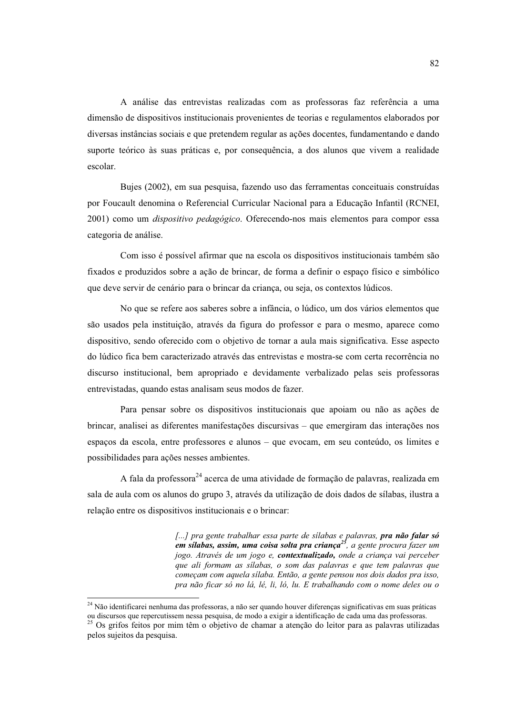A análise das entrevistas realizadas com as professoras faz referência a uma dimensão de dispositivos institucionais provenientes de teorias e regulamentos elaborados por diversas instâncias sociais e que pretendem regular as ações docentes, fundamentando e dando suporte teórico às suas práticas e, por conseguência, a dos alunos que vivem a realidade escolar.

Bujes (2002), em sua pesquisa, fazendo uso das ferramentas conceituais construídas por Foucault denomina o Referencial Curricular Nacional para a Educação Infantil (RCNEI, 2001) como um *dispositivo pedagógico*. Oferecendo-nos mais elementos para compor essa categoria de análise.

Com isso é possível afirmar que na escola os dispositivos institucionais também são fixados e produzidos sobre a ação de brincar, de forma a definir o espaço físico e simbólico que deve servir de cenário para o brincar da criança, ou seja, os contextos lúdicos.

No que se refere aos saberes sobre a infância, o lúdico, um dos vários elementos que são usados pela instituição, através da figura do professor e para o mesmo, aparece como dispositivo, sendo oferecido com o objetivo de tornar a aula mais significativa. Esse aspecto do lúdico fica bem caracterizado através das entrevistas e mostra-se com certa recorrência no discurso institucional, bem apropriado e devidamente verbalizado pelas seis professoras entrevistadas, quando estas analisam seus modos de fazer.

Para pensar sobre os dispositivos institucionais que apoiam ou não as ações de brincar, analisei as diferentes manifestações discursivas – que emergiram das interações nos espaços da escola, entre professores e alunos - que evocam, em seu conteúdo, os limites e possibilidades para ações nesses ambientes.

A fala da professora<sup>24</sup> acerca de uma atividade de formação de palavras, realizada em sala de aula com os alunos do grupo 3, através da utilização de dois dados de sílabas, ilustra a relação entre os dispositivos institucionais e o brincar:

> [...] pra gente trabalhar essa parte de silabas e palavras, pra não falar só em sílabas, assim, uma coisa solta pra crianca $^{25}$ , a gente procura fazer um jogo. Através de um jogo e, contextualizado, onde a criança vai perceber que ali formam as sílabas, o som das palavras e que tem palavras que começam com aquela silaba. Então, a gente pensou nos dois dados pra isso, pra não ficar só no lá, lé, li, ló, lu. E trabalhando com o nome deles ou o

<sup>&</sup>lt;sup>24</sup> Não identificarei nenhuma das professoras, a não ser quando houver diferenças significativas em suas práticas ou discursos que repercutissem nessa pesquisa, de modo a exigir a identificação de cada uma das professoras.<br><sup>25</sup> Os grifos feitos por mim têm o objetivo de chamar a atenção do leitor para as palavras utilizadas

pelos sujeitos da pesquisa.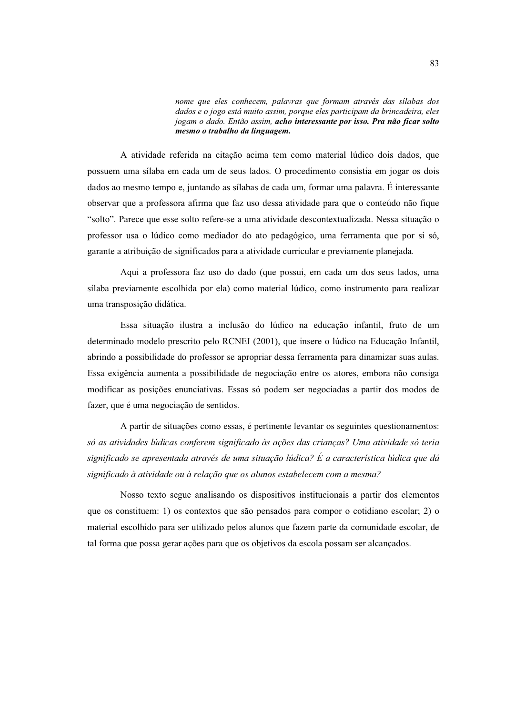nome que eles conhecem, palavras que formam através das silabas dos dados e o jogo está muito assim, porque eles participam da brincadeira, eles jogam o dado. Então assim, acho interessante por isso. Pra não ficar solto mesmo o trabalho da linguagem.

A atividade referida na citação acima tem como material lúdico dois dados, que possuem uma sílaba em cada um de seus lados. O procedimento consistia em jogar os dois dados ao mesmo tempo e, juntando as sílabas de cada um, formar uma palavra. É interessante observar que a professora afirma que faz uso dessa atividade para que o conteúdo não fique "solto". Parece que esse solto refere-se a uma atividade descontextualizada. Nessa situação o professor usa o lúdico como mediador do ato pedagógico, uma ferramenta que por si só, garante a atribuição de significados para a atividade curricular e previamente planejada.

Aqui a professora faz uso do dado (que possui, em cada um dos seus lados, uma sílaba previamente escolhida por ela) como material lúdico, como instrumento para realizar uma transposição didática.

Essa situação ilustra a inclusão do lúdico na educação infantil, fruto de um determinado modelo prescrito pelo RCNEI (2001), que insere o lúdico na Educação Infantil, abrindo a possibilidade do professor se apropriar dessa ferramenta para dinamizar suas aulas. Essa exigência aumenta a possibilidade de negociação entre os atores, embora não consiga modificar as posições enunciativas. Essas só podem ser negociadas a partir dos modos de fazer, que é uma negociação de sentidos.

A partir de situações como essas, é pertinente levantar os seguintes questionamentos: só as atividades lúdicas conferem significado às acões das criancas? Uma atividade só teria significado se apresentada através de uma situação lúdica? É a característica lúdica que dá significado à atividade ou à relação que os alunos estabelecem com a mesma?

Nosso texto segue analisando os dispositivos institucionais a partir dos elementos que os constituem: 1) os contextos que são pensados para compor o cotidiano escolar; 2) o material escolhido para ser utilizado pelos alunos que fazem parte da comunidade escolar, de tal forma que possa gerar ações para que os objetivos da escola possam ser alcançados.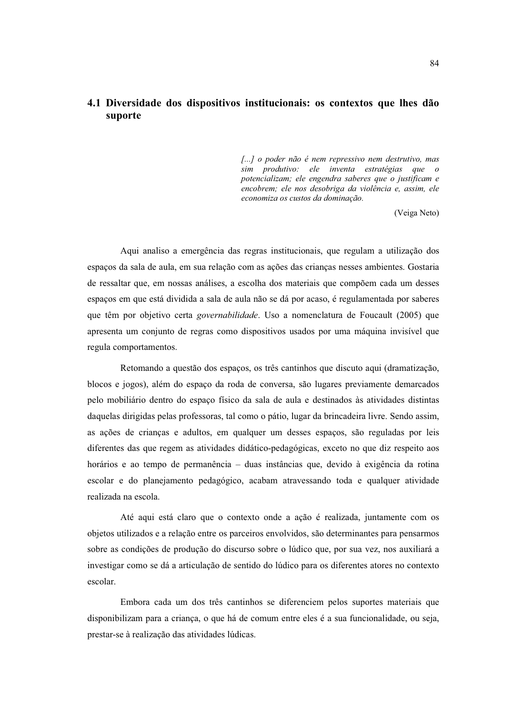# 4.1 Diversidade dos dispositivos institucionais: os contextos que lhes dão suporte

[...] o poder não é nem repressivo nem destrutivo, mas sim produtivo: ele inventa estratégias que o potencializam; ele engendra saberes que o justificam e encobrem; ele nos desobriga da violência e, assim, ele economiza os custos da dominação.

(Veiga Neto)

Aqui analiso a emergência das regras institucionais, que regulam a utilização dos espacos da sala de aula, em sua relação com as ações das crianças nesses ambientes. Gostaria de ressaltar que, em nossas análises, a escolha dos materiais que compõem cada um desses espaços em que está dividida a sala de aula não se dá por acaso, é regulamentada por saberes que têm por objetivo certa *governabilidade*. Uso a nomenclatura de Foucault (2005) que apresenta um conjunto de regras como dispositivos usados por uma máquina invisível que regula comportamentos.

Retomando a questão dos espacos, os três cantinhos que discuto aqui (dramatização, blocos e jogos), além do espaço da roda de conversa, são lugares previamente demarcados pelo mobiliário dentro do espaço físico da sala de aula e destinados às atividades distintas daquelas dirigidas pelas professoras, tal como o pátio, lugar da brincadeira livre. Sendo assim, as ações de crianças e adultos, em qualquer um desses espaços, são reguladas por leis diferentes das que regem as atividades didático-pedagógicas, exceto no que diz respeito aos horários e ao tempo de permanência - duas instâncias que, devido à exigência da rotina escolar e do planejamento pedagógico, acabam atravessando toda e qualquer atividade realizada na escola.

Até aqui está claro que o contexto onde a ação é realizada, juntamente com os objetos utilizados e a relação entre os parceiros envolvidos, são determinantes para pensarmos sobre as condições de produção do discurso sobre o lúdico que, por sua vez, nos auxiliará a investigar como se dá a articulação de sentido do lúdico para os diferentes atores no contexto escolar.

Embora cada um dos três cantinhos se diferenciem pelos suportes materiais que disponibilizam para a criança, o que há de comum entre eles é a sua funcionalidade, ou seja, prestar-se à realização das atividades lúdicas.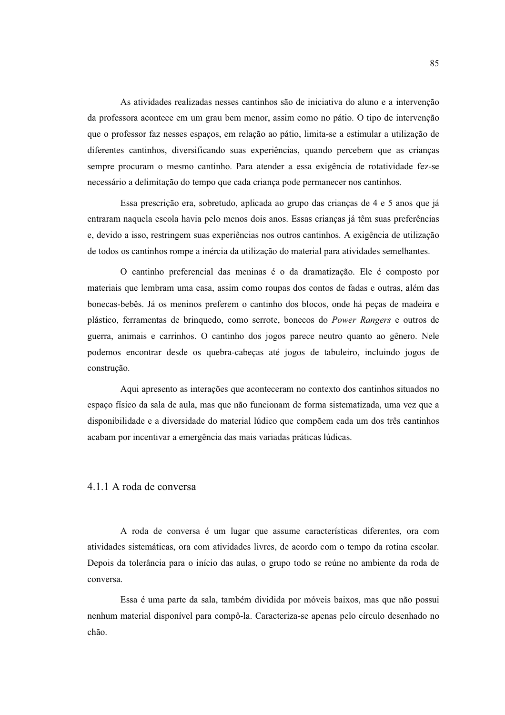As atividades realizadas nesses cantinhos são de iniciativa do aluno e a intervenção da professora acontece em um grau bem menor, assim como no pátio. O tipo de intervenção que o professor faz nesses espaços, em relação ao pátio, limita-se a estimular a utilização de diferentes cantinhos, diversificando suas experiências, quando percebem que as crianças sempre procuram o mesmo cantinho. Para atender a essa exigência de rotatividade fez-se necessário a delimitação do tempo que cada criança pode permanecer nos cantinhos.

Essa prescrição era, sobretudo, aplicada ao grupo das crianças de 4 e 5 anos que já entraram naquela escola havia pelo menos dois anos. Essas criancas já têm suas preferências e, devido a isso, restringem suas experiências nos outros cantinhos. A exigência de utilização de todos os cantinhos rompe a inércia da utilização do material para atividades semelhantes.

O cantinho preferencial das meninas é o da dramatização. Ele é composto por materiais que lembram uma casa, assim como roupas dos contos de fadas e outras, além das bonecas-bebês. Já os meninos preferem o cantinho dos blocos, onde há peças de madeira e plástico, ferramentas de brinquedo, como serrote, bonecos do Power Rangers e outros de guerra, animais e carrinhos. O cantinho dos jogos parece neutro quanto ao gênero. Nele podemos encontrar desde os quebra-cabecas até jogos de tabuleiro, incluindo jogos de construção.

Aqui apresento as interações que aconteceram no contexto dos cantinhos situados no espaco físico da sala de aula, mas que não funcionam de forma sistematizada, uma vez que a disponibilidade e a diversidade do material lúdico que compõem cada um dos três cantinhos acabam por incentivar a emergência das mais variadas práticas lúdicas.

## 4.1.1 A roda de conversa

A roda de conversa é um lugar que assume características diferentes, ora com atividades sistemáticas, ora com atividades livres, de acordo com o tempo da rotina escolar. Depois da tolerância para o início das aulas, o grupo todo se reúne no ambiente da roda de conversa.

Essa é uma parte da sala, também dividida por móveis baixos, mas que não possui nenhum material disponível para compô-la. Caracteriza-se apenas pelo círculo desenhado no chão.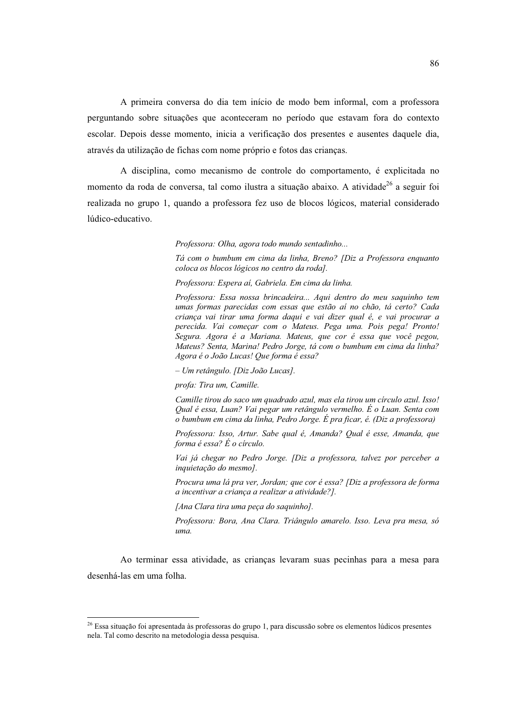A primeira conversa do dia tem início de modo bem informal, com a professora perguntando sobre situações que aconteceram no período que estavam fora do contexto escolar. Depois desse momento, inicia a verificação dos presentes e ausentes daquele dia, através da utilização de fichas com nome próprio e fotos das crianças.

A disciplina, como mecanismo de controle do comportamento, é explicitada no momento da roda de conversa, tal como ilustra a situação abaixo. A atividade<sup>26</sup> a seguir foi realizada no grupo 1, quando a professora fez uso de blocos lógicos, material considerado lúdico-educativo.

Professora: Olha, agora todo mundo sentadinho...

Tá com o bumbum em cima da linha, Breno? [Diz a Professora enquanto coloca os blocos lógicos no centro da roda].

Professora: Espera aí, Gabriela. Em cima da linha.

Professora: Essa nossa brincadeira... Aqui dentro do meu saquinho tem umas formas parecidas com essas que estão aí no chão, tá certo? Cada crianca vai tirar uma forma daqui e vai dizer qual é, e vai procurar a perecida. Vai começar com o Mateus. Pega uma. Pois pega! Pronto! -<br>Segura. Agora é a Mariana. Mateus, que cor é essa que você pegou, Mateus? Senta, Marina! Pedro Jorge, tá com o bumbum em cima da linha? Agora é o João Lucas! Que forma é essa?

- Um retângulo. [Diz João Lucas].

profa: Tira um, Camille.

Camille tirou do saco um quadrado azul, mas ela tirou um círculo azul. Isso! Qual é essa, Luan? Vai pegar um retângulo vermelho. É o Luan. Senta com o bumbum em cima da linha, Pedro Jorge. É pra ficar, é. (Diz a professora)

Professora: Isso, Artur, Sabe qual é, Amanda? Qual é esse, Amanda, que forma é essa? É o círculo.

Vai já chegar no Pedro Jorge. [Diz a professora, talvez por perceber a inquietação do mesmo].

Procura uma lá pra ver, Jordan; que cor é essa? [Diz a professora de forma a incentivar a criança a realizar a atividade?].

[Ana Clara tira uma peça do saquinho].

Professora: Bora, Ana Clara. Triângulo amarelo. Isso. Leva pra mesa, só uma.

Ao terminar essa atividade, as crianças levaram suas pecinhas para a mesa para desenhá-las em uma folha.

<sup>&</sup>lt;sup>26</sup> Essa situação foi apresentada às professoras do grupo 1, para discussão sobre os elementos lúdicos presentes nela. Tal como descrito na metodologia dessa pesquisa.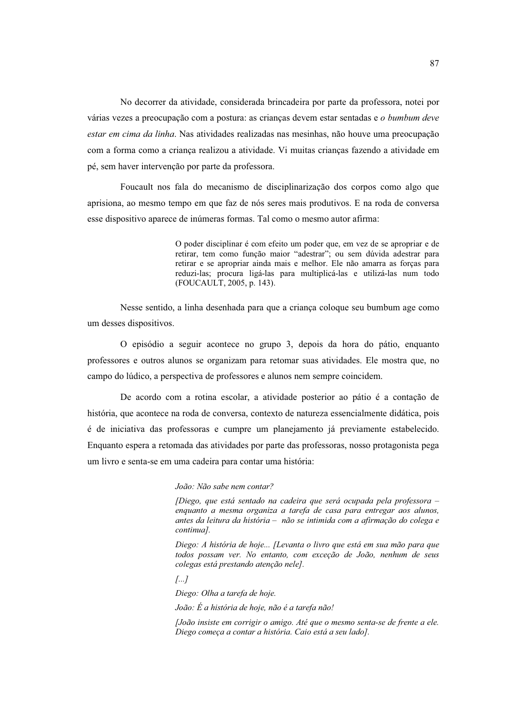No decorrer da atividade, considerada brincadeira por parte da professora, notei por várias vezes a preocupação com a postura: as criancas devem estar sentadas e o bumbum deve estar em cima da linha. Nas atividades realizadas nas mesinhas, não houve uma preocupação com a forma como a criança realizou a atividade. Vi muitas crianças fazendo a atividade em pé, sem haver intervenção por parte da professora.

Foucault nos fala do mecanismo de disciplinarização dos corpos como algo que aprisiona, ao mesmo tempo em que faz de nós seres mais produtivos. E na roda de conversa esse dispositivo aparece de inúmeras formas. Tal como o mesmo autor afirma:

> O poder disciplinar é com efeito um poder que, em vez de se apropriar e de retirar, tem como função maior "adestrar"; ou sem dúvida adestrar para retirar e se apropriar ainda mais e melhor. Ele não amarra as forças para reduzi-las; procura ligá-las para multiplicá-las e utilizá-las num todo (FOUCAULT, 2005, p. 143).

Nesse sentido, a linha desenhada para que a criança coloque seu bumbum age como um desses dispositivos.

O episódio a seguir acontece no grupo 3, depois da hora do pátio, enquanto professores e outros alunos se organizam para retomar suas atividades. Ele mostra que, no campo do lúdico, a perspectiva de professores e alunos nem sempre coincidem.

De acordo com a rotina escolar, a atividade posterior ao pátio é a contação de história, que acontece na roda de conversa, contexto de natureza essencialmente didática, pois é de iniciativa das professoras e cumpre um planejamento já previamente estabelecido. Enquanto espera a retomada das atividades por parte das professoras, nosso protagonista pega um livro e senta-se em uma cadeira para contar uma história:

João: Não sabe nem contar?

(Diego, que está sentado na cadeira que será ocupada pela professora enquanto a mesma organiza a tarefa de casa para entregar aos alunos, antes da leitura da história - não se intimida com a afirmação do colega e continua].

Diego: A história de hoje... [Levanta o livro que está em sua mão para que todos possam ver. No entanto, com exceção de João, nenhum de seus colegas está prestando atenção nele].

 $\sqrt{a}$ ...

Diego: Olha a tarefa de hoje.

João: É a história de hoje, não é a tarefa não!

[João insiste em corrigir o amigo. Até que o mesmo senta-se de frente a ele. Diego começa a contar a história. Caio está a seu lado].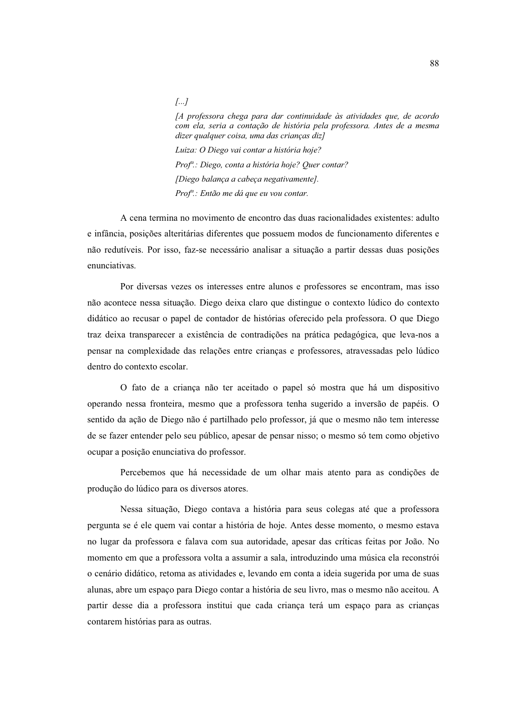## [A professora chega para dar continuidade às atividades que, de acordo com ela, seria a contação de história pela professora. Antes de a mesma dizer qualquer coisa, uma das criancas dizl

Luiza: O Diego vai contar a história hoje? Prof<sup>a</sup>: Diego, conta a história hoje? Quer contar? [Diego balança a cabeça negativamente]. Prof<sup>a</sup>.: Então me dá que eu vou contar.

 $\left[\ldots\right]$ 

A cena termina no movimento de encontro das duas racionalidades existentes: adulto e infância, posições alteritárias diferentes que possuem modos de funcionamento diferentes e não redutíveis. Por isso, faz-se necessário analisar a situação a partir dessas duas posições enunciativas.

Por diversas vezes os interesses entre alunos e professores se encontram, mas isso não acontece nessa situação. Diego deixa claro que distingue o contexto lúdico do contexto didático ao recusar o papel de contador de histórias oferecido pela professora. O que Diego traz deixa transparecer a existência de contradições na prática pedagógica, que leva-nos a pensar na complexidade das relações entre crianças e professores, atravessadas pelo lúdico dentro do contexto escolar.

O fato de a criança não ter aceitado o papel só mostra que há um dispositivo operando nessa fronteira, mesmo que a professora tenha sugerido a inversão de papéis. O sentido da ação de Diego não é partilhado pelo professor, já que o mesmo não tem interesse de se fazer entender pelo seu público, apesar de pensar nisso; o mesmo só tem como objetivo ocupar a posição enunciativa do professor.

Percebemos que há necessidade de um olhar mais atento para as condições de produção do lúdico para os diversos atores.

Nessa situação, Diego contava a história para seus colegas até que a professora pergunta se é ele quem vai contar a história de hoje. Antes desse momento, o mesmo estava no lugar da professora e falava com sua autoridade, apesar das críticas feitas por João. No momento em que a professora volta a assumir a sala, introduzindo uma música ela reconstrói o cenário didático, retoma as atividades e, levando em conta a ideia sugerida por uma de suas alunas, abre um espaço para Diego contar a história de seu livro, mas o mesmo não aceitou. A partir desse dia a professora institui que cada criança terá um espaço para as crianças contarem histórias para as outras.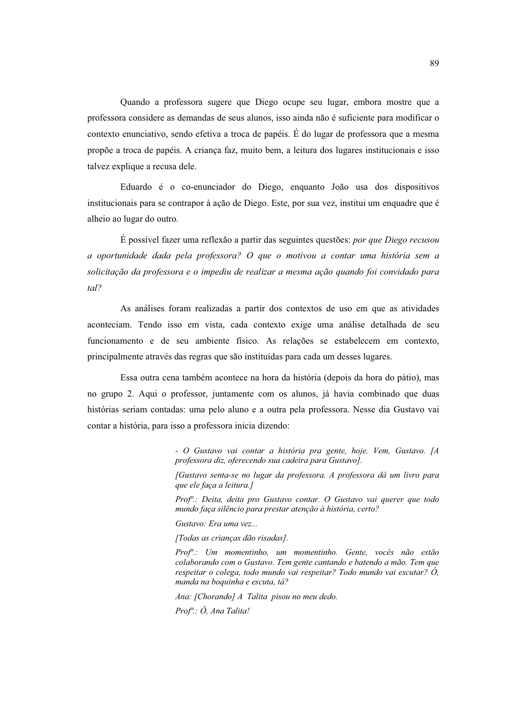Quando a professora sugere que Diego ocupe seu lugar, embora mostre que a professora considere as demandas de seus alunos, isso ainda não é suficiente para modificar o contexto enunciativo, sendo efetiva a troca de papéis. É do lugar de professora que a mesma propõe a troca de papéis. A criança faz, muito bem, a leitura dos lugares institucionais e isso talvez explique a recusa dele.

Eduardo é o co-enunciador do Diego, enquanto João usa dos dispositivos institucionais para se contrapor à ação de Diego. Este, por sua vez, institui um enquadre que é alheio ao lugar do outro.

É possível fazer uma reflexão a partir das seguintes questões: *por que Diego recusou* a oportunidade dada pela professora? O que o motivou a contar uma história sem a solicitação da professora e o impediu de realizar a mesma ação quando foi convidado para  $tal?$ 

As análises foram realizadas a partir dos contextos de uso em que as atividades aconteciam. Tendo isso em vista, cada contexto exige uma análise detalhada de seu funcionamento e de seu ambiente físico. As relações se estabelecem em contexto, principalmente através das regras que são instituídas para cada um desses lugares.

Essa outra cena também acontece na hora da história (depois da hora do pátio), mas no grupo 2. Aqui o professor, juntamente com os alunos, já havia combinado que duas histórias seriam contadas: uma pelo aluno e a outra pela professora. Nesse dia Gustavo vai contar a história, para isso a professora inicia dizendo:

> - O Gustavo vai contar a história pra gente, hoje. Vem, Gustavo. [A professora diz, oferecendo sua cadeira para Gustavo].

> [Gustavo senta-se no lugar da professora. A professora dá um livro para que ele faça a leitura.]

> Prof<sup>a</sup>.: Deita, deita pro Gustavo contar. O Gustavo vai querer que todo mundo faça silêncio para prestar atenção à história, certo?

Gustavo: Era uma vez...

[Todas as crianças dão risadas].

Prof<sup>a</sup>.: Um momentinho, um momentinho. Gente, vocês não estão colaborando com o Gustavo. Tem gente cantando e batendo a mão. Tem que respeitar o colega, todo mundo vai respeitar? Todo mundo vai escutar?  $\acute{O}$ , manda na boauinha e escuta, tá?

Ana: [Chorando] A Talita pisou no meu dedo.

 $Prof^a$ :  $\hat{O}$ , Ana Talita!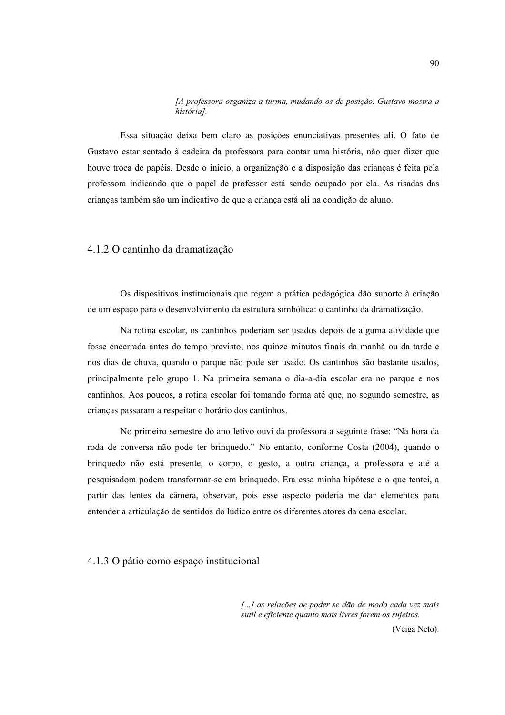#### [A professora organiza a turma, mudando-os de posição. Gustavo mostra a história].

Essa situação deixa bem claro as posições enunciativas presentes ali. O fato de Gustavo estar sentado à cadeira da professora para contar uma história, não quer dizer que houve troca de papéis. Desde o início, a organização e a disposição das crianças é feita pela professora indicando que o papel de professor está sendo ocupado por ela. As risadas das crianças também são um indicativo de que a criança está ali na condição de aluno.

## 4.1.2 O cantinho da dramatização

Os dispositivos institucionais que regem a prática pedagógica dão suporte à criação de um espaço para o desenvolvimento da estrutura simbólica: o cantinho da dramatização.

Na rotina escolar, os cantinhos poderiam ser usados depois de alguma atividade que fosse encerrada antes do tempo previsto; nos quinze minutos finais da manhã ou da tarde e nos dias de chuva, quando o parque não pode ser usado. Os cantinhos são bastante usados, principalmente pelo grupo 1. Na primeira semana o dia-a-dia escolar era no parque e nos cantinhos. Aos poucos, a rotina escolar foi tomando forma até que, no segundo semestre, as crianças passaram a respeitar o horário dos cantinhos.

No primeiro semestre do ano letivo ouvi da professora a seguinte frase: "Na hora da roda de conversa não pode ter brinquedo." No entanto, conforme Costa (2004), quando o brinquedo não está presente, o corpo, o gesto, a outra criança, a professora e até a pesquisadora podem transformar-se em brinquedo. Era essa minha hipótese e o que tentei, a partir das lentes da câmera, observar, pois esse aspecto poderia me dar elementos para entender a articulação de sentidos do lúdico entre os diferentes atores da cena escolar.

# 4.1.3 O pátio como espaço institucional

[...] as relações de poder se dão de modo cada vez mais sutil e eficiente quanto mais livres forem os sujeitos.

(Veiga Neto).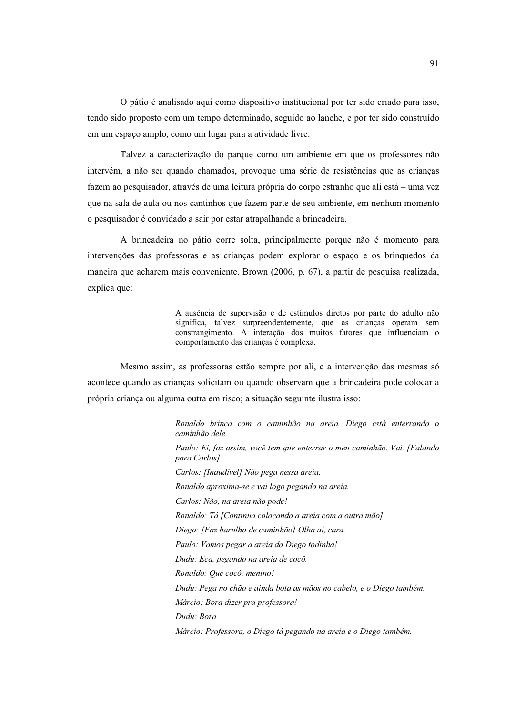O pátio é analisado aqui como dispositivo institucional por ter sido criado para isso, tendo sido proposto com um tempo determinado, seguido ao lanche, e por ter sido construído em um espaço amplo, como um lugar para a atividade livre.

Talvez a caracterização do parque como um ambiente em que os professores não intervém, a não ser quando chamados, provoque uma série de resistências que as crianças fazem ao pesquisador, através de uma leitura própria do corpo estranho que ali está – uma vez que na sala de aula ou nos cantinhos que fazem parte de seu ambiente, em nenhum momento o pesquisador é convidado a sair por estar atrapalhando a brincadeira.

A brincadeira no pátio corre solta, principalmente porque não é momento para intervenções das professoras e as crianças podem explorar o espaço e os brinquedos da maneira que acharem mais conveniente. Brown (2006, p. 67), a partir de pesquisa realizada, explica que:

> A ausência de supervisão e de estímulos diretos por parte do adulto não significa, talvez surpreendentemente, que as crianças operam sem constrangimento. A interação dos muitos fatores que influenciam o comportamento das crianças é complexa.

Mesmo assim, as professoras estão sempre por ali, e a intervenção das mesmas só acontece quando as crianças solicitam ou quando observam que a brincadeira pode colocar a própria criança ou alguma outra em risco; a situação seguinte ilustra isso:

> Ronaldo brinca com o caminhão na areia. Diego está enterrando o caminhão dele. Paulo: Ei, faz assim, você tem que enterrar o meu caminhão. Vai. [Falando para Carlos]. Carlos: [Inaudível] Não pega nessa areia. Ronaldo aproxima-se e vai logo pegando na areia. Carlos: Não, na areia não pode! Ronaldo: Tá [Continua colocando a areia com a outra mão]. Diego: [Faz barulho de caminhão] Olha aí, cara. Paulo: Vamos pegar a areia do Diego todinha! Dudu: Eca, pegando na areia de cocô. Ronaldo: Que cocô, menino! Dudu: Pega no chão e ainda bota as mãos no cabelo, e o Diego também. Márcio: Bora dizer pra professora! Dudu: Bora Márcio: Professora, o Diego tá pegando na areia e o Diego também.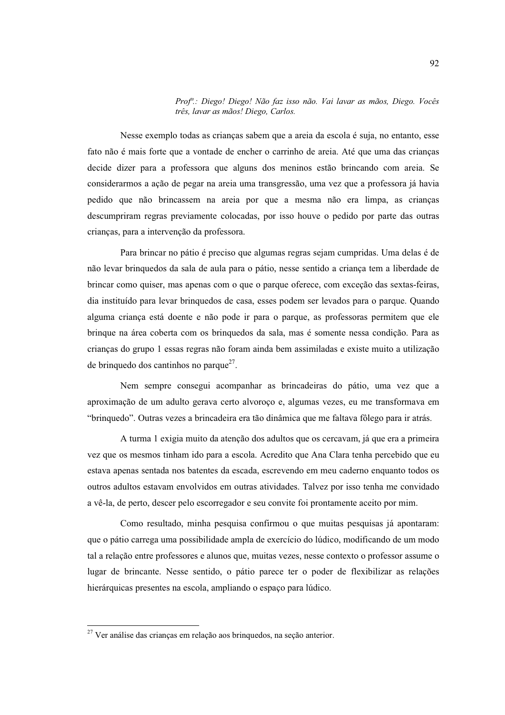#### Prof<sup>a</sup>.: Diego! Diego! Não faz isso não. Vai lavar as mãos, Diego. Vocês três, lavar as mãos! Diego, Carlos.

Nesse exemplo todas as crianças sabem que a areia da escola é suja, no entanto, esse fato não é mais forte que a vontade de encher o carrinho de areia. Até que uma das crianças decide dizer para a professora que alguns dos meninos estão brincando com areia. Se considerarmos a ação de pegar na areia uma transgressão, uma vez que a professora já havia pedido que não brincassem na areia por que a mesma não era limpa, as crianças descumpriram regras previamente colocadas, por isso houve o pedido por parte das outras crianças, para a intervenção da professora.

Para brincar no pátio é preciso que algumas regras sejam cumpridas. Uma delas é de não levar bringuedos da sala de aula para o pátio, nesse sentido a criança tem a liberdade de brincar como quiser, mas apenas com o que o parque oferece, com exceção das sextas-feiras, dia instituído para levar brinquedos de casa, esses podem ser levados para o parque. Quando alguma criança está doente e não pode ir para o parque, as professoras permitem que ele brinque na área coberta com os brinquedos da sala, mas é somente nessa condição. Para as crianças do grupo 1 essas regras não foram ainda bem assimiladas e existe muito a utilização de brinquedo dos cantinhos no parque $^{27}$ .

Nem sempre consegui acompanhar as brincadeiras do pátio, uma vez que a aproximação de um adulto gerava certo alvoroço e, algumas vezes, eu me transformava em "brinquedo". Outras vezes a brincadeira era tão dinâmica que me faltava fôlego para ir atrás.

A turma 1 exigia muito da atenção dos adultos que os cercavam, já que era a primeira vez que os mesmos tinham ido para a escola. Acredito que Ana Clara tenha percebido que eu estava apenas sentada nos batentes da escada, escrevendo em meu caderno enquanto todos os outros adultos estavam envolvidos em outras atividades. Talvez por isso tenha me convidado a vê-la, de perto, descer pelo escorregador e seu convite foi prontamente aceito por mim.

Como resultado, minha pesquisa confirmou o que muitas pesquisas já apontaram: que o pátio carrega uma possibilidade ampla de exercício do lúdico, modificando de um modo tal a relação entre professores e alunos que, muitas vezes, nesse contexto o professor assume o lugar de brincante. Nesse sentido, o pátio parece ter o poder de flexibilizar as relações hierárquicas presentes na escola, ampliando o espaço para lúdico.

 $27$  Ver análise das crianças em relação aos brinquedos, na seção anterior.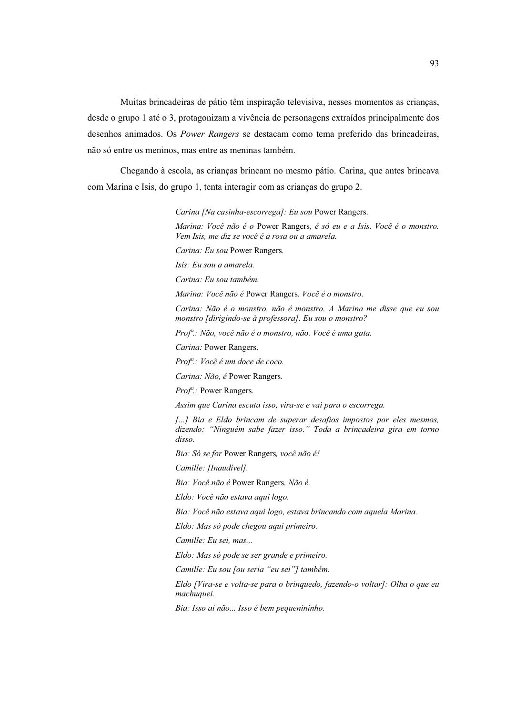Muitas brincadeiras de pátio têm inspiração televisiva, nesses momentos as crianças, desde o grupo 1 até o 3, protagonizam a vivência de personagens extraídos principalmente dos desenhos animados. Os Power Rangers se destacam como tema preferido das brincadeiras, não só entre os meninos, mas entre as meninas também.

Chegando à escola, as crianças brincam no mesmo pátio. Carina, que antes brincava com Marina e Isis, do grupo 1, tenta interagir com as crianças do grupo 2.

Carina [Na casinha-escorrega]: Eu sou Power Rangers.

Marina: Você não é o Power Rangers, é só eu e a Isis. Você é o monstro. Vem Isis, me diz se você é a rosa ou a amarela.

Carina: Eu sou Power Rangers.

Isis: Eu sou a amarela.

Carina: Eu sou também.

Marina: Você não é Power Rangers. Você é o monstro.

Carina: Não é o monstro, não é monstro. A Marina me disse que eu sou monstro [dirigindo-se à professora]. Eu sou o monstro?

Prof<sup>a</sup>.: Não, você não é o monstro, não. Você é uma gata.

Carina: Power Rangers.

Prof<sup>a</sup>.: Você é um doce de coco.

Carina: Não, é Power Rangers.

Prof".: Power Rangers.

Assim que Carina escuta isso, vira-se e vai para o escorrega.

[...] Bia e Eldo brincam de superar desafios impostos por eles mesmos, dizendo: "Ninguém sabe fazer isso." Toda a brincadeira gira em torno  $disso$ 

Bia: Só se for Power Rangers, você não é!

Camille: [Inaudivel].

Bia: Você não é Power Rangers. Não é.

Eldo: Você não estava aqui logo.

Bia: Você não estava aqui logo, estava brincando com aquela Marina.

Eldo: Mas só pode chegou aqui primeiro.

Camille: Eu sei, mas...

Eldo: Mas só pode se ser grande e primeiro.

Camille: Eu sou [ou seria "eu sei"] também.

Eldo [Vira-se e volta-se para o brinquedo, fazendo-o voltar]: Olha o que eu machuquei.

Bia: Isso aí não... Isso é bem pequenininho.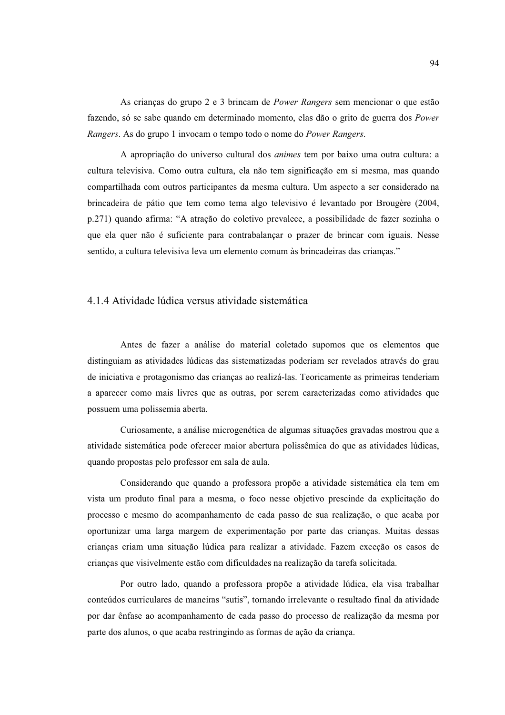As criancas do grupo 2 e 3 brincam de *Power Rangers* sem mencionar o que estão fazendo, só se sabe quando em determinado momento, elas dão o grito de guerra dos *Power* Rangers. As do grupo 1 invocam o tempo todo o nome do Power Rangers.

A apropriação do universo cultural dos *animes* tem por baixo uma outra cultura: a cultura televisiva. Como outra cultura, ela não tem significação em si mesma, mas quando compartilhada com outros participantes da mesma cultura. Um aspecto a ser considerado na brincadeira de pátio que tem como tema algo televisivo é levantado por Brougère (2004, p.271) quando afirma: "A atração do coletivo prevalece, a possibilidade de fazer sozinha o que ela quer não é suficiente para contrabalançar o prazer de brincar com iguais. Nesse sentido, a cultura televisiva leva um elemento comum às brincadeiras das crianças."

## 4.1.4 Atividade lúdica versus atividade sistemática

Antes de fazer a análise do material coletado supomos que os elementos que distinguiam as atividades lúdicas das sistematizadas poderiam ser revelados através do grau de iniciativa e protagonismo das criancas ao realizá-las. Teoricamente as primeiras tenderiam a aparecer como mais livres que as outras, por serem caracterizadas como atividades que possuem uma polissemia aberta.

Curiosamente, a análise microgenética de algumas situações gravadas mostrou que a atividade sistemática pode oferecer maior abertura polissêmica do que as atividades lúdicas, quando propostas pelo professor em sala de aula.

Considerando que quando a professora propõe a atividade sistemática ela tem em vista um produto final para a mesma, o foco nesse objetivo prescinde da explicitação do processo e mesmo do acompanhamento de cada passo de sua realização, o que acaba por oportunizar uma larga margem de experimentação por parte das crianças. Muitas dessas crianças criam uma situação lúdica para realizar a atividade. Fazem exceção os casos de crianças que visivelmente estão com dificuldades na realização da tarefa solicitada.

Por outro lado, quando a professora propõe a atividade lúdica, ela visa trabalhar conteúdos curriculares de maneiras "sutis", tornando irrelevante o resultado final da atividade por dar ênfase ao acompanhamento de cada passo do processo de realização da mesma por parte dos alunos, o que acaba restringindo as formas de ação da criança.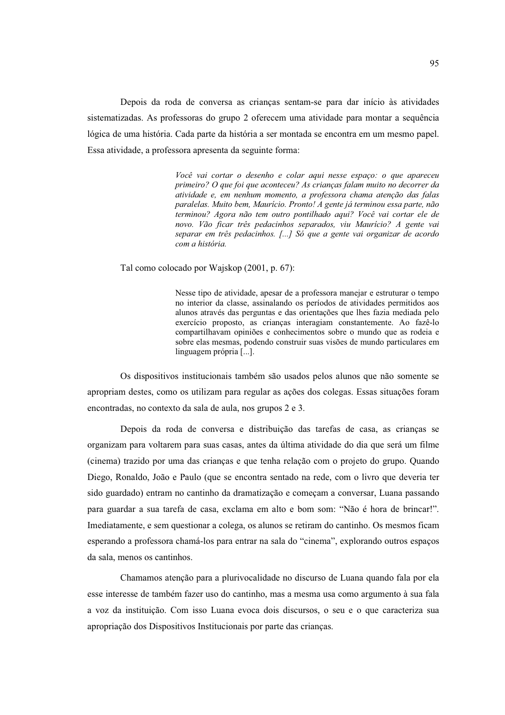Depois da roda de conversa as criancas sentam-se para dar início às atividades sistematizadas. As professoras do grupo 2 oferecem uma atividade para montar a sequência lógica de uma história. Cada parte da história a ser montada se encontra em um mesmo papel. Essa atividade, a professora apresenta da seguinte forma:

> Você vai cortar o desenho e colar aqui nesse espaço: o que apareceu primeiro? O que foi que aconteceu? As criancas falam muito no decorrer da atividade e, em nenhum momento, a professora chama atenção das falas paralelas. Muito bem, Maurício. Pronto! A gente já terminou essa parte, não -<br>terminou? Agora não tem outro pontilhado aqui? Você vai cortar ele de novo. Vão ficar três pedacinhos separados, viu Maurício? A gente vai separar em três pedacinhos. [...] Só que a gente vai organizar de acordo com a história.

Tal como colocado por Wajskop (2001, p. 67):

Nesse tipo de atividade, apesar de a professora manejar e estruturar o tempo no interior da classe, assinalando os períodos de atividades permitidos aos alunos através das perguntas e das orientações que lhes fazia mediada pelo exercício proposto, as crianças interagiam constantemente. Ao fazê-lo compartilhavam opiniões e conhecimentos sobre o mundo que as rodeia e sobre elas mesmas, podendo construir suas visões de mundo particulares em linguagem própria [...].

Os dispositivos institucionais também são usados pelos alunos que não somente se apropriam destes, como os utilizam para regular as ações dos colegas. Essas situações foram encontradas, no contexto da sala de aula, nos grupos 2 e 3.

Depois da roda de conversa e distribuição das tarefas de casa, as crianças se organizam para voltarem para suas casas, antes da última atividade do dia que será um filme (cinema) trazido por uma das crianças e que tenha relação com o projeto do grupo. Quando Diego, Ronaldo, João e Paulo (que se encontra sentado na rede, com o livro que deveria ter sido guardado) entram no cantinho da dramatização e começam a conversar, Luana passando para guardar a sua tarefa de casa, exclama em alto e bom som: "Não é hora de brincar!". Imediatamente, e sem questionar a colega, os alunos se retiram do cantinho. Os mesmos ficam esperando a professora chamá-los para entrar na sala do "cinema", explorando outros espaços da sala, menos os cantinhos.

Chamamos atenção para a plurivocalidade no discurso de Luana quando fala por ela esse interesse de também fazer uso do cantinho, mas a mesma usa como argumento à sua fala a voz da instituição. Com isso Luana evoca dois discursos, o seu e o que caracteriza sua apropriação dos Dispositivos Institucionais por parte das crianças.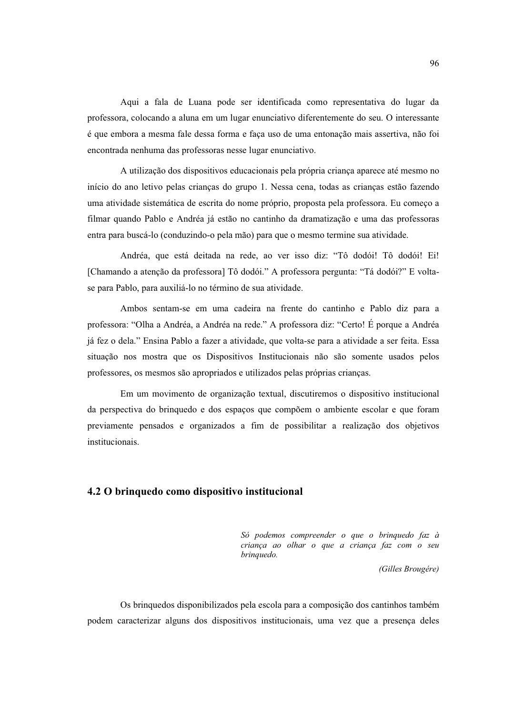Aqui a fala de Luana pode ser identificada como representativa do lugar da professora, colocando a aluna em um lugar enunciativo diferentemente do seu. O interessante é que embora a mesma fale dessa forma e faça uso de uma entonação mais assertiva, não foi encontrada nenhuma das professoras nesse lugar enunciativo.

A utilização dos dispositivos educacionais pela própria criança aparece até mesmo no início do ano letivo pelas crianças do grupo 1. Nessa cena, todas as crianças estão fazendo uma atividade sistemática de escrita do nome próprio, proposta pela professora. Eu começo a filmar quando Pablo e Andréa já estão no cantinho da dramatização e uma das professoras entra para buscá-lo (conduzindo-o pela mão) para que o mesmo termine sua atividade.

Andréa, que está deitada na rede, ao ver isso diz: "Tô dodói! Tô dodói! Ei! [Chamando a atenção da professora] Tô dodói." A professora pergunta: "Tá dodói?" E voltase para Pablo, para auxiliá-lo no término de sua atividade.

Ambos sentam-se em uma cadeira na frente do cantinho e Pablo diz para a professora: "Olha a Andréa, a Andréa na rede." A professora diz: "Certo! É porque a Andréa já fez o dela." Ensina Pablo a fazer a atividade, que volta-se para a atividade a ser feita. Essa situação nos mostra que os Dispositivos Institucionais não são somente usados pelos professores, os mesmos são apropriados e utilizados pelas próprias crianças.

Em um movimento de organização textual, discutiremos o dispositivo institucional da perspectiva do brinquedo e dos espaços que compõem o ambiente escolar e que foram previamente pensados e organizados a fim de possibilitar a realização dos objetivos institucionais.

# 4.2 O brinquedo como dispositivo institucional

Só podemos compreender o que o brinquedo faz à criança ao olhar o que a criança faz com o seu brinquedo.

(Gilles Brougére)

Os brinquedos disponibilizados pela escola para a composição dos cantinhos também podem caracterizar alguns dos dispositivos institucionais, uma vez que a presença deles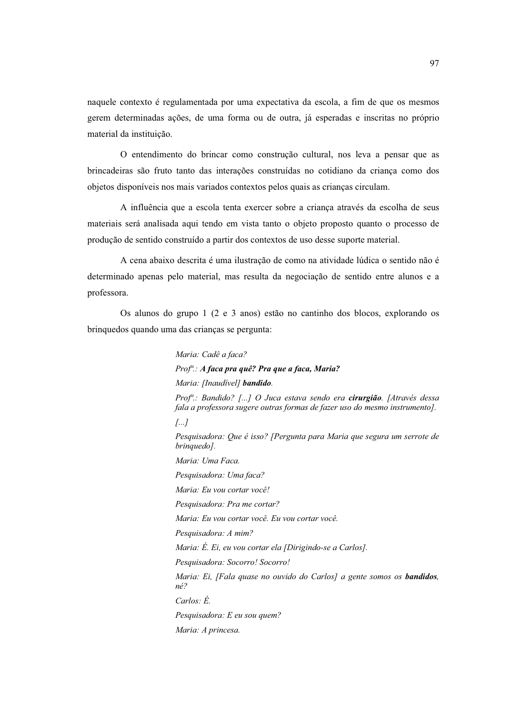naquele contexto é regulamentada por uma expectativa da escola, a fim de que os mesmos gerem determinadas acões, de uma forma ou de outra, já esperadas e inscritas no próprio material da instituição.

O entendimento do brincar como construção cultural, nos leva a pensar que as brincadeiras são fruto tanto das interações construídas no cotidiano da criança como dos objetos disponíveis nos mais variados contextos pelos quais as crianças circulam.

A influência que a escola tenta exercer sobre a criança através da escolha de seus materiais será analisada aqui tendo em vista tanto o objeto proposto quanto o processo de produção de sentido construído a partir dos contextos de uso desse suporte material.

A cena abaixo descrita é uma ilustração de como na atividade lúdica o sentido não é determinado apenas pelo material, mas resulta da negociação de sentido entre alunos e a professora.

Os alunos do grupo 1 (2 e 3 anos) estão no cantinho dos blocos, explorando os brinquedos quando uma das crianças se pergunta:

> Maria: Cadê a faca? Prof<sup>a</sup>: A faca pra quê? Pra que a faca, Maria? Maria: [Inaudivel] bandido. Prof<sup>a</sup>.: Bandido? [...] O Juca estava sendo era **cirurgião**. [Através dessa fala a professora sugere outras formas de fazer uso do mesmo instrumento].  $\left[\ldots\right]$ Pesquisadora: Que é isso? [Pergunta para Maria que segura um serrote de brinquedo]. Maria: Uma Faca. Pesquisadora: Uma faca? Maria: Eu vou cortar você! Pesquisadora: Pra me cortar? Maria: Eu vou cortar você. Eu vou cortar você. Pesquisadora: A mim? Maria: É. Ei, eu vou cortar ela [Dirigindo-se a Carlos]. Pesquisadora: Socorro! Socorro! Maria: Ei, [Fala quase no ouvido do Carlos] a gente somos os **bandidos**,  $n\acute{e}$ ? Carlos:  $\acute{E}$ . Pesquisadora: E eu sou quem? Maria: A princesa.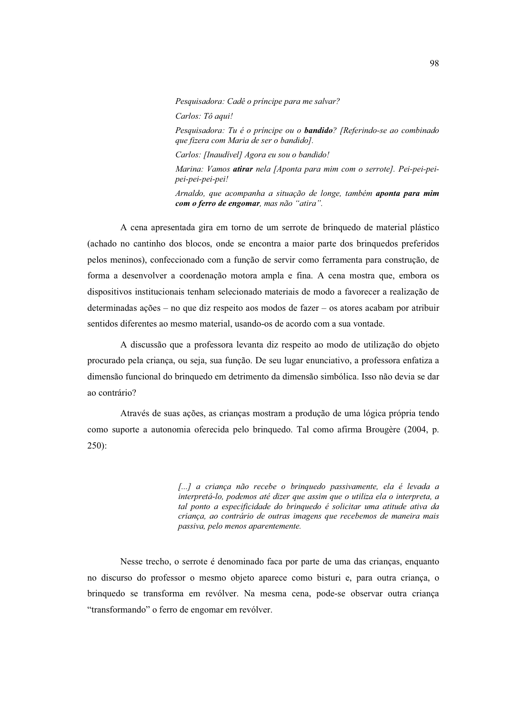Pesquisadora: Cadê o príncipe para me salvar? Carlos: Tô aqui! Pesquisadora: Tu é o príncipe ou o **bandido**? [Referindo-se ao combinado que fizera com Maria de ser o bandido]. Carlos: [Inaudivel] Agora eu sou o bandido! Marina: Vamos atirar nela [Aponta para mim com o serrote]. Pei-pei-peipei-pei-pei-pei! Arnaldo, que acompanha a situação de longe, também **aponta para mim** 

com o ferro de engomar, mas não "atira". A cena apresentada gira em torno de um serrote de brinquedo de material plástico (achado no cantinho dos blocos, onde se encontra a maior parte dos brinquedos preferidos

pelos meninos), confeccionado com a função de servir como ferramenta para construção, de forma a desenvolver a coordenação motora ampla e fina. A cena mostra que, embora os dispositivos institucionais tenham selecionado materiais de modo a favorecer a realização de determinadas ações – no que diz respeito aos modos de fazer – os atores acabam por atribuir sentidos diferentes ao mesmo material, usando-os de acordo com a sua vontade.

A discussão que a professora levanta diz respeito ao modo de utilização do objeto procurado pela criança, ou seja, sua função. De seu lugar enunciativo, a professora enfatiza a dimensão funcional do brinquedo em detrimento da dimensão simbólica. Isso não devia se dar ao contrário?

Através de suas ações, as crianças mostram a produção de uma lógica própria tendo como suporte a autonomia oferecida pelo bringuedo. Tal como afirma Brougère (2004, p.  $250$ :

> [...] a criança não recebe o brinquedo passivamente, ela é levada a interpretá-lo, podemos até dizer que assim que o utiliza ela o interpreta, a tal ponto a especificidade do brinquedo é solicitar uma atitude ativa da criança, ao contrário de outras imagens que recebemos de maneira mais passiva, pelo menos aparentemente.

Nesse trecho, o serrote é denominado faca por parte de uma das crianças, enquanto no discurso do professor o mesmo objeto aparece como bisturi e, para outra criança, o brinquedo se transforma em revólver. Na mesma cena, pode-se observar outra criança "transformando" o ferro de engomar em revólver.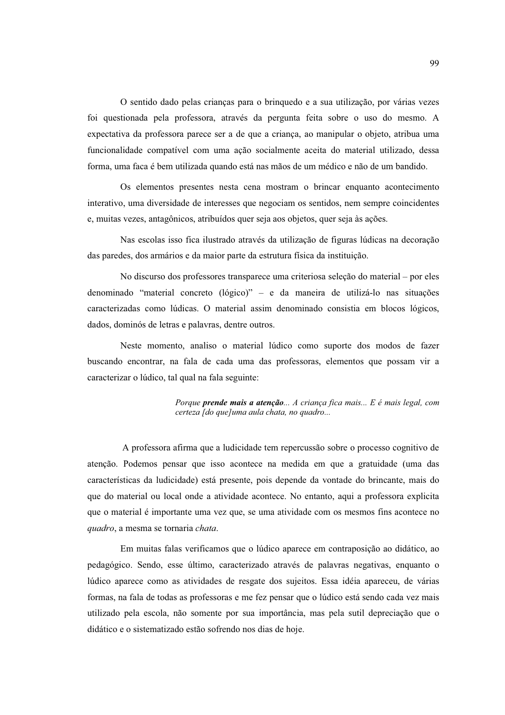O sentido dado pelas crianças para o bringuedo e a sua utilização, por várias vezes foi questionada pela professora, através da pergunta feita sobre o uso do mesmo. A expectativa da professora parece ser a de que a criança, ao manipular o objeto, atribua uma funcionalidade compatível com uma ação socialmente aceita do material utilizado, dessa forma, uma faca é bem utilizada quando está nas mãos de um médico e não de um bandido.

Os elementos presentes nesta cena mostram o brincar enquanto acontecimento interativo, uma diversidade de interesses que negociam os sentidos, nem sempre coincidentes e, muitas vezes, antagônicos, atribuídos quer seja aos objetos, quer seja às ações.

Nas escolas isso fica ilustrado através da utilização de figuras lúdicas na decoração das paredes, dos armários e da maior parte da estrutura física da instituição.

No discurso dos professores transparece uma criteriosa seleção do material – por eles denominado "material concreto (lógico)" - e da maneira de utilizá-lo nas situações caracterizadas como lúdicas. O material assim denominado consistia em blocos lógicos, dados, dominós de letras e palavras, dentre outros.

Neste momento, analiso o material lúdico como suporte dos modos de fazer buscando encontrar, na fala de cada uma das professoras, elementos que possam vir a caracterizar o lúdico, tal qual na fala seguinte:

> Porque prende mais a atenção... A criança fica mais... E é mais legal, com certeza [do que]uma aula chata, no quadro...

A professora afirma que a ludicidade tem repercussão sobre o processo cognitivo de atenção. Podemos pensar que isso acontece na medida em que a gratuidade (uma das características da ludicidade) está presente, pois depende da vontade do brincante, mais do que do material ou local onde a atividade acontece. No entanto, aqui a professora explicita que o material é importante uma vez que, se uma atividade com os mesmos fins acontece no quadro, a mesma se tornaria chata.

Em muitas falas verificamos que o lúdico aparece em contraposição ao didático, ao pedagógico. Sendo, esse último, caracterizado através de palavras negativas, enquanto o lúdico aparece como as atividades de resgate dos sujeitos. Essa idéia apareceu, de várias formas, na fala de todas as professoras e me fez pensar que o lúdico está sendo cada vez mais utilizado pela escola, não somente por sua importância, mas pela sutil depreciação que o didático e o sistematizado estão sofrendo nos dias de hoje.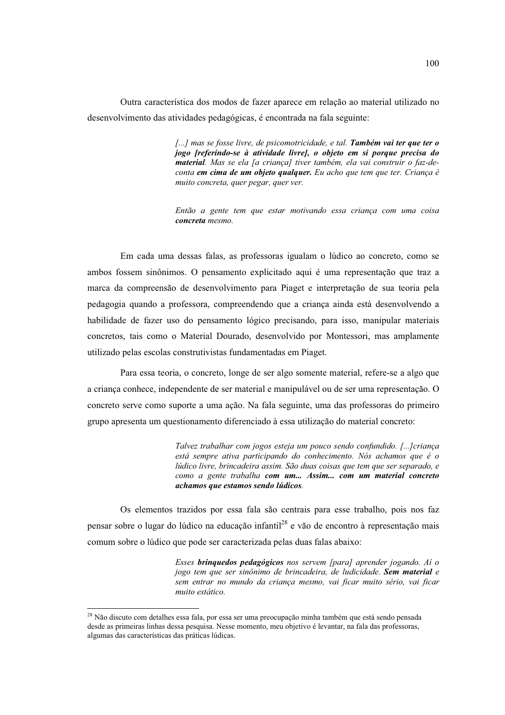Outra característica dos modos de fazer aparece em relação ao material utilizado no desenvolvimento das atividades pedagógicas, é encontrada na fala seguinte:

> [...] mas se fosse livre, de psicomotricidade, e tal. Também vai ter que ter o jogo [referindo-se à atividade livre], o objeto em si porque precisa do material. Mas se ela [a criança] tiver também, ela vai construir o faz-deconta em cima de um objeto qualquer. Eu acho que tem que ter. Criança é muito concreta, quer pegar, quer ver.

> Então a gente tem que estar motivando essa criança com uma coisa concreta mesmo.

Em cada uma dessas falas, as professoras igualam o lúdico ao concreto, como se ambos fossem sinônimos. O pensamento explicitado aqui é uma representação que traz a marca da compreensão de desenvolvimento para Piaget e interpretação de sua teoria pela pedagogia quando a professora, compreendendo que a criança ainda está desenvolvendo a habilidade de fazer uso do pensamento lógico precisando, para isso, manipular materiais concretos, tais como o Material Dourado, desenvolvido por Montessori, mas amplamente utilizado pelas escolas construtivistas fundamentadas em Piaget.

Para essa teoria, o concreto, longe de ser algo somente material, refere-se a algo que a crianca conhece, independente de ser material e manipulável ou de ser uma representação. O concreto serve como suporte a uma ação. Na fala seguinte, uma das professoras do primeiro grupo apresenta um questionamento diferenciado à essa utilização do material concreto:

> Talvez trabalhar com jogos esteja um pouco sendo confundido. [...] criança está sempre ativa participando do conhecimento. Nós achamos que é o lúdico livre, brincadeira assim. São duas coisas que tem que ser separado, e como a gente trabalha com um... Assim... com um material concreto achamos que estamos sendo lúdicos.

Os elementos trazidos por essa fala são centrais para esse trabalho, pois nos faz pensar sobre o lugar do lúdico na educação infantil<sup>28</sup> e vão de encontro à representação mais comum sobre o lúdico que pode ser caracterizada pelas duas falas abaixo:

> Esses brinquedos pedagógicos nos servem [para] aprender jogando. Aí o jogo tem que ser sinônimo de brincadeira, de ludicidade. Sem material e sem entrar no mundo da crianca mesmo, vai ficar muito sério, vai ficar muito estático.

<sup>&</sup>lt;sup>28</sup> Não discuto com detalhes essa fala, por essa ser uma preocupação minha também que está sendo pensada desde as primeiras linhas dessa pesquisa. Nesse momento, meu objetivo é levantar, na fala das professoras, algumas das características das práticas lúdicas.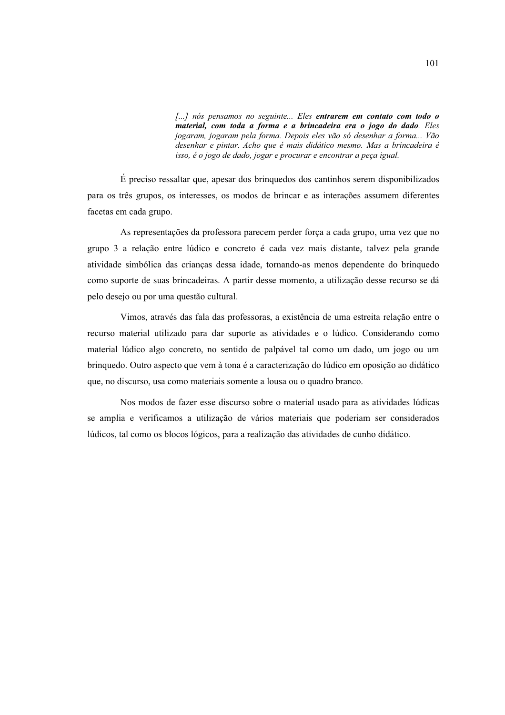[...] nós pensamos no seguinte... Eles entrarem em contato com todo o material, com toda a forma e a brincadeira era o jogo do dado. Eles jogaram, jogaram pela forma. Depois eles vão só desenhar a forma... Vão desenhar e pintar. Acho que é mais didático mesmo. Mas a brincadeira é isso, é o jogo de dado, jogar e procurar e encontrar a peça igual.

É preciso ressaltar que, apesar dos brinquedos dos cantinhos serem disponibilizados para os três grupos, os interesses, os modos de brincar e as interações assumem diferentes facetas em cada grupo.

As representações da professora parecem perder força a cada grupo, uma vez que no grupo 3 a relação entre lúdico e concreto é cada vez mais distante, talvez pela grande atividade simbólica das crianças dessa idade, tornando-as menos dependente do brinquedo como suporte de suas brincadeiras. A partir desse momento, a utilização desse recurso se dá pelo desejo ou por uma questão cultural.

Vimos, através das fala das professoras, a existência de uma estreita relação entre o recurso material utilizado para dar suporte as atividades e o lúdico. Considerando como material lúdico algo concreto, no sentido de palpável tal como um dado, um jogo ou um brinquedo. Outro aspecto que vem à tona é a caracterização do lúdico em oposição ao didático que, no discurso, usa como materiais somente a lousa ou o quadro branco.

Nos modos de fazer esse discurso sobre o material usado para as atividades lúdicas se amplia e verificamos a utilização de vários materiais que poderiam ser considerados lúdicos, tal como os blocos lógicos, para a realização das atividades de cunho didático.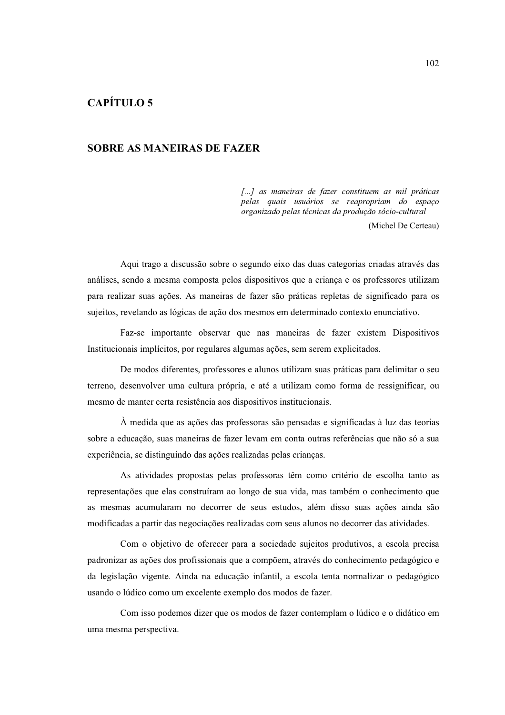# **CAPÍTULO 5**

## **SOBRE AS MANEIRAS DE FAZER**

[...] as maneiras de fazer constituem as mil práticas pelas quais usuários se reapropriam do espaço organizado pelas técnicas da produção sócio-cultural

(Michel De Certeau)

Aqui trago a discussão sobre o segundo eixo das duas categorias criadas através das análises, sendo a mesma composta pelos dispositivos que a criança e os professores utilizam para realizar suas ações. As maneiras de fazer são práticas repletas de significado para os sujeitos, revelando as lógicas de ação dos mesmos em determinado contexto enunciativo.

Faz-se importante observar que nas maneiras de fazer existem Dispositivos Institucionais implícitos, por regulares algumas ações, sem serem explicitados.

De modos diferentes, professores e alunos utilizam suas práticas para delimitar o seu terreno, desenvolver uma cultura própria, e até a utilizam como forma de ressignificar, ou mesmo de manter certa resistência aos dispositivos institucionais.

À medida que as ações das professoras são pensadas e significadas à luz das teorias sobre a educação, suas maneiras de fazer levam em conta outras referências que não só a sua experiência, se distinguindo das ações realizadas pelas crianças.

As atividades propostas pelas professoras têm como critério de escolha tanto as representações que elas construíram ao longo de sua vida, mas também o conhecimento que as mesmas acumularam no decorrer de seus estudos, além disso suas ações ainda são modificadas a partir das negociações realizadas com seus alunos no decorrer das atividades.

Com o objetivo de oferecer para a sociedade sujeitos produtivos, a escola precisa padronizar as ações dos profissionais que a compõem, através do conhecimento pedagógico e da legislação vigente. Ainda na educação infantil, a escola tenta normalizar o pedagógico usando o lúdico como um excelente exemplo dos modos de fazer.

Com isso podemos dizer que os modos de fazer contemplam o lúdico e o didático em uma mesma perspectiva.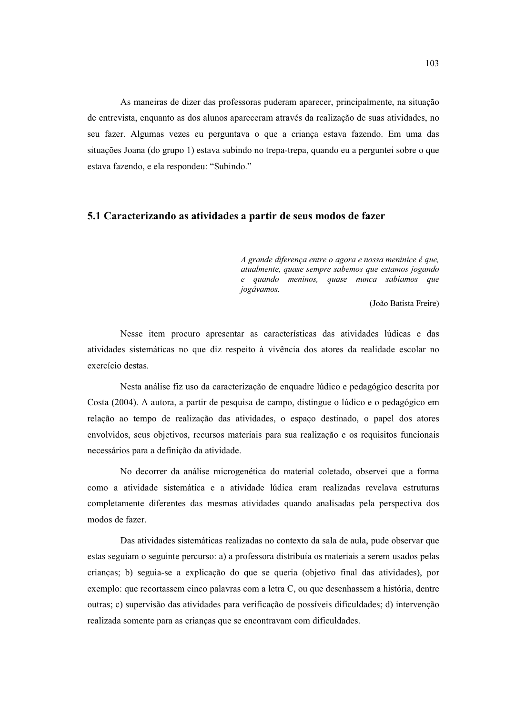As maneiras de dizer das professoras puderam aparecer, principalmente, na situação de entrevista, enquanto as dos alunos apareceram através da realização de suas atividades, no seu fazer. Algumas vezes eu perguntava o que a criança estava fazendo. Em uma das situações Joana (do grupo 1) estava subindo no trepa-trepa, quando eu a perguntei sobre o que estava fazendo, e ela respondeu: "Subindo."

# 5.1 Caracterizando as atividades a partir de seus modos de fazer

A grande diferença entre o agora e nossa meninice é que, atualmente, quase sempre sabemos que estamos iogando e quando meninos, quase nunca sabíamos que jogávamos.

(João Batista Freire)

Nesse item procuro apresentar as características das atividades lúdicas e das atividades sistemáticas no que diz respeito à vivência dos atores da realidade escolar no exercício destas.

Nesta análise fiz uso da caracterização de enquadre lúdico e pedagógico descrita por Costa (2004). A autora, a partir de pesquisa de campo, distingue o lúdico e o pedagógico em relação ao tempo de realização das atividades, o espaço destinado, o papel dos atores envolvidos, seus objetivos, recursos materiais para sua realização e os requisitos funcionais necessários para a definição da atividade.

No decorrer da análise microgenética do material coletado, observei que a forma como a atividade sistemática e a atividade lúdica eram realizadas revelava estruturas completamente diferentes das mesmas atividades quando analisadas pela perspectiva dos modos de fazer.

Das atividades sistemáticas realizadas no contexto da sala de aula, pude observar que estas seguiam o seguinte percurso: a) a professora distribuía os materiais a serem usados pelas crianças; b) seguia-se a explicação do que se queria (objetivo final das atividades), por exemplo: que recortassem cinco palavras com a letra C, ou que desenhassem a história, dentre outras; c) supervisão das atividades para verificação de possíveis dificuldades; d) intervenção realizada somente para as crianças que se encontravam com dificuldades.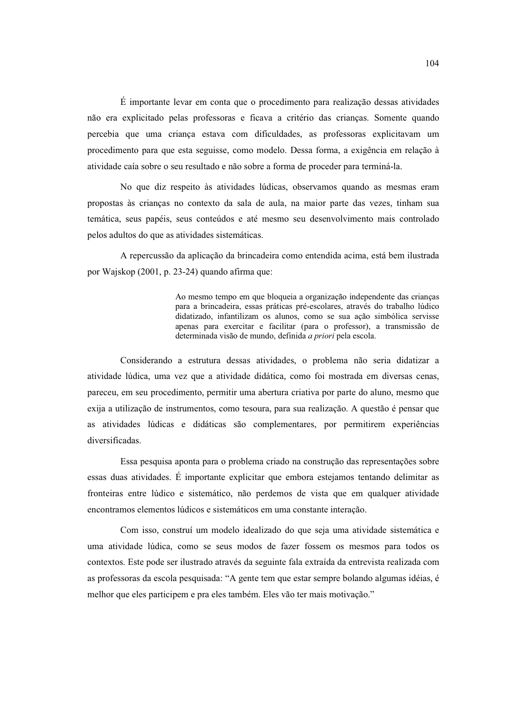$\hat{E}$  importante levar em conta que o procedimento para realização dessas atividades não era explicitado pelas professoras e ficava a critério das criancas. Somente quando percebia que uma criança estava com dificuldades, as professoras explicitavam um procedimento para que esta seguisse, como modelo. Dessa forma, a exigência em relação à atividade caía sobre o seu resultado e não sobre a forma de proceder para terminá-la.

No que diz respeito às atividades lúdicas, observamos quando as mesmas eram propostas às crianças no contexto da sala de aula, na maior parte das vezes, tinham sua temática, seus papéis, seus conteúdos e até mesmo seu desenvolvimento mais controlado pelos adultos do que as atividades sistemáticas.

A repercussão da aplicação da brincadeira como entendida acima, está bem ilustrada por Wajskop (2001, p. 23-24) quando afirma que:

> Ao mesmo tempo em que bloqueia a organização independente das crianças para a brincadeira, essas práticas pré-escolares, através do trabalho lúdico didatizado, infantilizam os alunos, como se sua ação simbólica servisse apenas para exercitar e facilitar (para o professor), a transmissão de determinada visão de mundo, definida a priori pela escola.

Considerando a estrutura dessas atividades, o problema não seria didatizar a atividade lúdica, uma vez que a atividade didática, como foi mostrada em diversas cenas, pareceu, em seu procedimento, permitir uma abertura criativa por parte do aluno, mesmo que exija a utilização de instrumentos, como tesoura, para sua realização. A questão é pensar que as atividades lúdicas e didáticas são complementares, por permitirem experiências diversificadas.

Essa pesquisa aponta para o problema criado na construção das representações sobre essas duas atividades. É importante explicitar que embora estejamos tentando delimitar as fronteiras entre lúdico e sistemático, não perdemos de vista que em qualquer atividade encontramos elementos lúdicos e sistemáticos em uma constante interação.

Com isso, construí um modelo idealizado do que seja uma atividade sistemática e uma atividade lúdica, como se seus modos de fazer fossem os mesmos para todos os contextos. Este pode ser ilustrado através da seguinte fala extraída da entrevista realizada com as professoras da escola pesquisada: "A gente tem que estar sempre bolando algumas idéias, é melhor que eles participem e pra eles também. Eles vão ter mais motivação."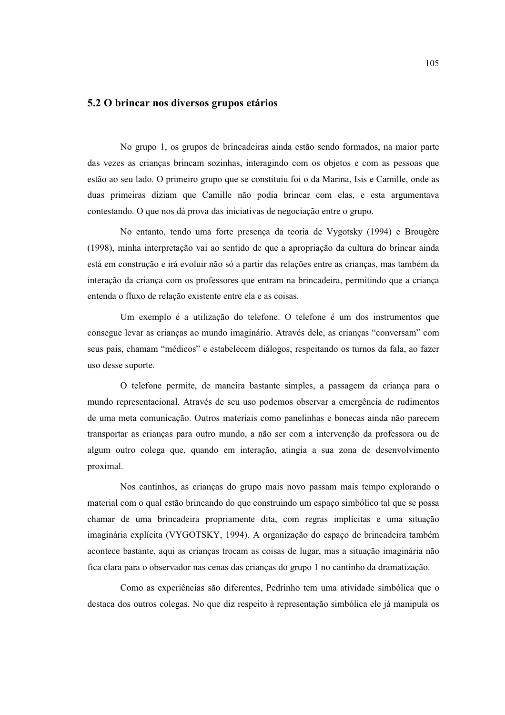## 5.2 O brincar nos diversos grupos etários

No grupo 1, os grupos de brincadeiras ainda estão sendo formados, na maior parte das vezes as crianças brincam sozinhas, interagindo com os objetos e com as pessoas que estão ao seu lado. O primeiro grupo que se constituiu foi o da Marina, Isis e Camille, onde as duas primeiras diziam que Camille não podia brincar com elas, e esta argumentava contestando. O que nos dá prova das iniciativas de negociação entre o grupo.

No entanto, tendo uma forte presença da teoria de Vygotsky (1994) e Brougère (1998), minha interpretação vai ao sentido de que a apropriação da cultura do brincar ainda está em construção e irá evoluir não só a partir das relações entre as crianças, mas também da interação da criança com os professores que entram na brincadeira, permitindo que a criança entenda o fluxo de relação existente entre ela e as coisas.

Um exemplo é a utilização do telefone. O telefone é um dos instrumentos que consegue levar as crianças ao mundo imaginário. Através dele, as crianças "conversam" com seus pais, chamam "médicos" e estabelecem diálogos, respeitando os turnos da fala, ao fazer uso desse suporte.

O telefone permite, de maneira bastante simples, a passagem da crianca para o mundo representacional. Através de seu uso podemos observar a emergência de rudimentos de uma meta comunicação. Outros materiais como panelinhas e bonecas ainda não parecem transportar as criancas para outro mundo, a não ser com a intervenção da professora ou de algum outro colega que, quando em interação, atingia a sua zona de desenvolvimento proximal.

Nos cantinhos, as crianças do grupo mais novo passam mais tempo explorando o material com o qual estão brincando do que construindo um espaço simbólico tal que se possa chamar de uma brincadeira propriamente dita, com regras implícitas e uma situação imaginária explícita (VYGOTSKY, 1994). A organização do espaço de brincadeira também acontece bastante, aqui as crianças trocam as coisas de lugar, mas a situação imaginária não fica clara para o observador nas cenas das crianças do grupo 1 no cantinho da dramatização.

Como as experiências são diferentes, Pedrinho tem uma atividade simbólica que o destaca dos outros colegas. No que diz respeito à representação simbólica ele já manipula os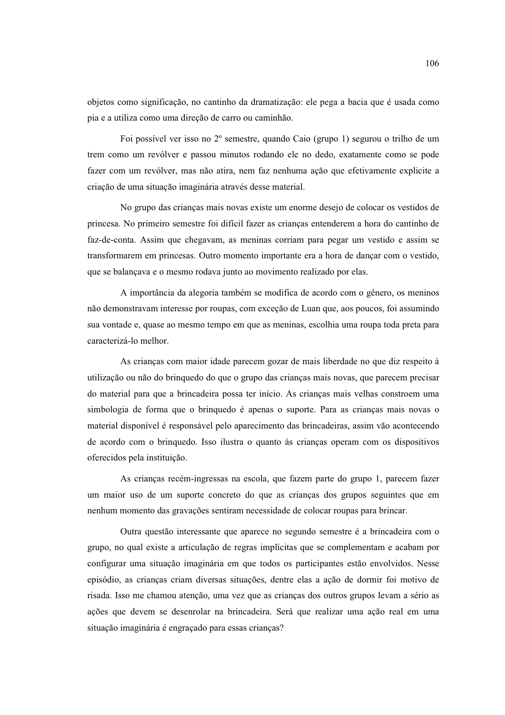objetos como significação, no cantinho da dramatização: ele pega a bacia que é usada como pia e a utiliza como uma direção de carro ou caminhão.

Foi possível ver isso no 2<sup>°</sup> semestre, quando Caio (grupo 1) segurou o trilho de um trem como um revólver e passou minutos rodando ele no dedo, exatamente como se pode fazer com um revólver, mas não atira, nem faz nenhuma ação que efetivamente explicite a criação de uma situação imaginária através desse material.

No grupo das crianças mais novas existe um enorme desejo de colocar os vestidos de princesa. No primeiro semestre foi difícil fazer as crianças entenderem a hora do cantinho de faz-de-conta. Assim que chegavam, as meninas corriam para pegar um vestido e assim se transformarem em princesas. Outro momento importante era a hora de dançar com o vestido, que se balançava e o mesmo rodava junto ao movimento realizado por elas.

A importância da alegoria também se modifica de acordo com o gênero, os meninos não demonstravam interesse por roupas, com exceção de Luan que, aos poucos, foi assumindo sua vontade e, quase ao mesmo tempo em que as meninas, escolhia uma roupa toda preta para caracterizá-lo melhor

As crianças com maior idade parecem gozar de mais liberdade no que diz respeito à utilização ou não do brinquedo do que o grupo das crianças mais novas, que parecem precisar do material para que a brincadeira possa ter início. As crianças mais velhas constroem uma simbologia de forma que o brinquedo é apenas o suporte. Para as crianças mais novas o material disponível é responsável pelo aparecimento das brincadeiras, assim vão acontecendo de acordo com o brinquedo. Isso ilustra o quanto às crianças operam com os dispositivos oferecidos pela instituição.

As crianças recém-ingressas na escola, que fazem parte do grupo 1, parecem fazer um maior uso de um suporte concreto do que as crianças dos grupos seguintes que em nenhum momento das gravações sentiram necessidade de colocar roupas para brincar.

Outra questão interessante que aparece no segundo semestre é a brincadeira com o grupo, no qual existe a articulação de regras implícitas que se complementam e acabam por configurar uma situação imaginária em que todos os participantes estão envolvidos. Nesse episódio, as crianças criam diversas situações, dentre elas a ação de dormir foi motivo de risada. Isso me chamou atenção, uma vez que as crianças dos outros grupos levam a sério as ações que devem se desenrolar na brincadeira. Será que realizar uma ação real em uma situação imaginária é engraçado para essas crianças?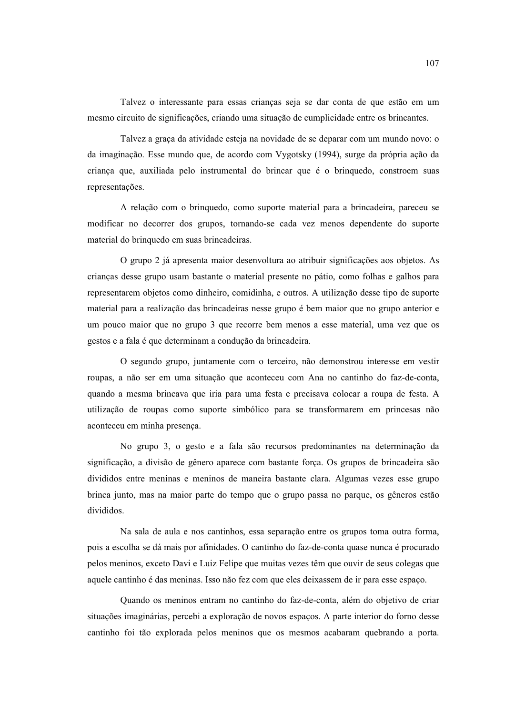Talvez o interessante para essas criancas seja se dar conta de que estão em um mesmo circuito de significações, criando uma situação de cumplicidade entre os brincantes.

Talvez a graça da atividade esteja na novidade de se deparar com um mundo novo: o da imaginação. Esse mundo que, de acordo com Vygotsky (1994), surge da própria ação da criança que, auxiliada pelo instrumental do brincar que é o brinquedo, constroem suas representações.

A relação com o brinquedo, como suporte material para a brincadeira, pareceu se modificar no decorrer dos grupos, tornando-se cada vez menos dependente do suporte material do brinquedo em suas brincadeiras.

O grupo 2 já apresenta maior desenvoltura ao atribuir significações aos objetos. As crianças desse grupo usam bastante o material presente no pátio, como folhas e galhos para representarem objetos como dinheiro, comidinha, e outros. A utilização desse tipo de suporte material para a realização das brincadeiras nesse grupo é bem maior que no grupo anterior e um pouco maior que no grupo 3 que recorre bem menos a esse material, uma vez que os gestos e a fala é que determinam a condução da brincadeira.

O segundo grupo, juntamente com o terceiro, não demonstrou interesse em vestir roupas, a não ser em uma situação que aconteceu com Ana no cantinho do faz-de-conta, quando a mesma brincava que iria para uma festa e precisava colocar a roupa de festa. A utilização de roupas como suporte simbólico para se transformarem em princesas não aconteceu em minha presenca.

No grupo 3, o gesto e a fala são recursos predominantes na determinação da significação, a divisão de gênero aparece com bastante forca. Os grupos de brincadeira são divididos entre meninas e meninos de maneira bastante clara. Algumas vezes esse grupo brinca junto, mas na maior parte do tempo que o grupo passa no parque, os gêneros estão divididos

Na sala de aula e nos cantinhos, essa separação entre os grupos toma outra forma, pois a escolha se dá mais por afinidades. O cantinho do faz-de-conta quase nunca é procurado pelos meninos, exceto Davi e Luiz Felipe que muitas vezes têm que ouvir de seus colegas que aquele cantinho é das meninas. Isso não fez com que eles deixassem de ir para esse espaço.

Quando os meninos entram no cantinho do faz-de-conta, além do objetivo de criar situações imaginárias, percebi a exploração de novos espaços. A parte interior do forno desse cantinho foi tão explorada pelos meninos que os mesmos acabaram quebrando a porta.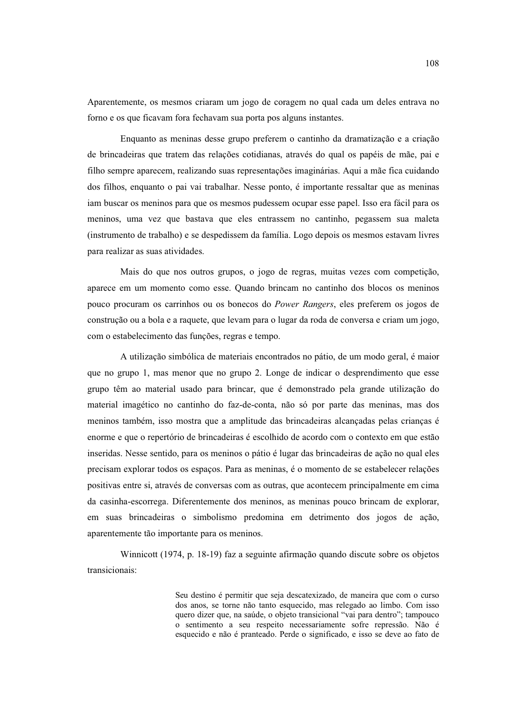Aparentemente, os mesmos criaram um jogo de coragem no qual cada um deles entrava no formo e os que ficavam fora fechavam sua porta pos alguns instantes.

Enquanto as meninas desse grupo preferem o cantinho da dramatização e a criação de brincadeiras que tratem das relações cotidianas, através do qual os papéis de mãe, pai e filho sempre aparecem, realizando suas representações imaginárias. Aqui a mãe fica cuidando dos filhos, enquanto o pai vai trabalhar. Nesse ponto, é importante ressaltar que as meninas iam buscar os meninos para que os mesmos pudessem ocupar esse papel. Isso era fácil para os meninos, uma vez que bastava que eles entrassem no cantinho, pegassem sua maleta (instrumento de trabalho) e se despedissem da família. Logo depois os mesmos estavam livres para realizar as suas atividades.

Mais do que nos outros grupos, o jogo de regras, muitas vezes com competição, aparece em um momento como esse. Quando brincam no cantinho dos blocos os meninos pouco procuram os carrinhos ou os bonecos do *Power Rangers*, eles preferem os jogos de construção ou a bola e a raquete, que levam para o lugar da roda de conversa e criam um jogo, com o estabelecimento das funções, regras e tempo.

A utilização simbólica de materiais encontrados no pátio, de um modo geral, é maior que no grupo 1, mas menor que no grupo 2. Longe de indicar o desprendimento que esse grupo têm ao material usado para brincar, que é demonstrado pela grande utilização do material imagético no cantinho do faz-de-conta, não só por parte das meninas, mas dos meninos também, isso mostra que a amplitude das brincadeiras alcançadas pelas crianças é enorme e que o repertório de brincadeiras é escolhido de acordo com o contexto em que estão inseridas. Nesse sentido, para os meninos o pátio é lugar das brincadeiras de ação no qual eles precisam explorar todos os espaços. Para as meninas, é o momento de se estabelecer relações positivas entre si, através de conversas com as outras, que acontecem principalmente em cima da casinha-escorrega. Diferentemente dos meninos, as meninas pouco brincam de explorar, em suas brincadeiras o simbolismo predomina em detrimento dos jogos de ação, aparentemente tão importante para os meninos.

Winnicott (1974, p. 18-19) faz a seguinte afirmação quando discute sobre os objetos transicionais:

> Seu destino é permitir que seja descatexizado, de maneira que com o curso dos anos, se torne não tanto esquecido, mas relegado ao limbo. Com isso quero dizer que, na saúde, o objeto transicional "vai para dentro"; tampouco o sentimento a seu respeito necessariamente sofre repressão. Não é esquecido e não é pranteado. Perde o significado, e isso se deve ao fato de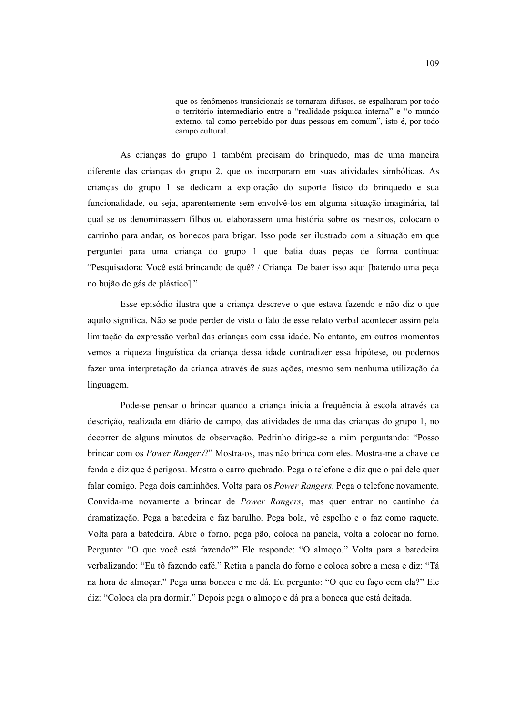que os fenômenos transicionais se tornaram difusos, se espalharam por todo o território intermediário entre a "realidade psíquica interna" e "o mundo externo, tal como percebido por duas pessoas em comum", isto é, por todo campo cultural.

As criancas do grupo 1 também precisam do bringuedo, mas de uma maneira diferente das crianças do grupo 2, que os incorporam em suas atividades simbólicas. As crianças do grupo 1 se dedicam a exploração do suporte físico do brinquedo e sua funcionalidade, ou seja, aparentemente sem envolvê-los em alguma situação imaginária, tal qual se os denominassem filhos ou elaborassem uma história sobre os mesmos, colocam o carrinho para andar, os bonecos para brigar. Isso pode ser ilustrado com a situação em que perguntei para uma criança do grupo 1 que batia duas peças de forma contínua: "Pesquisadora: Você está brincando de quê? / Criança: De bater isso aqui [batendo uma peça no bujão de gás de plástico]."

Esse episódio ilustra que a crianca descreve o que estava fazendo e não diz o que aquilo significa. Não se pode perder de vista o fato de esse relato verbal acontecer assim pela limitação da expressão verbal das crianças com essa idade. No entanto, em outros momentos vemos a riqueza linguística da criança dessa idade contradizer essa hipótese, ou podemos fazer uma interpretação da criança através de suas ações, mesmo sem nenhuma utilização da linguagem.

Pode-se pensar o brincar quando a criança inicia a frequência à escola através da descrição, realizada em diário de campo, das atividades de uma das crianças do grupo 1, no decorrer de alguns minutos de observação. Pedrinho dirige-se a mim perguntando: "Posso brincar com os Power Rangers?" Mostra-os, mas não brinca com eles. Mostra-me a chave de fenda e diz que é perigosa. Mostra o carro quebrado. Pega o telefone e diz que o pai dele quer falar comigo. Pega dois caminhões. Volta para os Power Rangers. Pega o telefone novamente. Convida-me novamente a brincar de Power Rangers, mas quer entrar no cantinho da dramatização. Pega a batedeira e faz barulho. Pega bola, vê espelho e o faz como raquete. Volta para a batedeira. Abre o forno, pega pão, coloca na panela, volta a colocar no forno. Pergunto: "O que você está fazendo?" Ele responde: "O almoço." Volta para a batedeira verbalizando: "Eu tô fazendo café." Retira a panela do forno e coloca sobre a mesa e diz: "Tá na hora de almocar." Pega uma boneca e me dá. Eu pergunto: "O que eu faco com ela?" Ele diz: "Coloca ela pra dormir." Depois pega o almoço e dá pra a boneca que está deitada.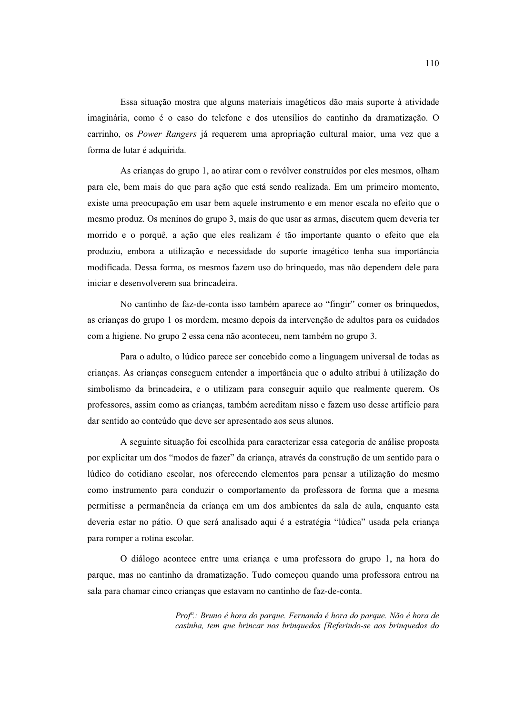Essa situação mostra que alguns materiais imagéticos dão mais suporte à atividade imaginária, como é o caso do telefone e dos utensílios do cantinho da dramatização. O carrinho, os Power Rangers já requerem uma apropriação cultural maior, uma vez que a forma de lutar é adquirida.

As crianças do grupo 1, ao atirar com o revólver construídos por eles mesmos, olham para ele, bem mais do que para ação que está sendo realizada. Em um primeiro momento, existe uma preocupação em usar bem aquele instrumento e em menor escala no efeito que o mesmo produz. Os meninos do grupo 3, mais do que usar as armas, discutem quem deveria ter morrido e o porquê, a ação que eles realizam é tão importante quanto o efeito que ela produziu, embora a utilização e necessidade do suporte imagético tenha sua importância modificada. Dessa forma, os mesmos fazem uso do bringuedo, mas não dependem dele para iniciar e desenvolverem sua brincadeira.

No cantinho de faz-de-conta isso também aparece ao "fingir" comer os brinquedos, as crianças do grupo 1 os mordem, mesmo depois da intervenção de adultos para os cuidados com a higiene. No grupo 2 essa cena não aconteceu, nem também no grupo 3.

Para o adulto, o lúdico parece ser concebido como a linguagem universal de todas as crianças. As crianças conseguem entender a importância que o adulto atribui à utilização do simbolismo da brincadeira, e o utilizam para conseguir aquilo que realmente querem. Os professores, assim como as criancas, também acreditam nisso e fazem uso desse artifício para dar sentido ao conteúdo que deve ser apresentado aos seus alunos.

A seguinte situação foi escolhida para caracterizar essa categoria de análise proposta por explicitar um dos "modos de fazer" da criança, através da construção de um sentido para o lúdico do cotidiano escolar, nos oferecendo elementos para pensar a utilização do mesmo como instrumento para conduzir o comportamento da professora de forma que a mesma permitisse a permanência da criança em um dos ambientes da sala de aula, enquanto esta deveria estar no pátio. O que será analisado aqui é a estratégia "lúdica" usada pela criança para romper a rotina escolar.

O diálogo acontece entre uma criança e uma professora do grupo 1, na hora do parque, mas no cantinho da dramatização. Tudo começou quando uma professora entrou na sala para chamar cinco crianças que estavam no cantinho de faz-de-conta.

> Prof<sup>a</sup>.: Bruno é hora do parque. Fernanda é hora do parque. Não é hora de casinha, tem que brincar nos brinquedos [Referindo-se aos brinquedos do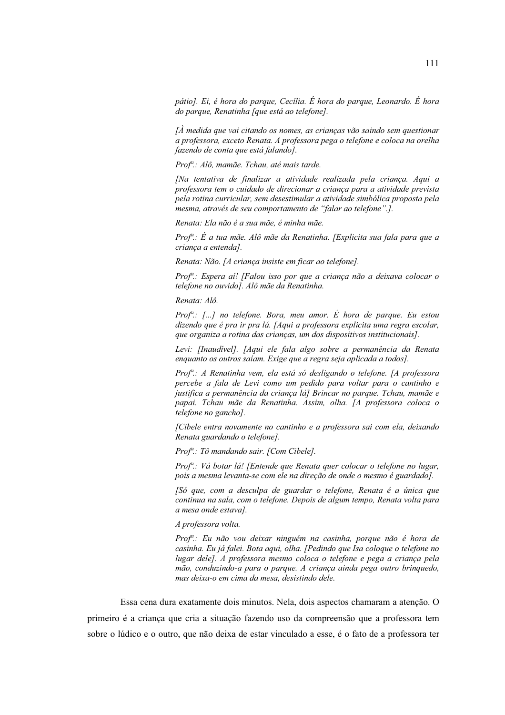pátio]. Ei, é hora do parque, Cecília. É hora do parque, Leonardo. É hora do parque, Renatinha [que está ao telefone].

 $\Lambda$  medida que vai citando os nomes, as crianças vão saindo sem questionar a professora, exceto Renata. A professora pega o telefone e coloca na orelha fazendo de conta que está falando].

Prof<sup>a</sup>.: Alô, mamãe. Tchau, até mais tarde.

[Na tentativa de finalizar a atividade realizada pela criança. Aqui a professora tem o cuidado de direcionar a criança para a atividade prevista pela rotina curricular, sem desestimular a atividade simbólica proposta pela mesma, através de seu comportamento de "falar ao telefone".].

Renata: Ela não é a sua mãe, é minha mãe.

Prof<sup>a</sup>.: É a tua mãe. Alô mãe da Renatinha. [Explicita sua fala para que a criança a entenda].

Renata: Não. [A criança insiste em ficar ao telefone].

Prof<sup>a</sup>: Espera aí! [Falou isso por que a criança não a deixava colocar o telefone no ouvido]. Alô mãe da Renatinha.

Renata: Alô.

Prof<sup>a</sup>: [...] no telefone. Bora, meu amor. É hora de parque. Eu estou dizendo que é pra ir pra lá. [Aqui a professora explicita uma regra escolar, que organiza a rotina das crianças, um dos dispositivos institucionais].

Levi: [Inaudivel]. [Aqui ele fala algo sobre a permanência da Renata enquanto os outros saíam. Exige que a regra seja aplicada a todos].

Prof<sup>a</sup>.: A Renatinha vem, ela está só desligando o telefone. [A professora percebe a fala de Levi como um pedido para voltar para o cantinho e justifica a permanência da criança lá] Brincar no parque. Tchau, mamãe e papai. Tchau mãe da Renatinha. Assim, olha. [A professora coloca o telefone no gancho].

[Cibele entra novamente no cantinho e a professora sai com ela, deixando Renata guardando o telefone].

Prof<sup>a</sup>.: Tô mandando sair. [Com Cibele].

Prof<sup>a</sup>.: Vá botar lá! [Entende que Renata quer colocar o telefone no lugar, pois a mesma levanta-se com ele na direção de onde o mesmo é guardado].

[Só que, com a desculpa de guardar o telefone, Renata é a única que continua na sala, com o telefone. Depois de algum tempo, Renata volta para a mesa onde estava].

A professora volta.

Prof<sup>a</sup>.: Eu não vou deixar ninguém na casinha, porque não é hora de casinha. Eu já falei. Bota aqui, olha. [Pedindo que Isa coloque o telefone no lugar dele]. A professora mesmo coloca o telefone e pega a criança pela mão, conduzindo-a para o parque. A criança ainda pega outro brinquedo, mas deixa-o em cima da mesa, desistindo dele.

Essa cena dura exatamente dois minutos. Nela, dois aspectos chamaram a atenção. O primeiro é a criança que cria a situação fazendo uso da compreensão que a professora tem sobre o lúdico e o outro, que não deixa de estar vinculado a esse, é o fato de a professora ter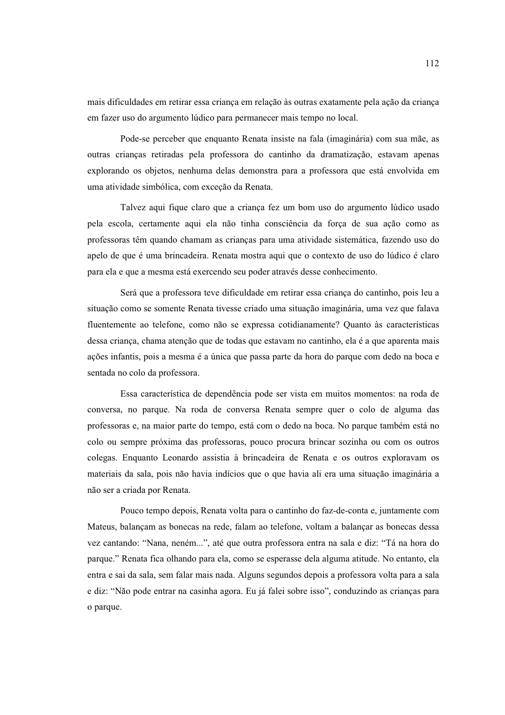mais dificuldades em retirar essa crianca em relação às outras exatamente pela ação da criança em fazer uso do argumento lúdico para permanecer mais tempo no local.

Pode-se perceber que enquanto Renata insiste na fala (imaginária) com sua mãe, as outras crianças retiradas pela professora do cantinho da dramatização, estavam apenas explorando os objetos, nenhuma delas demonstra para a professora que está envolvida em uma atividade simbólica, com exceção da Renata.

Talvez aqui fique claro que a criança fez um bom uso do argumento lúdico usado pela escola, certamente aqui ela não tinha consciência da força de sua ação como as professoras têm quando chamam as crianças para uma atividade sistemática, fazendo uso do apelo de que é uma brincadeira. Renata mostra aqui que o contexto de uso do lúdico é claro para ela e que a mesma está exercendo seu poder através desse conhecimento.

Será que a professora teve dificuldade em retirar essa criança do cantinho, pois leu a situação como se somente Renata tivesse criado uma situação imaginária, uma vez que falava fluentemente ao telefone, como não se expressa cotidianamente? Quanto às características dessa criança, chama atenção que de todas que estavam no cantinho, ela é a que aparenta mais ações infantis, pois a mesma é a única que passa parte da hora do parque com dedo na boca e sentada no colo da professora.

Essa característica de dependência pode ser vista em muitos momentos: na roda de conversa, no parque. Na roda de conversa Renata sempre quer o colo de alguma das professoras e, na maior parte do tempo, está com o dedo na boca. No parque também está no colo ou sempre próxima das professoras, pouco procura brincar sozinha ou com os outros colegas. Enquanto Leonardo assistia à brincadeira de Renata e os outros exploravam os materiais da sala, pois não havia indícios que o que havia ali era uma situação imaginária a não ser a criada por Renata.

Pouco tempo depois, Renata volta para o cantinho do faz-de-conta e, juntamente com Mateus, balançam as bonecas na rede, falam ao telefone, voltam a balançar as bonecas dessa vez cantando: "Nana, neném...", até que outra professora entra na sala e diz: "Tá na hora do parque." Renata fica olhando para ela, como se esperasse dela alguma atitude. No entanto, ela entra e sai da sala, sem falar mais nada. Alguns segundos depois a professora volta para a sala e diz: "Não pode entrar na casinha agora. Eu já falei sobre isso", conduzindo as criancas para o parque.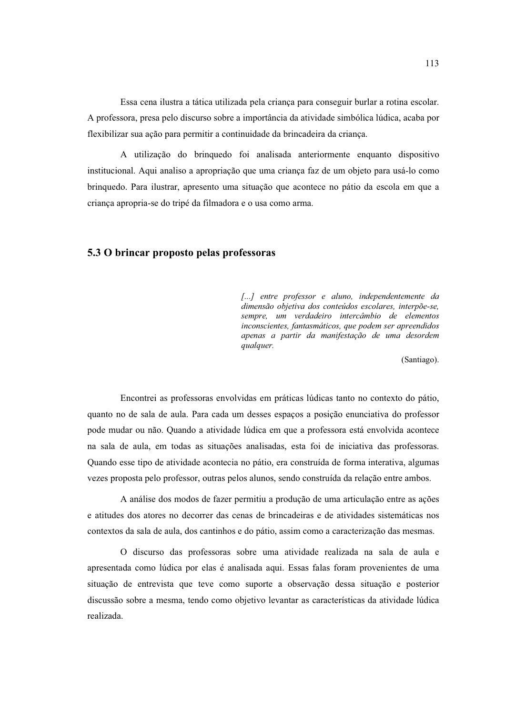Essa cena ilustra a tática utilizada pela crianca para conseguir burlar a rotina escolar. A professora, presa pelo discurso sobre a importância da atividade simbólica lúdica, acaba por flexibilizar sua ação para permitir a continuidade da brincadeira da criança.

A utilização do bringuedo foi analisada anteriormente enquanto dispositivo institucional. Aqui analiso a apropriação que uma criança faz de um objeto para usá-lo como brinquedo. Para ilustrar, apresento uma situação que acontece no pátio da escola em que a criança apropria-se do tripé da filmadora e o usa como arma.

### 5.3 O brincar proposto pelas professoras

[...] entre professor e aluno, independentemente da dimensão objetiva dos conteúdos escolares, interpõe-se, sempre, um verdadeiro intercâmbio de elementos inconscientes, fantasmáticos, que podem ser apreendidos apenas a partir da manifestação de uma desordem qualquer.

(Santiago).

Encontrei as professoras envolvidas em práticas lúdicas tanto no contexto do pátio, quanto no de sala de aula. Para cada um desses espacos a posição enunciativa do professor pode mudar ou não. Quando a atividade lúdica em que a professora está envolvida acontece na sala de aula, em todas as situações analisadas, esta foi de iniciativa das professoras. Quando esse tipo de atividade acontecia no pátio, era construída de forma interativa, algumas vezes proposta pelo professor, outras pelos alunos, sendo construída da relação entre ambos.

A análise dos modos de fazer permitiu a produção de uma articulação entre as ações e atitudes dos atores no decorrer das cenas de brincadeiras e de atividades sistemáticas nos contextos da sala de aula, dos cantinhos e do pátio, assim como a caracterização das mesmas.

O discurso das professoras sobre uma atividade realizada na sala de aula e apresentada como lúdica por elas é analisada aqui. Essas falas foram provenientes de uma situação de entrevista que teve como suporte a observação dessa situação e posterior discussão sobre a mesma, tendo como objetivo levantar as características da atividade lúdica realizada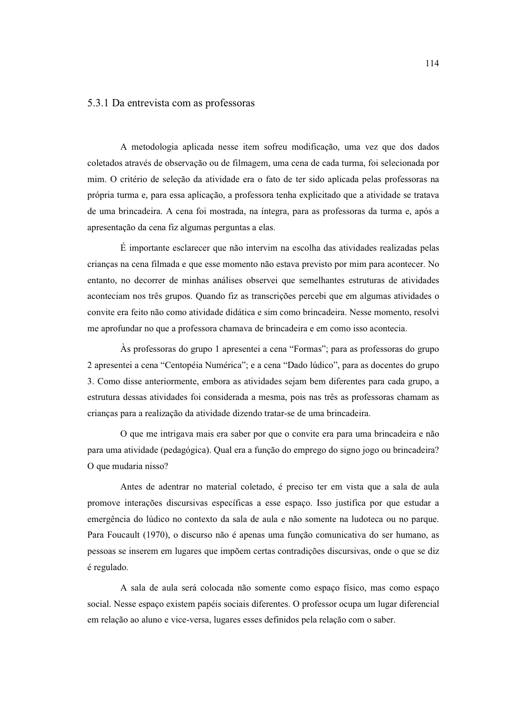#### 5.3.1 Da entrevista com as professoras

A metodologia aplicada nesse item sofreu modificação, uma vez que dos dados coletados através de observação ou de filmagem, uma cena de cada turma, foi selecionada por mim. O critério de seleção da atividade era o fato de ter sido aplicada pelas professoras na própria turma e, para essa aplicação, a professora tenha explicitado que a atividade se tratava de uma brincadeira. A cena foi mostrada, na íntegra, para as professoras da turma e, após a apresentação da cena fiz algumas perguntas a elas.

É importante esclarecer que não intervim na escolha das atividades realizadas pelas crianças na cena filmada e que esse momento não estava previsto por mim para acontecer. No entanto, no decorrer de minhas análises observei que semelhantes estruturas de atividades aconteciam nos três grupos. Quando fiz as transcrições percebi que em algumas atividades o convite era feito não como atividade didática e sim como brincadeira. Nesse momento, resolvi me aprofundar no que a professora chamava de brincadeira e em como isso acontecia.

As professoras do grupo 1 apresentei a cena "Formas"; para as professoras do grupo 2 apresentei a cena "Centopéia Numérica"; e a cena "Dado lúdico", para as docentes do grupo 3. Como disse anteriormente, embora as atividades sejam bem diferentes para cada grupo, a estrutura dessas atividades foi considerada a mesma, pois nas três as professoras chamam as crianças para a realização da atividade dizendo tratar-se de uma brincadeira.

O que me intrigava mais era saber por que o convite era para uma brincadeira e não para uma atividade (pedagógica). Qual era a função do emprego do signo jogo ou brincadeira? O que mudaria nisso?

Antes de adentrar no material coletado, é preciso ter em vista que a sala de aula promove interações discursivas específicas a esse espaço. Isso justifica por que estudar a emergência do lúdico no contexto da sala de aula e não somente na ludoteca ou no parque. Para Foucault (1970), o discurso não é apenas uma função comunicativa do ser humano, as pessoas se inserem em lugares que impõem certas contradições discursivas, onde o que se diz é regulado.

A sala de aula será colocada não somente como espaço físico, mas como espaço social. Nesse espaço existem papéis sociais diferentes. O professor ocupa um lugar diferencial em relação ao aluno e vice-versa, lugares esses definidos pela relação com o saber.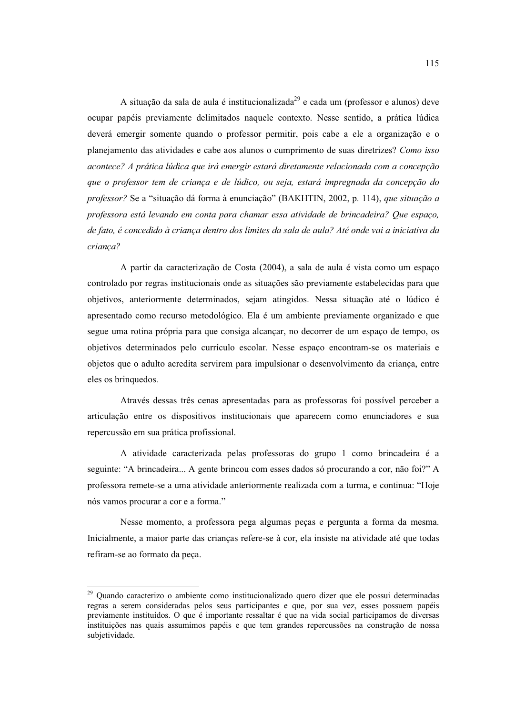A situação da sala de aula é institucionalizada<sup>29</sup> e cada um (professor e alunos) deve ocupar papéis previamente delimitados naquele contexto. Nesse sentido, a prática lúdica deverá emergir somente quando o professor permitir, pois cabe a ele a organização e o planejamento das atividades e cabe aos alunos o cumprimento de suas diretrizes? Como isso acontece? A prática lúdica que irá emergir estará diretamente relacionada com a concepção que o professor tem de crianca e de lúdico, ou seja, estará impregnada da concepção do professor? Se a "situação dá forma à enunciação" (BAKHTIN, 2002, p. 114), que situação a professora está levando em conta para chamar essa atividade de brincadeira? Que espaço, de fato, é concedido à criança dentro dos limites da sala de aula? Até onde vai a iniciativa da crianca?

A partir da caracterização de Costa (2004), a sala de aula é vista como um espaço controlado por regras institucionais onde as situações são previamente estabelecidas para que objetivos, anteriormente determinados, sejam atingidos. Nessa situação até o lúdico é apresentado como recurso metodológico. Ela é um ambiente previamente organizado e que segue uma rotina própria para que consiga alcançar, no decorrer de um espaço de tempo, os objetivos determinados pelo currículo escolar. Nesse espaço encontram-se os materiais e objetos que o adulto acredita servirem para impulsionar o desenvolvimento da criança, entre eles os brinquedos.

Através dessas três cenas apresentadas para as professoras foi possível perceber a articulação entre os dispositivos institucionais que aparecem como enunciadores e sua repercussão em sua prática profissional.

A atividade caracterizada pelas professoras do grupo 1 como brincadeira é a seguinte: "A brincadeira... A gente brincou com esses dados só procurando a cor, não foi?" A professora remete-se a uma atividade anteriormente realizada com a turma, e continua: "Hoje nós vamos procurar a cor e a forma."

Nesse momento, a professora pega algumas peças e pergunta a forma da mesma. Inicialmente, a maior parte das crianças refere-se à cor, ela insiste na atividade até que todas refiram-se ao formato da peca.

<sup>&</sup>lt;sup>29</sup> Quando caracterizo o ambiente como institucionalizado quero dizer que ele possui determinadas regras a serem consideradas pelos seus participantes e que, por sua vez, esses possuem papéis previamente instituídos. O que é importante ressaltar é que na vida social participamos de diversas instituições nas quais assumimos papéis e que tem grandes repercussões na construção de nossa subjetividade.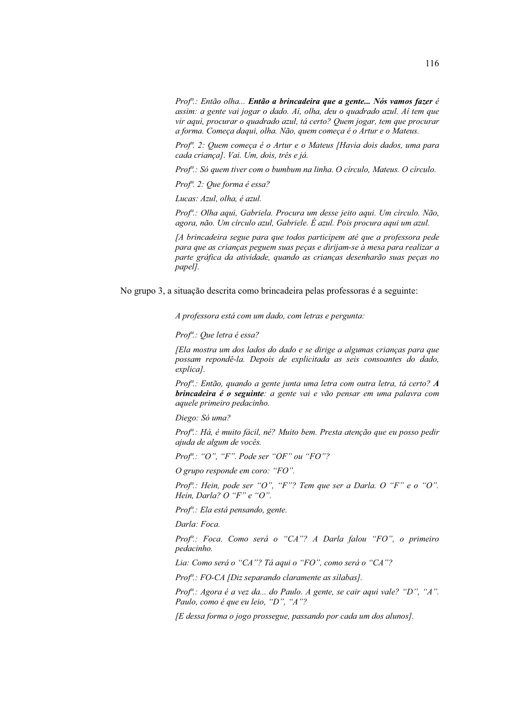Prof<sup>a</sup>.: Então olha... Então a brincadeira que a gente... Nós vamos fazer é assim: a gente vai jogar o dado. Aí, olha, deu o quadrado azul. Aí tem que vir aqui, procurar o quadrado azul, tá certo? Quem jogar, tem que procurar a forma. Começa daqui, olha. Não, quem começa é o Artur e o Mateus.

Prof<sup>a</sup>. 2: Quem começa é o Artur e o Mateus [Havia dois dados, uma para cada crianca]. Vai. Um, dois, três e já.

Prof<sup>a</sup>.: Só quem tiver com o bumbum na linha. O círculo, Mateus. O círculo.

Prof<sup>a</sup>. 2: Que forma é essa?

Lucas: Azul, olha, é azul.

Prof<sup>a</sup>.: Olha aqui, Gabriela. Procura um desse jeito aqui. Um circulo. Não, agora, não. Um círculo azul, Gabriele. É azul. Pois procura aqui um azul.

[A brincadeira segue para que todos participem até que a professora pede para que as crianças peguem suas peças e dirijam-se à mesa para realizar a parte gráfica da atividade, quando as criancas desenharão suas pecas no papell.

No grupo 3, a situação descrita como brincadeira pelas professoras é a seguinte:

A professora está com um dado, com letras e pergunta:

Prof<sup>a</sup>: Que letra é essa?

[Ela mostra um dos lados do dado e se dirige a algumas crianças para que possam repondê-la. Depois de explicitada as seis consoantes do dado, explical.

Prof<sup>a</sup>.: Então, quando a gente junta uma letra com outra letra, tá certo? A brincadeira é o seguinte: a gente vai e vão pensar em uma palavra com aquele primeiro pedacinho.

Diego: Só uma?

Prof<sup>a</sup>.: Há, é muito fácil, né? Muito bem. Presta atenção que eu posso pedir ajuda de algum de vocês.

Prof".: "O", "F". Pode ser "OF" ou "FO"?

O grupo responde em coro: "FO".

Prof".: Hein, pode ser "O", "F"? Tem que ser a Darla. O "F" e o "O". Hein, Darla? O "F" e "O".

Prof<sup>a</sup>.: Ela está pensando, gente.

Darla: Foca.

Prof<sup>a</sup>.: Foca. Como será o "CA"? A Darla falou "FO", o primeiro pedacinho.

Lia: Como será o "CA"? Tá aqui o "FO", como será o "CA"?

 $Prof^a$ : FO-CA [Diz separando claramente as silabas].

Prof<sup>a</sup>: Agora é a vez da... do Paulo. A gente, se cair aqui vale? "D", "A". Paulo, como é que eu leio, "D", "A"?

[E dessa forma o jogo prossegue, passando por cada um dos alunos].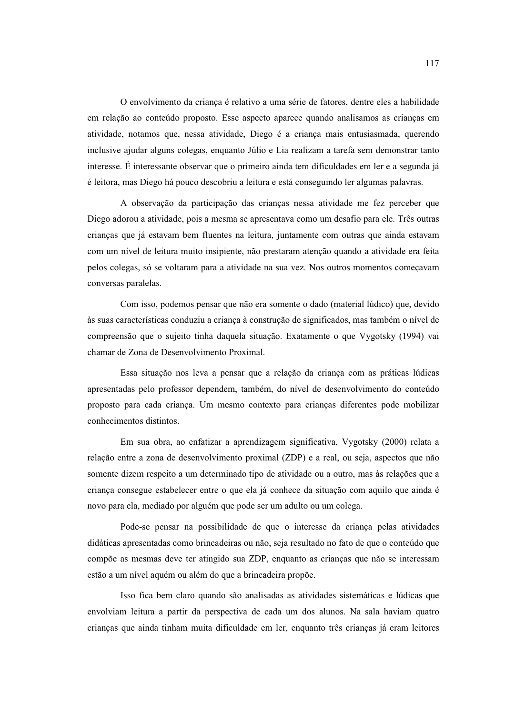O envolvimento da crianca é relativo a uma série de fatores, dentre eles a habilidade em relação ao conteúdo proposto. Esse aspecto aparece quando analisamos as criancas em atividade, notamos que, nessa atividade, Diego é a criança mais entusiasmada, querendo inclusive ajudar alguns colegas, enquanto Júlio e Lia realizam a tarefa sem demonstrar tanto interesse. É interessante observar que o primeiro ainda tem dificuldades em ler e a segunda já é leitora, mas Diego há pouco descobriu a leitura e está conseguindo ler algumas palayras.

A observação da participação das crianças nessa atividade me fez perceber que Diego adorou a atividade, pois a mesma se apresentava como um desafio para ele. Três outras crianças que já estavam bem fluentes na leitura, juntamente com outras que ainda estavam com um nível de leitura muito insipiente, não prestaram atenção quando a atividade era feita pelos colegas, só se voltaram para a atividade na sua vez. Nos outros momentos começavam conversas paralelas.

Com isso, podemos pensar que não era somente o dado (material lúdico) que, devido às suas características conduziu a criança à construção de significados, mas também o nível de compreensão que o sujeito tinha daquela situação. Exatamente o que Vygotsky (1994) vai chamar de Zona de Desenvolvimento Proximal.

Essa situação nos leva a pensar que a relação da criança com as práticas lúdicas apresentadas pelo professor dependem, também, do nível de desenvolvimento do conteúdo proposto para cada crianca. Um mesmo contexto para criancas diferentes pode mobilizar conhecimentos distintos.

Em sua obra, ao enfatizar a aprendizagem significativa, Vygotsky (2000) relata a relação entre a zona de desenvolvimento proximal (ZDP) e a real, ou seja, aspectos que não somente dizem respeito a um determinado tipo de atividade ou a outro, mas às relações que a criança consegue estabelecer entre o que ela já conhece da situação com aquilo que ainda é novo para ela, mediado por alguém que pode ser um adulto ou um colega.

Pode-se pensar na possibilidade de que o interesse da criança pelas atividades didáticas apresentadas como brincadeiras ou não, seja resultado no fato de que o conteúdo que compõe as mesmas deve ter atingido sua ZDP, enquanto as crianças que não se interessam estão a um nível aquém ou além do que a brincadeira propõe.

Isso fica bem claro quando são analisadas as atividades sistemáticas e lúdicas que envolviam leitura a partir da perspectiva de cada um dos alunos. Na sala haviam quatro crianças que ainda tinham muita dificuldade em ler, enquanto três crianças já eram leitores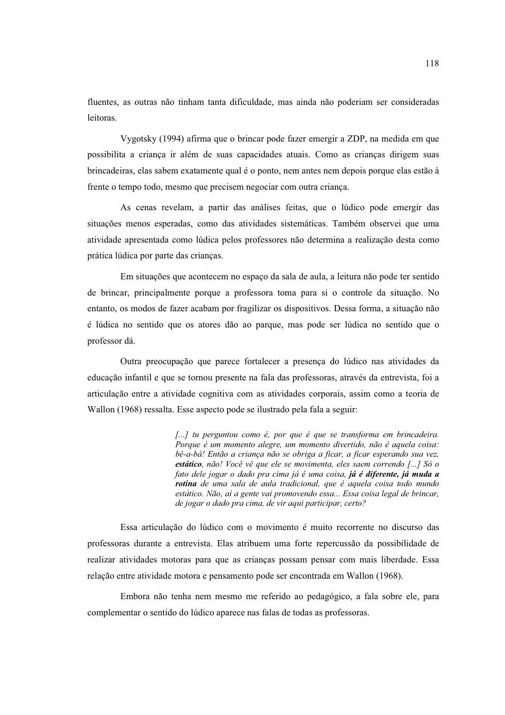fluentes, as outras não tinham tanta dificuldade, mas ainda não poderiam ser consideradas leitoras

Vygotsky (1994) afirma que o brincar pode fazer emergir a ZDP, na medida em que possibilita a crianca ir além de suas capacidades atuais. Como as criancas dirigem suas brincadeiras, elas sabem exatamente qual é o ponto, nem antes nem depois porque elas estão à frente o tempo todo, mesmo que precisem negociar com outra criança.

As cenas revelam, a partir das análises feitas, que o lúdico pode emergir das situações menos esperadas, como das atividades sistemáticas. Também observei que uma atividade apresentada como lúdica pelos professores não determina a realização desta como prática lúdica por parte das crianças.

Em situações que acontecem no espaço da sala de aula, a leitura não pode ter sentido de brincar, principalmente porque a professora toma para si o controle da situação. No entanto, os modos de fazer acabam por fragilizar os dispositivos. Dessa forma, a situação não é lúdica no sentido que os atores dão ao parque, mas pode ser lúdica no sentido que o professor dá.

Outra preocupação que parece fortalecer a presença do lúdico nas atividades da educação infantil e que se tornou presente na fala das professoras, através da entrevista, foi a articulação entre a atividade cognitiva com as atividades corporais, assim como a teoria de Wallon (1968) ressalta. Esse aspecto pode se ilustrado pela fala a seguir:

> [...] tu perguntou como é, por que é que se transforma em brincadeira. Porque é um momento alegre, um momento divertido, não é aquela coisa: bê-a-bá! Então a criança não se obriga a ficar, a ficar esperando sua vez, estático, não! Você vê que ele se movimenta, eles saem correndo [...] Só o fato dele jogar o dado pra cima já é uma coisa, já é diferente, já muda a rotina de uma sala de aula tradicional, que é aquela coisa todo mundo estático. Não, aí a gente vai promovendo essa... Essa coisa legal de brincar, de jogar o dado pra cima, de vir aqui participar, certo?

Essa articulação do lúdico com o movimento é muito recorrente no discurso das professoras durante a entrevista. Elas atribuem uma forte repercussão da possibilidade de realizar atividades motoras para que as crianças possam pensar com mais liberdade. Essa relação entre atividade motora e pensamento pode ser encontrada em Wallon (1968).

Embora não tenha nem mesmo me referido ao pedagógico, a fala sobre ele, para complementar o sentido do lúdico aparece nas falas de todas as professoras.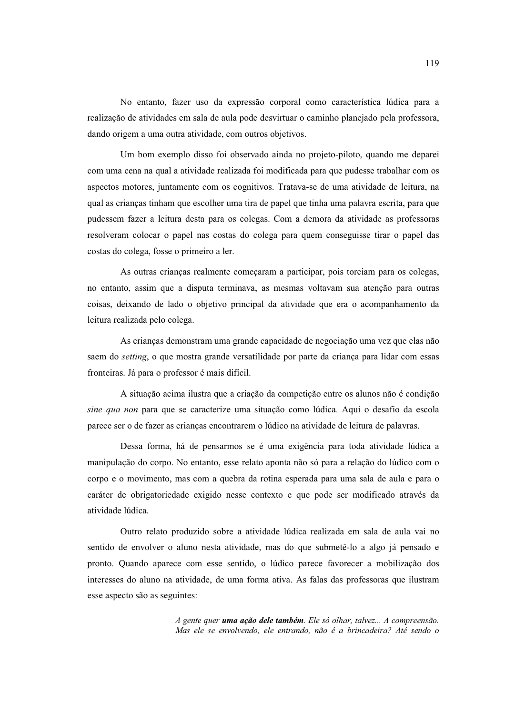No entanto, fazer uso da expressão corporal como característica lúdica para a realização de atividades em sala de aula pode desvirtuar o caminho planejado pela professora, dando origem a uma outra atividade, com outros objetivos.

Um bom exemplo disso foi observado ainda no projeto-piloto, quando me deparei com uma cena na qual a atividade realizada foi modificada para que pudesse trabalhar com os aspectos motores, juntamente com os cognitivos. Tratava-se de uma atividade de leitura, na qual as crianças tinham que escolher uma tira de papel que tinha uma palavra escrita, para que pudessem fazer a leitura desta para os colegas. Com a demora da atividade as professoras resolveram colocar o papel nas costas do colega para quem conseguisse tirar o papel das costas do colega, fosse o primeiro a ler.

As outras crianças realmente começaram a participar, pois torciam para os colegas, no entanto, assim que a disputa terminava, as mesmas voltavam sua atenção para outras coisas, deixando de lado o objetivo principal da atividade que era o acompanhamento da leitura realizada pelo colega.

As crianças demonstram uma grande capacidade de negociação uma vez que elas não saem do *setting*, o que mostra grande versatilidade por parte da criança para lidar com essas fronteiras. Já para o professor é mais difícil.

A situação acima ilustra que a criação da competição entre os alunos não é condição sine qua non para que se caracterize uma situação como lúdica. Aqui o desafio da escola parece ser o de fazer as crianças encontrarem o lúdico na atividade de leitura de palavras.

Dessa forma, há de pensarmos se é uma exigência para toda atividade lúdica a manipulação do corpo. No entanto, esse relato aponta não só para a relação do lúdico com o corpo e o movimento, mas com a quebra da rotina esperada para uma sala de aula e para o caráter de obrigatoriedade exigido nesse contexto e que pode ser modificado através da atividade lúdica

Outro relato produzido sobre a atividade lúdica realizada em sala de aula vai no sentido de envolver o aluno nesta atividade, mas do que submetê-lo a algo já pensado e pronto. Quando aparece com esse sentido, o lúdico parece favorecer a mobilização dos interesses do aluno na atividade, de uma forma ativa. As falas das professoras que ilustram esse aspecto são as seguintes:

> A gente quer **uma ação dele também**. Ele só olhar, talvez... A compreensão. Mas ele se envolvendo, ele entrando, não é a brincadeira? Até sendo o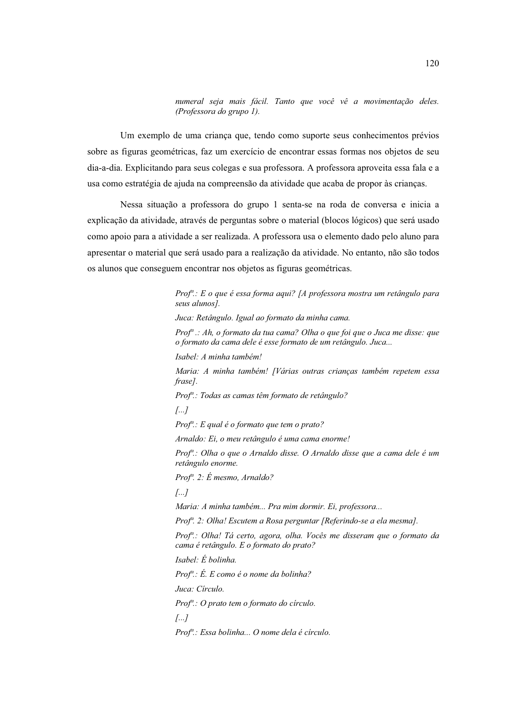numeral seja mais fácil. Tanto que você vê a movimentação deles. (Professora do grupo 1).

Um exemplo de uma criança que, tendo como suporte seus conhecimentos prévios sobre as figuras geométricas, faz um exercício de encontrar essas formas nos objetos de seu dia-a-dia. Explicitando para seus colegas e sua professora. A professora aproveita essa fala e a usa como estratégia de ajuda na compreensão da atividade que acaba de propor às criancas.

Nessa situação a professora do grupo 1 senta-se na roda de conversa e inicia a explicação da atividade, através de perguntas sobre o material (blocos lógicos) que será usado como apoio para a atividade a ser realizada. A professora usa o elemento dado pelo aluno para apresentar o material que será usado para a realização da atividade. No entanto, não são todos os alunos que conseguem encontrar nos objetos as figuras geométricas.

> Prof<sup>a</sup>.: E o que é essa forma aqui? [A professora mostra um retângulo para seus alunos]. Juca: Retângulo. Igual ao formato da minha cama.  $Prof<sup>a</sup>$  : Ah, o formato da tua cama? Olha o que foi que o Juca me disse: que o formato da cama dele é esse formato de um retângulo. Juca... Isabel: A minha também! Maria: A minha também! [Várias outras crianças também repetem essa frase]. Prof<sup>a</sup>: Todas as camas têm formato de retângulo?  $\left[\ldots\right]$  $Prof^{a}: E$  qual é o formato que tem o prato? Arnaldo: Ei, o meu retângulo é uma cama enorme! Prof<sup>a</sup>: Olha o que o Arnaldo disse. O Arnaldo disse que a cama dele é um retângulo enorme. Prof<sup>a</sup>. 2: É mesmo, Arnaldo?  $\sqrt{a}$ ... Maria: A minha também... Pra mim dormir. Ei, professora... Prof<sup>a</sup>. 2: Olha! Escutem a Rosa perguntar [Referindo-se a ela mesma]. Prof<sup>a</sup>.: Olha! Tá certo, agora, olha, Vocês me disseram que o formato da cama é retângulo. E o formato do prato? Isabel: É bolinha.  $Prof^{a}: E. E como e' o nome da bolinha?$ Juca: Circulo. Prof<sup>a</sup>.: O prato tem o formato do círculo.  $\left[\ldots\right]$ Prof<sup>a</sup>: Essa bolinha... O nome dela é círculo.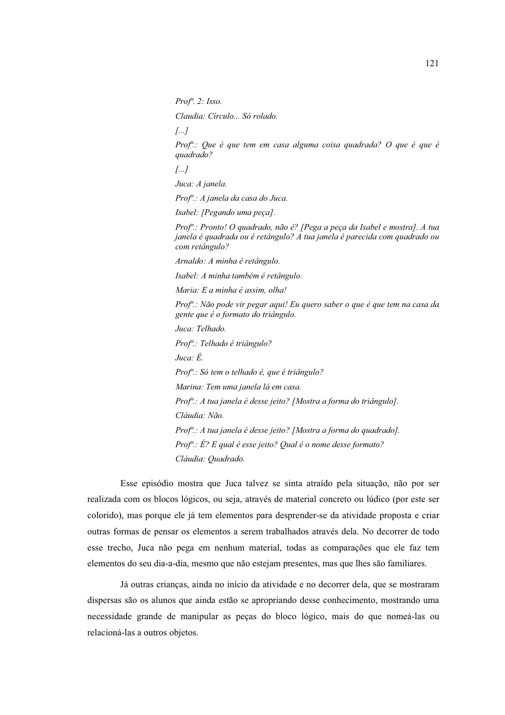Prof".  $2: Isso.$ 

Claudia: Círculo... Só rolado.

 $\sqrt{a}$ ...

Prof<sup>a</sup>.: Que é que tem em casa alguma coisa quadrada? O que é que é quadrado?

 $\left[\ldots\right]$ 

Juca: A janela.

Prof<sup>a</sup>.: A janela da casa do Juca.

Isabel: [Pegando uma peca].

Prof<sup>a</sup>.: Pronto! O quadrado, não é? [Pega a peça da Isabel e mostra]. A tua janela é quadrada ou é retângulo? A tua janela é parecida com quadrado ou com retângulo?

Arnaldo: A minha é retângulo.

Isabel: A minha também é retângulo.

Maria: E a minha é assim, olha!

Prof<sup>a</sup>: Não pode vir pegar aqui! Eu quero saber o que é que tem na casa da gente que é o formato do triângulo.

Juca: Telhado.

Prof<sup>a</sup>.: Telhado é triângulo?

Juca: É.

Prof<sup>a</sup>.: Só tem o telhado é, que é triângulo?

Marina: Tem uma janela lá em casa.

Prof<sup>a</sup>: A tua janela é desse jeito? [Mostra a forma do triângulo].

Cláudia: Não.

Prof<sup>a</sup>: A tua janela é desse jeito? [Mostra a forma do quadrado].

Prof<sup>a</sup>.: É? E qual é esse jeito? Qual é o nome desse formato?

Cláudia: Quadrado.

Esse episódio mostra que Juca talvez se sinta atraído pela situação, não por ser realizada com os blocos lógicos, ou seja, através de material concreto ou lúdico (por este ser colorido), mas porque ele já tem elementos para desprender-se da atividade proposta e criar outras formas de pensar os elementos a serem trabalhados através dela. No decorrer de todo esse trecho, Juca não pega em nenhum material, todas as comparações que ele faz tem elementos do seu dia-a-dia, mesmo que não estejam presentes, mas que lhes são familiares.

Já outras crianças, ainda no início da atividade e no decorrer dela, que se mostraram dispersas são os alunos que ainda estão se apropriando desse conhecimento, mostrando uma necessidade grande de manipular as peças do bloco lógico, mais do que nomeá-las ou relacioná-las a outros objetos.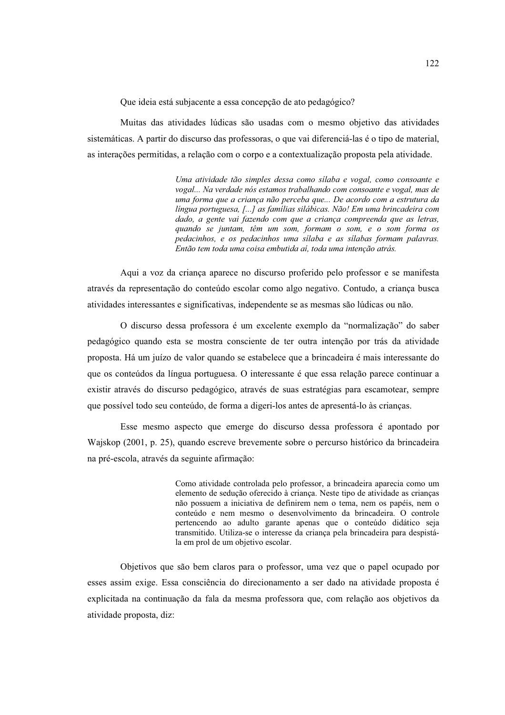Que ideia está subjacente a essa concepção de ato pedagógico?

Muitas das atividades lúdicas são usadas com o mesmo objetivo das atividades sistemáticas. A partir do discurso das professoras, o que vai diferenciá-las é o tipo de material, as interações permitidas, a relação com o corpo e a contextualização proposta pela atividade.

> Uma atividade tão simples dessa como sílaba e vogal, como consoante e vogal... Na verdade nós estamos trabalhando com consoante e vogal, mas de uma forma que a criança não perceba que... De acordo com a estrutura da língua portuguesa, [...] as famílias silábicas. Não! Em uma brincadeira com dado, a gente vai fazendo com que a criança compreenda que as letras, quando se juntam, têm um som, formam o som, e o som forma os pedacinhos, e os pedacinhos uma sílaba e as sílabas formam palavras. Então tem toda uma coisa embutida aí, toda uma intenção atrás.

Aqui a voz da criança aparece no discurso proferido pelo professor e se manifesta através da representação do conteúdo escolar como algo negativo. Contudo, a criança busca atividades interessantes e significativas, independente se as mesmas são lúdicas ou não.

O discurso dessa professora é um excelente exemplo da "normalização" do saber pedagógico quando esta se mostra consciente de ter outra intenção por trás da atividade proposta. Há um juízo de valor quando se estabelece que a brincadeira é mais interessante do que os conteúdos da língua portuguesa. O interessante é que essa relação parece continuar a existir através do discurso pedagógico, através de suas estratégias para escamotear, sempre que possível todo seu conteúdo, de forma a digeri-los antes de apresentá-lo às crianças.

Esse mesmo aspecto que emerge do discurso dessa professora é apontado por Wajskop (2001, p. 25), quando escreve brevemente sobre o percurso histórico da brincadeira na pré-escola, através da seguinte afirmação:

> Como atividade controlada pelo professor, a brincadeira aparecia como um elemento de sedução oferecido à criança. Neste tipo de atividade as crianças não possuem a iniciativa de definirem nem o tema, nem os papéis, nem o conteúdo e nem mesmo o desenvolvimento da brincadeira. O controle pertencendo ao adulto garante apenas que o conteúdo didático seja transmitido. Utiliza-se o interesse da criança pela brincadeira para despistála em prol de um objetivo escolar.

Objetivos que são bem claros para o professor, uma vez que o papel ocupado por esses assim exige. Essa consciência do direcionamento a ser dado na atividade proposta é explicitada na continuação da fala da mesma professora que, com relação aos objetivos da atividade proposta, diz: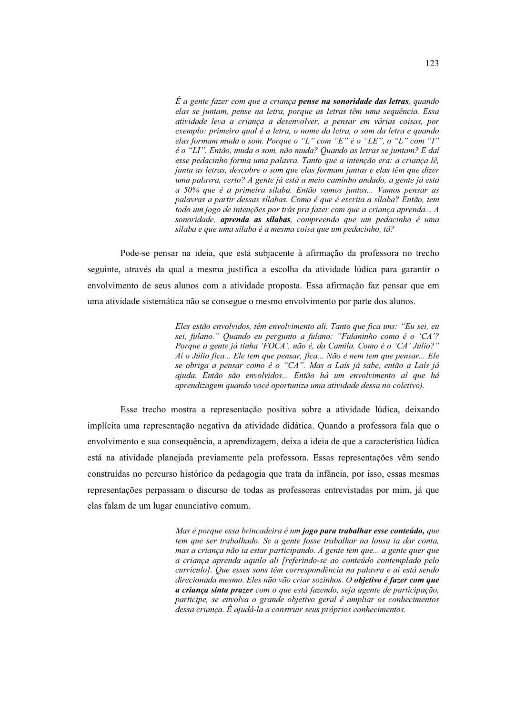$\acute{E}$  a gente fazer com que a crianca **pense na sonoridade das letras**, quando elas se juntam, pense na letra, porque as letras têm uma sequência. Essa atividade leva a criança a desenvolver, a pensar em várias coisas, por exemplo: primeiro qual é a letra, o nome da letra, o som da letra e quando elas formam muda o som. Porque o "L" com "E" é o "LE". o "L" com "I" é o "LI". Então, muda o som, não muda? Quando as letras se juntam? E dai esse pedacinho forma uma palavra. Tanto que a intenção era: a criança lê, junta as letras, descobre o som que elas formam juntas e elas têm que dizer uma palavra, certo? A gente já está a meio caminho andado, a gente já está a 50% que é a primeira sílaba. Então vamos juntos... Vamos pensar as palavras a partir dessas sílabas. Como é que é escrita a sílaba? Então, tem todo um jogo de intenções por trás pra fazer com que a criança aprenda... A sonoridade, **aprenda as sílabas**, compreenda que um pedacinho é uma silaba e que uma silaba é a mesma coisa que um pedacinho, tá?

Pode-se pensar na ideia, que está subjacente à afirmação da professora no trecho seguinte, através da qual a mesma justifica a escolha da atividade lúdica para garantir o envolvimento de seus alunos com a atividade proposta. Essa afirmação faz pensar que em uma atividade sistemática não se consegue o mesmo envolvimento por parte dos alunos.

> Eles estão envolvidos, têm envolvimento ali. Tanto que fica uns: "Eu sei, eu sei, fulano." Quando eu pergunto a fulano: "Fulaninho como é o 'CA'? Porque a gente já tinha 'FOCA', não é, da Camila. Como é o 'CA' Júlio?" Ai o Júlio fica... Ele tem que pensar, fica... Não é nem tem que pensar... Ele se obriga a pensar como é o "CA". Mas a Laís já sabe, então a Laís já ajuda. Então são envolvidos... Então há um envolvimento aí que há aprendizagem quando você oportuniza uma atividade dessa no coletivo).

Esse trecho mostra a representação positiva sobre a atividade lúdica, deixando implícita uma representação negativa da atividade didática. Quando a professora fala que o envolvimento e sua consequência, a aprendizagem, deixa a ideia de que a característica lúdica está na atividade planejada previamente pela professora. Essas representações vêm sendo construídas no percurso histórico da pedagogia que trata da infância, por isso, essas mesmas representações perpassam o discurso de todas as professoras entrevistadas por mim, já que elas falam de um lugar enunciativo comum.

> Mas é porque essa brincadeira é um jogo para trabalhar esse conteúdo, que tem que ser trabalhado. Se a gente fosse trabalhar na lousa ia dar conta, mas a crianca não ia estar participando. A gente tem que ... a gente quer que a criança aprenda aquilo ali [referindo-se ao conteúdo contemplado pelo currículo]. Que esses sons têm correspondência na palavra e aí está sendo direcionada mesmo. Eles não vão criar sozinhos. O objetivo é fazer com que a criança sinta prazer com o que está fazendo, seja agente de participação, participe, se envolva o grande objetivo geral é ampliar os conhecimentos  $\vec{a}$  dessa crianca. É aiudá-la a construir seus próprios conhecimentos.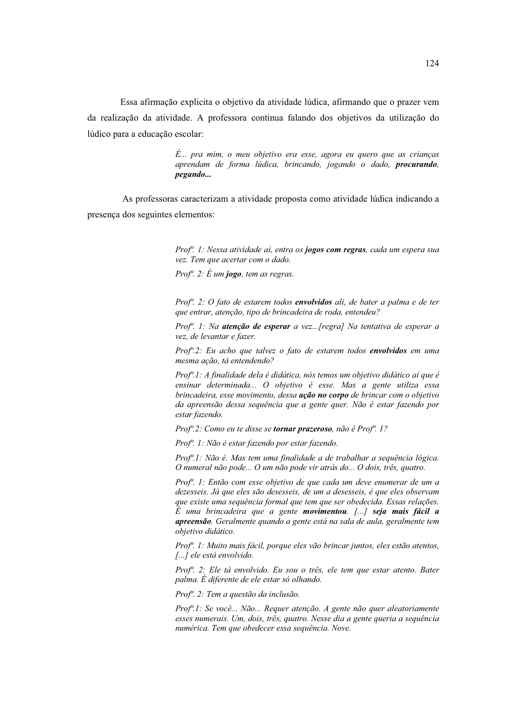Essa afirmação explicita o objetivo da atividade lúdica, afirmando que o prazer vem da realização da atividade. A professora continua falando dos objetivos da utilização do lúdico para a educação escolar:

> $\acute{E}...$  pra mim, o meu objetivo era esse, agora eu quero que as crianças aprendam de forma lúdica, brincando, jogando o dado, **procurando**, *negando...*

As professoras caracterizam a atividade proposta como atividade lúdica indicando a presença dos seguintes elementos:

> Prof<sup>a</sup>. 1: Nessa atividade aí, entra os **jogos com regras**, cada um espera sua vez. Tem que acertar com o dado.

Prof<sup>n</sup>. 2:  $\acute{E}$  um jogo, tem as regras.

Prof<sup>a</sup>. 2: O fato de estarem todos envolvidos ali, de bater a palma e de ter que entrar, atenção, tipo de brincadeira de roda, entendeu?

Prof<sup>a</sup>. 1: Na atenção de esperar a vez...[regra] Na tentativa de esperar a vez, de levantar e fazer.

Prof<sup>*n*</sup>.2: Eu acho que talvez o fato de estarem todos envolvidos em uma mesma ação, tá entendendo?

Prof<sup>a</sup>.1: A finalidade dela é didática, nós temos um objetivo didático aí que é ensinar determinada... O objetivo é esse. Mas a gente utiliza essa brincadeira, esse movimento, dessa ação no corpo de brincar com o objetivo da apreensão dessa sequência que a gente quer. Não é estar fazendo por estar fazendo.

Prof<sup>a</sup>.2: Como eu te disse se **tornar prazeroso**, não é Prof<sup>a</sup>.1?

Prof<sup>a</sup>. 1: Não é estar fazendo por estar fazendo.

Prof<sup>a</sup>.1: Não é. Mas tem uma finalidade a de trabalhar a sequência lógica. O numeral não pode... O um não pode vir atrás do... O dois, três, quatro.

Prof<sup>a</sup>. 1: Então com esse objetivo de que cada um deve enumerar de um a dezesseis. Já que eles são desesseis, de um a desesseis, é que eles observam que existe uma sequência formal que tem que ser obedecida. Essas relações.  $\dot{E}$  uma brincadeira que a gente **movimentou**. [...] seja mais fácil a apreensão. Geralmente quando a gente está na sala de aula, geralmente tem objetivo didático.

Prof<sup>a</sup>. 1: Muito mais fácil, porque eles vão brincar juntos, eles estão atentos, [...] ele está envolvido.

Prof<sup>a</sup>. 2: Ele tá envolvido. Eu sou o três, ele tem que estar atento. Bater palma. É diferente de ele estar só olhando.

Prof<sup>a</sup>. 2: Tem a questão da inclusão.

Prof<sup>a</sup>.1: Se você... Não... Requer atenção. A gente não quer aleatoriamente esses numerais. Um, dois, três, quatro. Nesse dia a gente queria a sequência numérica. Tem que obedecer essa sequência. Nove.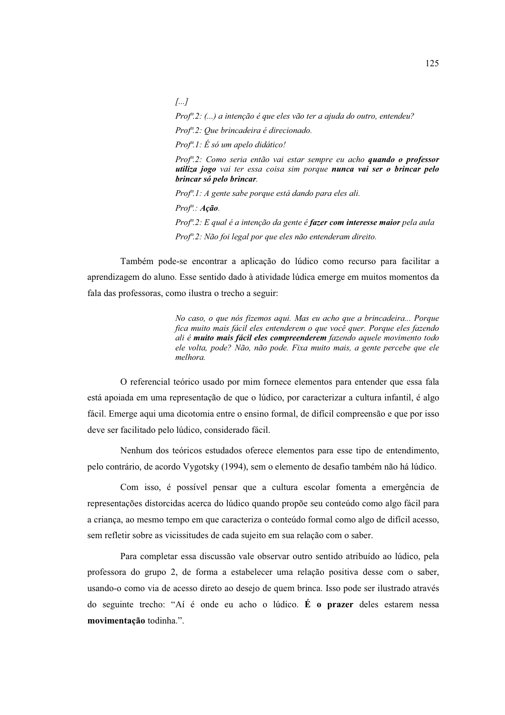$\sqrt{a}$ ...

Prof<sup>a</sup>.2: (...) a intenção é que eles vão ter a ajuda do outro, entendeu?

Prof<sup>a</sup>.2: Que brincadeira é direcionado.

 $Prof<sup>a</sup>$ .1: É só um apelo didático!

Prof<sup>a</sup>.2: Como seria então vai estar sempre eu acho **quando o professor** utiliza jogo vai ter essa coisa sim porque nunca vai ser o brincar pelo brincar só pelo brincar.

Prof<sup>a</sup>.1: A gente sabe porque está dando para eles ali.

 $Prof^{a}: A \zeta \tilde{a} o.$ 

Prof<sup>a</sup>.2: E qual é a intenção da gente é **fazer com interesse maior** pela aula Prof<sup>a</sup>.2: Não foi legal por que eles não entenderam direito.

Também pode-se encontrar a aplicação do lúdico como recurso para facilitar a aprendizagem do aluno. Esse sentido dado à atividade lúdica emerge em muitos momentos da fala das professoras, como ilustra o trecho a seguir:

> No caso, o que nós fizemos aqui. Mas eu acho que a brincadeira... Porque fica muito mais fácil eles entenderem o que você quer. Porque eles fazendo ali é muito mais fácil eles compreenderem fazendo aquele movimento todo ele volta, pode? Não, não pode. Fixa muito mais, a gente percebe que ele melhora.

O referencial teórico usado por mim fornece elementos para entender que essa fala está apoiada em uma representação de que o lúdico, por caracterizar a cultura infantil, é algo fácil. Emerge aqui uma dicotomia entre o ensino formal, de difícil compreensão e que por isso deve ser facilitado pelo lúdico, considerado fácil.

Nenhum dos teóricos estudados oferece elementos para esse tipo de entendimento, pelo contrário, de acordo Vygotsky (1994), sem o elemento de desafio também não há lúdico.

Com isso, é possível pensar que a cultura escolar fomenta a emergência de representações distorcidas acerca do lúdico quando propõe seu conteúdo como algo fácil para a criança, ao mesmo tempo em que caracteriza o conteúdo formal como algo de difícil acesso, sem refletir sobre as vicissitudes de cada sujeito em sua relação com o saber.

Para completar essa discussão vale observar outro sentido atribuído ao lúdico, pela professora do grupo 2, de forma a estabelecer uma relação positiva desse com o saber, usando-o como via de acesso direto ao desejo de quem brinca. Isso pode ser ilustrado através do seguinte trecho: "Aí é onde eu acho o lúdico. É o prazer deles estarem nessa movimentação todinha.".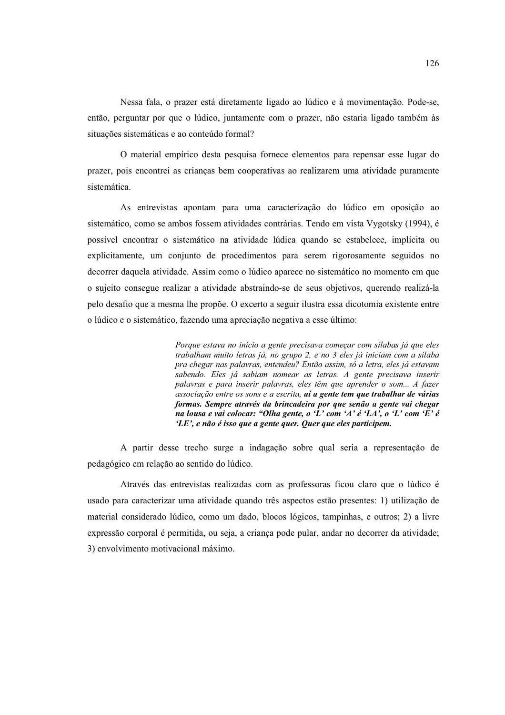Nessa fala, o prazer está diretamente ligado ao lúdico e à movimentação. Pode-se, então, perguntar por que o lúdico, juntamente com o prazer, não estaria ligado também às situações sistemáticas e ao conteúdo formal?

O material empírico desta pesquisa fornece elementos para repensar esse lugar do prazer, pois encontrei as crianças bem cooperativas ao realizarem uma atividade puramente sistemática

As entrevistas apontam para uma caracterização do lúdico em oposição ao sistemático, como se ambos fossem atividades contrárias. Tendo em vista Vygotsky (1994), é possível encontrar o sistemático na atividade lúdica quando se estabelece, implícita ou explicitamente, um conjunto de procedimentos para serem rigorosamente seguidos no decorrer daquela atividade. Assim como o lúdico aparece no sistemático no momento em que o sujeito consegue realizar a atividade abstraindo-se de seus objetivos, querendo realizá-la pelo desafio que a mesma lhe propõe. O excerto a seguir ilustra essa dicotomia existente entre o lúdico e o sistemático, fazendo uma apreciação negativa a esse último:

> Porque estava no início a gente precisava começar com sílabas já que eles trabalham muito letras já, no grupo 2, e no 3 eles já iniciam com a sílaba pra chegar nas palavras, entendeu? Então assim, só a letra, eles já estavam sabendo. Eles já sabiam nomear as letras. A gente precisava inserir palavras e para inserir palavras, eles têm que aprender o som... A fazer associação entre os sons e a escrita, aí a gente tem que trabalhar de várias formas. Sempre através da brincadeira por que senão a gente vai chegar na lousa e vai colocar: "Olha gente, o 'L' com 'A' é 'LA', o 'L' com 'E' é 'LE', e não é isso que a gente quer. Quer que eles participem.

A partir desse trecho surge a indagação sobre qual seria a representação de pedagógico em relação ao sentido do lúdico.

Através das entrevistas realizadas com as professoras ficou claro que o lúdico é usado para caracterizar uma atividade quando três aspectos estão presentes: 1) utilização de material considerado lúdico, como um dado, blocos lógicos, tampinhas, e outros; 2) a livre expressão corporal é permitida, ou seja, a criança pode pular, andar no decorrer da atividade; 3) envolvimento motivacional máximo.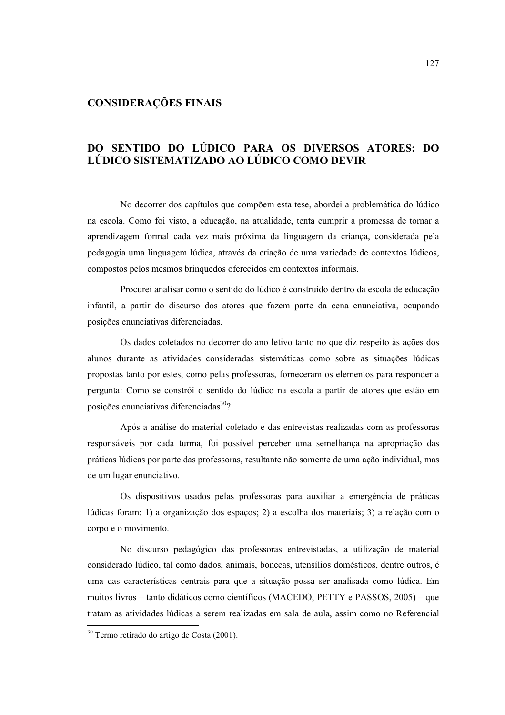### **CONSIDERAÇÕES FINAIS**

## DO SENTIDO DO LÚDICO PARA OS DIVERSOS ATORES: DO LÚDICO SISTEMATIZADO AO LÚDICO COMO DEVIR

No decorrer dos capítulos que compõem esta tese, abordei a problemática do lúdico na escola. Como foi visto, a educação, na atualidade, tenta cumprir a promessa de tornar a aprendizagem formal cada vez mais próxima da linguagem da criança, considerada pela pedagogia uma linguagem lúdica, através da criação de uma variedade de contextos lúdicos, compostos pelos mesmos bringuedos oferecidos em contextos informais.

Procurei analisar como o sentido do lúdico é construído dentro da escola de educação infantil, a partir do discurso dos atores que fazem parte da cena enunciativa, ocupando posições enunciativas diferenciadas.

Os dados coletados no decorrer do ano letivo tanto no que diz respeito às ações dos alunos durante as atividades consideradas sistemáticas como sobre as situações lúdicas propostas tanto por estes, como pelas professoras, forneceram os elementos para responder a pergunta: Como se constrói o sentido do lúdico na escola a partir de atores que estão em posições enunciativas diferenciadas<sup>30</sup>?

Após a análise do material coletado e das entrevistas realizadas com as professoras responsáveis por cada turma, foi possível perceber uma semelhanca na apropriação das práticas lúdicas por parte das professoras, resultante não somente de uma ação individual, mas de um lugar enunciativo.

Os dispositivos usados pelas professoras para auxiliar a emergência de práticas lúdicas foram: 1) a organização dos espacos: 2) a escolha dos materiais: 3) a relação com o corpo e o movimento.

No discurso pedagógico das professoras entrevistadas, a utilização de material considerado lúdico, tal como dados, animais, bonecas, utensílios domésticos, dentre outros, é uma das características centrais para que a situação possa ser analisada como lúdica. Em muitos livros – tanto didáticos como científicos (MACEDO, PETTY e PASSOS, 2005) – que tratam as atividades lúdicas a serem realizadas em sala de aula, assim como no Referencial

<sup>&</sup>lt;sup>30</sup> Termo retirado do artigo de Costa (2001).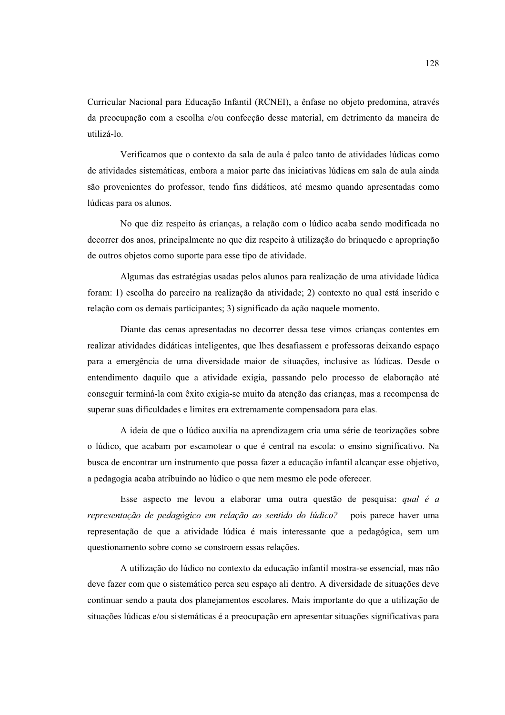Curricular Nacional para Educação Infantil (RCNEI), a ênfase no objeto predomina, através da preocupação com a escolha e/ou confecção desse material, em detrimento da maneira de utilizá-lo.

Verificamos que o contexto da sala de aula é palco tanto de atividades lúdicas como de atividades sistemáticas, embora a maior parte das iniciativas lúdicas em sala de aula ainda são provenientes do professor, tendo fins didáticos, até mesmo quando apresentadas como lúdicas para os alunos.

No que diz respeito às crianças, a relação com o lúdico acaba sendo modificada no decorrer dos anos, principalmente no que diz respeito à utilização do bringuedo e apropriação de outros objetos como suporte para esse tipo de atividade.

Algumas das estratégias usadas pelos alunos para realização de uma atividade lúdica foram: 1) escolha do parceiro na realização da atividade; 2) contexto no qual está inserido e relação com os demais participantes; 3) significado da ação naquele momento.

Diante das cenas apresentadas no decorrer dessa tese vimos crianças contentes em realizar atividades didáticas inteligentes, que lhes desafiassem e professoras deixando espaço para a emergência de uma diversidade maior de situações, inclusive as lúdicas. Desde o entendimento daquilo que a atividade exigia, passando pelo processo de elaboração até conseguir terminá-la com êxito exigia-se muito da atenção das crianças, mas a recompensa de superar suas dificuldades e limites era extremamente compensadora para elas.

A ideia de que o lúdico auxilia na aprendizagem cria uma série de teorizações sobre o lúdico, que acabam por escamotear o que é central na escola: o ensino significativo. Na busca de encontrar um instrumento que possa fazer a educação infantil alcançar esse objetivo, a pedagogia acaba atribuindo ao lúdico o que nem mesmo ele pode oferecer.

Esse aspecto me levou a elaborar uma outra questão de pesquisa: qual é a representação de pedagógico em relação ao sentido do lúdico? – pois parece haver uma representação de que a atividade lúdica é mais interessante que a pedagógica, sem um questionamento sobre como se constroem essas relações.

A utilização do lúdico no contexto da educação infantil mostra-se essencial, mas não deve fazer com que o sistemático perca seu espaço ali dentro. A diversidade de situações deve continuar sendo a pauta dos planejamentos escolares. Mais importante do que a utilização de situações lúdicas e/ou sistemáticas é a preocupação em apresentar situações significativas para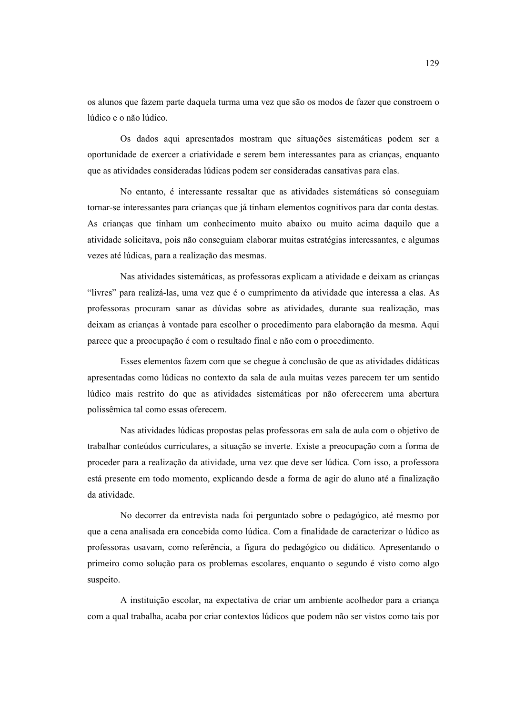os alunos que fazem parte daquela turma uma vez que são os modos de fazer que constroem o lúdico e o não lúdico

Os dados aqui apresentados mostram que situações sistemáticas podem ser a oportunidade de exercer a criatividade e serem bem interessantes para as criancas, enquanto que as atividades consideradas lúdicas podem ser consideradas cansativas para elas.

No entanto, é interessante ressaltar que as atividades sistemáticas só conseguiam tornar-se interessantes para crianças que já tinham elementos cognitivos para dar conta destas. As criancas que tinham um conhecimento muito abaixo ou muito acima daquilo que a atividade solicitava, pois não conseguiam elaborar muitas estratégias interessantes, e algumas vezes até lúdicas, para a realização das mesmas.

Nas atividades sistemáticas, as professoras explicam a atividade e deixam as crianças "livres" para realizá-las, uma vez que é o cumprimento da atividade que interessa a elas. As professoras procuram sanar as dúvidas sobre as atividades, durante sua realização, mas deixam as crianças à vontade para escolher o procedimento para elaboração da mesma. Aqui parece que a preocupação é com o resultado final e não com o procedimento.

Esses elementos fazem com que se chegue à conclusão de que as atividades didáticas apresentadas como lúdicas no contexto da sala de aula muitas vezes parecem ter um sentido lúdico mais restrito do que as atividades sistemáticas por não oferecerem uma abertura polissêmica tal como essas oferecem.

Nas atividades lúdicas propostas pelas professoras em sala de aula com o objetivo de trabalhar conteúdos curriculares, a situação se inverte. Existe a preocupação com a forma de proceder para a realização da atividade, uma vez que deve ser lúdica. Com isso, a professora está presente em todo momento, explicando desde a forma de agir do aluno até a finalização da atividade.

No decorrer da entrevista nada foi perguntado sobre o pedagógico, até mesmo por que a cena analisada era concebida como lúdica. Com a finalidade de caracterizar o lúdico as professoras usavam, como referência, a figura do pedagógico ou didático. Apresentando o primeiro como solução para os problemas escolares, enquanto o segundo é visto como algo suspeito.

A instituição escolar, na expectativa de criar um ambiente acolhedor para a criança com a qual trabalha, acaba por criar contextos lúdicos que podem não ser vistos como tais por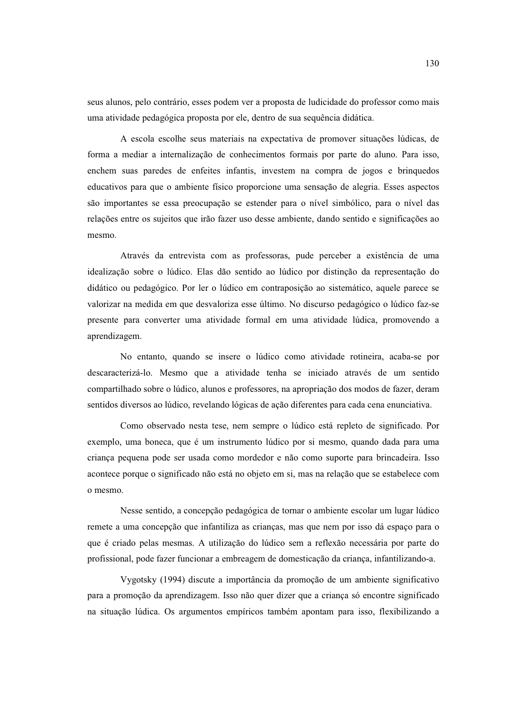seus alunos, pelo contrário, esses podem ver a proposta de ludicidade do professor como mais uma atividade pedagógica proposta por ele, dentro de sua sequência didática.

A escola escolhe seus materiais na expectativa de promover situações lúdicas, de forma a mediar a internalização de conhecimentos formais por parte do aluno. Para isso, enchem suas paredes de enfeites infantis, investem na compra de jogos e brinquedos educativos para que o ambiente físico proporcione uma sensação de alegria. Esses aspectos são importantes se essa preocupação se estender para o nível simbólico, para o nível das relações entre os sujeitos que irão fazer uso desse ambiente, dando sentido e significações ao mesmo.

Através da entrevista com as professoras, pude perceber a existência de uma idealização sobre o lúdico. Elas dão sentido ao lúdico por distinção da representação do didático ou pedagógico. Por ler o lúdico em contraposição ao sistemático, aquele parece se valorizar na medida em que desvaloriza esse último. No discurso pedagógico o lúdico faz-se presente para converter uma atividade formal em uma atividade lúdica, promovendo a aprendizagem.

No entanto, quando se insere o lúdico como atividade rotineira, acaba-se por descaracterizá-lo. Mesmo que a atividade tenha se iniciado através de um sentido compartilhado sobre o lúdico, alunos e professores, na apropriação dos modos de fazer, deram sentidos diversos ao lúdico, revelando lógicas de ação diferentes para cada cena enunciativa.

Como observado nesta tese, nem sempre o lúdico está repleto de significado. Por exemplo, uma boneca, que é um instrumento lúdico por si mesmo, quando dada para uma criança pequena pode ser usada como mordedor e não como suporte para brincadeira. Isso acontece porque o significado não está no objeto em si, mas na relação que se estabelece com o mesmo.

Nesse sentido, a concepção pedagógica de tornar o ambiente escolar um lugar lúdico remete a uma concepção que infantiliza as crianças, mas que nem por isso dá espaço para o que é criado pelas mesmas. A utilização do lúdico sem a reflexão necessária por parte do profissional, pode fazer funcionar a embreagem de domesticação da criança, infantilizando-a.

Vygotsky (1994) discute a importância da promoção de um ambiente significativo para a promoção da aprendizagem. Isso não quer dizer que a criança só encontre significado na situação lúdica. Os argumentos empíricos também apontam para isso, flexibilizando a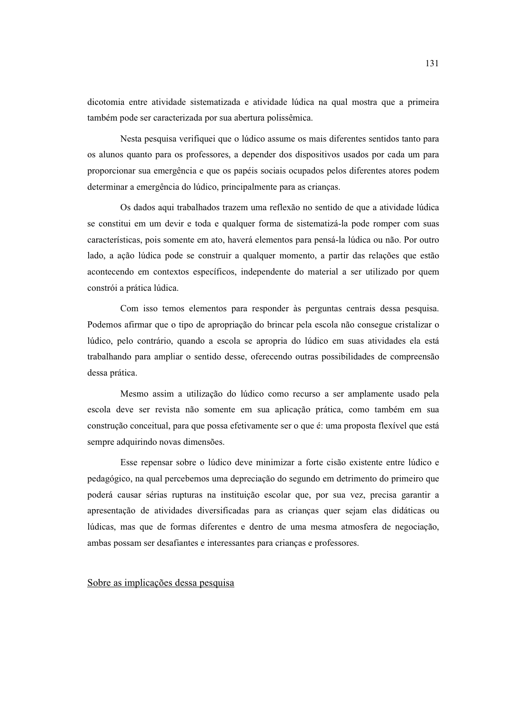dicotomia entre atividade sistematizada e atividade lúdica na qual mostra que a primeira também pode ser caracterizada por sua abertura polissêmica.

Nesta pesquisa verifiquei que o lúdico assume os mais diferentes sentidos tanto para os alunos quanto para os professores, a depender dos dispositivos usados por cada um para proporcionar sua emergência e que os papéis sociais ocupados pelos diferentes atores podem determinar a emergência do lúdico, principalmente para as crianças.

Os dados aqui trabalhados trazem uma reflexão no sentido de que a atividade lúdica se constitui em um devir e toda e qualquer forma de sistematizá-la pode romper com suas características, pois somente em ato, haverá elementos para pensá-la lúdica ou não. Por outro lado, a ação lúdica pode se construir a qualquer momento, a partir das relações que estão acontecendo em contextos específicos, independente do material a ser utilizado por quem constrói a prática lúdica.

Com isso temos elementos para responder às perguntas centrais dessa pesquisa. Podemos afirmar que o tipo de apropriação do brincar pela escola não consegue cristalizar o lúdico, pelo contrário, quando a escola se apropria do lúdico em suas atividades ela está trabalhando para ampliar o sentido desse, oferecendo outras possibilidades de compreensão dessa prática.

Mesmo assim a utilização do lúdico como recurso a ser amplamente usado pela escola deve ser revista não somente em sua aplicação prática, como também em sua construção conceitual, para que possa efetivamente ser o que é: uma proposta flexível que está sempre adquirindo novas dimensões.

Esse repensar sobre o lúdico deve minimizar a forte cisão existente entre lúdico e pedagógico, na qual percebemos uma depreciação do segundo em detrimento do primeiro que poderá causar sérias rupturas na instituição escolar que, por sua vez, precisa garantir a apresentação de atividades diversificadas para as crianças quer sejam elas didáticas ou lúdicas, mas que de formas diferentes e dentro de uma mesma atmosfera de negociação, ambas possam ser desafiantes e interessantes para crianças e professores.

### Sobre as implicações dessa pesquisa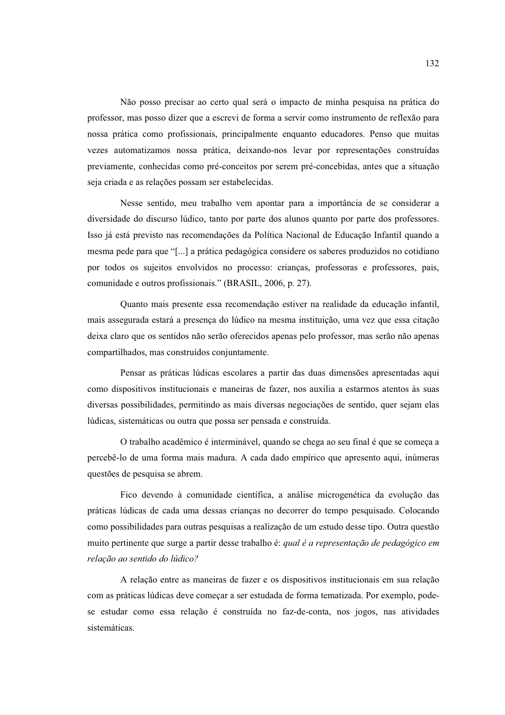Não posso precisar ao certo qual será o impacto de minha pesquisa na prática do professor, mas posso dizer que a escrevi de forma a servir como instrumento de reflexão para nossa prática como profissionais, principalmente enquanto educadores. Penso que muitas vezes automatizamos nossa prática, deixando-nos levar por representações construídas previamente, conhecidas como pré-conceitos por serem pré-concebidas, antes que a situação seja criada e as relações possam ser estabelecidas.

Nesse sentido, meu trabalho vem apontar para a importância de se considerar a diversidade do discurso lúdico, tanto por parte dos alunos quanto por parte dos professores. Isso já está previsto nas recomendações da Política Nacional de Educação Infantil quando a mesma pede para que "[...] a prática pedagógica considere os saberes produzidos no cotidiano por todos os sujeitos envolvidos no processo: crianças, professoras e professores, pais, comunidade e outros profissionais." (BRASIL, 2006, p. 27).

Quanto mais presente essa recomendação estiver na realidade da educação infantil, mais assegurada estará a presença do lúdico na mesma instituição, uma vez que essa citação deixa claro que os sentidos não serão oferecidos apenas pelo professor, mas serão não apenas compartilhados, mas construídos conjuntamente.

Pensar as práticas lúdicas escolares a partir das duas dimensões apresentadas aqui como dispositivos institucionais e maneiras de fazer, nos auxilia a estarmos atentos às suas diversas possibilidades, permitindo as mais diversas negociações de sentido, quer sejam elas lúdicas, sistemáticas ou outra que possa ser pensada e construída.

O trabalho acadêmico é interminável, quando se chega ao seu final é que se começa a percebê-lo de uma forma mais madura. A cada dado empírico que apresento aqui, inúmeras questões de pesquisa se abrem.

Fico devendo à comunidade científica, a análise microgenética da evolução das práticas lúdicas de cada uma dessas crianças no decorrer do tempo pesquisado. Colocando como possibilidades para outras pesquisas a realização de um estudo desse tipo. Outra questão muito pertinente que surge a partir desse trabalho é: qual é a representação de pedagógico em relação ao sentido do lúdico?

A relação entre as maneiras de fazer e os dispositivos institucionais em sua relação com as práticas lúdicas deve começar a ser estudada de forma tematizada. Por exemplo, podese estudar como essa relação é construída no faz-de-conta, nos jogos, nas atividades sistemáticas.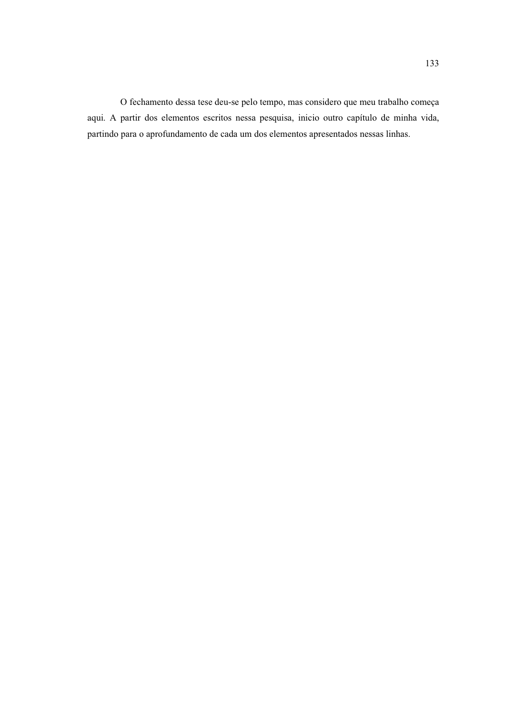O fechamento dessa tese deu-se pelo tempo, mas considero que meu trabalho começa aqui. A partir dos elementos escritos nessa pesquisa, inicio outro capítulo de minha vida, partindo para o aprofundamento de cada um dos elementos apresentados nessas linhas.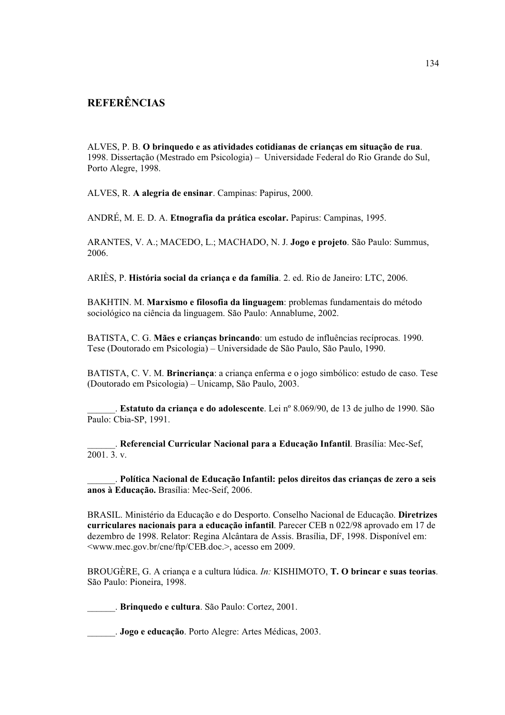# **REFERÊNCIAS**

ALVES, P. B. O brinquedo e as atividades cotidianas de crianças em situação de rua. 1998. Dissertação (Mestrado em Psicologia) - Universidade Federal do Rio Grande do Sul. Porto Alegre, 1998.

ALVES, R. A alegria de ensinar. Campinas: Papirus, 2000.

ANDRÉ, M. E. D. A. Etnografia da prática escolar. Papirus: Campinas, 1995.

ARANTES, V. A.; MACEDO, L.; MACHADO, N. J. Jogo e projeto. São Paulo: Summus, 2006.

ARIÈS, P. História social da criança e da família. 2. ed. Rio de Janeiro: LTC, 2006.

BAKHTIN. M. Marxismo e filosofia da linguagem: problemas fundamentais do método sociológico na ciência da linguagem. São Paulo: Annablume, 2002.

BATISTA, C. G. Mães e crianças brincando: um estudo de influências recíprocas. 1990. Tese (Doutorado em Psicologia) – Universidade de São Paulo, São Paulo, 1990.

BATISTA, C. V. M. Brincriança: a criança enferma e o jogo simbólico: estudo de caso. Tese (Doutorado em Psicologia) – Unicamp, São Paulo, 2003.

. Estatuto da criança e do adolescente. Lei nº 8.069/90, de 13 de julho de 1990. São Paulo: Cbia-SP, 1991.

. Referencial Curricular Nacional para a Educação Infantil. Brasília: Mec-Sef,  $\overline{2001.3}$ , v.

. Política Nacional de Educação Infantil: pelos direitos das crianças de zero a seis anos à Educação. Brasília: Mec-Seif, 2006.

BRASIL. Ministério da Educação e do Desporto. Conselho Nacional de Educação. Diretrizes curriculares nacionais para a educação infantil. Parecer CEB n 022/98 aprovado em 17 de dezembro de 1998. Relator: Regina Alcântara de Assis. Brasília, DF, 1998. Disponível em: <www.mec.gov.br/cne/ftp/CEB.doc.>, acesso em 2009.

BROUGÈRE, G. A criança e a cultura lúdica. In: KISHIMOTO, T. O brincar e suas teorias. São Paulo: Pioneira, 1998.

. Brinquedo e cultura. São Paulo: Cortez, 2001.

. Jogo e educação. Porto Alegre: Artes Médicas, 2003.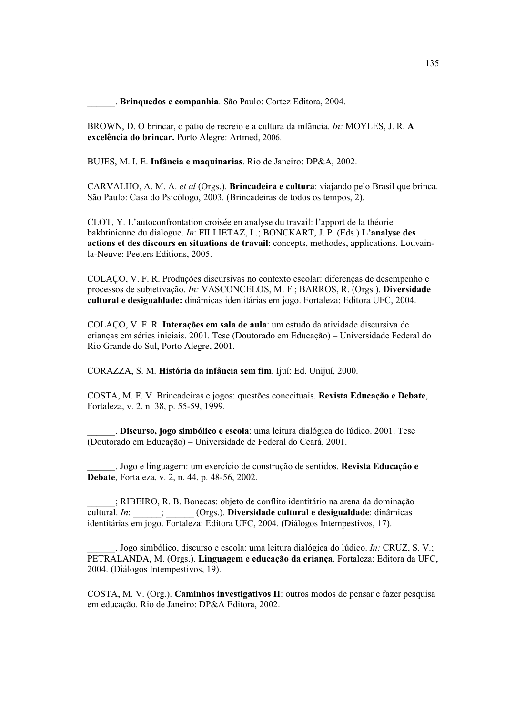Brinquedos e companhia. São Paulo: Cortez Editora, 2004.

BROWN, D. O brincar, o pátio de recreio e a cultura da infância. *In:* MOYLES, J. R. A excelência do brincar. Porto Alegre: Artmed, 2006.

BUJES, M. I. E. Infância e maquinarias. Rio de Janeiro: DP&A, 2002.

CARVALHO, A. M. A. et al (Orgs.). **Brincadeira e cultura**: viajando pelo Brasil que brinca. São Paulo: Casa do Psicólogo, 2003. (Brincadeiras de todos os tempos, 2).

CLOT, Y. L'autoconfrontation croisée en analyse du travail: l'apport de la théorie bakhtinienne du dialogue. In: FILLIETAZ, L.; BONCKART, J. P. (Eds.) L'analyse des actions et des discours en situations de travail: concepts, methodes, applications. Louvainla-Neuve: Peeters Editions, 2005.

COLAÇO, V. F. R. Produções discursivas no contexto escolar: diferenças de desempenho e processos de subjetivação. In: VASCONCELOS, M. F.; BARROS, R. (Orgs.). Diversidade cultural e desigualdade: dinâmicas identitárias em jogo. Fortaleza: Editora UFC, 2004.

COLAÇO, V. F. R. Interações em sala de aula: um estudo da atividade discursiva de criancas em séries iniciais. 2001. Tese (Doutorado em Educação) – Universidade Federal do Rio Grande do Sul, Porto Alegre, 2001.

CORAZZA, S. M. História da infância sem fim. Ijuí: Ed. Unijuí, 2000.

COSTA, M. F. V. Brincadeiras e jogos: questões conceituais. Revista Educação e Debate, Fortaleza, v. 2. n. 38, p. 55-59, 1999.

. Discurso, jogo simbólico e escola: uma leitura dialógica do lúdico. 2001. Tese (Doutorado em Educação) – Universidade de Federal do Ceará, 2001.

. Jogo e linguagem: um exercício de construção de sentidos. Revista Educação e **Debate**, Fortaleza, v. 2, n. 44, p. 48-56, 2002.

; RIBEIRO, R. B. Bonecas: objeto de conflito identitário na arena da dominação cultural. In: \_\_\_\_\_; \_\_\_\_\_(Orgs.). Diversidade cultural e desigualdade: dinâmicas identitárias em jogo. Fortaleza: Editora UFC, 2004. (Diálogos Intempestivos, 17).

. Jogo simbólico, discurso e escola: uma leitura dialógica do lúdico. In: CRUZ, S. V.: PETRALANDA, M. (Orgs.). Linguagem e educação da criança. Fortaleza: Editora da UFC, 2004. (Diálogos Intempestivos, 19).

COSTA, M. V. (Org.). Caminhos investigativos II: outros modos de pensar e fazer pesquisa em educação. Rio de Janeiro: DP&A Editora, 2002.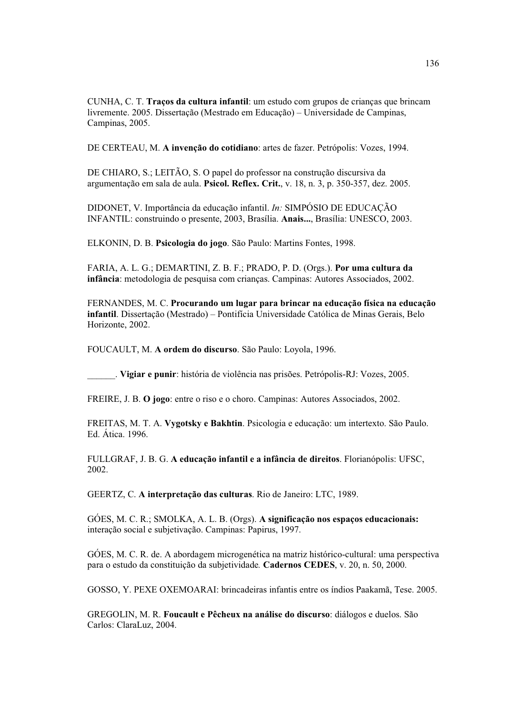CUNHA, C. T. Traços da cultura infantil: um estudo com grupos de crianças que brincam livremente, 2005. Dissertação (Mestrado em Educação) – Universidade de Campinas. Campinas, 2005.

DE CERTEAU, M. A invencão do cotidiano: artes de fazer. Petrópolis: Vozes, 1994.

DE CHIARO, S.; LEITÃO, S. O papel do professor na construção discursiva da argumentação em sala de aula. Psicol. Reflex. Crit., v. 18, n. 3, p. 350-357, dez. 2005.

DIDONET, V. Importância da educação infantil. *In:* SIMPÓSIO DE EDUCAÇÃO INFANTIL: construindo o presente, 2003, Brasília. Anais..., Brasília: UNESCO, 2003.

ELKONIN, D. B. Psicologia do jogo. São Paulo: Martins Fontes, 1998.

FARIA, A. L. G.; DEMARTINI, Z. B. F.; PRADO, P. D. (Orgs.). Por uma cultura da infância: metodologia de pesquisa com crianças. Campinas: Autores Associados, 2002.

FERNANDES, M. C. Procurando um lugar para brincar na educação física na educação infantil. Dissertação (Mestrado) - Pontifícia Universidade Católica de Minas Gerais, Belo Horizonte, 2002.

FOUCAULT, M. A ordem do discurso. São Paulo: Loyola, 1996.

. Vigiar e punir: história de violência nas prisões. Petrópolis-RJ: Vozes, 2005.

FREIRE, J. B. O jogo: entre o riso e o choro. Campinas: Autores Associados. 2002.

FREITAS, M. T. A. Vygotsky e Bakhtin. Psicologia e educação: um intertexto. São Paulo. Ed Ática 1996

FULLGRAF, J. B. G. A educação infantil e a infância de direitos. Florianópolis: UFSC, 2002.

GEERTZ, C. A interpretação das culturas. Rio de Janeiro: LTC, 1989.

GÓES, M. C. R.; SMOLKA, A. L. B. (Orgs). A significação nos espaços educacionais: interação social e subjetivação. Campinas: Papirus, 1997.

GÓES, M. C. R. de. A abordagem microgenética na matriz histórico-cultural: uma perspectiva para o estudo da constituição da subietividade. Cadernos CEDES, v. 20, n. 50, 2000.

GOSSO, Y. PEXE OXEMOARAI: brincadeiras infantis entre os índios Paakamã, Tese. 2005.

GREGOLIN, M. R. Foucault e Pêcheux na análise do discurso: diálogos e duelos. São Carlos: ClaraLuz, 2004.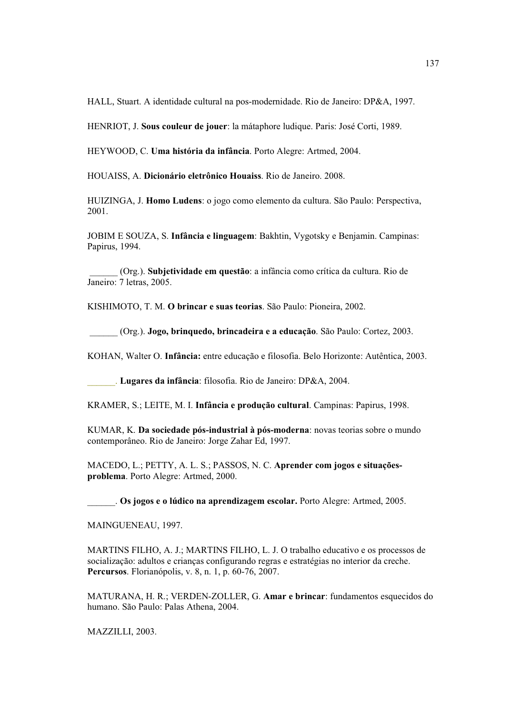HALL, Stuart. A identidade cultural na pos-modernidade. Rio de Janeiro: DP&A, 1997.

HENRIOT, J. Sous couleur de jouer: la mátaphore ludique. Paris: José Corti. 1989.

HEYWOOD, C. Uma história da infância. Porto Alegre: Artmed, 2004.

HOUAISS, A. Dicionário eletrônico Houaiss. Rio de Janeiro. 2008.

HUIZINGA, J. Homo Ludens: o jogo como elemento da cultura. São Paulo: Perspectiva, 2001.

JOBIM E SOUZA, S. Infância e linguagem: Bakhtin, Vygotsky e Benjamin. Campinas: Papirus, 1994.

(Org.). Subjetividade em questão: a infância como crítica da cultura. Rio de Janeiro: 7 letras, 2005.

KISHIMOTO, T. M. O brincar e suas teorias. São Paulo: Pioneira, 2002.

(Org.). Jogo, brinquedo, brincadeira e a educação. São Paulo: Cortez, 2003.

KOHAN, Walter O. Infância: entre educação e filosofia. Belo Horizonte: Autêntica, 2003.

Lugares da infância: filosofia. Rio de Janeiro: DP&A, 2004.

KRAMER, S.; LEITE, M. I. Infância e produção cultural. Campinas: Papirus, 1998.

KUMAR, K. Da sociedade pós-industrial à pós-moderna: novas teorias sobre o mundo contemporâneo. Rio de Janeiro: Jorge Zahar Ed, 1997.

MACEDO, L.; PETTY, A. L. S.; PASSOS, N. C. Aprender com jogos e situaçõesproblema. Porto Alegre: Artmed, 2000.

. Os jogos e o lúdico na aprendizagem escolar. Porto Alegre: Artmed, 2005.

MAINGUENEAU, 1997.

MARTINS FILHO, A. J.; MARTINS FILHO, L. J. O trabalho educativo e os processos de socialização: adultos e crianças configurando regras e estratégias no interior da creche. Percursos. Florianópolis, v. 8, n. 1, p. 60-76, 2007.

MATURANA, H. R.; VERDEN-ZOLLER, G. Amar e brincar: fundamentos esquecidos do humano. São Paulo: Palas Athena, 2004.

MAZZILLI, 2003.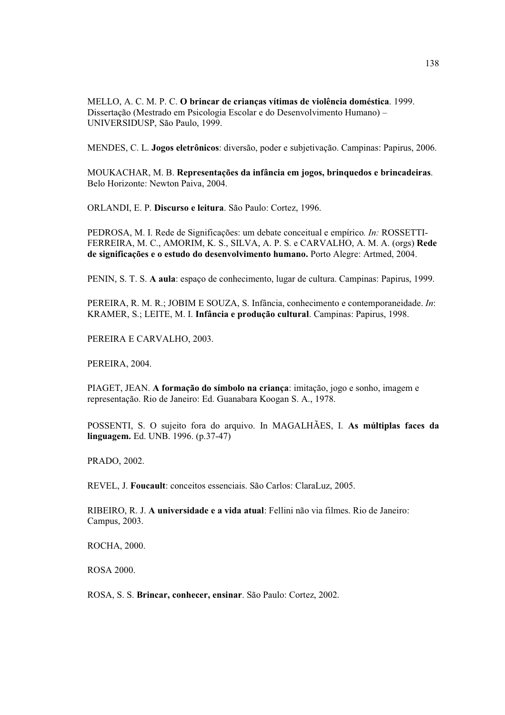MELLO, A. C. M. P. C. O brincar de crianças vítimas de violência doméstica. 1999. Dissertação (Mestrado em Psicologia Escolar e do Desenvolvimento Humano) -UNIVERSIDUSP, São Paulo, 1999.

MENDES, C. L. Jogos eletrônicos: diversão, poder e subjetivação. Campinas: Papirus, 2006.

MOUKACHAR, M. B. Representações da infância em jogos, brinquedos e brincadeiras. Belo Horizonte: Newton Paiva, 2004.

ORLANDI, E. P. Discurso e leitura. São Paulo: Cortez, 1996.

PEDROSA, M. I. Rede de Significações: um debate conceitual e empírico. In: ROSSETTI-FERREIRA, M. C., AMORIM, K. S., SILVA, A. P. S. e CARVALHO, A. M. A. (orgs) Rede de significações e o estudo do desenvolvimento humano. Porto Alegre: Artmed, 2004.

PENIN, S. T. S. A aula: espaço de conhecimento, lugar de cultura. Campinas: Papirus, 1999.

PEREIRA, R. M. R.; JOBIM E SOUZA, S. Infância, conhecimento e contemporaneidade. In: KRAMER, S.; LEITE, M. I. Infância e produção cultural. Campinas: Papirus, 1998.

PEREIRA E CARVALHO, 2003.

PEREIRA, 2004.

PIAGET, JEAN. A formação do símbolo na criança: imitação, jogo e sonho, imagem e representação. Rio de Janeiro: Ed. Guanabara Koogan S. A., 1978.

POSSENTI, S. O sujeito fora do arquivo. In MAGALHÃES, I. As múltiplas faces da **linguagem.** Ed. UNB. 1996. (p.37-47)

PRADO, 2002.

REVEL, J. Foucault: conceitos essenciais. São Carlos: ClaraLuz, 2005.

RIBEIRO, R. J. A universidade e a vida atual: Fellini não via filmes. Rio de Janeiro: Campus, 2003.

ROCHA, 2000.

**ROSA 2000.** 

ROSA, S. S. Brincar, conhecer, ensinar. São Paulo: Cortez, 2002.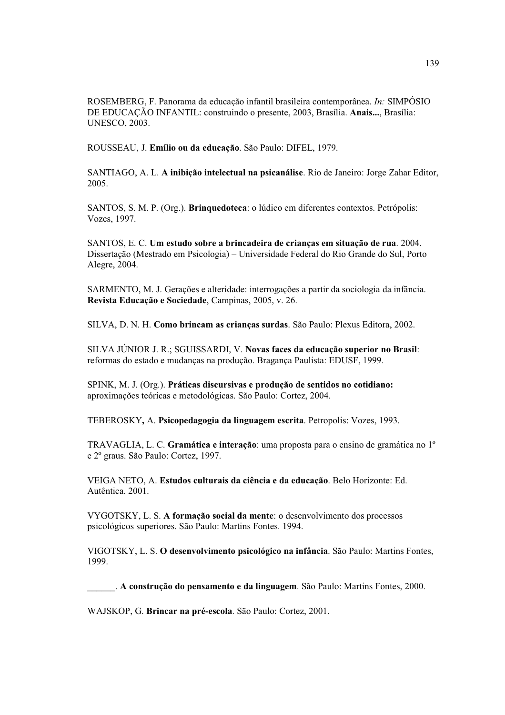ROSEMBERG, F. Panorama da educação infantil brasileira contemporânea. In: SIMPÓSIO DE EDUCAÇÃO INFANTIL: construindo o presente, 2003, Brasília, Anais..., Brasília: **UNESCO, 2003.** 

ROUSSEAU, J. Emílio ou da educação. São Paulo: DIFEL, 1979.

SANTIAGO, A. L. A inibicão intelectual na psicanálise. Rio de Janeiro: Jorge Zahar Editor, 2005.

SANTOS, S. M. P. (Org.). **Bringuedoteca**: o lúdico em diferentes contextos. Petrópolis: Vozes, 1997.

SANTOS, E. C. Um estudo sobre a brincadeira de crianças em situação de rua. 2004. Dissertação (Mestrado em Psicologia) – Universidade Federal do Rio Grande do Sul, Porto Alegre, 2004.

SARMENTO, M. J. Gerações e alteridade: interrogações a partir da sociologia da infância. Revista Educação e Sociedade, Campinas, 2005, v. 26.

SILVA, D. N. H. Como brincam as criancas surdas. São Paulo: Plexus Editora, 2002.

SILVA JÚNIOR J. R.; SGUISSARDI, V. Novas faces da educação superior no Brasil: reformas do estado e mudanças na produção. Bragança Paulista: EDUSF, 1999.

SPINK, M. J. (Org.). Práticas discursivas e produção de sentidos no cotidiano: aproximações teóricas e metodológicas. São Paulo: Cortez, 2004.

TEBEROSKY, A. Psicopedagogia da linguagem escrita. Petropolis: Vozes, 1993.

TRAVAGLIA, L. C. Gramática e interação: uma proposta para o ensino de gramática no  $1^{\circ}$ e 2º graus. São Paulo: Cortez, 1997.

VEIGA NETO, A. Estudos culturais da ciência e da educação. Belo Horizonte: Ed. Autêntica. 2001.

VYGOTSKY, L. S. A formação social da mente: o desenvolvimento dos processos psicológicos superiores. São Paulo: Martins Fontes. 1994.

VIGOTSKY, L. S. O desenvolvimento psicológico na infância. São Paulo: Martins Fontes, 1999.

A construção do pensamento e da linguagem. São Paulo: Martins Fontes, 2000.

WAJSKOP, G. Brincar na pré-escola. São Paulo: Cortez, 2001.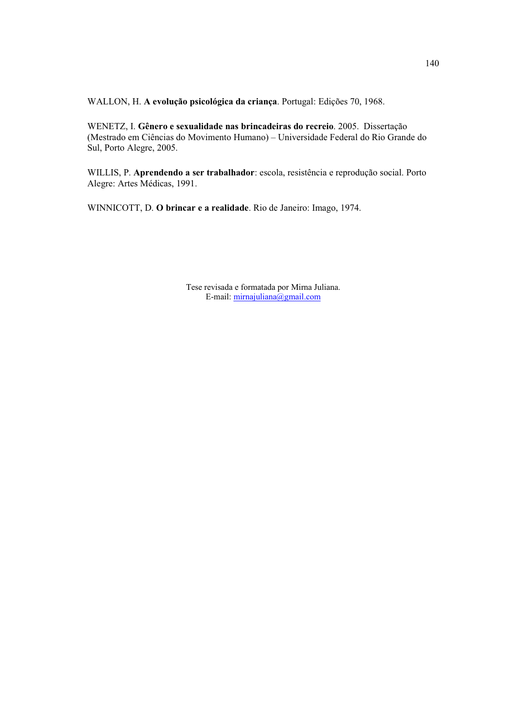WALLON, H. A evolução psicológica da criança. Portugal: Edições 70, 1968.

WENETZ, I. Gênero e sexualidade nas brincadeiras do recreio. 2005. Dissertação (Mestrado em Ciências do Movimento Humano) - Universidade Federal do Rio Grande do Sul, Porto Alegre, 2005.

WILLIS, P. Aprendendo a ser trabalhador: escola, resistência e reprodução social. Porto Alegre: Artes Médicas, 1991.

WINNICOTT, D. O brincar e a realidade. Rio de Janeiro: Imago, 1974.

Tese revisada e formatada por Mirna Juliana. E-mail:  $minajuliana@gmail.com$